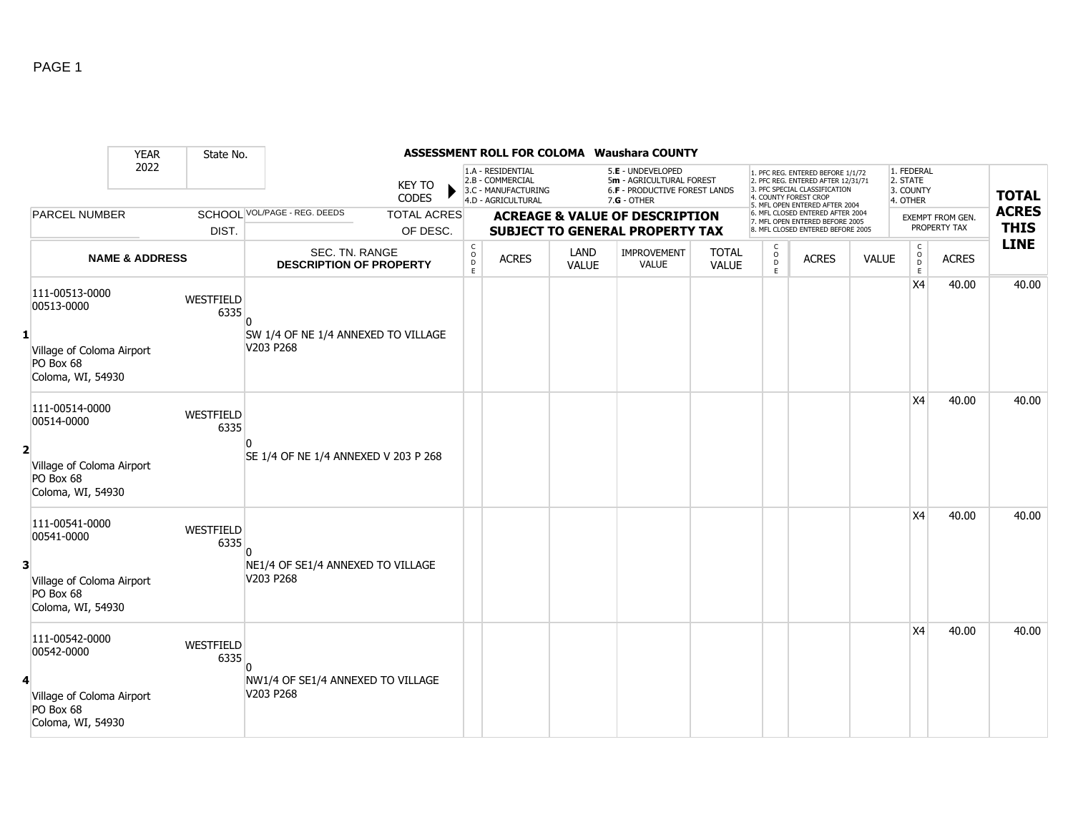|                |                                                             | <b>YEAR</b>               | State No.         |                                                  |                               |                              |                                                                                    |                      | ASSESSMENT ROLL FOR COLOMA Waushara COUNTY                                                    |                              |                       |                                                                                                                                                                     |              |                                                 |                         |                            |
|----------------|-------------------------------------------------------------|---------------------------|-------------------|--------------------------------------------------|-------------------------------|------------------------------|------------------------------------------------------------------------------------|----------------------|-----------------------------------------------------------------------------------------------|------------------------------|-----------------------|---------------------------------------------------------------------------------------------------------------------------------------------------------------------|--------------|-------------------------------------------------|-------------------------|----------------------------|
|                |                                                             | 2022                      |                   |                                                  | <b>KEY TO</b><br><b>CODES</b> |                              | 1.A - RESIDENTIAL<br>2.B - COMMERCIAL<br>3.C - MANUFACTURING<br>4.D - AGRICULTURAL |                      | 5.E - UNDEVELOPED<br>5m - AGRICULTURAL FOREST<br>6.F - PRODUCTIVE FOREST LANDS<br>7.G - OTHER |                              |                       | 1. PFC REG. ENTERED BEFORE 1/1/72<br>2. PFC REG. ENTERED AFTER 12/31/71<br>3. PFC SPECIAL CLASSIFICATION<br>4. COUNTY FOREST CROP<br>5. MFL OPEN ENTERED AFTER 2004 |              | 1. FEDERAL<br>2. STATE<br>3. COUNTY<br>4. OTHER |                         | <b>TOTAL</b>               |
|                | <b>PARCEL NUMBER</b>                                        |                           |                   | SCHOOL VOL/PAGE - REG. DEEDS                     | <b>TOTAL ACRES</b>            |                              |                                                                                    |                      | <b>ACREAGE &amp; VALUE OF DESCRIPTION</b>                                                     |                              |                       | 6. MFL CLOSED ENTERED AFTER 2004<br>7. MFL OPEN ENTERED BEFORE 2005                                                                                                 |              |                                                 | <b>EXEMPT FROM GEN.</b> | <b>ACRES</b>               |
|                |                                                             |                           | DIST.             |                                                  | OF DESC.                      |                              |                                                                                    |                      | <b>SUBJECT TO GENERAL PROPERTY TAX</b>                                                        |                              |                       | 8. MFL CLOSED ENTERED BEFORE 2005                                                                                                                                   |              |                                                 | PROPERTY TAX            | <b>THIS</b><br><b>LINE</b> |
|                |                                                             | <b>NAME &amp; ADDRESS</b> |                   | SEC. TN. RANGE<br><b>DESCRIPTION OF PROPERTY</b> |                               | $_{\rm o}^{\rm c}$<br>D<br>E | <b>ACRES</b>                                                                       | LAND<br><b>VALUE</b> | <b>IMPROVEMENT</b><br><b>VALUE</b>                                                            | <b>TOTAL</b><br><b>VALUE</b> | $\mathsf O$<br>D<br>E | <b>ACRES</b>                                                                                                                                                        | <b>VALUE</b> | $\mathsf{C}$<br>$_{\rm D}^{\rm O}$<br>E         | <b>ACRES</b>            |                            |
|                | 111-00513-0000<br>00513-0000                                |                           | WESTFIELD<br>6335 |                                                  |                               |                              |                                                                                    |                      |                                                                                               |                              |                       |                                                                                                                                                                     |              | X4                                              | 40.00                   | 40.00                      |
| $\mathbf{1}$   | Village of Coloma Airport<br>PO Box 68<br>Coloma, WI, 54930 |                           |                   | SW 1/4 OF NE 1/4 ANNEXED TO VILLAGE<br>V203 P268 |                               |                              |                                                                                    |                      |                                                                                               |                              |                       |                                                                                                                                                                     |              |                                                 |                         |                            |
|                | 111-00514-0000<br>00514-0000                                |                           | WESTFIELD<br>6335 |                                                  |                               |                              |                                                                                    |                      |                                                                                               |                              |                       |                                                                                                                                                                     |              | X4                                              | 40.00                   | 40.00                      |
| $\overline{2}$ | Village of Coloma Airport<br>PO Box 68<br>Coloma, WI, 54930 |                           |                   | SE 1/4 OF NE 1/4 ANNEXED V 203 P 268             |                               |                              |                                                                                    |                      |                                                                                               |                              |                       |                                                                                                                                                                     |              |                                                 |                         |                            |
|                | 111-00541-0000<br>00541-0000                                |                           | WESTFIELD<br>6335 |                                                  |                               |                              |                                                                                    |                      |                                                                                               |                              |                       |                                                                                                                                                                     |              | X <sub>4</sub>                                  | 40.00                   | 40.00                      |
| 3              | Village of Coloma Airport<br>PO Box 68<br>Coloma, WI, 54930 |                           |                   | NE1/4 OF SE1/4 ANNEXED TO VILLAGE<br>V203 P268   |                               |                              |                                                                                    |                      |                                                                                               |                              |                       |                                                                                                                                                                     |              |                                                 |                         |                            |
|                | 111-00542-0000<br>00542-0000                                |                           | WESTFIELD<br>6335 |                                                  |                               |                              |                                                                                    |                      |                                                                                               |                              |                       |                                                                                                                                                                     |              | <b>X4</b>                                       | 40.00                   | 40.00                      |
| 4              | Village of Coloma Airport<br>PO Box 68<br>Coloma, WI, 54930 |                           |                   | NW1/4 OF SE1/4 ANNEXED TO VILLAGE<br>V203 P268   |                               |                              |                                                                                    |                      |                                                                                               |                              |                       |                                                                                                                                                                     |              |                                                 |                         |                            |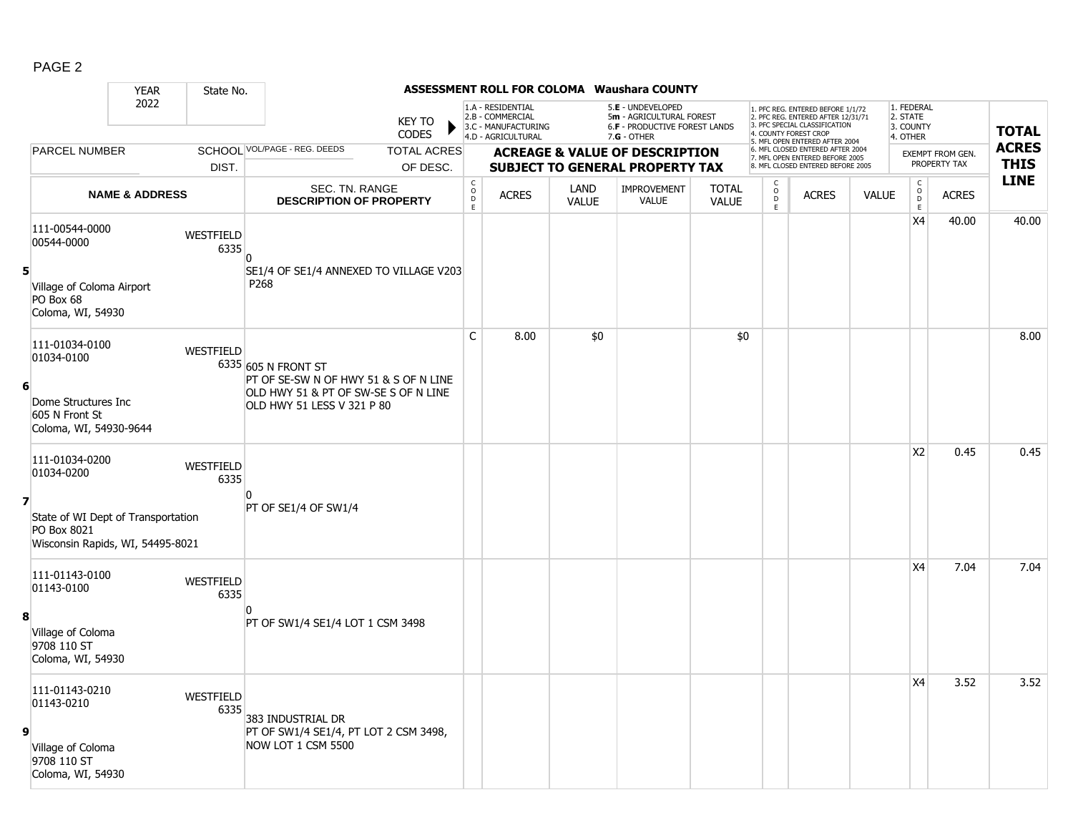|--|--|

|                         |                                                                                                 | <b>YEAR</b>               | State No.         |                                                                                                                                    |                               |                                                 |                                                                                    |                      | ASSESSMENT ROLL FOR COLOMA Waushara COUNTY                                                           |                              |                                              |                                                                                                                                                                     |              |                                                 |                                  |                             |
|-------------------------|-------------------------------------------------------------------------------------------------|---------------------------|-------------------|------------------------------------------------------------------------------------------------------------------------------------|-------------------------------|-------------------------------------------------|------------------------------------------------------------------------------------|----------------------|------------------------------------------------------------------------------------------------------|------------------------------|----------------------------------------------|---------------------------------------------------------------------------------------------------------------------------------------------------------------------|--------------|-------------------------------------------------|----------------------------------|-----------------------------|
|                         |                                                                                                 | 2022                      |                   |                                                                                                                                    | <b>KEY TO</b><br><b>CODES</b> |                                                 | 1.A - RESIDENTIAL<br>2.B - COMMERCIAL<br>3.C - MANUFACTURING<br>4.D - AGRICULTURAL |                      | 5.E - UNDEVELOPED<br>5m - AGRICULTURAL FOREST<br><b>6.F - PRODUCTIVE FOREST LANDS</b><br>7.G - OTHER |                              |                                              | 1. PFC REG. ENTERED BEFORE 1/1/72<br>2. PFC REG. ENTERED AFTER 12/31/71<br>3. PFC SPECIAL CLASSIFICATION<br>4. COUNTY FOREST CROP<br>5. MFL OPEN ENTERED AFTER 2004 |              | 1. FEDERAL<br>2. STATE<br>3. COUNTY<br>4. OTHER |                                  | <b>TOTAL</b>                |
|                         | <b>PARCEL NUMBER</b>                                                                            |                           |                   | SCHOOL VOL/PAGE - REG. DEEDS                                                                                                       | <b>TOTAL ACRES</b>            |                                                 |                                                                                    |                      | <b>ACREAGE &amp; VALUE OF DESCRIPTION</b>                                                            |                              |                                              | 6. MFL CLOSED ENTERED AFTER 2004<br>7. MFL OPEN ENTERED BEFORE 2005                                                                                                 |              |                                                 | EXEMPT FROM GEN.<br>PROPERTY TAX | <b>ACRES</b><br><b>THIS</b> |
|                         |                                                                                                 |                           | DIST.             |                                                                                                                                    | OF DESC.                      |                                                 |                                                                                    |                      | <b>SUBJECT TO GENERAL PROPERTY TAX</b>                                                               |                              |                                              | 8. MFL CLOSED ENTERED BEFORE 2005                                                                                                                                   |              |                                                 |                                  | <b>LINE</b>                 |
|                         |                                                                                                 | <b>NAME &amp; ADDRESS</b> |                   | <b>SEC. TN. RANGE</b><br><b>DESCRIPTION OF PROPERTY</b>                                                                            |                               | $\begin{array}{c} C \\ O \\ D \\ E \end{array}$ | <b>ACRES</b>                                                                       | LAND<br><b>VALUE</b> | <b>IMPROVEMENT</b><br><b>VALUE</b>                                                                   | <b>TOTAL</b><br><b>VALUE</b> | $\begin{array}{c}\nC \\ D \\ E\n\end{array}$ | <b>ACRES</b>                                                                                                                                                        | <b>VALUE</b> | $\mathsf C$<br>$\circ$<br>D<br>E                | <b>ACRES</b>                     |                             |
|                         | 111-00544-0000<br>00544-0000                                                                    |                           | WESTFIELD<br>6335 |                                                                                                                                    |                               |                                                 |                                                                                    |                      |                                                                                                      |                              |                                              |                                                                                                                                                                     |              | X4                                              | 40.00                            | 40.00                       |
| 5                       | Village of Coloma Airport<br>PO Box 68<br>Coloma, WI, 54930                                     |                           |                   | SE1/4 OF SE1/4 ANNEXED TO VILLAGE V203<br>P268                                                                                     |                               |                                                 |                                                                                    |                      |                                                                                                      |                              |                                              |                                                                                                                                                                     |              |                                                 |                                  |                             |
| 6                       | 111-01034-0100<br>01034-0100<br>Dome Structures Inc<br>605 N Front St<br>Coloma, WI, 54930-9644 |                           | <b>WESTFIELD</b>  | 6335 605 N FRONT ST<br>PT OF SE-SW N OF HWY 51 & S OF N LINE<br>OLD HWY 51 & PT OF SW-SE S OF N LINE<br>OLD HWY 51 LESS V 321 P 80 |                               | C                                               | 8.00                                                                               | \$0                  |                                                                                                      | \$0                          |                                              |                                                                                                                                                                     |              |                                                 |                                  | 8.00                        |
|                         | 111-01034-0200<br>01034-0200                                                                    |                           | WESTFIELD<br>6335 |                                                                                                                                    |                               |                                                 |                                                                                    |                      |                                                                                                      |                              |                                              |                                                                                                                                                                     |              | X <sub>2</sub>                                  | 0.45                             | 0.45                        |
| $\overline{\mathbf{z}}$ | State of WI Dept of Transportation<br>PO Box 8021<br>Wisconsin Rapids, WI, 54495-8021           |                           |                   | PT OF SE1/4 OF SW1/4                                                                                                               |                               |                                                 |                                                                                    |                      |                                                                                                      |                              |                                              |                                                                                                                                                                     |              |                                                 |                                  |                             |
|                         | 111-01143-0100<br>01143-0100                                                                    |                           | WESTFIELD<br>6335 |                                                                                                                                    |                               |                                                 |                                                                                    |                      |                                                                                                      |                              |                                              |                                                                                                                                                                     |              | X4                                              | 7.04                             | 7.04                        |
| 8                       | Village of Coloma<br>9708 110 ST<br>Coloma, WI, 54930                                           |                           |                   | PT OF SW1/4 SE1/4 LOT 1 CSM 3498                                                                                                   |                               |                                                 |                                                                                    |                      |                                                                                                      |                              |                                              |                                                                                                                                                                     |              |                                                 |                                  |                             |
| 9                       | 111-01143-0210<br>01143-0210                                                                    |                           | WESTFIELD<br>6335 | 383 INDUSTRIAL DR<br>PT OF SW1/4 SE1/4, PT LOT 2 CSM 3498,<br>NOW LOT 1 CSM 5500                                                   |                               |                                                 |                                                                                    |                      |                                                                                                      |                              |                                              |                                                                                                                                                                     |              | X4                                              | 3.52                             | 3.52                        |
|                         | Village of Coloma<br>9708 110 ST<br>Coloma, WI, 54930                                           |                           |                   |                                                                                                                                    |                               |                                                 |                                                                                    |                      |                                                                                                      |                              |                                              |                                                                                                                                                                     |              |                                                 |                                  |                             |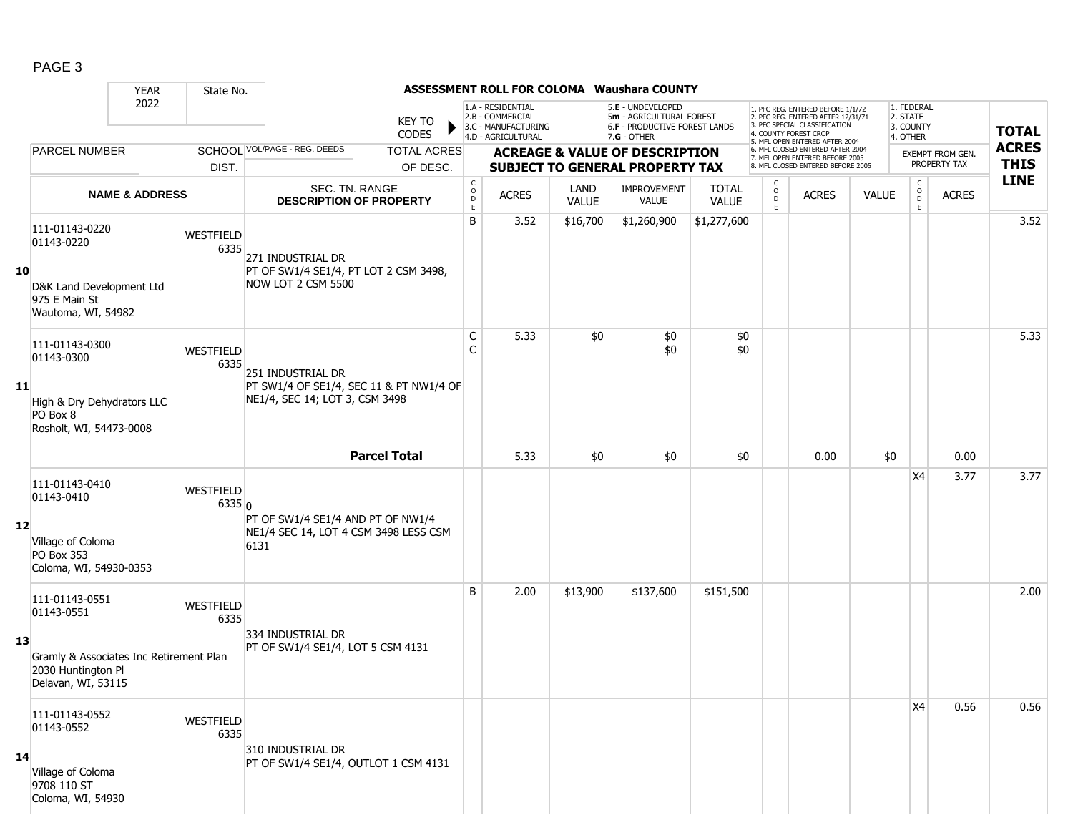|                   |                                                                                                                     | <b>YEAR</b>               | State No.                |                                                                                                                       |                                        |                                                              |                      | <b>ASSESSMENT ROLL FOR COLOMA Waushara COUNTY</b>                                     |                              |                                                 |                                                                                                                                   |              |                                          |                                         |              |
|-------------------|---------------------------------------------------------------------------------------------------------------------|---------------------------|--------------------------|-----------------------------------------------------------------------------------------------------------------------|----------------------------------------|--------------------------------------------------------------|----------------------|---------------------------------------------------------------------------------------|------------------------------|-------------------------------------------------|-----------------------------------------------------------------------------------------------------------------------------------|--------------|------------------------------------------|-----------------------------------------|--------------|
|                   |                                                                                                                     | 2022                      |                          | <b>KEY TO</b><br><b>CODES</b>                                                                                         |                                        | 1.A - RESIDENTIAL<br>2.B - COMMERCIAL<br>3.C - MANUFACTURING |                      | 5.E - UNDEVELOPED<br>5m - AGRICULTURAL FOREST<br><b>6.F - PRODUCTIVE FOREST LANDS</b> |                              |                                                 | 1. PFC REG. ENTERED BEFORE 1/1/72<br>2. PFC REG. ENTERED AFTER 12/31/71<br>3. PFC SPECIAL CLASSIFICATION<br>4. COUNTY FOREST CROP |              | 1. FEDERAL<br>2. STATE<br>3. COUNTY      |                                         | <b>TOTAL</b> |
|                   | <b>PARCEL NUMBER</b>                                                                                                |                           |                          | SCHOOL VOL/PAGE - REG. DEEDS                                                                                          |                                        | 4.D - AGRICULTURAL                                           |                      | 7.G - OTHER                                                                           |                              |                                                 | 5. MFL OPEN ENTERED AFTER 2004<br>6. MFL CLOSED ENTERED AFTER 2004                                                                |              | 4. OTHER                                 |                                         | <b>ACRES</b> |
|                   |                                                                                                                     |                           |                          | <b>TOTAL ACRES</b>                                                                                                    |                                        |                                                              |                      | <b>ACREAGE &amp; VALUE OF DESCRIPTION</b>                                             |                              |                                                 | 7. MFL OPEN ENTERED BEFORE 2005<br>8. MFL CLOSED ENTERED BEFORE 2005                                                              |              |                                          | <b>EXEMPT FROM GEN.</b><br>PROPERTY TAX | <b>THIS</b>  |
|                   |                                                                                                                     |                           | DIST.                    | OF DESC.                                                                                                              |                                        |                                                              |                      | <b>SUBJECT TO GENERAL PROPERTY TAX</b>                                                |                              |                                                 |                                                                                                                                   |              |                                          |                                         | <b>LINE</b>  |
|                   |                                                                                                                     | <b>NAME &amp; ADDRESS</b> |                          | SEC. TN. RANGE<br><b>DESCRIPTION OF PROPERTY</b>                                                                      | $\mathsf{C}$<br>$\mathsf O$<br>D<br>E. | <b>ACRES</b>                                                 | LAND<br><b>VALUE</b> | <b>IMPROVEMENT</b><br><b>VALUE</b>                                                    | <b>TOTAL</b><br><b>VALUE</b> | $\begin{matrix} 0 \\ 0 \\ 0 \end{matrix}$<br>E. | <b>ACRES</b>                                                                                                                      | <b>VALUE</b> | $\mathsf{C}$<br>$_{\rm D}^{\rm O}$<br>E. | <b>ACRES</b>                            |              |
| 10                | 111-01143-0220<br>01143-0220<br>D&K Land Development Ltd<br>975 E Main St<br>Wautoma, WI, 54982                     |                           | WESTFIELD<br>6335        | 271 INDUSTRIAL DR<br>PT OF SW1/4 SE1/4, PT LOT 2 CSM 3498,<br>NOW LOT 2 CSM 5500                                      | B                                      | 3.52                                                         | \$16,700             | \$1,260,900                                                                           | \$1,277,600                  |                                                 |                                                                                                                                   |              |                                          |                                         | 3.52         |
| 11                | 111-01143-0300<br>01143-0300<br>High & Dry Dehydrators LLC<br>PO Box 8<br>Rosholt, WI, 54473-0008                   |                           | WESTFIELD<br>6335        | 251 INDUSTRIAL DR<br>PT SW1/4 OF SE1/4, SEC 11 & PT NW1/4 OF<br>NE1/4, SEC 14; LOT 3, CSM 3498<br><b>Parcel Total</b> | C                                      | 5.33                                                         | \$0                  | \$0<br>\$0                                                                            | \$0<br>\$0                   |                                                 |                                                                                                                                   |              |                                          |                                         | 5.33         |
|                   |                                                                                                                     |                           |                          |                                                                                                                       |                                        | 5.33                                                         | \$0                  | \$0                                                                                   | \$0                          |                                                 | 0.00                                                                                                                              | \$0          |                                          | 0.00                                    |              |
| $12 \overline{ }$ | 111-01143-0410<br>01143-0410<br>Village of Coloma<br>PO Box 353<br>Coloma, WI, 54930-0353                           |                           | WESTFIELD<br>6335n       | PT OF SW1/4 SE1/4 AND PT OF NW1/4<br>NE1/4 SEC 14, LOT 4 CSM 3498 LESS CSM<br>6131                                    |                                        |                                                              |                      |                                                                                       |                              |                                                 |                                                                                                                                   |              | X4                                       | 3.77                                    | 3.77         |
| 13                | 111-01143-0551<br>01143-0551<br>Gramly & Associates Inc Retirement Plan<br>2030 Huntington Pl<br>Delavan, WI, 53115 |                           | WESTFIELD<br>6335        | 334 Industrial Dr<br>PT OF SW1/4 SE1/4, LOT 5 CSM 4131                                                                | B                                      | 2.00                                                         | \$13,900             | \$137,600                                                                             | \$151,500                    |                                                 |                                                                                                                                   |              |                                          |                                         | 2.00         |
| 14                | 111-01143-0552<br>01143-0552<br>Village of Coloma<br>9708 110 ST<br>Coloma, WI, 54930                               |                           | <b>WESTFIELD</b><br>6335 | 310 INDUSTRIAL DR<br>PT OF SW1/4 SE1/4, OUTLOT 1 CSM 4131                                                             |                                        |                                                              |                      |                                                                                       |                              |                                                 |                                                                                                                                   |              | X4                                       | 0.56                                    | 0.56         |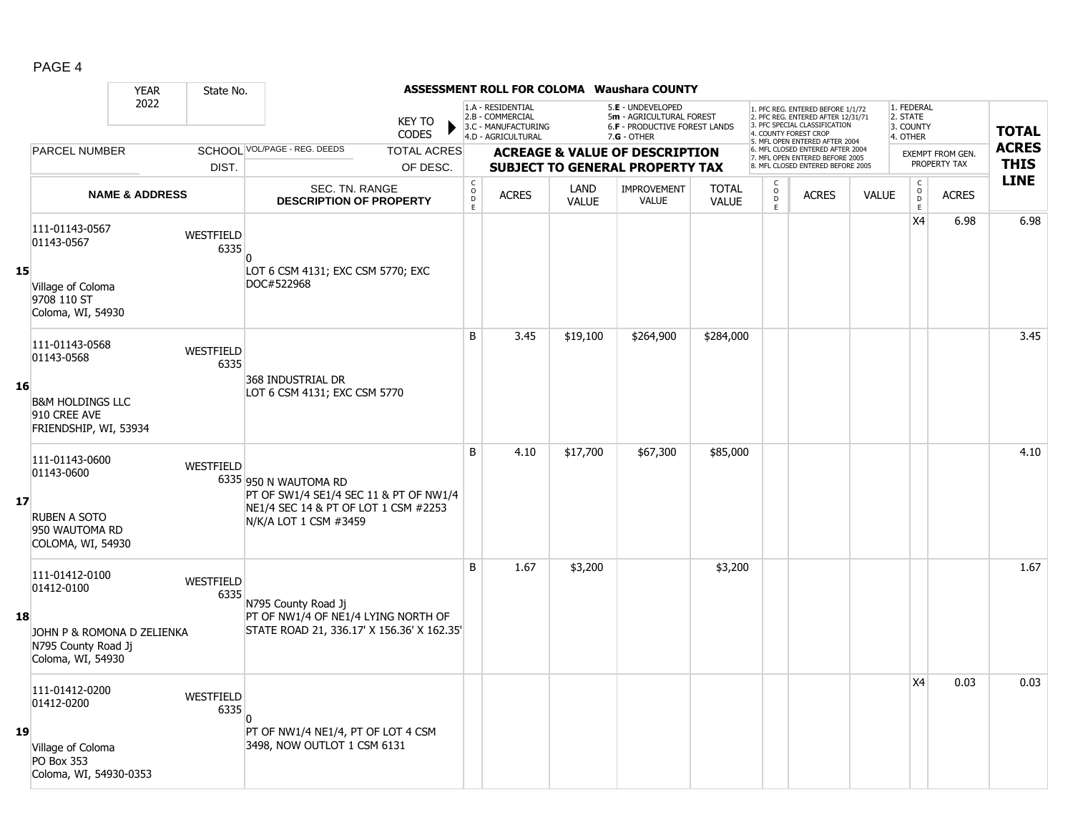|--|--|

|    |                                                                        | <b>YEAR</b>               | State No.         |                                                                                                                                  |                               |                                                            |                                                                                    |                      | <b>ASSESSMENT ROLL FOR COLOMA Waushara COUNTY</b>                                               |                              |                              |                                                                                                                                                                     |              |                                                 |                         |              |
|----|------------------------------------------------------------------------|---------------------------|-------------------|----------------------------------------------------------------------------------------------------------------------------------|-------------------------------|------------------------------------------------------------|------------------------------------------------------------------------------------|----------------------|-------------------------------------------------------------------------------------------------|------------------------------|------------------------------|---------------------------------------------------------------------------------------------------------------------------------------------------------------------|--------------|-------------------------------------------------|-------------------------|--------------|
|    |                                                                        | 2022                      |                   |                                                                                                                                  | <b>KEY TO</b><br><b>CODES</b> |                                                            | 1.A - RESIDENTIAL<br>2.B - COMMERCIAL<br>3.C - MANUFACTURING<br>4.D - AGRICULTURAL |                      | 5.E - UNDEVELOPED<br>5m - AGRICULTURAL FOREST<br>6.F - PRODUCTIVE FOREST LANDS<br>$7.G - OTHER$ |                              |                              | 1. PFC REG. ENTERED BEFORE 1/1/72<br>2. PFC REG. ENTERED AFTER 12/31/71<br>3. PFC SPECIAL CLASSIFICATION<br>4. COUNTY FOREST CROP<br>5. MFL OPEN ENTERED AFTER 2004 |              | 1. FEDERAL<br>2. STATE<br>3. COUNTY<br>4. OTHER |                         | <b>TOTAL</b> |
|    | <b>PARCEL NUMBER</b>                                                   |                           |                   | SCHOOL VOL/PAGE - REG. DEEDS                                                                                                     | <b>TOTAL ACRES</b>            |                                                            |                                                                                    |                      | <b>ACREAGE &amp; VALUE OF DESCRIPTION</b>                                                       |                              |                              | 6. MFL CLOSED ENTERED AFTER 2004<br>7. MFL OPEN ENTERED BEFORE 2005                                                                                                 |              |                                                 | <b>EXEMPT FROM GEN.</b> | <b>ACRES</b> |
|    |                                                                        |                           | DIST.             |                                                                                                                                  | OF DESC.                      |                                                            |                                                                                    |                      | <b>SUBJECT TO GENERAL PROPERTY TAX</b>                                                          |                              |                              | 8. MFL CLOSED ENTERED BEFORE 2005                                                                                                                                   |              |                                                 | PROPERTY TAX            | <b>THIS</b>  |
|    |                                                                        | <b>NAME &amp; ADDRESS</b> |                   | SEC. TN. RANGE<br><b>DESCRIPTION OF PROPERTY</b>                                                                                 |                               | $\begin{smallmatrix} C\\ O\\ O\\ D \end{smallmatrix}$<br>E | <b>ACRES</b>                                                                       | LAND<br><b>VALUE</b> | IMPROVEMENT<br><b>VALUE</b>                                                                     | <b>TOTAL</b><br><b>VALUE</b> | С<br>$_{\rm D}^{\rm O}$<br>E | <b>ACRES</b>                                                                                                                                                        | <b>VALUE</b> | $\mathsf C$<br>$_{\rm D}^{\rm O}$<br>E          | <b>ACRES</b>            | <b>LINE</b>  |
|    | 111-01143-0567<br>01143-0567                                           |                           | WESTFIELD<br>6335 | <sup>0</sup>                                                                                                                     |                               |                                                            |                                                                                    |                      |                                                                                                 |                              |                              |                                                                                                                                                                     |              | X4                                              | 6.98                    | 6.98         |
| 15 | Village of Coloma<br>9708 110 ST<br>Coloma, WI, 54930                  |                           |                   | LOT 6 CSM 4131; EXC CSM 5770; EXC<br>DOC#522968                                                                                  |                               |                                                            |                                                                                    |                      |                                                                                                 |                              |                              |                                                                                                                                                                     |              |                                                 |                         |              |
|    | 111-01143-0568<br>01143-0568                                           |                           | WESTFIELD<br>6335 |                                                                                                                                  |                               | B                                                          | 3.45                                                                               | \$19,100             | \$264,900                                                                                       | \$284,000                    |                              |                                                                                                                                                                     |              |                                                 |                         | 3.45         |
| 16 | <b>B&amp;M HOLDINGS LLC</b><br>910 CREE AVE<br>FRIENDSHIP, WI, 53934   |                           |                   | 368 INDUSTRIAL DR<br>LOT 6 CSM 4131; EXC CSM 5770                                                                                |                               |                                                            |                                                                                    |                      |                                                                                                 |                              |                              |                                                                                                                                                                     |              |                                                 |                         |              |
| 17 | 111-01143-0600<br>01143-0600<br>RUBEN A SOTO<br>950 WAUTOMA RD         |                           | WESTFIELD         | 6335 950 N WAUTOMA RD<br>PT OF SW1/4 SE1/4 SEC 11 & PT OF NW1/4<br>NE1/4 SEC 14 & PT OF LOT 1 CSM #2253<br>N/K/A LOT 1 CSM #3459 |                               | B                                                          | 4.10                                                                               | \$17,700             | \$67,300                                                                                        | \$85,000                     |                              |                                                                                                                                                                     |              |                                                 |                         | 4.10         |
|    | COLOMA, WI, 54930<br>111-01412-0100<br>01412-0100                      |                           | <b>WESTFIELD</b>  |                                                                                                                                  |                               | B                                                          | 1.67                                                                               | \$3,200              |                                                                                                 | \$3,200                      |                              |                                                                                                                                                                     |              |                                                 |                         | 1.67         |
| 18 | JOHN P & ROMONA D ZELIENKA<br>N795 County Road Ji<br>Coloma, WI, 54930 |                           | 6335              | N795 County Road Jj<br>PT OF NW1/4 OF NE1/4 LYING NORTH OF<br>STATE ROAD 21, 336.17' X 156.36' X 162.35'                         |                               |                                                            |                                                                                    |                      |                                                                                                 |                              |                              |                                                                                                                                                                     |              |                                                 |                         |              |
|    | 111-01412-0200<br>01412-0200                                           |                           | WESTFIELD<br>6335 |                                                                                                                                  |                               |                                                            |                                                                                    |                      |                                                                                                 |                              |                              |                                                                                                                                                                     |              | X4                                              | 0.03                    | 0.03         |
| 19 | Village of Coloma<br>PO Box 353<br>Coloma, WI, 54930-0353              |                           |                   | PT OF NW1/4 NE1/4, PT OF LOT 4 CSM<br>3498, NOW OUTLOT 1 CSM 6131                                                                |                               |                                                            |                                                                                    |                      |                                                                                                 |                              |                              |                                                                                                                                                                     |              |                                                 |                         |              |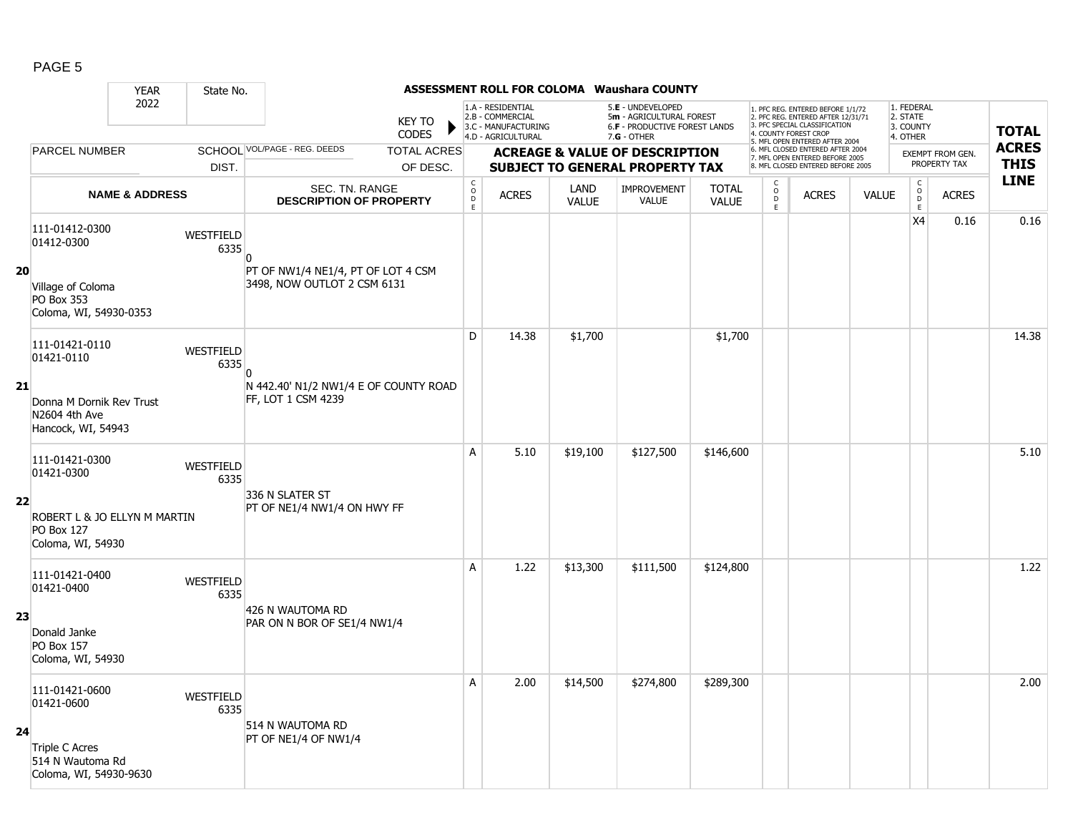|    |                                                                        | <b>YEAR</b>               | State No.         |                                                                   |                                                          |                                                                                    |                      | ASSESSMENT ROLL FOR COLOMA Waushara COUNTY                                                             |                              |                                          |                                                                                                                                                                    |              |                                                 |                         |              |
|----|------------------------------------------------------------------------|---------------------------|-------------------|-------------------------------------------------------------------|----------------------------------------------------------|------------------------------------------------------------------------------------|----------------------|--------------------------------------------------------------------------------------------------------|------------------------------|------------------------------------------|--------------------------------------------------------------------------------------------------------------------------------------------------------------------|--------------|-------------------------------------------------|-------------------------|--------------|
|    |                                                                        | 2022                      |                   | <b>KEY TO</b><br><b>CODES</b>                                     |                                                          | 1.A - RESIDENTIAL<br>2.B - COMMERCIAL<br>3.C - MANUFACTURING<br>4.D - AGRICULTURAL |                      | 5.E - UNDEVELOPED<br>5m - AGRICULTURAL FOREST<br><b>6.F - PRODUCTIVE FOREST LANDS</b><br>$7.G - OTHER$ |                              |                                          | . PFC REG. ENTERED BEFORE 1/1/72<br>2. PFC REG. ENTERED AFTER 12/31/71<br>3. PFC SPECIAL CLASSIFICATION<br>4. COUNTY FOREST CROP<br>5. MFL OPEN ENTERED AFTER 2004 |              | 1. FEDERAL<br>2. STATE<br>3. COUNTY<br>4. OTHER |                         | <b>TOTAL</b> |
|    | PARCEL NUMBER                                                          |                           |                   | SCHOOL VOL/PAGE - REG. DEEDS<br><b>TOTAL ACRES</b>                |                                                          |                                                                                    |                      | <b>ACREAGE &amp; VALUE OF DESCRIPTION</b>                                                              |                              |                                          | 6. MFL CLOSED ENTERED AFTER 2004<br>7. MFL OPEN ENTERED BEFORE 2005                                                                                                |              |                                                 | <b>EXEMPT FROM GEN.</b> | <b>ACRES</b> |
|    |                                                                        |                           | DIST.             | OF DESC.                                                          |                                                          |                                                                                    |                      | <b>SUBJECT TO GENERAL PROPERTY TAX</b>                                                                 |                              |                                          | 8. MFL CLOSED ENTERED BEFORE 2005                                                                                                                                  |              |                                                 | PROPERTY TAX            | <b>THIS</b>  |
|    |                                                                        | <b>NAME &amp; ADDRESS</b> |                   | SEC. TN. RANGE<br><b>DESCRIPTION OF PROPERTY</b>                  | $\begin{matrix} 0 \\ 0 \\ D \end{matrix}$<br>$\mathsf E$ | <b>ACRES</b>                                                                       | LAND<br><b>VALUE</b> | <b>IMPROVEMENT</b><br>VALUE                                                                            | <b>TOTAL</b><br><b>VALUE</b> | C<br>$\overline{0}$<br>D<br>$\mathsf{E}$ | <b>ACRES</b>                                                                                                                                                       | <b>VALUE</b> | $\mathsf{C}$<br>$\overline{0}$<br>$\mathsf E$   | <b>ACRES</b>            | <b>LINE</b>  |
|    | 111-01412-0300<br>01412-0300                                           |                           | WESTFIELD<br>6335 | <sup>0</sup>                                                      |                                                          |                                                                                    |                      |                                                                                                        |                              |                                          |                                                                                                                                                                    |              | X4                                              | 0.16                    | 0.16         |
| 20 | Village of Coloma<br>PO Box 353<br>Coloma, WI, 54930-0353              |                           |                   | PT OF NW1/4 NE1/4, PT OF LOT 4 CSM<br>3498, NOW OUTLOT 2 CSM 6131 |                                                          |                                                                                    |                      |                                                                                                        |                              |                                          |                                                                                                                                                                    |              |                                                 |                         |              |
|    | 111-01421-0110<br>01421-0110                                           |                           | WESTFIELD<br>6335 | n                                                                 | D                                                        | 14.38                                                                              | \$1,700              |                                                                                                        | \$1,700                      |                                          |                                                                                                                                                                    |              |                                                 |                         | 14.38        |
| 21 | Donna M Dornik Rev Trust<br>N2604 4th Ave<br>Hancock, WI, 54943        |                           |                   | N 442.40' N1/2 NW1/4 E OF COUNTY ROAD<br>FF, LOT 1 CSM 4239       |                                                          |                                                                                    |                      |                                                                                                        |                              |                                          |                                                                                                                                                                    |              |                                                 |                         |              |
|    | 111-01421-0300<br>01421-0300                                           |                           | WESTFIELD<br>6335 |                                                                   | A                                                        | 5.10                                                                               | \$19,100             | \$127,500                                                                                              | \$146,600                    |                                          |                                                                                                                                                                    |              |                                                 |                         | 5.10         |
| 22 | ROBERT L & JO ELLYN M MARTIN<br><b>PO Box 127</b><br>Coloma, WI, 54930 |                           |                   | 336 N SLATER ST<br>PT OF NE1/4 NW1/4 ON HWY FF                    |                                                          |                                                                                    |                      |                                                                                                        |                              |                                          |                                                                                                                                                                    |              |                                                 |                         |              |
|    | 111-01421-0400<br>01421-0400                                           |                           | WESTFIELD<br>6335 |                                                                   | A                                                        | 1.22                                                                               | \$13,300             | \$111,500                                                                                              | \$124,800                    |                                          |                                                                                                                                                                    |              |                                                 |                         | 1.22         |
| 23 | Donald Janke<br>PO Box 157<br>Coloma, WI, 54930                        |                           |                   | 426 N WAUTOMA RD<br>PAR ON N BOR OF SE1/4 NW1/4                   |                                                          |                                                                                    |                      |                                                                                                        |                              |                                          |                                                                                                                                                                    |              |                                                 |                         |              |
|    | 111-01421-0600<br>01421-0600                                           |                           | WESTFIELD<br>6335 |                                                                   | A                                                        | 2.00                                                                               | \$14,500             | \$274,800                                                                                              | \$289,300                    |                                          |                                                                                                                                                                    |              |                                                 |                         | 2.00         |
| 24 | Triple C Acres<br>514 N Wautoma Rd<br>Coloma, WI, 54930-9630           |                           |                   | 514 N WAUTOMA RD<br>PT OF NE1/4 OF NW1/4                          |                                                          |                                                                                    |                      |                                                                                                        |                              |                                          |                                                                                                                                                                    |              |                                                 |                         |              |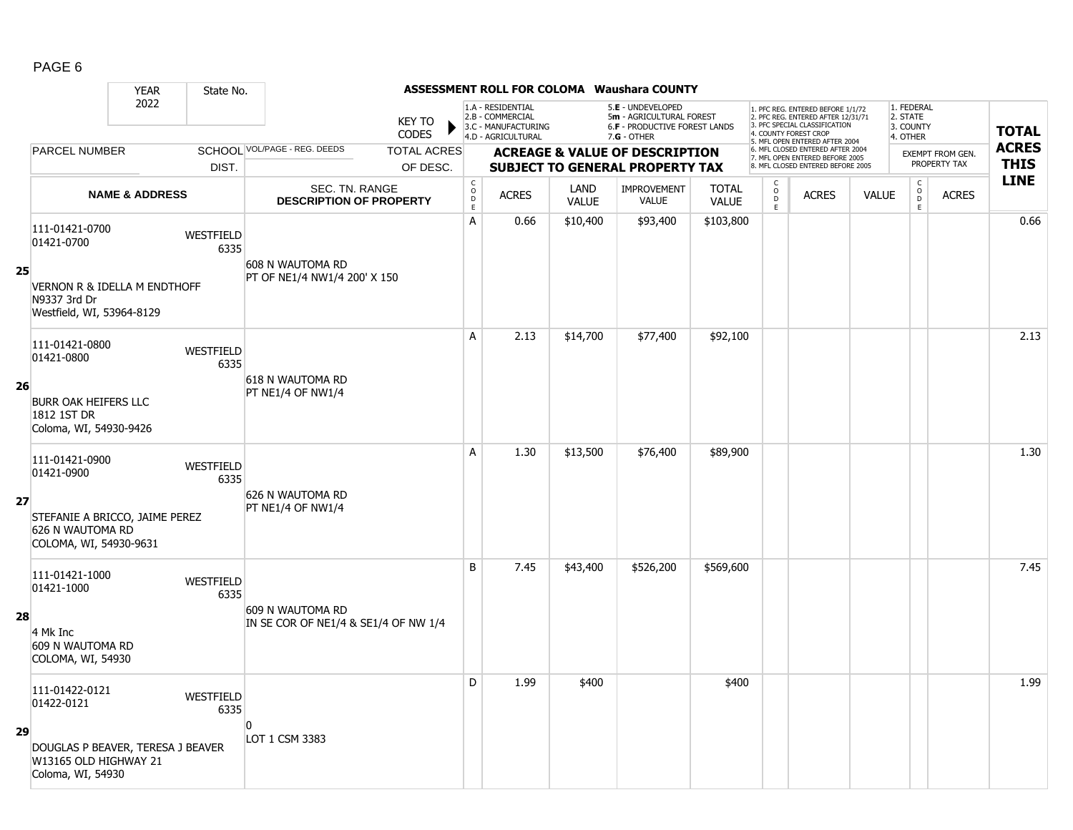|    |                                                                                                                      | <b>YEAR</b>               | State No.                |                                                          |                               |                                            |                                                                                    |                      | ASSESSMENT ROLL FOR COLOMA Waushara COUNTY                                                      |                              |                                      |                                                                                                                                                                     |              |                                                 |                         |              |
|----|----------------------------------------------------------------------------------------------------------------------|---------------------------|--------------------------|----------------------------------------------------------|-------------------------------|--------------------------------------------|------------------------------------------------------------------------------------|----------------------|-------------------------------------------------------------------------------------------------|------------------------------|--------------------------------------|---------------------------------------------------------------------------------------------------------------------------------------------------------------------|--------------|-------------------------------------------------|-------------------------|--------------|
|    |                                                                                                                      | 2022                      |                          |                                                          | <b>KEY TO</b><br><b>CODES</b> |                                            | 1.A - RESIDENTIAL<br>2.B - COMMERCIAL<br>3.C - MANUFACTURING<br>4.D - AGRICULTURAL |                      | 5.E - UNDEVELOPED<br>5m - AGRICULTURAL FOREST<br>6.F - PRODUCTIVE FOREST LANDS<br>$7.G - OTHER$ |                              |                                      | 1. PFC REG. ENTERED BEFORE 1/1/72<br>2. PFC REG. ENTERED AFTER 12/31/71<br>3. PFC SPECIAL CLASSIFICATION<br>4. COUNTY FOREST CROP<br>5. MFL OPEN ENTERED AFTER 2004 |              | 1. FEDERAL<br>2. STATE<br>3. COUNTY<br>4. OTHER |                         | <b>TOTAL</b> |
|    | <b>PARCEL NUMBER</b>                                                                                                 |                           |                          | SCHOOL VOL/PAGE - REG. DEEDS                             | <b>TOTAL ACRES</b>            |                                            |                                                                                    |                      | <b>ACREAGE &amp; VALUE OF DESCRIPTION</b>                                                       |                              |                                      | 6. MFL CLOSED ENTERED AFTER 2004<br>7. MFL OPEN ENTERED BEFORE 2005                                                                                                 |              |                                                 | <b>EXEMPT FROM GEN.</b> | <b>ACRES</b> |
|    |                                                                                                                      |                           | DIST.                    |                                                          | OF DESC.                      |                                            |                                                                                    |                      | <b>SUBJECT TO GENERAL PROPERTY TAX</b>                                                          |                              |                                      | 8. MFL CLOSED ENTERED BEFORE 2005                                                                                                                                   |              |                                                 | PROPERTY TAX            | <b>THIS</b>  |
|    |                                                                                                                      | <b>NAME &amp; ADDRESS</b> |                          | SEC. TN. RANGE<br><b>DESCRIPTION OF PROPERTY</b>         |                               | $\begin{array}{c} C \\ O \\ E \end{array}$ | <b>ACRES</b>                                                                       | LAND<br><b>VALUE</b> | <b>IMPROVEMENT</b><br>VALUE                                                                     | <b>TOTAL</b><br><b>VALUE</b> | С<br>$_{\rm D}^{\rm O}$<br>$\bar{E}$ | <b>ACRES</b>                                                                                                                                                        | <b>VALUE</b> | $\mathsf{C}$<br>$\mathsf O$<br>D<br>E           | <b>ACRES</b>            | <b>LINE</b>  |
| 25 | 111-01421-0700<br>01421-0700<br><b>VERNON R &amp; IDELLA M ENDTHOFF</b><br>N9337 3rd Dr<br>Westfield, WI, 53964-8129 |                           | WESTFIELD<br>6335        | 608 N WAUTOMA RD<br>PT OF NE1/4 NW1/4 200' X 150         |                               | A                                          | 0.66                                                                               | \$10,400             | \$93,400                                                                                        | \$103,800                    |                                      |                                                                                                                                                                     |              |                                                 |                         | 0.66         |
| 26 | 111-01421-0800<br>01421-0800<br><b>BURR OAK HEIFERS LLC</b><br>1812 1ST DR<br>Coloma, WI, 54930-9426                 |                           | WESTFIELD<br>6335        | 618 N WAUTOMA RD<br>PT NE1/4 OF NW1/4                    |                               | A                                          | 2.13                                                                               | \$14,700             | \$77,400                                                                                        | \$92,100                     |                                      |                                                                                                                                                                     |              |                                                 |                         | 2.13         |
| 27 | 111-01421-0900<br>01421-0900<br>STEFANIE A BRICCO, JAIME PEREZ<br>626 N WAUTOMA RD                                   |                           | WESTFIELD<br>6335        | 626 N WAUTOMA RD<br>PT NE1/4 OF NW1/4                    |                               | А                                          | 1.30                                                                               | \$13,500             | \$76,400                                                                                        | \$89,900                     |                                      |                                                                                                                                                                     |              |                                                 |                         | 1.30         |
| 28 | COLOMA, WI, 54930-9631<br>111-01421-1000<br>01421-1000<br>4 Mk Inc<br>609 N WAUTOMA RD<br>COLOMA, WI, 54930          |                           | <b>WESTFIELD</b><br>6335 | 609 N WAUTOMA RD<br>IN SE COR OF NE1/4 & SE1/4 OF NW 1/4 |                               | B                                          | 7.45                                                                               | \$43,400             | \$526,200                                                                                       | \$569,600                    |                                      |                                                                                                                                                                     |              |                                                 |                         | 7.45         |
| 29 | 111-01422-0121<br>01422-0121<br>DOUGLAS P BEAVER, TERESA J BEAVER<br>W13165 OLD HIGHWAY 21<br>Coloma, WI, 54930      |                           | WESTFIELD<br>6335        | n<br>LOT 1 CSM 3383                                      |                               | D                                          | 1.99                                                                               | \$400                |                                                                                                 | \$400                        |                                      |                                                                                                                                                                     |              |                                                 |                         | 1.99         |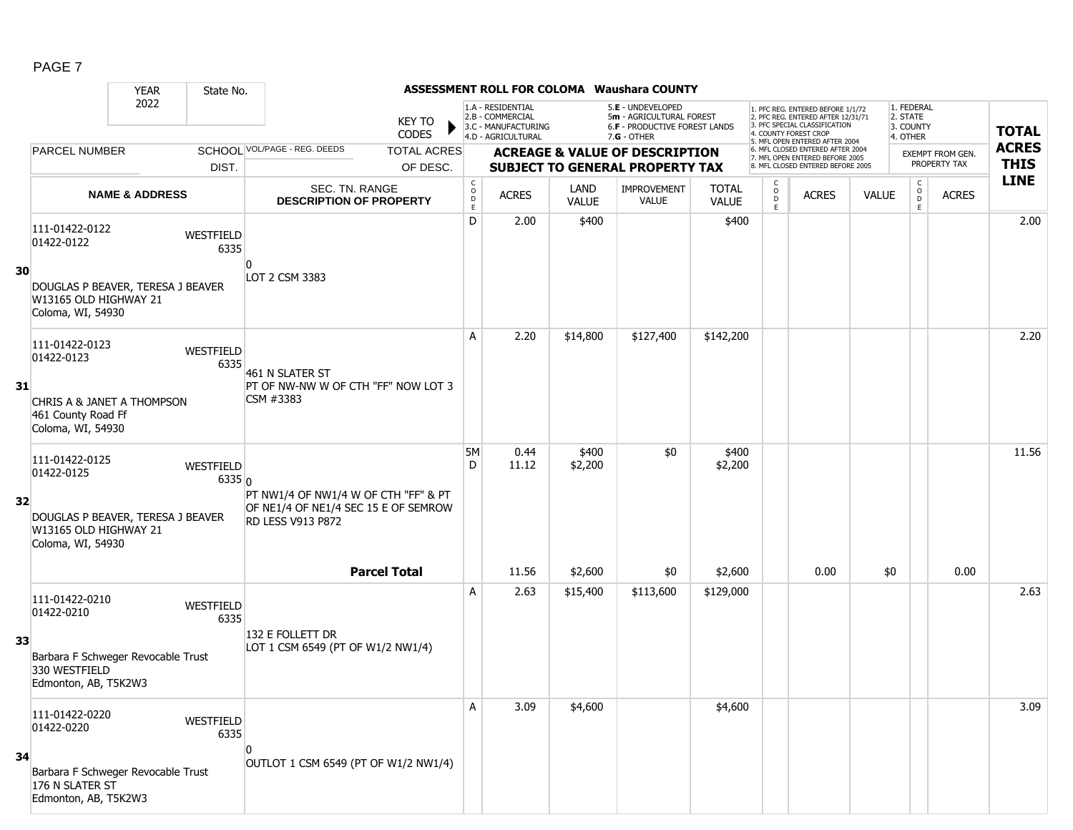|--|--|

|    |                                                                                 | <b>YEAR</b>               | State No.          |                                                                                                          |                                          |                                                              |                      | ASSESSMENT ROLL FOR COLOMA Waushara COUNTY                                          |                       |                       |                                                                                                                                   |              |                                     |                                  |              |
|----|---------------------------------------------------------------------------------|---------------------------|--------------------|----------------------------------------------------------------------------------------------------------|------------------------------------------|--------------------------------------------------------------|----------------------|-------------------------------------------------------------------------------------|-----------------------|-----------------------|-----------------------------------------------------------------------------------------------------------------------------------|--------------|-------------------------------------|----------------------------------|--------------|
|    |                                                                                 | 2022                      |                    | <b>KEY TO</b><br><b>CODES</b>                                                                            |                                          | 1.A - RESIDENTIAL<br>2.B - COMMERCIAL<br>3.C - MANUFACTURING |                      | 5.E - UNDEVELOPED<br>5m - AGRICULTURAL FOREST<br>6.F - PRODUCTIVE FOREST LANDS      |                       |                       | 1. PFC REG. ENTERED BEFORE 1/1/72<br>2. PFC REG. ENTERED AFTER 12/31/71<br>3. PFC SPECIAL CLASSIFICATION<br>4. COUNTY FOREST CROP |              | 1. FEDERAL<br>2. STATE<br>3. COUNTY |                                  | <b>TOTAL</b> |
|    | <b>PARCEL NUMBER</b>                                                            |                           |                    | SCHOOL VOL/PAGE - REG. DEEDS<br><b>TOTAL ACRES</b>                                                       |                                          | 4.D - AGRICULTURAL                                           |                      | $7.G - OTHER$                                                                       |                       |                       | 5. MFL OPEN ENTERED AFTER 2004<br>6. MFL CLOSED ENTERED AFTER 2004                                                                |              | 4. OTHER                            |                                  | <b>ACRES</b> |
|    |                                                                                 |                           | DIST.              | OF DESC.                                                                                                 |                                          |                                                              |                      | <b>ACREAGE &amp; VALUE OF DESCRIPTION</b><br><b>SUBJECT TO GENERAL PROPERTY TAX</b> |                       |                       | 7. MFL OPEN ENTERED BEFORE 2005<br>8. MFL CLOSED ENTERED BEFORE 2005                                                              |              |                                     | EXEMPT FROM GEN.<br>PROPERTY TAX | <b>THIS</b>  |
|    |                                                                                 | <b>NAME &amp; ADDRESS</b> |                    | SEC. TN. RANGE<br><b>DESCRIPTION OF PROPERTY</b>                                                         | $\mathsf{C}$<br>$_\mathrm{D}^\mathrm{O}$ | <b>ACRES</b>                                                 | LAND<br><b>VALUE</b> | IMPROVEMENT<br><b>VALUE</b>                                                         | <b>TOTAL</b><br>VALUE | C<br>$\mathsf O$<br>D | <b>ACRES</b>                                                                                                                      | <b>VALUE</b> | $\mathsf{C}$<br>$\circ$<br>D        | <b>ACRES</b>                     | <b>LINE</b>  |
|    |                                                                                 |                           |                    |                                                                                                          | E                                        |                                                              |                      |                                                                                     |                       | E                     |                                                                                                                                   |              | E                                   |                                  |              |
| 30 | 111-01422-0122<br>01422-0122                                                    |                           | WESTFIELD<br>6335  | $\Omega$                                                                                                 | D                                        | 2.00                                                         | \$400                |                                                                                     | \$400                 |                       |                                                                                                                                   |              |                                     |                                  | 2.00         |
|    | DOUGLAS P BEAVER, TERESA J BEAVER<br>W13165 OLD HIGHWAY 21<br>Coloma, WI, 54930 |                           |                    | LOT 2 CSM 3383                                                                                           |                                          |                                                              |                      |                                                                                     |                       |                       |                                                                                                                                   |              |                                     |                                  |              |
|    | 111-01422-0123<br>01422-0123                                                    |                           | WESTFIELD<br>6335  | 461 N SLATER ST                                                                                          | A                                        | 2.20                                                         | \$14,800             | \$127,400                                                                           | \$142,200             |                       |                                                                                                                                   |              |                                     |                                  | 2.20         |
| 31 | CHRIS A & JANET A THOMPSON<br>461 County Road Ff<br>Coloma, WI, 54930           |                           |                    | PT OF NW-NW W OF CTH "FF" NOW LOT 3<br>CSM #3383                                                         |                                          |                                                              |                      |                                                                                     |                       |                       |                                                                                                                                   |              |                                     |                                  |              |
|    | 111-01422-0125<br>01422-0125                                                    |                           | WESTFIELD<br>6335n |                                                                                                          | <b>5M</b><br>D                           | 0.44<br>11.12                                                | \$400<br>\$2,200     | \$0                                                                                 | \$400<br>\$2,200      |                       |                                                                                                                                   |              |                                     |                                  | 11.56        |
| 32 | DOUGLAS P BEAVER, TERESA J BEAVER<br>W13165 OLD HIGHWAY 21<br>Coloma, WI, 54930 |                           |                    | PT NW1/4 OF NW1/4 W OF CTH "FF" & PT<br>OF NE1/4 OF NE1/4 SEC 15 E OF SEMROW<br><b>RD LESS V913 P872</b> |                                          |                                                              |                      |                                                                                     |                       |                       |                                                                                                                                   |              |                                     |                                  |              |
|    |                                                                                 |                           |                    | <b>Parcel Total</b>                                                                                      |                                          | 11.56                                                        | \$2,600              | \$0                                                                                 | \$2,600               |                       | 0.00                                                                                                                              | \$0          |                                     | 0.00                             |              |
|    | 111-01422-0210<br>01422-0210                                                    |                           | WESTFIELD<br>6335  |                                                                                                          | A                                        | 2.63                                                         | \$15,400             | \$113,600                                                                           | \$129,000             |                       |                                                                                                                                   |              |                                     |                                  | 2.63         |
| 33 | Barbara F Schweger Revocable Trust<br>330 WESTFIELD<br>Edmonton, AB, T5K2W3     |                           |                    | 132 E FOLLETT DR<br>LOT 1 CSM 6549 (PT OF W1/2 NW1/4)                                                    |                                          |                                                              |                      |                                                                                     |                       |                       |                                                                                                                                   |              |                                     |                                  |              |
|    | 111-01422-0220<br>01422-0220                                                    |                           | WESTFIELD<br>6335  |                                                                                                          | Α                                        | 3.09                                                         | \$4,600              |                                                                                     | \$4,600               |                       |                                                                                                                                   |              |                                     |                                  | 3.09         |
| 34 | Barbara F Schweger Revocable Trust<br>176 N SLATER ST<br>Edmonton, AB, T5K2W3   |                           |                    | 0<br>OUTLOT 1 CSM 6549 (PT OF W1/2 NW1/4)                                                                |                                          |                                                              |                      |                                                                                     |                       |                       |                                                                                                                                   |              |                                     |                                  |              |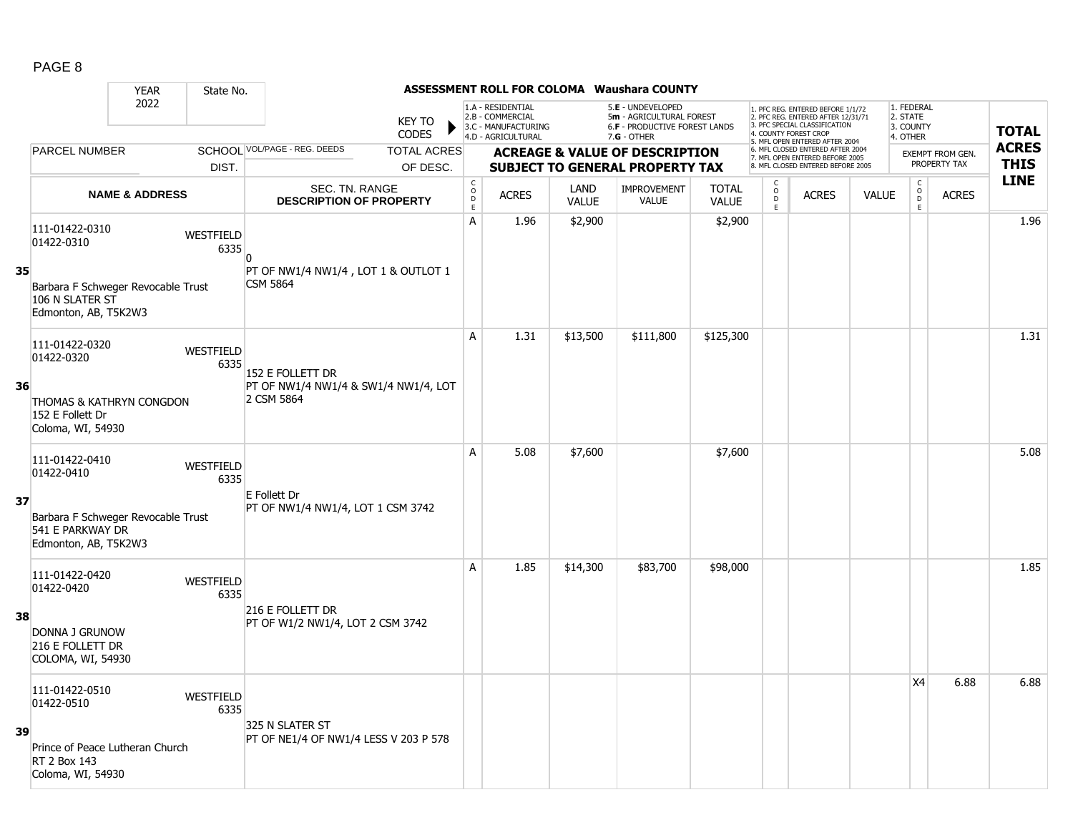|    |                                                                                | <b>YEAR</b>               | State No.                |                                                          |                    |                              |                                                                                    |                      | <b>ASSESSMENT ROLL FOR COLOMA Waushara COUNTY</b>                                             |                              |                                           |                                                                                                                                   |              |                                                 |                                         |              |
|----|--------------------------------------------------------------------------------|---------------------------|--------------------------|----------------------------------------------------------|--------------------|------------------------------|------------------------------------------------------------------------------------|----------------------|-----------------------------------------------------------------------------------------------|------------------------------|-------------------------------------------|-----------------------------------------------------------------------------------------------------------------------------------|--------------|-------------------------------------------------|-----------------------------------------|--------------|
|    |                                                                                | 2022                      |                          | <b>KEY TO</b><br><b>CODES</b>                            |                    |                              | 1.A - RESIDENTIAL<br>2.B - COMMERCIAL<br>3.C - MANUFACTURING<br>4.D - AGRICULTURAL |                      | 5.E - UNDEVELOPED<br>5m - AGRICULTURAL FOREST<br>6.F - PRODUCTIVE FOREST LANDS<br>7.G - OTHER |                              |                                           | 1. PFC REG. ENTERED BEFORE 1/1/72<br>2. PFC REG. ENTERED AFTER 12/31/71<br>3. PFC SPECIAL CLASSIFICATION<br>4. COUNTY FOREST CROP |              | 1. FEDERAL<br>2. STATE<br>3. COUNTY<br>4. OTHER |                                         | <b>TOTAL</b> |
|    | <b>PARCEL NUMBER</b>                                                           |                           |                          | SCHOOL VOL/PAGE - REG. DEEDS                             | <b>TOTAL ACRES</b> |                              |                                                                                    |                      |                                                                                               |                              |                                           | 5. MFL OPEN ENTERED AFTER 2004<br>6. MFL CLOSED ENTERED AFTER 2004                                                                |              |                                                 |                                         | <b>ACRES</b> |
|    |                                                                                |                           | DIST.                    |                                                          | OF DESC.           |                              |                                                                                    |                      | <b>ACREAGE &amp; VALUE OF DESCRIPTION</b><br><b>SUBJECT TO GENERAL PROPERTY TAX</b>           |                              |                                           | 7. MFL OPEN ENTERED BEFORE 2005<br>8. MFL CLOSED ENTERED BEFORE 2005                                                              |              |                                                 | <b>EXEMPT FROM GEN.</b><br>PROPERTY TAX | <b>THIS</b>  |
|    |                                                                                | <b>NAME &amp; ADDRESS</b> |                          | SEC. TN. RANGE<br><b>DESCRIPTION OF PROPERTY</b>         |                    | $\mathsf{C}$<br>$\circ$<br>D | <b>ACRES</b>                                                                       | LAND<br><b>VALUE</b> | <b>IMPROVEMENT</b><br><b>VALUE</b>                                                            | <b>TOTAL</b><br><b>VALUE</b> | $\begin{matrix} 0 \\ 0 \\ D \end{matrix}$ | <b>ACRES</b>                                                                                                                      | <b>VALUE</b> | $\begin{matrix} 0 \\ 0 \\ D \end{matrix}$       | <b>ACRES</b>                            | <b>LINE</b>  |
|    | 111-01422-0310<br>01422-0310                                                   |                           | WESTFIELD<br>6335        |                                                          |                    | E<br>A                       | 1.96                                                                               | \$2,900              |                                                                                               | \$2,900                      | E                                         |                                                                                                                                   |              | E                                               |                                         | 1.96         |
| 35 | Barbara F Schweger Revocable Trust<br>106 N SLATER ST<br>Edmonton, AB, T5K2W3  |                           |                          | PT OF NW1/4 NW1/4, LOT 1 & OUTLOT 1<br><b>CSM 5864</b>   |                    |                              |                                                                                    |                      |                                                                                               |                              |                                           |                                                                                                                                   |              |                                                 |                                         |              |
|    | 111-01422-0320<br>01422-0320                                                   |                           | WESTFIELD<br>6335        | 152 E FOLLETT DR                                         |                    | A                            | 1.31                                                                               | \$13,500             | \$111,800                                                                                     | \$125,300                    |                                           |                                                                                                                                   |              |                                                 |                                         | 1.31         |
| 36 | THOMAS & KATHRYN CONGDON<br>152 E Follett Dr<br>Coloma, WI, 54930              |                           |                          | PT OF NW1/4 NW1/4 & SW1/4 NW1/4, LOT<br>2 CSM 5864       |                    |                              |                                                                                    |                      |                                                                                               |                              |                                           |                                                                                                                                   |              |                                                 |                                         |              |
|    | 111-01422-0410<br>01422-0410                                                   |                           | <b>WESTFIELD</b><br>6335 | E Follett Dr                                             |                    | A                            | 5.08                                                                               | \$7,600              |                                                                                               | \$7,600                      |                                           |                                                                                                                                   |              |                                                 |                                         | 5.08         |
| 37 | Barbara F Schweger Revocable Trust<br>541 E PARKWAY DR<br>Edmonton, AB, T5K2W3 |                           |                          | PT OF NW1/4 NW1/4, LOT 1 CSM 3742                        |                    |                              |                                                                                    |                      |                                                                                               |                              |                                           |                                                                                                                                   |              |                                                 |                                         |              |
|    | 111-01422-0420<br>01422-0420                                                   |                           | WESTFIELD<br>6335        |                                                          |                    | A                            | 1.85                                                                               | \$14,300             | \$83,700                                                                                      | \$98,000                     |                                           |                                                                                                                                   |              |                                                 |                                         | 1.85         |
| 38 | DONNA J GRUNOW<br>216 E FOLLETT DR<br>COLOMA, WI, 54930                        |                           |                          | 216 E FOLLETT DR<br>PT OF W1/2 NW1/4, LOT 2 CSM 3742     |                    |                              |                                                                                    |                      |                                                                                               |                              |                                           |                                                                                                                                   |              |                                                 |                                         |              |
|    | 111-01422-0510<br>01422-0510                                                   |                           | <b>WESTFIELD</b><br>6335 |                                                          |                    |                              |                                                                                    |                      |                                                                                               |                              |                                           |                                                                                                                                   |              | X4                                              | 6.88                                    | 6.88         |
| 39 | Prince of Peace Lutheran Church<br><b>RT 2 Box 143</b><br>Coloma, WI, 54930    |                           |                          | 325 N SLATER ST<br>PT OF NE1/4 OF NW1/4 LESS V 203 P 578 |                    |                              |                                                                                    |                      |                                                                                               |                              |                                           |                                                                                                                                   |              |                                                 |                                         |              |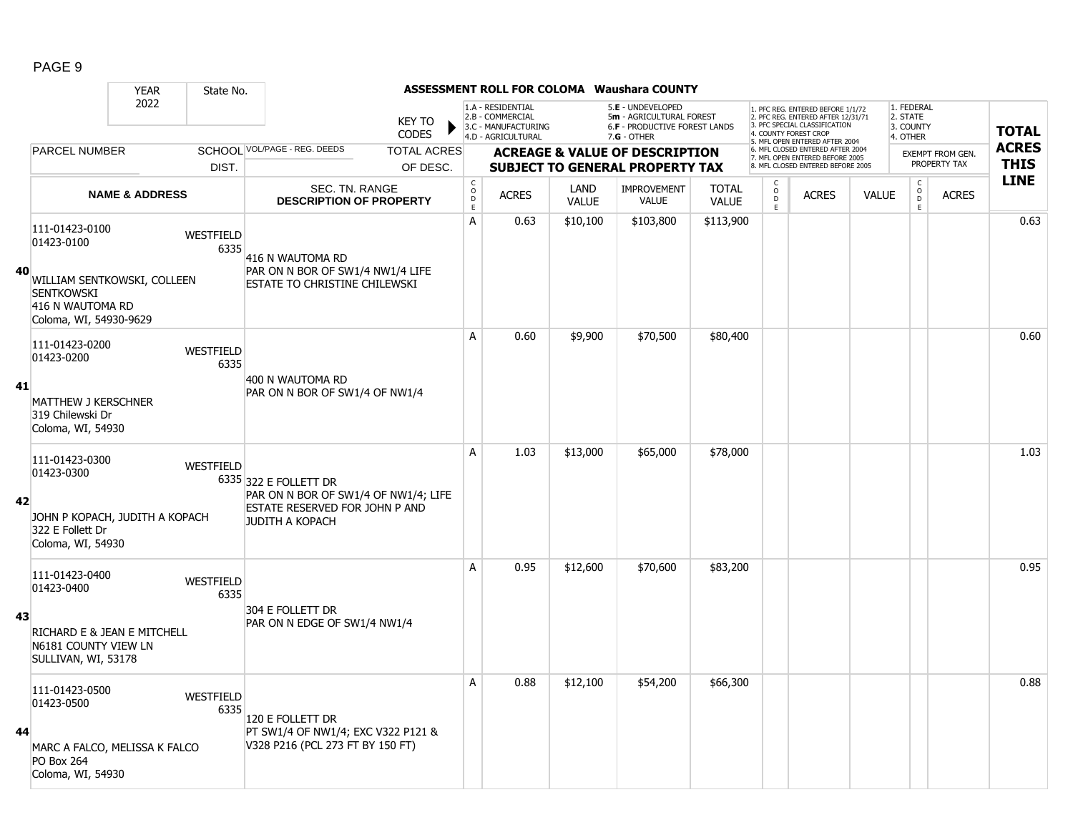|--|--|

|    |                                                                                                         | <b>YEAR</b>               | State No.                |                                                                                                                           |                               |                  |                                                                                    |                      | <b>ASSESSMENT ROLL FOR COLOMA Waushara COUNTY</b>                                                      |                              |                                            |                                                                                                                                                                     |              |                                                 |                                         |                             |
|----|---------------------------------------------------------------------------------------------------------|---------------------------|--------------------------|---------------------------------------------------------------------------------------------------------------------------|-------------------------------|------------------|------------------------------------------------------------------------------------|----------------------|--------------------------------------------------------------------------------------------------------|------------------------------|--------------------------------------------|---------------------------------------------------------------------------------------------------------------------------------------------------------------------|--------------|-------------------------------------------------|-----------------------------------------|-----------------------------|
|    |                                                                                                         | 2022                      |                          |                                                                                                                           | <b>KEY TO</b><br><b>CODES</b> |                  | 1.A - RESIDENTIAL<br>2.B - COMMERCIAL<br>3.C - MANUFACTURING<br>4.D - AGRICULTURAL |                      | 5.E - UNDEVELOPED<br>5m - AGRICULTURAL FOREST<br><b>6.F - PRODUCTIVE FOREST LANDS</b><br>$7.G - OTHER$ |                              |                                            | 1. PFC REG. ENTERED BEFORE 1/1/72<br>2. PFC REG. ENTERED AFTER 12/31/71<br>3. PFC SPECIAL CLASSIFICATION<br>4. COUNTY FOREST CROP<br>5. MFL OPEN ENTERED AFTER 2004 |              | 1. FEDERAL<br>2. STATE<br>3. COUNTY<br>4. OTHER |                                         | <b>TOTAL</b>                |
|    | PARCEL NUMBER                                                                                           |                           |                          | SCHOOL VOL/PAGE - REG. DEEDS                                                                                              | <b>TOTAL ACRES</b>            |                  |                                                                                    |                      | <b>ACREAGE &amp; VALUE OF DESCRIPTION</b>                                                              |                              |                                            | 6. MFL CLOSED ENTERED AFTER 2004<br>7. MFL OPEN ENTERED BEFORE 2005<br>8 MFL CLOSED ENTERED BEFORE 2005                                                             |              |                                                 | <b>EXEMPT FROM GEN.</b><br>PROPERTY TAX | <b>ACRES</b><br><b>THIS</b> |
|    |                                                                                                         |                           | DIST.                    |                                                                                                                           | OF DESC.                      |                  |                                                                                    |                      | <b>SUBJECT TO GENERAL PROPERTY TAX</b>                                                                 |                              |                                            |                                                                                                                                                                     |              | $\mathsf C$                                     |                                         | <b>LINE</b>                 |
|    |                                                                                                         | <b>NAME &amp; ADDRESS</b> |                          | SEC. TN. RANGE<br><b>DESCRIPTION OF PROPERTY</b>                                                                          |                               | C<br>D<br>D<br>E | <b>ACRES</b>                                                                       | LAND<br><b>VALUE</b> | <b>IMPROVEMENT</b><br>VALUE                                                                            | <b>TOTAL</b><br><b>VALUE</b> | $\begin{array}{c} 0 \\ D \\ E \end{array}$ | <b>ACRES</b>                                                                                                                                                        | <b>VALUE</b> | $\mathsf{O}$<br>$\overline{D}$<br>E             | <b>ACRES</b>                            |                             |
|    | 111-01423-0100<br>01423-0100                                                                            |                           | WESTFIELD<br>6335        | 416 N WAUTOMA RD                                                                                                          |                               | Α                | 0.63                                                                               | \$10,100             | \$103,800                                                                                              | \$113,900                    |                                            |                                                                                                                                                                     |              |                                                 |                                         | 0.63                        |
| 40 | WILLIAM SENTKOWSKI, COLLEEN<br><b>SENTKOWSKI</b><br>416 N WAUTOMA RD<br>Coloma, WI, 54930-9629          |                           |                          | PAR ON N BOR OF SW1/4 NW1/4 LIFE<br>ESTATE TO CHRISTINE CHILEWSKI                                                         |                               |                  |                                                                                    |                      |                                                                                                        |                              |                                            |                                                                                                                                                                     |              |                                                 |                                         |                             |
|    | 111-01423-0200<br>01423-0200                                                                            |                           | <b>WESTFIELD</b><br>6335 |                                                                                                                           |                               | A                | 0.60                                                                               | \$9,900              | \$70,500                                                                                               | \$80,400                     |                                            |                                                                                                                                                                     |              |                                                 |                                         | 0.60                        |
| 41 | <b>MATTHEW J KERSCHNER</b><br>319 Chilewski Dr<br>Coloma, WI, 54930                                     |                           |                          | 400 N WAUTOMA RD<br>PAR ON N BOR OF SW1/4 OF NW1/4                                                                        |                               |                  |                                                                                    |                      |                                                                                                        |                              |                                            |                                                                                                                                                                     |              |                                                 |                                         |                             |
| 42 | 111-01423-0300<br>01423-0300<br>JOHN P KOPACH, JUDITH A KOPACH<br>322 E Follett Dr<br>Coloma, WI, 54930 |                           | <b>WESTFIELD</b>         | 6335 322 E FOLLETT DR<br>PAR ON N BOR OF SW1/4 OF NW1/4; LIFE<br>ESTATE RESERVED FOR JOHN P AND<br><b>JUDITH A KOPACH</b> |                               | A                | 1.03                                                                               | \$13,000             | \$65,000                                                                                               | \$78,000                     |                                            |                                                                                                                                                                     |              |                                                 |                                         | 1.03                        |
|    | 111-01423-0400<br>01423-0400                                                                            |                           | <b>WESTFIELD</b><br>6335 |                                                                                                                           |                               | A                | 0.95                                                                               | \$12,600             | \$70,600                                                                                               | \$83,200                     |                                            |                                                                                                                                                                     |              |                                                 |                                         | 0.95                        |
| 43 | RICHARD E & JEAN E MITCHELL<br>N6181 COUNTY VIEW LN<br>SULLIVAN, WI, 53178                              |                           |                          | 304 E FOLLETT DR<br>PAR ON N EDGE OF SW1/4 NW1/4                                                                          |                               |                  |                                                                                    |                      |                                                                                                        |                              |                                            |                                                                                                                                                                     |              |                                                 |                                         |                             |
| 44 | 111-01423-0500<br>01423-0500<br>MARC A FALCO, MELISSA K FALCO<br><b>PO Box 264</b><br>Coloma, WI, 54930 |                           | <b>WESTFIELD</b><br>6335 | 120 E FOLLETT DR<br>PT SW1/4 OF NW1/4; EXC V322 P121 &<br>V328 P216 (PCL 273 FT BY 150 FT)                                |                               | A                | 0.88                                                                               | \$12,100             | \$54,200                                                                                               | \$66,300                     |                                            |                                                                                                                                                                     |              |                                                 |                                         | 0.88                        |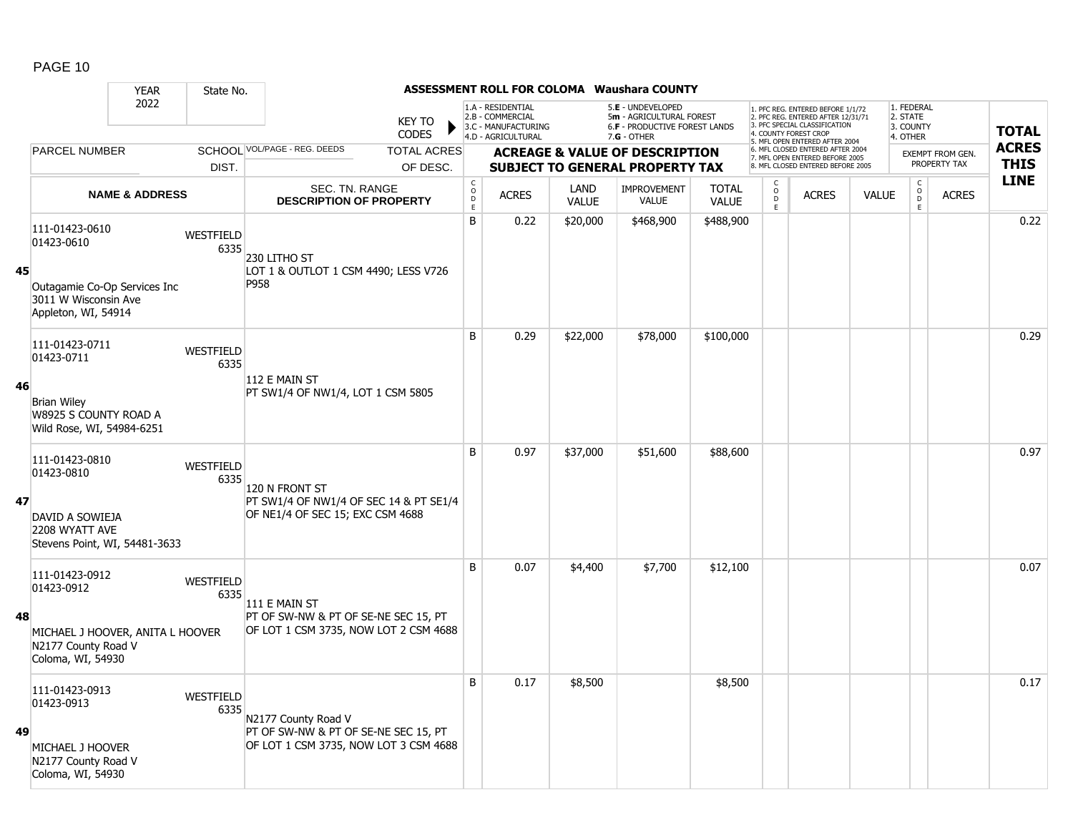|    |                                                                                              | <b>YEAR</b>               | State No.                |                                                                                                      |                               |                  |                                                                                    |                      | ASSESSMENT ROLL FOR COLOMA Waushara COUNTY                                                      |                              |                                    |                                                                                                                                                                    |              |                                                 |                         |              |
|----|----------------------------------------------------------------------------------------------|---------------------------|--------------------------|------------------------------------------------------------------------------------------------------|-------------------------------|------------------|------------------------------------------------------------------------------------|----------------------|-------------------------------------------------------------------------------------------------|------------------------------|------------------------------------|--------------------------------------------------------------------------------------------------------------------------------------------------------------------|--------------|-------------------------------------------------|-------------------------|--------------|
|    |                                                                                              | 2022                      |                          |                                                                                                      | <b>KEY TO</b><br><b>CODES</b> |                  | 1.A - RESIDENTIAL<br>2.B - COMMERCIAL<br>3.C - MANUFACTURING<br>4.D - AGRICULTURAL |                      | 5.E - UNDEVELOPED<br>5m - AGRICULTURAL FOREST<br>6.F - PRODUCTIVE FOREST LANDS<br>$7.G - OTHER$ |                              |                                    | 1. PFC REG. ENTERED BEFORE 1/1/72<br>2. PFC REG. ENTERED AFTER 12/31/71<br>3 PEC SPECIAL CLASSIFICATION<br>4. COUNTY FOREST CROP<br>5. MFL OPEN ENTERED AFTER 2004 |              | 1. FEDERAL<br>2. STATE<br>3. COUNTY<br>4. OTHER |                         | <b>TOTAL</b> |
|    | PARCEL NUMBER                                                                                |                           |                          | SCHOOL VOL/PAGE - REG. DEEDS                                                                         | <b>TOTAL ACRES</b>            |                  |                                                                                    |                      | <b>ACREAGE &amp; VALUE OF DESCRIPTION</b>                                                       |                              |                                    | 6. MFL CLOSED ENTERED AFTER 2004<br>7. MFL OPEN ENTERED BEFORE 2005                                                                                                |              |                                                 | <b>EXEMPT FROM GEN.</b> | <b>ACRES</b> |
|    |                                                                                              |                           | DIST.                    |                                                                                                      | OF DESC.                      |                  |                                                                                    |                      | <b>SUBJECT TO GENERAL PROPERTY TAX</b>                                                          |                              |                                    | 8. MFL CLOSED ENTERED BEFORE 2005                                                                                                                                  |              |                                                 | PROPERTY TAX            | <b>THIS</b>  |
|    |                                                                                              | <b>NAME &amp; ADDRESS</b> |                          | SEC. TN. RANGE<br><b>DESCRIPTION OF PROPERTY</b>                                                     |                               | C<br>D<br>D<br>E | <b>ACRES</b>                                                                       | LAND<br><b>VALUE</b> | <b>IMPROVEMENT</b><br><b>VALUE</b>                                                              | <b>TOTAL</b><br><b>VALUE</b> | $\overset{\circ}{\mathsf{D}}$<br>E | <b>ACRES</b>                                                                                                                                                       | <b>VALUE</b> | $\begin{matrix} 0 \\ 0 \end{matrix}$<br>E       | <b>ACRES</b>            | <b>LINE</b>  |
| 45 | 111-01423-0610<br>01423-0610<br>Outagamie Co-Op Services Inc<br>3011 W Wisconsin Ave         |                           | WESTFIELD<br>6335        | 230 LITHO ST<br>LOT 1 & OUTLOT 1 CSM 4490; LESS V726<br>P958                                         |                               | B                | 0.22                                                                               | \$20,000             | \$468,900                                                                                       | \$488,900                    |                                    |                                                                                                                                                                    |              |                                                 |                         | 0.22         |
|    | Appleton, WI, 54914<br>111-01423-0711                                                        |                           | WESTFIELD                |                                                                                                      |                               | B                | 0.29                                                                               | \$22,000             | \$78,000                                                                                        | \$100,000                    |                                    |                                                                                                                                                                    |              |                                                 |                         | 0.29         |
| 46 | 01423-0711<br><b>Brian Wiley</b><br>W8925 S COUNTY ROAD A<br>Wild Rose, WI, 54984-6251       |                           | 6335                     | 112 E MAIN ST<br>PT SW1/4 OF NW1/4, LOT 1 CSM 5805                                                   |                               |                  |                                                                                    |                      |                                                                                                 |                              |                                    |                                                                                                                                                                    |              |                                                 |                         |              |
| 47 | 111-01423-0810<br>01423-0810<br>DAVID A SOWIEJA<br>2208 WYATT AVE                            |                           | <b>WESTFIELD</b><br>6335 | 120 N FRONT ST<br>PT SW1/4 OF NW1/4 OF SEC 14 & PT SE1/4<br>OF NE1/4 OF SEC 15; EXC CSM 4688         |                               | B                | 0.97                                                                               | \$37,000             | \$51,600                                                                                        | \$88,600                     |                                    |                                                                                                                                                                    |              |                                                 |                         | 0.97         |
|    | Stevens Point, WI, 54481-3633                                                                |                           |                          |                                                                                                      |                               |                  |                                                                                    |                      |                                                                                                 |                              |                                    |                                                                                                                                                                    |              |                                                 |                         |              |
| 48 | 111-01423-0912<br>01423-0912                                                                 |                           | <b>WESTFIELD</b><br>6335 | 111 E MAIN ST<br>PT OF SW-NW & PT OF SE-NE SEC 15, PT                                                |                               | B                | 0.07                                                                               | \$4,400              | \$7,700                                                                                         | \$12,100                     |                                    |                                                                                                                                                                    |              |                                                 |                         | 0.07         |
|    | MICHAEL J HOOVER, ANITA L HOOVER<br>N2177 County Road V<br>Coloma, WI, 54930                 |                           |                          | OF LOT 1 CSM 3735, NOW LOT 2 CSM 4688                                                                |                               |                  |                                                                                    |                      |                                                                                                 |                              |                                    |                                                                                                                                                                    |              |                                                 |                         |              |
| 49 | 111-01423-0913<br>01423-0913<br>MICHAEL J HOOVER<br>N2177 County Road V<br>Coloma, WI, 54930 |                           | <b>WESTFIELD</b><br>6335 | N2177 County Road V<br>PT OF SW-NW & PT OF SE-NE SEC 15, PT<br>OF LOT 1 CSM 3735, NOW LOT 3 CSM 4688 |                               | B                | 0.17                                                                               | \$8,500              |                                                                                                 | \$8,500                      |                                    |                                                                                                                                                                    |              |                                                 |                         | 0.17         |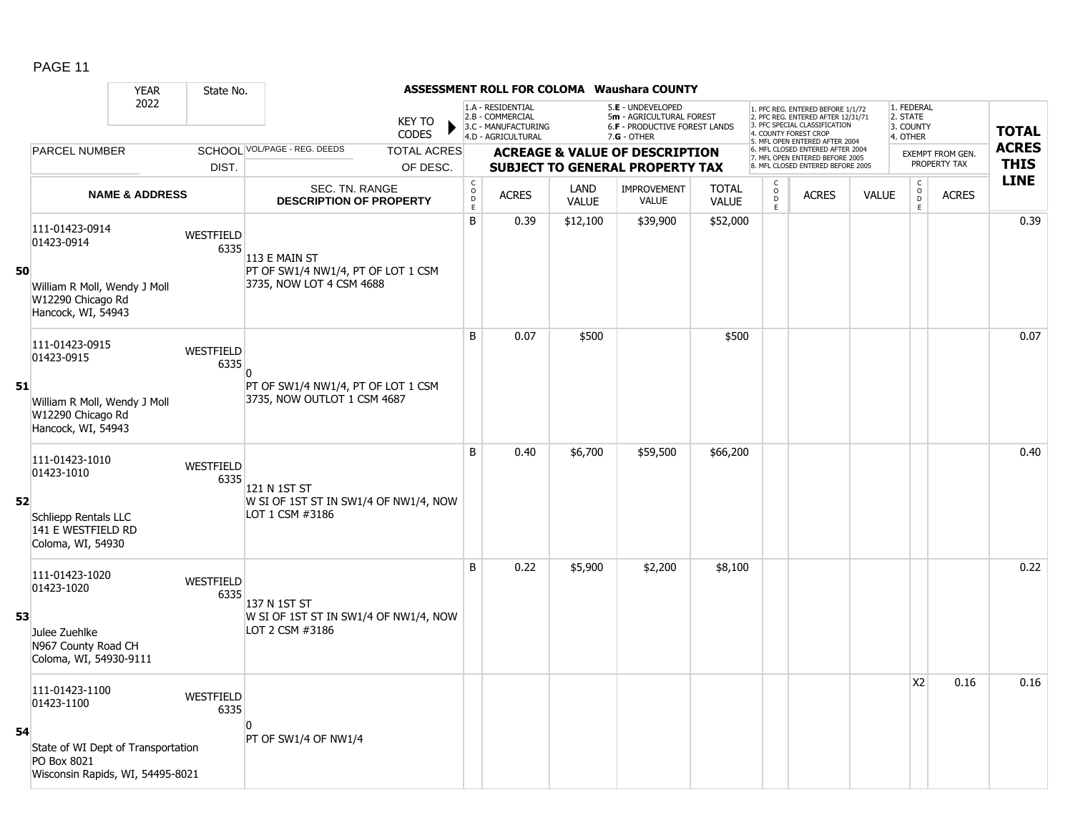|    |                                                                                                                                            | <b>YEAR</b>               | State No.                |                                                                                 |                                |                                            |                                                                                    |                      | ASSESSMENT ROLL FOR COLOMA Waushara COUNTY                                                      |                              |                                                   |                                                                                                                                                                     |              |                                                 |                                         |                             |
|----|--------------------------------------------------------------------------------------------------------------------------------------------|---------------------------|--------------------------|---------------------------------------------------------------------------------|--------------------------------|--------------------------------------------|------------------------------------------------------------------------------------|----------------------|-------------------------------------------------------------------------------------------------|------------------------------|---------------------------------------------------|---------------------------------------------------------------------------------------------------------------------------------------------------------------------|--------------|-------------------------------------------------|-----------------------------------------|-----------------------------|
|    |                                                                                                                                            | 2022                      |                          |                                                                                 | <b>KEY TO</b><br><b>CODES</b>  |                                            | 1.A - RESIDENTIAL<br>2.B - COMMERCIAL<br>3.C - MANUFACTURING<br>4.D - AGRICULTURAL |                      | 5.E - UNDEVELOPED<br>5m - AGRICULTURAL FOREST<br>6.F - PRODUCTIVE FOREST LANDS<br>$7.G - OTHER$ |                              |                                                   | 1. PFC REG. ENTERED BEFORE 1/1/72<br>2. PFC REG. ENTERED AFTER 12/31/71<br>3. PFC SPECIAL CLASSIFICATION<br>4. COUNTY FOREST CROP<br>5. MFL OPEN ENTERED AFTER 2004 |              | 1. FEDERAL<br>2. STATE<br>3. COUNTY<br>4. OTHER |                                         | <b>TOTAL</b>                |
|    | PARCEL NUMBER                                                                                                                              |                           | DIST.                    | SCHOOL VOL/PAGE - REG. DEEDS                                                    | <b>TOTAL ACRES</b><br>OF DESC. |                                            |                                                                                    |                      | <b>ACREAGE &amp; VALUE OF DESCRIPTION</b><br><b>SUBJECT TO GENERAL PROPERTY TAX</b>             |                              |                                                   | 6. MFL CLOSED ENTERED AFTER 2004<br>7. MFL OPEN ENTERED BEFORE 2005<br>8. MFL CLOSED ENTERED BEFORE 2005                                                            |              |                                                 | <b>EXEMPT FROM GEN.</b><br>PROPERTY TAX | <b>ACRES</b><br><b>THIS</b> |
|    |                                                                                                                                            | <b>NAME &amp; ADDRESS</b> |                          | SEC. TN. RANGE<br><b>DESCRIPTION OF PROPERTY</b>                                |                                | $\begin{array}{c} C \\ O \\ E \end{array}$ | <b>ACRES</b>                                                                       | LAND<br><b>VALUE</b> | <b>IMPROVEMENT</b><br>VALUE                                                                     | <b>TOTAL</b><br><b>VALUE</b> | С<br>$\begin{array}{c}\n0 \\ D \\ E\n\end{array}$ | <b>ACRES</b>                                                                                                                                                        | <b>VALUE</b> | $\mathsf{C}$<br>$_{\rm D}^{\rm O}$<br>E         | <b>ACRES</b>                            | <b>LINE</b>                 |
| 50 | 111-01423-0914<br>01423-0914<br>William R Moll, Wendy J Moll<br>W12290 Chicago Rd<br>Hancock, WI, 54943                                    |                           | WESTFIELD<br>6335        | 113 E MAIN ST<br>PT OF SW1/4 NW1/4, PT OF LOT 1 CSM<br>3735, NOW LOT 4 CSM 4688 |                                | B                                          | 0.39                                                                               | \$12,100             | \$39,900                                                                                        | \$52,000                     |                                                   |                                                                                                                                                                     |              |                                                 |                                         | 0.39                        |
| 51 | 111-01423-0915<br>01423-0915<br>William R Moll, Wendy J Moll                                                                               |                           | WESTFIELD<br>6335        | PT OF SW1/4 NW1/4, PT OF LOT 1 CSM<br>3735, NOW OUTLOT 1 CSM 4687               |                                | B                                          | 0.07                                                                               | \$500                |                                                                                                 | \$500                        |                                                   |                                                                                                                                                                     |              |                                                 |                                         | 0.07                        |
| 52 | W12290 Chicago Rd<br>Hancock, WI, 54943<br>111-01423-1010<br>01423-1010<br>Schliepp Rentals LLC<br>141 E WESTFIELD RD<br>Coloma, WI, 54930 |                           | WESTFIELD<br>6335        | 121 N 1ST ST<br>W SI OF 1ST ST IN SW1/4 OF NW1/4, NOW<br>LOT 1 CSM #3186        |                                | B                                          | 0.40                                                                               | \$6,700              | \$59,500                                                                                        | \$66,200                     |                                                   |                                                                                                                                                                     |              |                                                 |                                         | 0.40                        |
| 53 | 111-01423-1020<br>01423-1020<br>Julee Zuehlke<br>N967 County Road CH<br>Coloma, WI, 54930-9111                                             |                           | <b>WESTFIELD</b><br>6335 | 137 N 1ST ST<br>W SI OF 1ST ST IN SW1/4 OF NW1/4, NOW<br>LOT 2 CSM #3186        |                                | B                                          | 0.22                                                                               | \$5,900              | \$2,200                                                                                         | \$8,100                      |                                                   |                                                                                                                                                                     |              |                                                 |                                         | 0.22                        |
| 54 | 111-01423-1100<br>01423-1100<br>State of WI Dept of Transportation<br>PO Box 8021<br>Wisconsin Rapids, WI, 54495-8021                      |                           | WESTFIELD<br>6335        | PT OF SW1/4 OF NW1/4                                                            |                                |                                            |                                                                                    |                      |                                                                                                 |                              |                                                   |                                                                                                                                                                     |              | X <sub>2</sub>                                  | 0.16                                    | 0.16                        |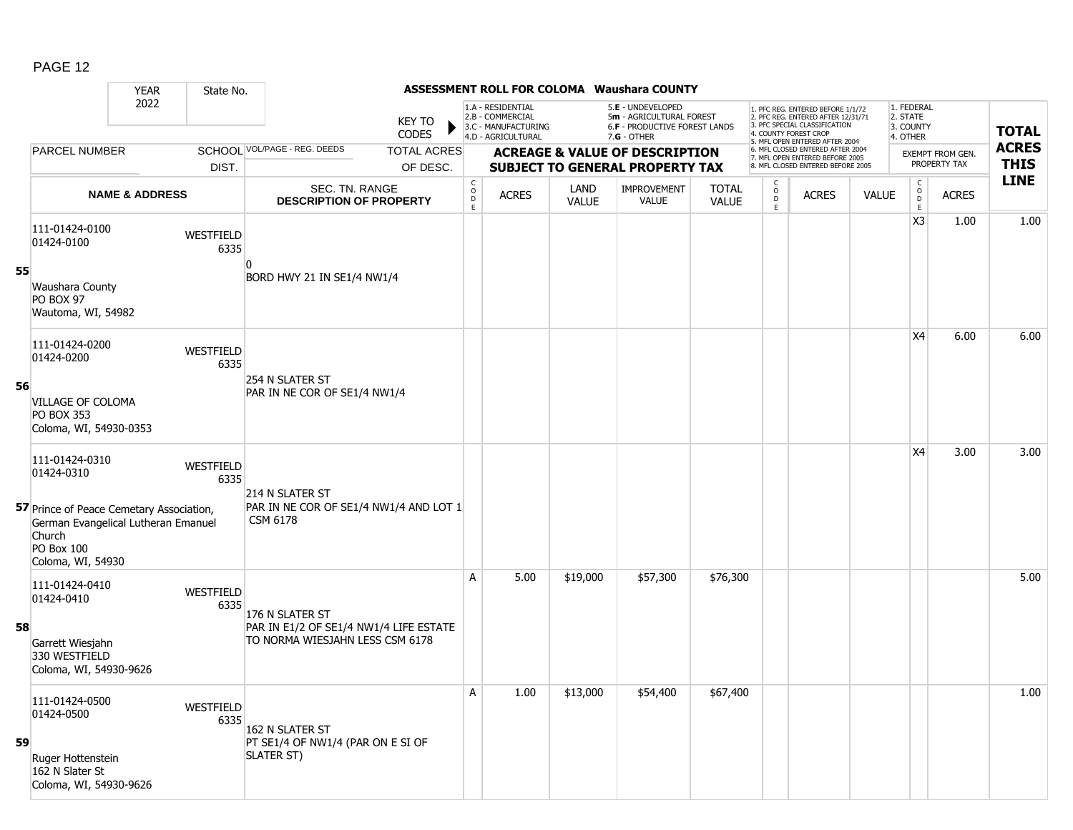|    |                                                                                                                                     | <b>YEAR</b>               | State No.         |                                                                           |                               |                                                |                                                                                    |                      | <b>ASSESSMENT ROLL FOR COLOMA Waushara COUNTY</b>                                               |                              |                                       |                                                                                                                                   |              |                                                         |                         |              |
|----|-------------------------------------------------------------------------------------------------------------------------------------|---------------------------|-------------------|---------------------------------------------------------------------------|-------------------------------|------------------------------------------------|------------------------------------------------------------------------------------|----------------------|-------------------------------------------------------------------------------------------------|------------------------------|---------------------------------------|-----------------------------------------------------------------------------------------------------------------------------------|--------------|---------------------------------------------------------|-------------------------|--------------|
|    |                                                                                                                                     | 2022                      |                   |                                                                           | <b>KEY TO</b><br><b>CODES</b> |                                                | 1.A - RESIDENTIAL<br>2.B - COMMERCIAL<br>3.C - MANUFACTURING<br>4.D - AGRICULTURAL |                      | 5.E - UNDEVELOPED<br>5m - AGRICULTURAL FOREST<br>6.F - PRODUCTIVE FOREST LANDS<br>$7.G - OTHER$ |                              |                                       | 1. PFC REG. ENTERED BEFORE 1/1/72<br>2. PFC REG. ENTERED AFTER 12/31/71<br>3. PFC SPECIAL CLASSIFICATION<br>4. COUNTY FOREST CROP |              | 1. FEDERAL<br>2. STATE<br>3. COUNTY<br>4. OTHER         |                         | <b>TOTAL</b> |
|    | <b>PARCEL NUMBER</b>                                                                                                                |                           |                   | SCHOOL VOL/PAGE - REG. DEEDS                                              | <b>TOTAL ACRES</b>            |                                                |                                                                                    |                      | <b>ACREAGE &amp; VALUE OF DESCRIPTION</b>                                                       |                              |                                       | 5. MFL OPEN ENTERED AFTER 2004<br>6. MFL CLOSED ENTERED AFTER 2004                                                                |              |                                                         | <b>EXEMPT FROM GEN.</b> | <b>ACRES</b> |
|    |                                                                                                                                     |                           | DIST.             |                                                                           | OF DESC.                      |                                                |                                                                                    |                      | <b>SUBJECT TO GENERAL PROPERTY TAX</b>                                                          |                              |                                       | 7. MFL OPEN ENTERED BEFORE 2005<br>8. MFL CLOSED ENTERED BEFORE 2005                                                              |              |                                                         | PROPERTY TAX            | <b>THIS</b>  |
|    |                                                                                                                                     | <b>NAME &amp; ADDRESS</b> |                   | SEC. TN. RANGE<br><b>DESCRIPTION OF PROPERTY</b>                          |                               | $\begin{matrix} 0 \\ 0 \\ 0 \end{matrix}$<br>E | <b>ACRES</b>                                                                       | LAND<br><b>VALUE</b> | <b>IMPROVEMENT</b><br><b>VALUE</b>                                                              | <b>TOTAL</b><br><b>VALUE</b> | C<br>$\mathsf{o}$<br>$\mathsf D$<br>E | <b>ACRES</b>                                                                                                                      | <b>VALUE</b> | $\begin{smallmatrix} C\\O\\O\\D \end{smallmatrix}$<br>E | <b>ACRES</b>            | <b>LINE</b>  |
|    | 111-01424-0100<br>01424-0100                                                                                                        |                           | WESTFIELD<br>6335 |                                                                           |                               |                                                |                                                                                    |                      |                                                                                                 |                              |                                       |                                                                                                                                   |              | X <sub>3</sub>                                          | 1.00                    | 1.00         |
| 55 | Waushara County<br>PO BOX 97<br>Wautoma, WI, 54982                                                                                  |                           |                   | BORD HWY 21 IN SE1/4 NW1/4                                                |                               |                                                |                                                                                    |                      |                                                                                                 |                              |                                       |                                                                                                                                   |              |                                                         |                         |              |
|    | 111-01424-0200<br>01424-0200                                                                                                        |                           | WESTFIELD<br>6335 | 254 N SLATER ST                                                           |                               |                                                |                                                                                    |                      |                                                                                                 |                              |                                       |                                                                                                                                   |              | X4                                                      | 6.00                    | 6.00         |
| 56 | VILLAGE OF COLOMA<br><b>PO BOX 353</b><br>Coloma, WI, 54930-0353                                                                    |                           |                   | PAR IN NE COR OF SE1/4 NW1/4                                              |                               |                                                |                                                                                    |                      |                                                                                                 |                              |                                       |                                                                                                                                   |              |                                                         |                         |              |
|    | 111-01424-0310<br>01424-0310                                                                                                        |                           | WESTFIELD<br>6335 | 214 N SLATER ST                                                           |                               |                                                |                                                                                    |                      |                                                                                                 |                              |                                       |                                                                                                                                   |              | X4                                                      | 3.00                    | 3.00         |
|    | 57 Prince of Peace Cemetary Association,<br>German Evangelical Lutheran Emanuel<br>Church<br><b>PO Box 100</b><br>Coloma, WI, 54930 |                           |                   | PAR IN NE COR OF SE1/4 NW1/4 AND LOT 1<br>CSM 6178                        |                               |                                                |                                                                                    |                      |                                                                                                 |                              |                                       |                                                                                                                                   |              |                                                         |                         |              |
|    | 111-01424-0410<br>01424-0410                                                                                                        |                           | WESTFIELD<br>6335 | 176 N SLATER ST                                                           |                               | A                                              | 5.00                                                                               | \$19,000             | \$57,300                                                                                        | \$76,300                     |                                       |                                                                                                                                   |              |                                                         |                         | 5.00         |
| 58 | Garrett Wiesjahn<br>330 WESTFIELD<br>Coloma, WI, 54930-9626                                                                         |                           |                   | PAR IN E1/2 OF SE1/4 NW1/4 LIFE ESTATE<br>TO NORMA WIESJAHN LESS CSM 6178 |                               |                                                |                                                                                    |                      |                                                                                                 |                              |                                       |                                                                                                                                   |              |                                                         |                         |              |
| 59 | 111-01424-0500<br>01424-0500                                                                                                        |                           | WESTFIELD<br>6335 | 162 N SLATER ST<br>PT SE1/4 OF NW1/4 (PAR ON E SI OF                      |                               | $\mathsf{A}$                                   | 1.00                                                                               | \$13,000             | \$54,400                                                                                        | \$67,400                     |                                       |                                                                                                                                   |              |                                                         |                         | 1.00         |
|    | Ruger Hottenstein<br>162 N Slater St<br>Coloma, WI, 54930-9626                                                                      |                           |                   | SLATER ST)                                                                |                               |                                                |                                                                                    |                      |                                                                                                 |                              |                                       |                                                                                                                                   |              |                                                         |                         |              |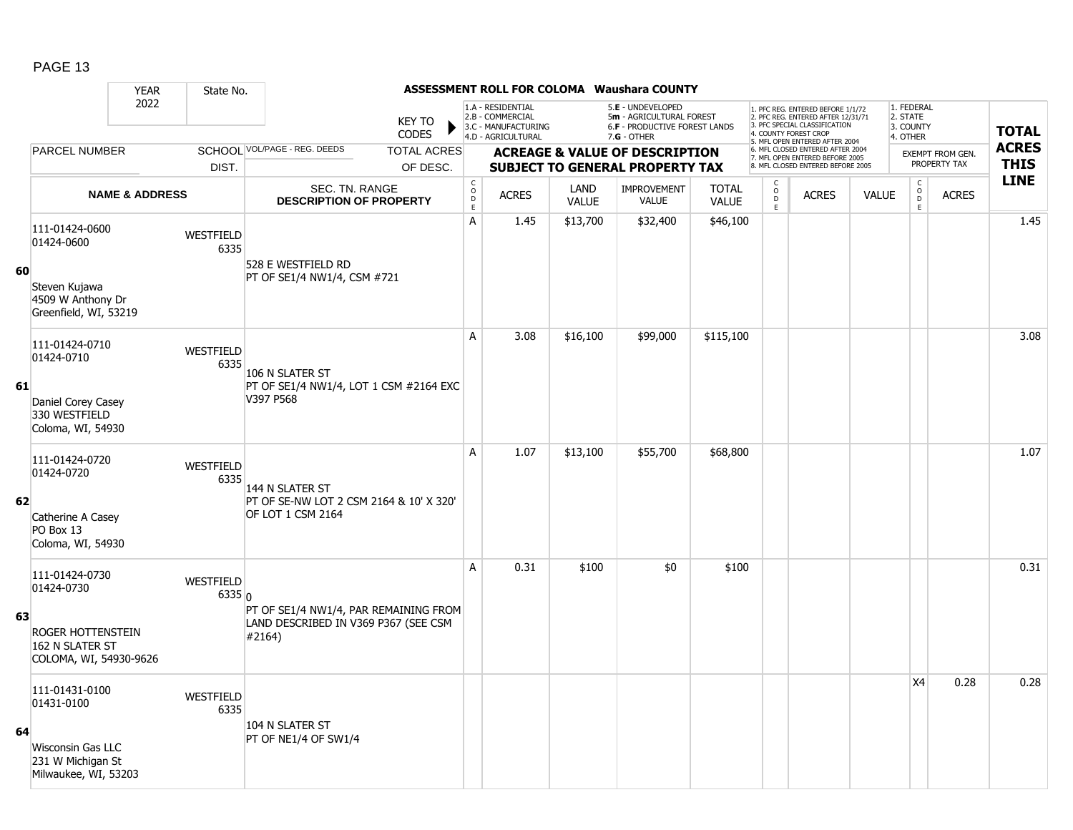|    |                                                                | <b>YEAR</b>               | State No.           |                                                                                         |                                                                      |                                                                                    |                             | ASSESSMENT ROLL FOR COLOMA Waushara COUNTY                                                      |                              |                     |                                                                                                                                                                     |              |                                                 |                         |                            |
|----|----------------------------------------------------------------|---------------------------|---------------------|-----------------------------------------------------------------------------------------|----------------------------------------------------------------------|------------------------------------------------------------------------------------|-----------------------------|-------------------------------------------------------------------------------------------------|------------------------------|---------------------|---------------------------------------------------------------------------------------------------------------------------------------------------------------------|--------------|-------------------------------------------------|-------------------------|----------------------------|
|    |                                                                | 2022                      |                     | <b>KEY TO</b><br><b>CODES</b>                                                           |                                                                      | 1.A - RESIDENTIAL<br>2.B - COMMERCIAL<br>3.C - MANUFACTURING<br>4.D - AGRICULTURAL |                             | 5.E - UNDEVELOPED<br>5m - AGRICULTURAL FOREST<br>6.F - PRODUCTIVE FOREST LANDS<br>$7.G - OTHER$ |                              |                     | 1. PFC REG. ENTERED BEFORE 1/1/72<br>2. PFC REG. ENTERED AFTER 12/31/71<br>3. PFC SPECIAL CLASSIFICATION<br>4. COUNTY FOREST CROP<br>5. MFL OPEN ENTERED AFTER 2004 |              | 1. FEDERAL<br>2. STATE<br>3. COUNTY<br>4. OTHER |                         | <b>TOTAL</b>               |
|    | PARCEL NUMBER                                                  |                           |                     | SCHOOL VOL/PAGE - REG. DEEDS<br><b>TOTAL ACRES</b>                                      |                                                                      |                                                                                    |                             | <b>ACREAGE &amp; VALUE OF DESCRIPTION</b>                                                       |                              |                     | 6. MFL CLOSED ENTERED AFTER 2004<br>7. MFL OPEN ENTERED BEFORE 2005                                                                                                 |              |                                                 | <b>EXEMPT FROM GEN.</b> | <b>ACRES</b>               |
|    |                                                                |                           | DIST.               | OF DESC.                                                                                |                                                                      |                                                                                    |                             | <b>SUBJECT TO GENERAL PROPERTY TAX</b>                                                          |                              |                     | 8. MFL CLOSED ENTERED BEFORE 2005                                                                                                                                   |              |                                                 | PROPERTY TAX            | <b>THIS</b><br><b>LINE</b> |
|    |                                                                | <b>NAME &amp; ADDRESS</b> |                     | SEC. TN. RANGE<br><b>DESCRIPTION OF PROPERTY</b>                                        | $\begin{smallmatrix} C\\ O\\ O\\ D \end{smallmatrix}$<br>$\mathsf E$ | <b>ACRES</b>                                                                       | <b>LAND</b><br><b>VALUE</b> | <b>IMPROVEMENT</b><br><b>VALUE</b>                                                              | <b>TOTAL</b><br><b>VALUE</b> | $\overline{0}$<br>E | <b>ACRES</b>                                                                                                                                                        | <b>VALUE</b> | $\begin{array}{c}\nC \\ D \\ E\n\end{array}$    | <b>ACRES</b>            |                            |
| 60 | 111-01424-0600<br>01424-0600                                   |                           | WESTFIELD<br>6335   | 528 E WESTFIELD RD                                                                      | A                                                                    | 1.45                                                                               | \$13,700                    | \$32,400                                                                                        | \$46,100                     |                     |                                                                                                                                                                     |              |                                                 |                         | 1.45                       |
|    | Steven Kujawa<br>4509 W Anthony Dr<br>Greenfield, WI, 53219    |                           |                     | PT OF SE1/4 NW1/4, CSM #721                                                             |                                                                      |                                                                                    |                             |                                                                                                 |                              |                     |                                                                                                                                                                     |              |                                                 |                         |                            |
|    | 111-01424-0710<br>01424-0710                                   |                           | WESTFIELD<br>6335   | 106 N SLATER ST                                                                         | A                                                                    | 3.08                                                                               | \$16,100                    | \$99,000                                                                                        | \$115,100                    |                     |                                                                                                                                                                     |              |                                                 |                         | 3.08                       |
| 61 | Daniel Corey Casey<br>330 WESTFIELD<br>Coloma, WI, 54930       |                           |                     | PT OF SE1/4 NW1/4, LOT 1 CSM #2164 EXC<br>V397 P568                                     |                                                                      |                                                                                    |                             |                                                                                                 |                              |                     |                                                                                                                                                                     |              |                                                 |                         |                            |
|    | 111-01424-0720<br>01424-0720                                   |                           | WESTFIELD<br>6335   | 144 N SLATER ST                                                                         | A                                                                    | 1.07                                                                               | \$13,100                    | \$55,700                                                                                        | \$68,800                     |                     |                                                                                                                                                                     |              |                                                 |                         | 1.07                       |
| 62 | Catherine A Casey<br>PO Box 13<br>Coloma, WI, 54930            |                           |                     | PT OF SE-NW LOT 2 CSM 2164 & 10' X 320'<br>OF LOT 1 CSM 2164                            |                                                                      |                                                                                    |                             |                                                                                                 |                              |                     |                                                                                                                                                                     |              |                                                 |                         |                            |
|    | 111-01424-0730<br>01424-0730                                   |                           | WESTFIELD<br>6335 0 |                                                                                         | А                                                                    | 0.31                                                                               | \$100                       | \$0                                                                                             | \$100                        |                     |                                                                                                                                                                     |              |                                                 |                         | 0.31                       |
| 63 | ROGER HOTTENSTEIN<br>162 N SLATER ST<br>COLOMA, WI, 54930-9626 |                           |                     | PT OF SE1/4 NW1/4, PAR REMAINING FROM<br>LAND DESCRIBED IN V369 P367 (SEE CSM<br>#2164) |                                                                      |                                                                                    |                             |                                                                                                 |                              |                     |                                                                                                                                                                     |              |                                                 |                         |                            |
|    | 111-01431-0100<br>01431-0100                                   |                           | WESTFIELD<br>6335   |                                                                                         |                                                                      |                                                                                    |                             |                                                                                                 |                              |                     |                                                                                                                                                                     |              | X4                                              | 0.28                    | 0.28                       |
| 64 | Wisconsin Gas LLC<br>231 W Michigan St<br>Milwaukee, WI, 53203 |                           |                     | 104 N SLATER ST<br>PT OF NE1/4 OF SW1/4                                                 |                                                                      |                                                                                    |                             |                                                                                                 |                              |                     |                                                                                                                                                                     |              |                                                 |                         |                            |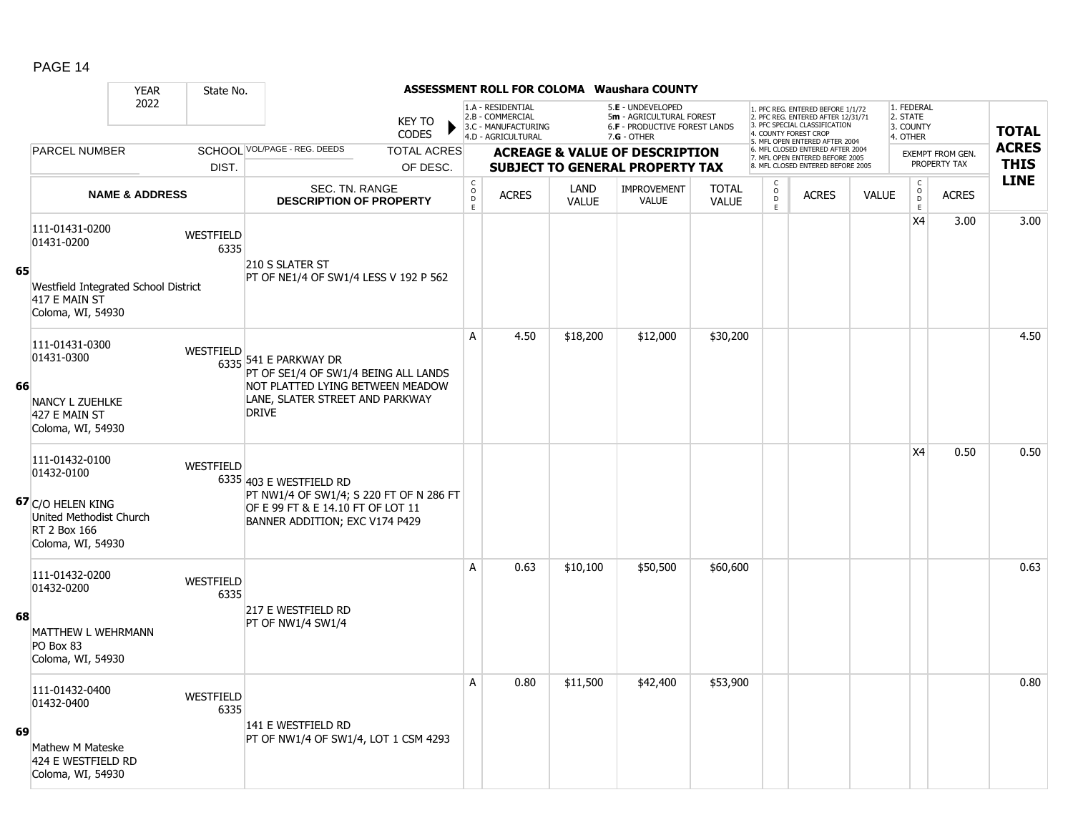|    |                                                                                                                   | <b>YEAR</b>               | State No.                |                                                                                                                                                      |                                |                                              |                                                                                    |                      | ASSESSMENT ROLL FOR COLOMA Waushara COUNTY                                                      |                              |                                                   |                                                                                                                                                                     |              |                                                 |                                         |                             |
|----|-------------------------------------------------------------------------------------------------------------------|---------------------------|--------------------------|------------------------------------------------------------------------------------------------------------------------------------------------------|--------------------------------|----------------------------------------------|------------------------------------------------------------------------------------|----------------------|-------------------------------------------------------------------------------------------------|------------------------------|---------------------------------------------------|---------------------------------------------------------------------------------------------------------------------------------------------------------------------|--------------|-------------------------------------------------|-----------------------------------------|-----------------------------|
|    |                                                                                                                   | 2022                      |                          |                                                                                                                                                      | <b>KEY TO</b><br><b>CODES</b>  |                                              | 1.A - RESIDENTIAL<br>2.B - COMMERCIAL<br>3.C - MANUFACTURING<br>4.D - AGRICULTURAL |                      | 5.E - UNDEVELOPED<br>5m - AGRICULTURAL FOREST<br>6.F - PRODUCTIVE FOREST LANDS<br>$7.G - OTHER$ |                              |                                                   | 1. PFC REG. ENTERED BEFORE 1/1/72<br>2. PFC REG. ENTERED AFTER 12/31/71<br>3. PFC SPECIAL CLASSIFICATION<br>4. COUNTY FOREST CROP<br>5. MFL OPEN ENTERED AFTER 2004 |              | 1. FEDERAL<br>2. STATE<br>3. COUNTY<br>4. OTHER |                                         | <b>TOTAL</b>                |
|    | <b>PARCEL NUMBER</b>                                                                                              |                           | DIST.                    | SCHOOL VOL/PAGE - REG. DEEDS                                                                                                                         | <b>TOTAL ACRES</b><br>OF DESC. |                                              |                                                                                    |                      | <b>ACREAGE &amp; VALUE OF DESCRIPTION</b><br><b>SUBJECT TO GENERAL PROPERTY TAX</b>             |                              |                                                   | 6. MFL CLOSED ENTERED AFTER 2004<br>7. MFL OPEN ENTERED BEFORE 2005<br>8. MFL CLOSED ENTERED BEFORE 2005                                                            |              |                                                 | <b>EXEMPT FROM GEN.</b><br>PROPERTY TAX | <b>ACRES</b><br><b>THIS</b> |
|    |                                                                                                                   | <b>NAME &amp; ADDRESS</b> |                          | SEC. TN. RANGE<br><b>DESCRIPTION OF PROPERTY</b>                                                                                                     |                                | $\begin{array}{c}\nC \\ O \\ E\n\end{array}$ | <b>ACRES</b>                                                                       | LAND<br><b>VALUE</b> | <b>IMPROVEMENT</b><br>VALUE                                                                     | <b>TOTAL</b><br><b>VALUE</b> | C<br>$\begin{array}{c}\n0 \\ D \\ E\n\end{array}$ | <b>ACRES</b>                                                                                                                                                        | <b>VALUE</b> | $\mathsf{C}$<br>$_{\rm D}^{\rm O}$<br>E         | <b>ACRES</b>                            | <b>LINE</b>                 |
| 65 | 111-01431-0200<br>01431-0200<br>Westfield Integrated School District<br>417 E MAIN ST<br>Coloma, WI, 54930        |                           | <b>WESTFIELD</b><br>6335 | 210 S SLATER ST<br>PT OF NE1/4 OF SW1/4 LESS V 192 P 562                                                                                             |                                |                                              |                                                                                    |                      |                                                                                                 |                              |                                                   |                                                                                                                                                                     |              | X4                                              | 3.00                                    | 3.00                        |
| 66 | 111-01431-0300<br>01431-0300<br><b>NANCY L ZUEHLKE</b><br>427 E MAIN ST<br>Coloma, WI, 54930                      |                           | <b>WESTFIELD</b>         | 6335 541 E PARKWAY DR<br>PT OF SE1/4 OF SW1/4 BEING ALL LANDS<br>NOT PLATTED LYING BETWEEN MEADOW<br>LANE, SLATER STREET AND PARKWAY<br><b>DRIVE</b> |                                | A                                            | 4.50                                                                               | \$18,200             | \$12,000                                                                                        | \$30,200                     |                                                   |                                                                                                                                                                     |              |                                                 |                                         | 4.50                        |
|    | 111-01432-0100<br>01432-0100<br>67 C/O HELEN KING<br>United Methodist Church<br>RT 2 Box 166<br>Coloma, WI, 54930 |                           | WESTFIELD                | 6335 403 E WESTFIELD RD<br>PT NW1/4 OF SW1/4; S 220 FT OF N 286 FT<br>OF E 99 FT & E 14.10 FT OF LOT 11<br>BANNER ADDITION; EXC V174 P429            |                                |                                              |                                                                                    |                      |                                                                                                 |                              |                                                   |                                                                                                                                                                     |              | X4                                              | 0.50                                    | 0.50                        |
| 68 | 111-01432-0200<br>01432-0200<br>MATTHEW L WEHRMANN<br>PO Box 83<br>Coloma, WI, 54930                              |                           | WESTFIELD<br>6335        | 217 E WESTFIELD RD<br><b>PT OF NW1/4 SW1/4</b>                                                                                                       |                                | A                                            | 0.63                                                                               | \$10,100             | \$50,500                                                                                        | \$60,600                     |                                                   |                                                                                                                                                                     |              |                                                 |                                         | 0.63                        |
| 69 | 111-01432-0400<br>01432-0400<br>Mathew M Mateske<br>424 E WESTFIELD RD<br>Coloma, WI, 54930                       |                           | WESTFIELD<br>6335        | 141 E WESTFIELD RD<br>PT OF NW1/4 OF SW1/4, LOT 1 CSM 4293                                                                                           |                                | А                                            | 0.80                                                                               | \$11,500             | \$42,400                                                                                        | \$53,900                     |                                                   |                                                                                                                                                                     |              |                                                 |                                         | 0.80                        |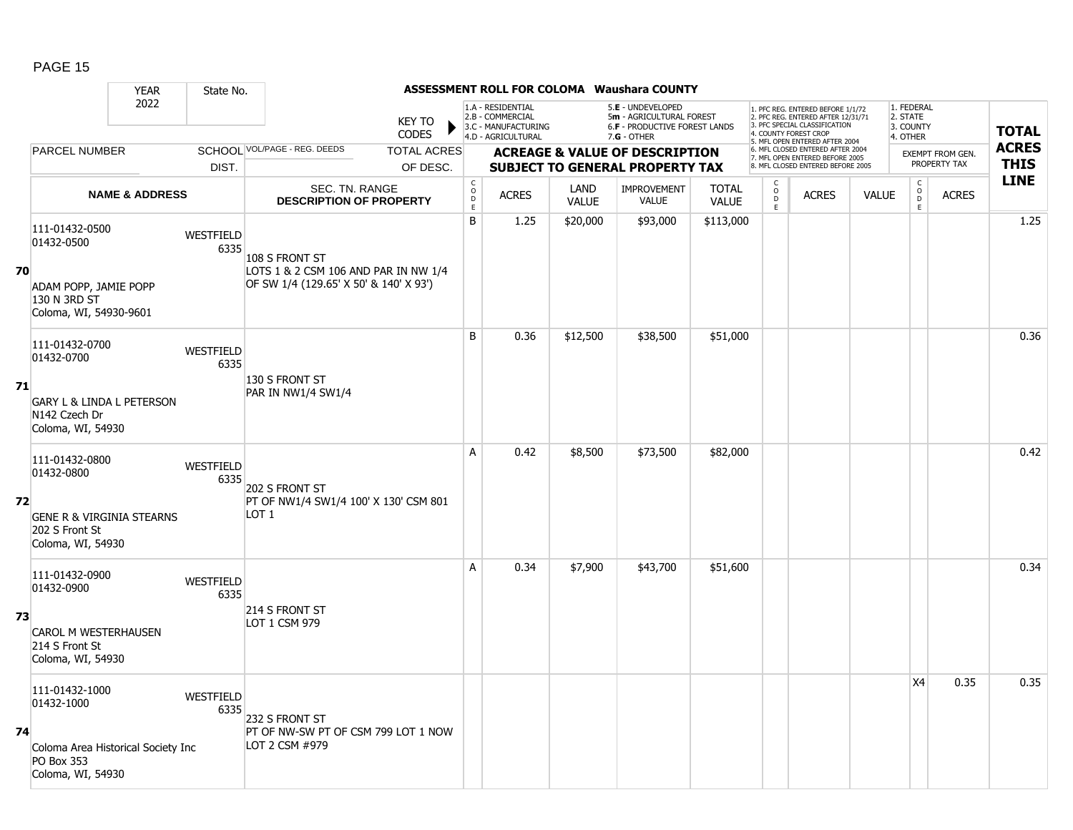|    |                                                                                        | <b>YEAR</b>               | State No.         |                                                           |                               |                                            |                                                                                    |                      | <b>ASSESSMENT ROLL FOR COLOMA Waushara COUNTY</b>                                                    |                              |                         |                                                                                                                                                                     |              |                                                 |                         |              |
|----|----------------------------------------------------------------------------------------|---------------------------|-------------------|-----------------------------------------------------------|-------------------------------|--------------------------------------------|------------------------------------------------------------------------------------|----------------------|------------------------------------------------------------------------------------------------------|------------------------------|-------------------------|---------------------------------------------------------------------------------------------------------------------------------------------------------------------|--------------|-------------------------------------------------|-------------------------|--------------|
|    |                                                                                        | 2022                      |                   |                                                           | <b>KEY TO</b><br><b>CODES</b> |                                            | 1.A - RESIDENTIAL<br>2.B - COMMERCIAL<br>3.C - MANUFACTURING<br>4.D - AGRICULTURAL |                      | 5.E - UNDEVELOPED<br>5m - AGRICULTURAL FOREST<br><b>6.F - PRODUCTIVE FOREST LANDS</b><br>7.G - OTHER |                              |                         | 1. PFC REG. ENTERED BEFORE 1/1/72<br>2. PFC REG. ENTERED AFTER 12/31/71<br>3. PFC SPECIAL CLASSIFICATION<br>4. COUNTY FOREST CROP<br>5. MFL OPEN ENTERED AFTER 2004 |              | 1. FEDERAL<br>2. STATE<br>3. COUNTY<br>4. OTHER |                         | <b>TOTAL</b> |
|    | PARCEL NUMBER                                                                          |                           |                   | SCHOOL VOL/PAGE - REG. DEEDS                              | <b>TOTAL ACRES</b>            |                                            |                                                                                    |                      | <b>ACREAGE &amp; VALUE OF DESCRIPTION</b>                                                            |                              |                         | 6. MFL CLOSED ENTERED AFTER 2004<br>7. MFL OPEN ENTERED BEFORE 2005                                                                                                 |              |                                                 | <b>EXEMPT FROM GEN.</b> | <b>ACRES</b> |
|    |                                                                                        |                           | DIST.             |                                                           | OF DESC.                      |                                            |                                                                                    |                      | <b>SUBJECT TO GENERAL PROPERTY TAX</b>                                                               |                              |                         | 8. MFL CLOSED ENTERED BEFORE 2005                                                                                                                                   |              |                                                 | PROPERTY TAX            | <b>THIS</b>  |
|    |                                                                                        | <b>NAME &amp; ADDRESS</b> |                   | <b>SEC. TN. RANGE</b><br><b>DESCRIPTION OF PROPERTY</b>   |                               | $\mathsf C$<br>$\circ$<br>$\mathsf D$<br>E | <b>ACRES</b>                                                                       | LAND<br><b>VALUE</b> | <b>IMPROVEMENT</b><br>VALUE                                                                          | <b>TOTAL</b><br><b>VALUE</b> | $_{\rm D}^{\rm O}$<br>E | <b>ACRES</b>                                                                                                                                                        | <b>VALUE</b> | $\begin{matrix} 0 \\ 0 \\ D \end{matrix}$<br>E  | <b>ACRES</b>            | <b>LINE</b>  |
| 70 | 111-01432-0500<br>01432-0500                                                           |                           | WESTFIELD<br>6335 | 108 S FRONT ST<br>LOTS 1 & 2 CSM 106 AND PAR IN NW 1/4    |                               | B                                          | 1.25                                                                               | \$20,000             | \$93,000                                                                                             | \$113,000                    |                         |                                                                                                                                                                     |              |                                                 |                         | 1.25         |
|    | ADAM POPP, JAMIE POPP<br>130 N 3RD ST<br>Coloma, WI, 54930-9601                        |                           |                   | OF SW 1/4 (129.65' X 50' & 140' X 93')                    |                               |                                            |                                                                                    |                      |                                                                                                      |                              |                         |                                                                                                                                                                     |              |                                                 |                         |              |
|    | 111-01432-0700<br>01432-0700                                                           |                           | WESTFIELD<br>6335 |                                                           |                               | B                                          | 0.36                                                                               | \$12,500             | \$38,500                                                                                             | \$51,000                     |                         |                                                                                                                                                                     |              |                                                 |                         | 0.36         |
| 71 | <b>GARY L &amp; LINDA L PETERSON</b><br>N <sub>142</sub> Czech Dr<br>Coloma, WI, 54930 |                           |                   | 130 S FRONT ST<br>PAR IN NW1/4 SW1/4                      |                               |                                            |                                                                                    |                      |                                                                                                      |                              |                         |                                                                                                                                                                     |              |                                                 |                         |              |
|    | 111-01432-0800<br>01432-0800                                                           |                           | WESTFIELD<br>6335 | 202 S FRONT ST                                            |                               | A                                          | 0.42                                                                               | \$8,500              | \$73,500                                                                                             | \$82,000                     |                         |                                                                                                                                                                     |              |                                                 |                         | 0.42         |
| 72 | <b>GENE R &amp; VIRGINIA STEARNS</b><br>202 S Front St<br>Coloma, WI, 54930            |                           |                   | PT OF NW1/4 SW1/4 100' X 130' CSM 801<br>LOT <sub>1</sub> |                               |                                            |                                                                                    |                      |                                                                                                      |                              |                         |                                                                                                                                                                     |              |                                                 |                         |              |
|    | 111-01432-0900<br>01432-0900                                                           |                           | WESTFIELD<br>6335 |                                                           |                               | A                                          | 0.34                                                                               | \$7,900              | \$43,700                                                                                             | \$51,600                     |                         |                                                                                                                                                                     |              |                                                 |                         | 0.34         |
| 73 | <b>CAROL M WESTERHAUSEN</b><br>214 S Front St<br>Coloma, WI, 54930                     |                           |                   | 214 S FRONT ST<br>LOT 1 CSM 979                           |                               |                                            |                                                                                    |                      |                                                                                                      |                              |                         |                                                                                                                                                                     |              |                                                 |                         |              |
|    | 111-01432-1000<br>01432-1000                                                           |                           | WESTFIELD<br>6335 | 232 S FRONT ST                                            |                               |                                            |                                                                                    |                      |                                                                                                      |                              |                         |                                                                                                                                                                     |              | X4                                              | 0.35                    | 0.35         |
| 74 | Coloma Area Historical Society Inc<br>PO Box 353<br>Coloma, WI, 54930                  |                           |                   | PT OF NW-SW PT OF CSM 799 LOT 1 NOW<br>LOT 2 CSM #979     |                               |                                            |                                                                                    |                      |                                                                                                      |                              |                         |                                                                                                                                                                     |              |                                                 |                         |              |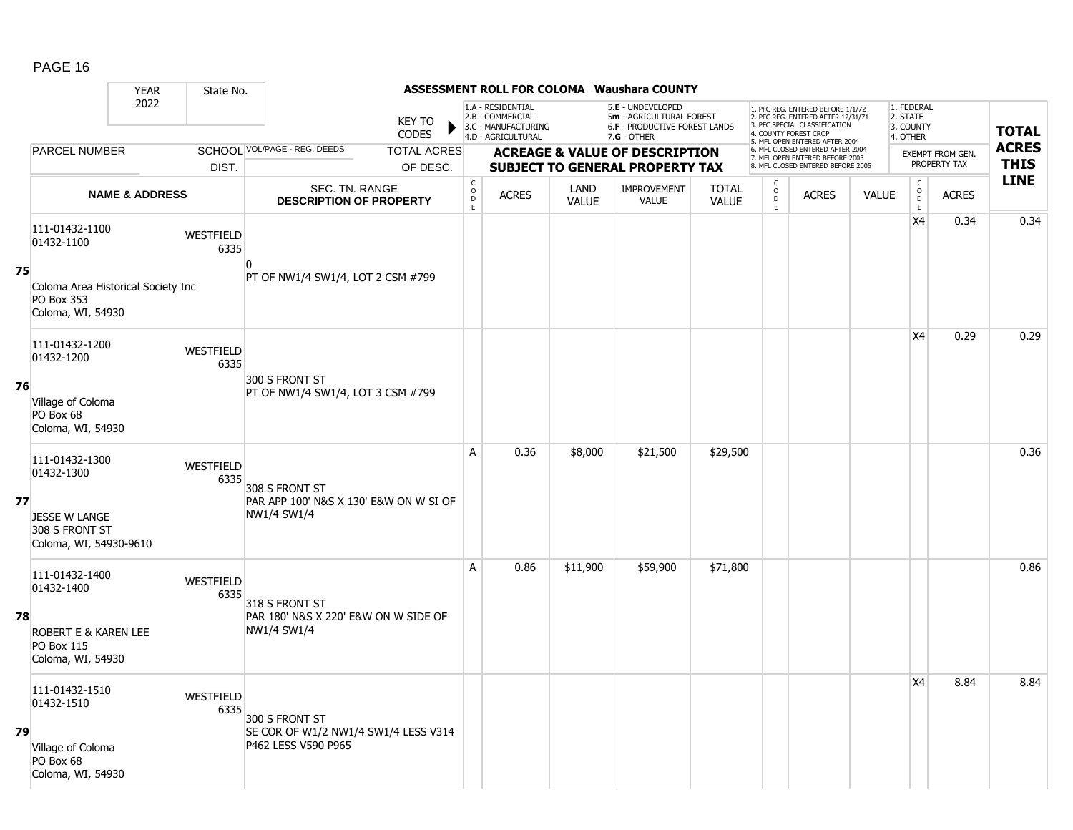|    |                                                                              | <b>YEAR</b>               | State No.                |                                                              |                               |                                  |                                                                                    |                      | <b>ASSESSMENT ROLL FOR COLOMA Waushara COUNTY</b>                                                    |                              |                         |                                                                                                                                                                     |              |                                                 |                         |              |
|----|------------------------------------------------------------------------------|---------------------------|--------------------------|--------------------------------------------------------------|-------------------------------|----------------------------------|------------------------------------------------------------------------------------|----------------------|------------------------------------------------------------------------------------------------------|------------------------------|-------------------------|---------------------------------------------------------------------------------------------------------------------------------------------------------------------|--------------|-------------------------------------------------|-------------------------|--------------|
|    |                                                                              | 2022                      |                          |                                                              | <b>KEY TO</b><br><b>CODES</b> |                                  | 1.A - RESIDENTIAL<br>2.B - COMMERCIAL<br>3.C - MANUFACTURING<br>4.D - AGRICULTURAL |                      | 5.E - UNDEVELOPED<br>5m - AGRICULTURAL FOREST<br><b>6.F - PRODUCTIVE FOREST LANDS</b><br>7.G - OTHER |                              |                         | 1. PFC REG. ENTERED BEFORE 1/1/72<br>2. PFC REG. ENTERED AFTER 12/31/71<br>3. PFC SPECIAL CLASSIFICATION<br>4. COUNTY FOREST CROP<br>5. MFL OPEN ENTERED AFTER 2004 |              | 1. FEDERAL<br>2. STATE<br>3. COUNTY<br>4. OTHER |                         | <b>TOTAL</b> |
|    | PARCEL NUMBER                                                                |                           |                          | SCHOOL VOL/PAGE - REG. DEEDS                                 | <b>TOTAL ACRES</b>            |                                  |                                                                                    |                      | <b>ACREAGE &amp; VALUE OF DESCRIPTION</b>                                                            |                              |                         | 6. MFL CLOSED ENTERED AFTER 2004<br>7. MFL OPEN ENTERED BEFORE 2005                                                                                                 |              |                                                 | <b>EXEMPT FROM GEN.</b> | <b>ACRES</b> |
|    |                                                                              |                           | DIST.                    |                                                              | OF DESC.                      |                                  |                                                                                    |                      | <b>SUBJECT TO GENERAL PROPERTY TAX</b>                                                               |                              |                         | 8. MFL CLOSED ENTERED BEFORE 2005                                                                                                                                   |              |                                                 | PROPERTY TAX            | <b>THIS</b>  |
|    |                                                                              | <b>NAME &amp; ADDRESS</b> |                          | SEC. TN. RANGE<br><b>DESCRIPTION OF PROPERTY</b>             |                               | $\mathsf C$<br>$\circ$<br>D<br>E | <b>ACRES</b>                                                                       | LAND<br><b>VALUE</b> | IMPROVEMENT<br><b>VALUE</b>                                                                          | <b>TOTAL</b><br><b>VALUE</b> | $_{\rm D}^{\rm O}$<br>E | <b>ACRES</b>                                                                                                                                                        | <b>VALUE</b> | $\begin{array}{c} C \\ O \\ E \end{array}$      | <b>ACRES</b>            | <b>LINE</b>  |
|    | 111-01432-1100<br>01432-1100                                                 |                           | <b>WESTFIELD</b><br>6335 | n                                                            |                               |                                  |                                                                                    |                      |                                                                                                      |                              |                         |                                                                                                                                                                     |              | X4                                              | 0.34                    | 0.34         |
| 75 | Coloma Area Historical Society Inc<br><b>PO Box 353</b><br>Coloma, WI, 54930 |                           |                          | PT OF NW1/4 SW1/4, LOT 2 CSM #799                            |                               |                                  |                                                                                    |                      |                                                                                                      |                              |                         |                                                                                                                                                                     |              |                                                 |                         |              |
|    | 111-01432-1200<br>01432-1200                                                 |                           | WESTFIELD<br>6335        | 300 S FRONT ST                                               |                               |                                  |                                                                                    |                      |                                                                                                      |                              |                         |                                                                                                                                                                     |              | X <sub>4</sub>                                  | 0.29                    | 0.29         |
| 76 | Village of Coloma<br>PO Box 68<br>Coloma, WI, 54930                          |                           |                          | PT OF NW1/4 SW1/4, LOT 3 CSM #799                            |                               |                                  |                                                                                    |                      |                                                                                                      |                              |                         |                                                                                                                                                                     |              |                                                 |                         |              |
|    | 111-01432-1300<br>01432-1300                                                 |                           | WESTFIELD<br>6335        | 308 S FRONT ST                                               |                               | A                                | 0.36                                                                               | \$8,000              | \$21,500                                                                                             | \$29,500                     |                         |                                                                                                                                                                     |              |                                                 |                         | 0.36         |
| 77 | <b>JESSE W LANGE</b><br>308 S FRONT ST<br>Coloma, WI, 54930-9610             |                           |                          | PAR APP 100' N&S X 130' E&W ON W SI OF<br><b>NW1/4 SW1/4</b> |                               |                                  |                                                                                    |                      |                                                                                                      |                              |                         |                                                                                                                                                                     |              |                                                 |                         |              |
|    | 111-01432-1400<br>01432-1400                                                 |                           | <b>WESTFIELD</b><br>6335 | 318 S FRONT ST                                               |                               | A                                | 0.86                                                                               | \$11,900             | \$59,900                                                                                             | \$71,800                     |                         |                                                                                                                                                                     |              |                                                 |                         | 0.86         |
| 78 | ROBERT E & KAREN LEE<br><b>PO Box 115</b><br>Coloma, WI, 54930               |                           |                          | PAR 180' N&S X 220' E&W ON W SIDE OF<br>NW1/4 SW1/4          |                               |                                  |                                                                                    |                      |                                                                                                      |                              |                         |                                                                                                                                                                     |              |                                                 |                         |              |
|    | 111-01432-1510<br>01432-1510                                                 |                           | WESTFIELD<br>6335        | 300 S FRONT ST                                               |                               |                                  |                                                                                    |                      |                                                                                                      |                              |                         |                                                                                                                                                                     |              | X <sub>4</sub>                                  | 8.84                    | 8.84         |
| 79 | Village of Coloma<br>PO Box 68<br>Coloma, WI, 54930                          |                           |                          | SE COR OF W1/2 NW1/4 SW1/4 LESS V314<br>P462 LESS V590 P965  |                               |                                  |                                                                                    |                      |                                                                                                      |                              |                         |                                                                                                                                                                     |              |                                                 |                         |              |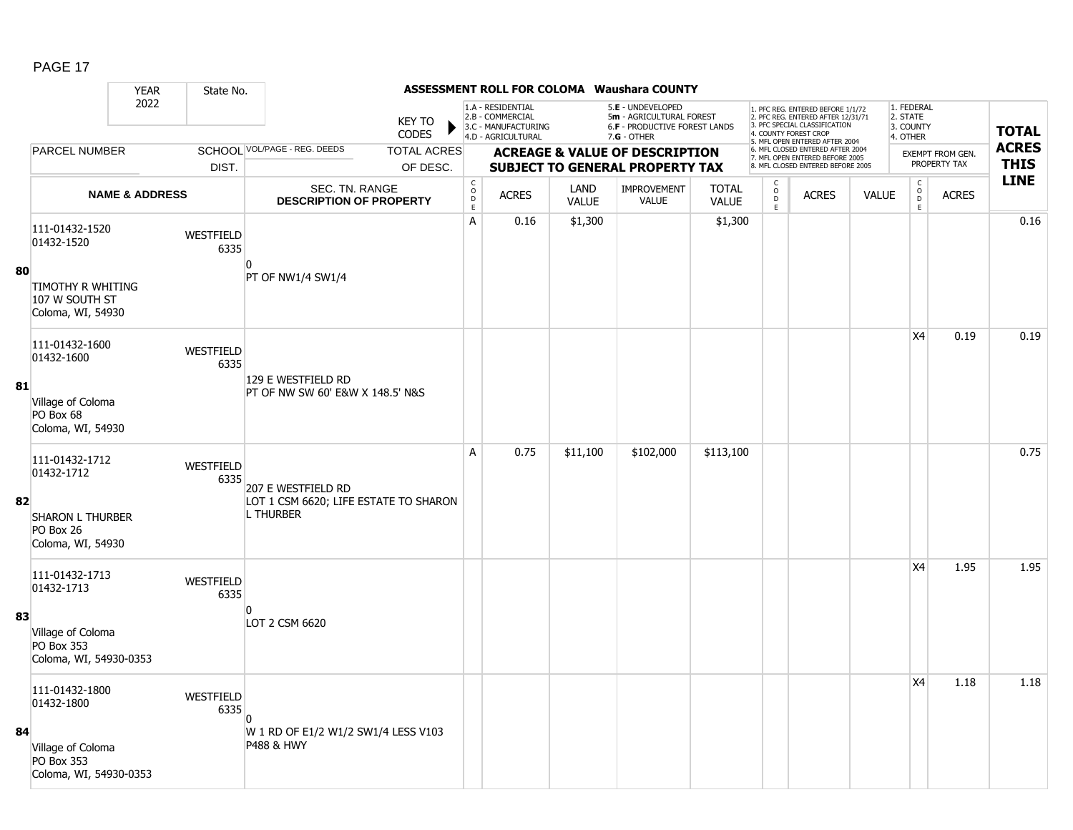|    |                                                           | <b>YEAR</b>               | State No.         |                                                              |                               |                                                         |                                                                                    |                      | ASSESSMENT ROLL FOR COLOMA Waushara COUNTY                                                           |                              |                     |                                                                                                                                                                    |              |                                                 |                         |                            |
|----|-----------------------------------------------------------|---------------------------|-------------------|--------------------------------------------------------------|-------------------------------|---------------------------------------------------------|------------------------------------------------------------------------------------|----------------------|------------------------------------------------------------------------------------------------------|------------------------------|---------------------|--------------------------------------------------------------------------------------------------------------------------------------------------------------------|--------------|-------------------------------------------------|-------------------------|----------------------------|
|    |                                                           | 2022                      |                   |                                                              | <b>KEY TO</b><br><b>CODES</b> |                                                         | 1.A - RESIDENTIAL<br>2.B - COMMERCIAL<br>3.C - MANUFACTURING<br>4.D - AGRICULTURAL |                      | 5.E - UNDEVELOPED<br>5m - AGRICULTURAL FOREST<br><b>6.F - PRODUCTIVE FOREST LANDS</b><br>7.G - OTHER |                              |                     | 1. PFC REG. ENTERED BEFORE 1/1/72<br>2. PFC REG. ENTERED AFTER 12/31/71<br>3 PEC SPECIAL CLASSIFICATION<br>4. COUNTY FOREST CROP<br>5. MFL OPEN ENTERED AFTER 2004 |              | 1. FEDERAL<br>2. STATE<br>3. COUNTY<br>4. OTHER |                         | <b>TOTAL</b>               |
|    | PARCEL NUMBER                                             |                           |                   | SCHOOL VOL/PAGE - REG. DEEDS                                 | <b>TOTAL ACRES</b>            |                                                         |                                                                                    |                      | <b>ACREAGE &amp; VALUE OF DESCRIPTION</b>                                                            |                              |                     | 6. MFL CLOSED ENTERED AFTER 2004<br>7. MFL OPEN ENTERED BEFORE 2005                                                                                                |              |                                                 | <b>EXEMPT FROM GEN.</b> | <b>ACRES</b>               |
|    |                                                           |                           | DIST.             |                                                              | OF DESC.                      |                                                         |                                                                                    |                      | <b>SUBJECT TO GENERAL PROPERTY TAX</b>                                                               |                              |                     | 8. MFL CLOSED ENTERED BEFORE 2005                                                                                                                                  |              |                                                 | PROPERTY TAX            | <b>THIS</b><br><b>LINE</b> |
|    |                                                           | <b>NAME &amp; ADDRESS</b> |                   | SEC. TN. RANGE<br><b>DESCRIPTION OF PROPERTY</b>             |                               | $\begin{smallmatrix} C\\O\\O\\D \end{smallmatrix}$<br>E | <b>ACRES</b>                                                                       | LAND<br><b>VALUE</b> | IMPROVEMENT<br><b>VALUE</b>                                                                          | <b>TOTAL</b><br><b>VALUE</b> | $\overline{0}$<br>E | <b>ACRES</b>                                                                                                                                                       | <b>VALUE</b> | $\begin{matrix} 0 \\ 0 \\ D \end{matrix}$<br>E  | <b>ACRES</b>            |                            |
|    | 111-01432-1520<br>01432-1520                              |                           | WESTFIELD<br>6335 |                                                              |                               | A                                                       | 0.16                                                                               | \$1,300              |                                                                                                      | \$1,300                      |                     |                                                                                                                                                                    |              |                                                 |                         | 0.16                       |
| 80 | TIMOTHY R WHITING<br>107 W SOUTH ST<br>Coloma, WI, 54930  |                           |                   | <sup>0</sup><br>PT OF NW1/4 SW1/4                            |                               |                                                         |                                                                                    |                      |                                                                                                      |                              |                     |                                                                                                                                                                    |              |                                                 |                         |                            |
| 81 | 111-01432-1600<br>01432-1600                              |                           | WESTFIELD<br>6335 | 129 E WESTFIELD RD                                           |                               |                                                         |                                                                                    |                      |                                                                                                      |                              |                     |                                                                                                                                                                    |              | X4                                              | 0.19                    | 0.19                       |
|    | Village of Coloma<br>PO Box 68<br>Coloma, WI, 54930       |                           |                   | PT OF NW SW 60' E&W X 148.5' N&S                             |                               |                                                         |                                                                                    |                      |                                                                                                      |                              |                     |                                                                                                                                                                    |              |                                                 |                         |                            |
|    | 111-01432-1712<br>01432-1712                              |                           | WESTFIELD<br>6335 | 207 E WESTFIELD RD                                           |                               | A                                                       | 0.75                                                                               | \$11,100             | \$102,000                                                                                            | \$113,100                    |                     |                                                                                                                                                                    |              |                                                 |                         | 0.75                       |
| 82 | <b>SHARON L THURBER</b><br>PO Box 26<br>Coloma, WI, 54930 |                           |                   | LOT 1 CSM 6620; LIFE ESTATE TO SHARON<br><b>L THURBER</b>    |                               |                                                         |                                                                                    |                      |                                                                                                      |                              |                     |                                                                                                                                                                    |              |                                                 |                         |                            |
|    | 111-01432-1713<br>01432-1713                              |                           | WESTFIELD<br>6335 |                                                              |                               |                                                         |                                                                                    |                      |                                                                                                      |                              |                     |                                                                                                                                                                    |              | X4                                              | 1.95                    | 1.95                       |
| 83 | Village of Coloma<br>PO Box 353<br>Coloma, WI, 54930-0353 |                           |                   | n<br>LOT 2 CSM 6620                                          |                               |                                                         |                                                                                    |                      |                                                                                                      |                              |                     |                                                                                                                                                                    |              |                                                 |                         |                            |
|    | 111-01432-1800<br>01432-1800                              |                           | WESTFIELD<br>6335 |                                                              |                               |                                                         |                                                                                    |                      |                                                                                                      |                              |                     |                                                                                                                                                                    |              | X4                                              | 1.18                    | 1.18                       |
| 84 | Village of Coloma<br>PO Box 353<br>Coloma, WI, 54930-0353 |                           |                   | W 1 RD OF E1/2 W1/2 SW1/4 LESS V103<br><b>P488 &amp; HWY</b> |                               |                                                         |                                                                                    |                      |                                                                                                      |                              |                     |                                                                                                                                                                    |              |                                                 |                         |                            |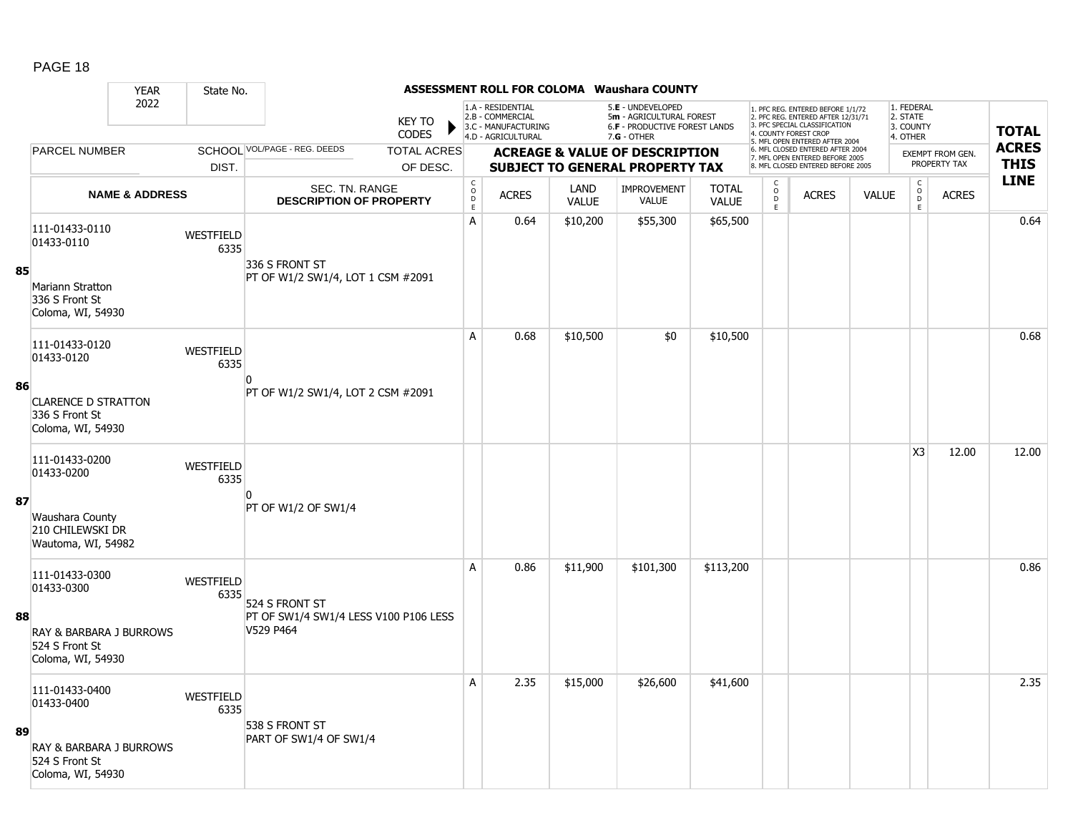|    | <b>YEAR</b>                                                       | State No.                |                                                         |                                            |                                                                                    |                      | <b>ASSESSMENT ROLL FOR COLOMA Waushara COUNTY</b>                                               |                              |                              |                                                                                                                                                                     |              |                                                 |                         |              |
|----|-------------------------------------------------------------------|--------------------------|---------------------------------------------------------|--------------------------------------------|------------------------------------------------------------------------------------|----------------------|-------------------------------------------------------------------------------------------------|------------------------------|------------------------------|---------------------------------------------------------------------------------------------------------------------------------------------------------------------|--------------|-------------------------------------------------|-------------------------|--------------|
|    | 2022                                                              |                          | <b>KEY TO</b><br><b>CODES</b>                           |                                            | 1.A - RESIDENTIAL<br>2.B - COMMERCIAL<br>3.C - MANUFACTURING<br>4.D - AGRICULTURAL |                      | 5.E - UNDEVELOPED<br>5m - AGRICULTURAL FOREST<br>6.F - PRODUCTIVE FOREST LANDS<br>$7.G - OTHER$ |                              |                              | 1. PFC REG. ENTERED BEFORE 1/1/72<br>2. PFC REG. ENTERED AFTER 12/31/71<br>3. PFC SPECIAL CLASSIFICATION<br>4. COUNTY FOREST CROP<br>5. MFL OPEN ENTERED AFTER 2004 |              | 1. FEDERAL<br>2. STATE<br>3. COUNTY<br>4. OTHER |                         | <b>TOTAL</b> |
|    | <b>PARCEL NUMBER</b>                                              |                          | SCHOOL VOL/PAGE - REG. DEEDS<br><b>TOTAL ACRES</b>      |                                            |                                                                                    |                      | <b>ACREAGE &amp; VALUE OF DESCRIPTION</b>                                                       |                              |                              | 6. MFL CLOSED ENTERED AFTER 2004<br>7. MFL OPEN ENTERED BEFORE 2005                                                                                                 |              |                                                 | <b>EXEMPT FROM GEN.</b> | <b>ACRES</b> |
|    |                                                                   | DIST.                    | OF DESC.                                                |                                            |                                                                                    |                      | <b>SUBJECT TO GENERAL PROPERTY TAX</b>                                                          |                              |                              | 8. MFL CLOSED ENTERED BEFORE 2005                                                                                                                                   |              |                                                 | PROPERTY TAX            | <b>THIS</b>  |
|    | <b>NAME &amp; ADDRESS</b>                                         |                          | SEC. TN. RANGE<br><b>DESCRIPTION OF PROPERTY</b>        | $\begin{array}{c} C \\ O \\ E \end{array}$ | <b>ACRES</b>                                                                       | LAND<br><b>VALUE</b> | <b>IMPROVEMENT</b><br><b>VALUE</b>                                                              | <b>TOTAL</b><br><b>VALUE</b> | C<br>$_{\rm D}^{\rm O}$<br>E | <b>ACRES</b>                                                                                                                                                        | <b>VALUE</b> | $\mathsf{C}$<br>$_{\rm D}^{\rm O}$<br>E         | <b>ACRES</b>            | <b>LINE</b>  |
| 85 | 111-01433-0110<br>01433-0110<br>Mariann Stratton                  | <b>WESTFIELD</b><br>6335 | 336 S FRONT ST<br>PT OF W1/2 SW1/4, LOT 1 CSM #2091     | A                                          | 0.64                                                                               | \$10,200             | \$55,300                                                                                        | \$65,500                     |                              |                                                                                                                                                                     |              |                                                 |                         | 0.64         |
|    | 336 S Front St<br>Coloma, WI, 54930                               |                          |                                                         | A                                          |                                                                                    |                      |                                                                                                 |                              |                              |                                                                                                                                                                     |              |                                                 |                         | 0.68         |
|    | 111-01433-0120<br>01433-0120                                      | WESTFIELD<br>6335        | n                                                       |                                            | 0.68                                                                               | \$10,500             | \$0                                                                                             | \$10,500                     |                              |                                                                                                                                                                     |              |                                                 |                         |              |
| 86 | <b>CLARENCE D STRATTON</b><br>336 S Front St<br>Coloma, WI, 54930 |                          | PT OF W1/2 SW1/4, LOT 2 CSM #2091                       |                                            |                                                                                    |                      |                                                                                                 |                              |                              |                                                                                                                                                                     |              |                                                 |                         |              |
|    | 111-01433-0200<br>01433-0200                                      | WESTFIELD<br>6335        |                                                         |                                            |                                                                                    |                      |                                                                                                 |                              |                              |                                                                                                                                                                     |              | X <sub>3</sub>                                  | 12.00                   | 12.00        |
| 87 | Waushara County<br>210 CHILEWSKI DR<br>Wautoma, WI, 54982         |                          | PT OF W1/2 OF SW1/4                                     |                                            |                                                                                    |                      |                                                                                                 |                              |                              |                                                                                                                                                                     |              |                                                 |                         |              |
| 88 | 111-01433-0300<br>01433-0300                                      | <b>WESTFIELD</b><br>6335 | 524 S FRONT ST<br>PT OF SW1/4 SW1/4 LESS V100 P106 LESS | A                                          | 0.86                                                                               | \$11,900             | \$101,300                                                                                       | \$113,200                    |                              |                                                                                                                                                                     |              |                                                 |                         | 0.86         |
|    | RAY & BARBARA J BURROWS<br>524 S Front St<br>Coloma, WI, 54930    |                          | V529 P464                                               |                                            |                                                                                    |                      |                                                                                                 |                              |                              |                                                                                                                                                                     |              |                                                 |                         |              |
|    | 111-01433-0400<br>01433-0400                                      | <b>WESTFIELD</b><br>6335 | 538 S FRONT ST                                          | A                                          | 2.35                                                                               | \$15,000             | \$26,600                                                                                        | \$41,600                     |                              |                                                                                                                                                                     |              |                                                 |                         | 2.35         |
| 89 | RAY & BARBARA J BURROWS<br>524 S Front St<br>Coloma, WI, 54930    |                          | PART OF SW1/4 OF SW1/4                                  |                                            |                                                                                    |                      |                                                                                                 |                              |                              |                                                                                                                                                                     |              |                                                 |                         |              |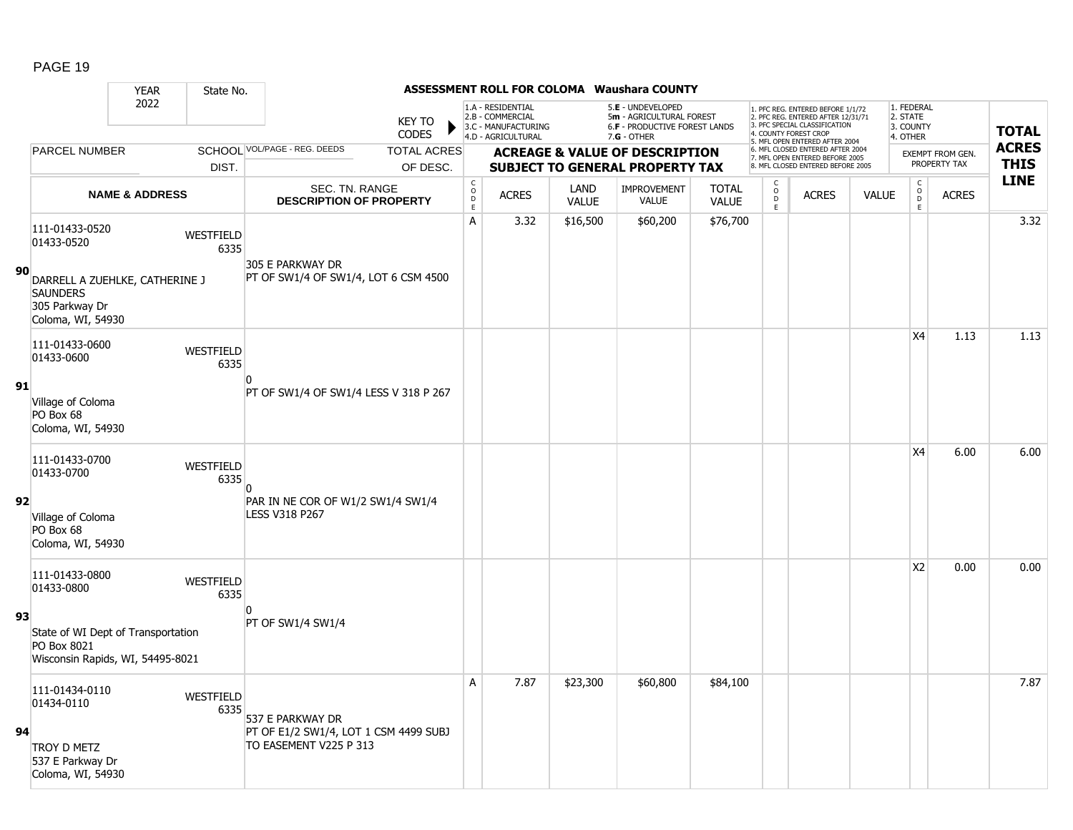|    |                                                                                                                          | <b>YEAR</b>               | State No.         |                                                                                     |                               |                                                          |                                                                                    |                      | ASSESSMENT ROLL FOR COLOMA Waushara COUNTY                                                           |                              |                                              |                                                                                                                                                                     |              |                                                            |                                  |                             |
|----|--------------------------------------------------------------------------------------------------------------------------|---------------------------|-------------------|-------------------------------------------------------------------------------------|-------------------------------|----------------------------------------------------------|------------------------------------------------------------------------------------|----------------------|------------------------------------------------------------------------------------------------------|------------------------------|----------------------------------------------|---------------------------------------------------------------------------------------------------------------------------------------------------------------------|--------------|------------------------------------------------------------|----------------------------------|-----------------------------|
|    |                                                                                                                          | 2022                      |                   |                                                                                     | <b>KEY TO</b><br><b>CODES</b> |                                                          | 1.A - RESIDENTIAL<br>2.B - COMMERCIAL<br>3.C - MANUFACTURING<br>4.D - AGRICULTURAL |                      | 5.E - UNDEVELOPED<br>5m - AGRICULTURAL FOREST<br><b>6.F - PRODUCTIVE FOREST LANDS</b><br>7.G - OTHER |                              |                                              | 1. PFC REG. ENTERED BEFORE 1/1/72<br>2. PFC REG. ENTERED AFTER 12/31/71<br>3. PFC SPECIAL CLASSIFICATION<br>4. COUNTY FOREST CROP<br>5. MFL OPEN ENTERED AFTER 2004 |              | 1. FEDERAL<br>2. STATE<br>3. COUNTY<br>4. OTHER            |                                  | <b>TOTAL</b>                |
|    | PARCEL NUMBER                                                                                                            |                           |                   | SCHOOL VOL/PAGE - REG. DEEDS                                                        | <b>TOTAL ACRES</b>            |                                                          |                                                                                    |                      | <b>ACREAGE &amp; VALUE OF DESCRIPTION</b>                                                            |                              |                                              | 6. MFL CLOSED ENTERED AFTER 2004<br>7. MFL OPEN ENTERED BEFORE 2005                                                                                                 |              |                                                            | EXEMPT FROM GEN.<br>PROPERTY TAX | <b>ACRES</b><br><b>THIS</b> |
|    |                                                                                                                          |                           | DIST.             |                                                                                     | OF DESC.                      |                                                          |                                                                                    |                      | <b>SUBJECT TO GENERAL PROPERTY TAX</b>                                                               |                              |                                              | 8. MFL CLOSED ENTERED BEFORE 2005                                                                                                                                   |              |                                                            |                                  | <b>LINE</b>                 |
|    |                                                                                                                          | <b>NAME &amp; ADDRESS</b> |                   | SEC. TN. RANGE<br><b>DESCRIPTION OF PROPERTY</b>                                    |                               | $\begin{smallmatrix} C \\ O \\ D \end{smallmatrix}$<br>E | <b>ACRES</b>                                                                       | LAND<br><b>VALUE</b> | <b>IMPROVEMENT</b><br>VALUE                                                                          | <b>TOTAL</b><br><b>VALUE</b> | $\begin{array}{c}\n0 \\ D \\ E\n\end{array}$ | <b>ACRES</b>                                                                                                                                                        | <b>VALUE</b> | $\begin{smallmatrix} C\\ O\\ O\\ D \end{smallmatrix}$<br>E | <b>ACRES</b>                     |                             |
| 90 | 111-01433-0520<br>01433-0520<br>DARRELL A ZUEHLKE, CATHERINE J<br><b>SAUNDERS</b><br>305 Parkway Dr<br>Coloma, WI, 54930 |                           | WESTFIELD<br>6335 | 305 E PARKWAY DR<br>PT OF SW1/4 OF SW1/4, LOT 6 CSM 4500                            |                               | A                                                        | 3.32                                                                               | \$16,500             | \$60,200                                                                                             | \$76,700                     |                                              |                                                                                                                                                                     |              |                                                            |                                  | 3.32                        |
| 91 | 111-01433-0600<br>01433-0600<br>Village of Coloma<br>PO Box 68<br>Coloma, WI, 54930                                      |                           | WESTFIELD<br>6335 | PT OF SW1/4 OF SW1/4 LESS V 318 P 267                                               |                               |                                                          |                                                                                    |                      |                                                                                                      |                              |                                              |                                                                                                                                                                     |              | X4                                                         | 1.13                             | 1.13                        |
| 92 | 111-01433-0700<br>01433-0700<br>Village of Coloma<br>PO Box 68<br>Coloma, WI, 54930                                      |                           | WESTFIELD<br>6335 | $\Omega$<br>PAR IN NE COR OF W1/2 SW1/4 SW1/4<br><b>LESS V318 P267</b>              |                               |                                                          |                                                                                    |                      |                                                                                                      |                              |                                              |                                                                                                                                                                     |              | X4                                                         | 6.00                             | 6.00                        |
| 93 | 111-01433-0800<br>01433-0800<br>State of WI Dept of Transportation<br>PO Box 8021<br>Wisconsin Rapids, WI, 54495-8021    |                           | WESTFIELD<br>6335 | PT OF SW1/4 SW1/4                                                                   |                               |                                                          |                                                                                    |                      |                                                                                                      |                              |                                              |                                                                                                                                                                     |              | <b>X2</b>                                                  | 0.00                             | 0.00                        |
| 94 | 111-01434-0110<br>01434-0110<br>TROY D METZ<br>537 E Parkway Dr<br>Coloma, WI, 54930                                     |                           | WESTFIELD<br>6335 | 537 E PARKWAY DR<br>PT OF E1/2 SW1/4, LOT 1 CSM 4499 SUBJ<br>TO EASEMENT V225 P 313 |                               | A                                                        | 7.87                                                                               | \$23,300             | \$60,800                                                                                             | \$84,100                     |                                              |                                                                                                                                                                     |              |                                                            |                                  | 7.87                        |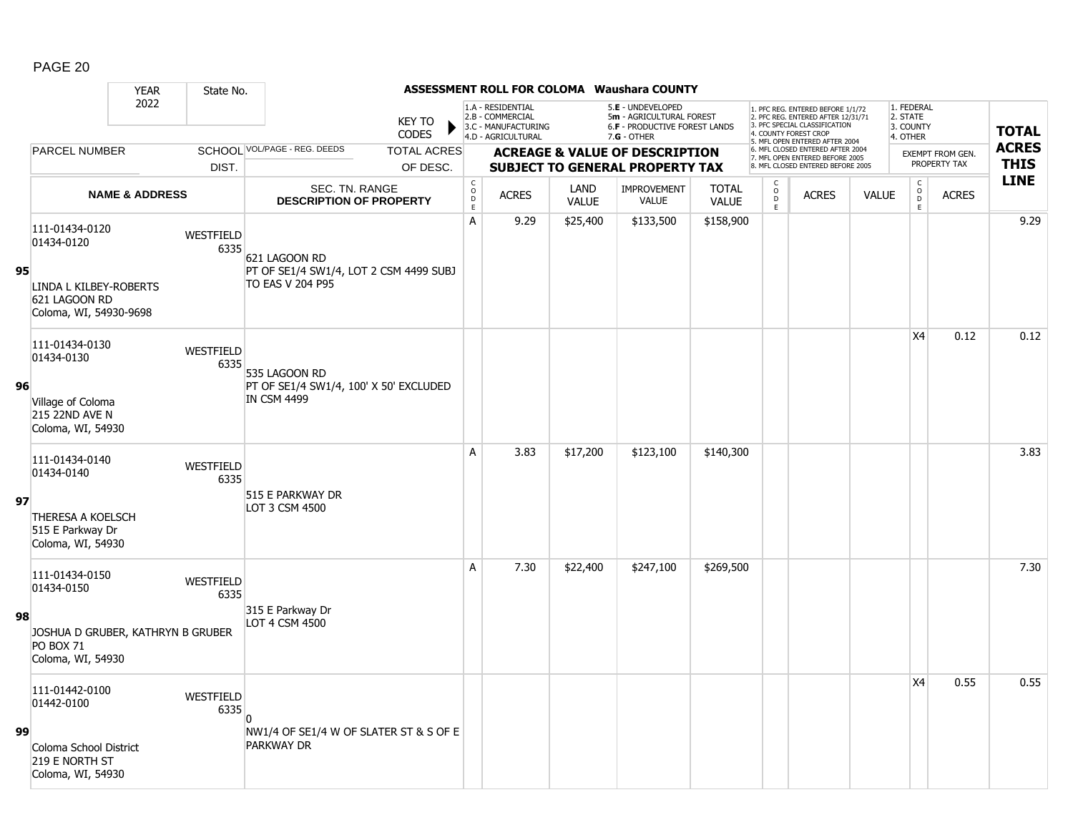|    |                                                                            | <b>YEAR</b>               | State No.                |                                                                   |                               |                                            |                                                                                    |                      | ASSESSMENT ROLL FOR COLOMA Waushara COUNTY                                                           |                       |                                                   |                                                                                                                                                                     |              |                                                 |                         |              |
|----|----------------------------------------------------------------------------|---------------------------|--------------------------|-------------------------------------------------------------------|-------------------------------|--------------------------------------------|------------------------------------------------------------------------------------|----------------------|------------------------------------------------------------------------------------------------------|-----------------------|---------------------------------------------------|---------------------------------------------------------------------------------------------------------------------------------------------------------------------|--------------|-------------------------------------------------|-------------------------|--------------|
|    |                                                                            | 2022                      |                          |                                                                   | <b>KEY TO</b><br><b>CODES</b> |                                            | 1.A - RESIDENTIAL<br>2.B - COMMERCIAL<br>3.C - MANUFACTURING<br>4.D - AGRICULTURAL |                      | 5.E - UNDEVELOPED<br>5m - AGRICULTURAL FOREST<br><b>6.F - PRODUCTIVE FOREST LANDS</b><br>7.G - OTHER |                       |                                                   | 1. PFC REG. ENTERED BEFORE 1/1/72<br>2. PFC REG. ENTERED AFTER 12/31/71<br>3. PFC SPECIAL CLASSIFICATION<br>4. COUNTY FOREST CROP<br>5. MFL OPEN ENTERED AFTER 2004 |              | 1. FEDERAL<br>2. STATE<br>3. COUNTY<br>4. OTHER |                         | <b>TOTAL</b> |
|    | <b>PARCEL NUMBER</b>                                                       |                           |                          | SCHOOL VOL/PAGE - REG. DEEDS                                      | <b>TOTAL ACRES</b>            |                                            |                                                                                    |                      | <b>ACREAGE &amp; VALUE OF DESCRIPTION</b>                                                            |                       |                                                   | 6. MFL CLOSED ENTERED AFTER 2004<br>7. MFL OPEN ENTERED BEFORE 2005                                                                                                 |              |                                                 | <b>EXEMPT FROM GEN.</b> | <b>ACRES</b> |
|    |                                                                            |                           | DIST.                    |                                                                   | OF DESC.                      |                                            |                                                                                    |                      | <b>SUBJECT TO GENERAL PROPERTY TAX</b>                                                               |                       |                                                   | 8. MFL CLOSED ENTERED BEFORE 2005                                                                                                                                   |              |                                                 | PROPERTY TAX            | <b>THIS</b>  |
|    |                                                                            | <b>NAME &amp; ADDRESS</b> |                          | <b>SEC. TN. RANGE</b><br><b>DESCRIPTION OF PROPERTY</b>           |                               | $\begin{array}{c} C \\ O \\ E \end{array}$ | <b>ACRES</b>                                                                       | LAND<br><b>VALUE</b> | <b>IMPROVEMENT</b><br>VALUE                                                                          | <b>TOTAL</b><br>VALUE | с<br>$\begin{array}{c}\n0 \\ D \\ E\n\end{array}$ | <b>ACRES</b>                                                                                                                                                        | <b>VALUE</b> | $\begin{array}{c} C \\ O \\ D \\ E \end{array}$ | <b>ACRES</b>            | <b>LINE</b>  |
|    | 111-01434-0120<br>01434-0120                                               |                           | WESTFIELD<br>6335        | 621 LAGOON RD                                                     |                               | A                                          | 9.29                                                                               | \$25,400             | \$133,500                                                                                            | \$158,900             |                                                   |                                                                                                                                                                     |              |                                                 |                         | 9.29         |
| 95 | LINDA L KILBEY-ROBERTS<br>621 LAGOON RD<br>Coloma, WI, 54930-9698          |                           |                          | PT OF SE1/4 SW1/4, LOT 2 CSM 4499 SUBJ<br><b>TO EAS V 204 P95</b> |                               |                                            |                                                                                    |                      |                                                                                                      |                       |                                                   |                                                                                                                                                                     |              |                                                 |                         |              |
|    | 111-01434-0130<br>01434-0130                                               |                           | WESTFIELD<br>6335        | 535 LAGOON RD                                                     |                               |                                            |                                                                                    |                      |                                                                                                      |                       |                                                   |                                                                                                                                                                     |              | X4                                              | 0.12                    | 0.12         |
| 96 | Village of Coloma<br>215 22ND AVE N<br>Coloma, WI, 54930                   |                           |                          | PT OF SE1/4 SW1/4, 100' X 50' EXCLUDED<br><b>IN CSM 4499</b>      |                               |                                            |                                                                                    |                      |                                                                                                      |                       |                                                   |                                                                                                                                                                     |              |                                                 |                         |              |
|    | 111-01434-0140<br>01434-0140                                               |                           | WESTFIELD<br>6335        | 515 E PARKWAY DR                                                  |                               | A                                          | 3.83                                                                               | \$17,200             | \$123,100                                                                                            | \$140,300             |                                                   |                                                                                                                                                                     |              |                                                 |                         | 3.83         |
| 97 | THERESA A KOELSCH<br>515 E Parkway Dr<br>Coloma, WI, 54930                 |                           |                          | LOT 3 CSM 4500                                                    |                               |                                            |                                                                                    |                      |                                                                                                      |                       |                                                   |                                                                                                                                                                     |              |                                                 |                         |              |
|    | 111-01434-0150<br>01434-0150                                               |                           | <b>WESTFIELD</b><br>6335 |                                                                   |                               | A                                          | 7.30                                                                               | \$22,400             | \$247,100                                                                                            | \$269,500             |                                                   |                                                                                                                                                                     |              |                                                 |                         | 7.30         |
| 98 | JOSHUA D GRUBER, KATHRYN B GRUBER<br><b>PO BOX 71</b><br>Coloma, WI, 54930 |                           |                          | 315 E Parkway Dr<br>LOT 4 CSM 4500                                |                               |                                            |                                                                                    |                      |                                                                                                      |                       |                                                   |                                                                                                                                                                     |              |                                                 |                         |              |
|    | 111-01442-0100<br>01442-0100                                               |                           | WESTFIELD<br>6335        |                                                                   |                               |                                            |                                                                                    |                      |                                                                                                      |                       |                                                   |                                                                                                                                                                     |              | X4                                              | 0.55                    | 0.55         |
| 99 | Coloma School District<br>219 E NORTH ST<br>Coloma, WI, 54930              |                           |                          | NW1/4 OF SE1/4 W OF SLATER ST & S OF E<br><b>PARKWAY DR</b>       |                               |                                            |                                                                                    |                      |                                                                                                      |                       |                                                   |                                                                                                                                                                     |              |                                                 |                         |              |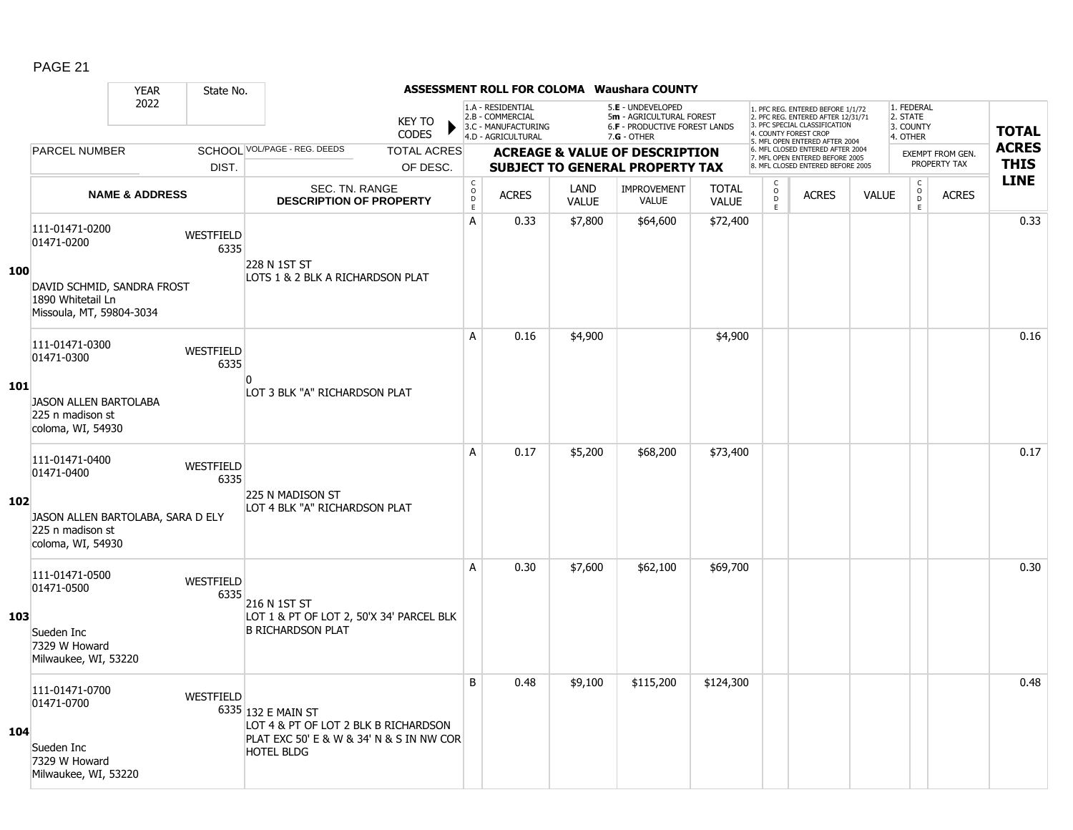|     |                                                                             | <b>YEAR</b>               | State No.                |                                                                                                        |                               |                                       |                                                                                    |                      | <b>ASSESSMENT ROLL FOR COLOMA Waushara COUNTY</b>                                               |                              |                              |                                                                                                                                                                     |              |                                                 |                         |              |
|-----|-----------------------------------------------------------------------------|---------------------------|--------------------------|--------------------------------------------------------------------------------------------------------|-------------------------------|---------------------------------------|------------------------------------------------------------------------------------|----------------------|-------------------------------------------------------------------------------------------------|------------------------------|------------------------------|---------------------------------------------------------------------------------------------------------------------------------------------------------------------|--------------|-------------------------------------------------|-------------------------|--------------|
|     |                                                                             | 2022                      |                          |                                                                                                        | <b>KEY TO</b><br><b>CODES</b> |                                       | 1.A - RESIDENTIAL<br>2.B - COMMERCIAL<br>3.C - MANUFACTURING<br>4.D - AGRICULTURAL |                      | 5.E - UNDEVELOPED<br>5m - AGRICULTURAL FOREST<br>6.F - PRODUCTIVE FOREST LANDS<br>$7.G - OTHER$ |                              |                              | 1. PFC REG. ENTERED BEFORE 1/1/72<br>2. PFC REG. ENTERED AFTER 12/31/71<br>3. PFC SPECIAL CLASSIFICATION<br>4. COUNTY FOREST CROP<br>5. MFL OPEN ENTERED AFTER 2004 |              | 1. FEDERAL<br>2. STATE<br>3. COUNTY<br>4. OTHER |                         | <b>TOTAL</b> |
|     | PARCEL NUMBER                                                               |                           |                          | SCHOOL VOL/PAGE - REG. DEEDS                                                                           | <b>TOTAL ACRES</b>            |                                       |                                                                                    |                      | <b>ACREAGE &amp; VALUE OF DESCRIPTION</b>                                                       |                              |                              | 6. MFL CLOSED ENTERED AFTER 2004<br>7. MFL OPEN ENTERED BEFORE 2005                                                                                                 |              |                                                 | <b>EXEMPT FROM GEN.</b> | <b>ACRES</b> |
|     |                                                                             |                           | DIST.                    |                                                                                                        | OF DESC.                      |                                       |                                                                                    |                      | <b>SUBJECT TO GENERAL PROPERTY TAX</b>                                                          |                              |                              | 8. MFL CLOSED ENTERED BEFORE 2005                                                                                                                                   |              |                                                 | PROPERTY TAX            | <b>THIS</b>  |
|     |                                                                             | <b>NAME &amp; ADDRESS</b> |                          | SEC. TN. RANGE<br><b>DESCRIPTION OF PROPERTY</b>                                                       |                               | C<br>$\mathsf{O}$<br>$\mathsf D$<br>E | <b>ACRES</b>                                                                       | LAND<br><b>VALUE</b> | <b>IMPROVEMENT</b><br>VALUE                                                                     | <b>TOTAL</b><br><b>VALUE</b> | C<br>$_{\rm D}^{\rm O}$<br>E | <b>ACRES</b>                                                                                                                                                        | <b>VALUE</b> | $\begin{matrix} 0 \\ 0 \\ D \end{matrix}$<br>E  | <b>ACRES</b>            | <b>LINE</b>  |
|     | 111-01471-0200<br>01471-0200                                                |                           | WESTFIELD<br>6335        | 228 N 1ST ST                                                                                           |                               | A                                     | 0.33                                                                               | \$7,800              | \$64,600                                                                                        | \$72,400                     |                              |                                                                                                                                                                     |              |                                                 |                         | 0.33         |
| 100 | DAVID SCHMID, SANDRA FROST<br>1890 Whitetail Ln<br>Missoula, MT, 59804-3034 |                           |                          | LOTS 1 & 2 BLK A RICHARDSON PLAT                                                                       |                               |                                       |                                                                                    |                      |                                                                                                 |                              |                              |                                                                                                                                                                     |              |                                                 |                         |              |
|     | 111-01471-0300<br>01471-0300                                                |                           | WESTFIELD<br>6335        |                                                                                                        |                               | A                                     | 0.16                                                                               | \$4,900              |                                                                                                 | \$4,900                      |                              |                                                                                                                                                                     |              |                                                 |                         | 0.16         |
| 101 | <b>JASON ALLEN BARTOLABA</b><br>225 n madison st<br>coloma, WI, 54930       |                           |                          | n<br>LOT 3 BLK "A" RICHARDSON PLAT                                                                     |                               |                                       |                                                                                    |                      |                                                                                                 |                              |                              |                                                                                                                                                                     |              |                                                 |                         |              |
|     | 111-01471-0400<br>01471-0400                                                |                           | <b>WESTFIELD</b><br>6335 | 225 N MADISON ST                                                                                       |                               | A                                     | 0.17                                                                               | \$5,200              | \$68,200                                                                                        | \$73,400                     |                              |                                                                                                                                                                     |              |                                                 |                         | 0.17         |
| 102 | JASON ALLEN BARTOLABA, SARA D ELY<br>225 n madison st<br>coloma, WI, 54930  |                           |                          | LOT 4 BLK "A" RICHARDSON PLAT                                                                          |                               |                                       |                                                                                    |                      |                                                                                                 |                              |                              |                                                                                                                                                                     |              |                                                 |                         |              |
|     | 111-01471-0500<br>01471-0500                                                |                           | WESTFIELD<br>6335        | 216 N 1ST ST                                                                                           |                               | A                                     | 0.30                                                                               | \$7,600              | \$62,100                                                                                        | \$69,700                     |                              |                                                                                                                                                                     |              |                                                 |                         | 0.30         |
| 103 | Sueden Inc<br>7329 W Howard<br>Milwaukee, WI, 53220                         |                           |                          | LOT 1 & PT OF LOT 2, 50'X 34' PARCEL BLK<br><b>B RICHARDSON PLAT</b>                                   |                               |                                       |                                                                                    |                      |                                                                                                 |                              |                              |                                                                                                                                                                     |              |                                                 |                         |              |
| 104 | 111-01471-0700<br>01471-0700                                                |                           | WESTFIELD                | 6335 132 E MAIN ST<br>LOT 4 & PT OF LOT 2 BLK B RICHARDSON<br>PLAT EXC 50' E & W & 34' N & S IN NW COR |                               | B                                     | 0.48                                                                               | \$9,100              | \$115,200                                                                                       | \$124,300                    |                              |                                                                                                                                                                     |              |                                                 |                         | 0.48         |
|     | Sueden Inc<br>7329 W Howard<br>Milwaukee, WI, 53220                         |                           |                          | <b>HOTEL BLDG</b>                                                                                      |                               |                                       |                                                                                    |                      |                                                                                                 |                              |                              |                                                                                                                                                                     |              |                                                 |                         |              |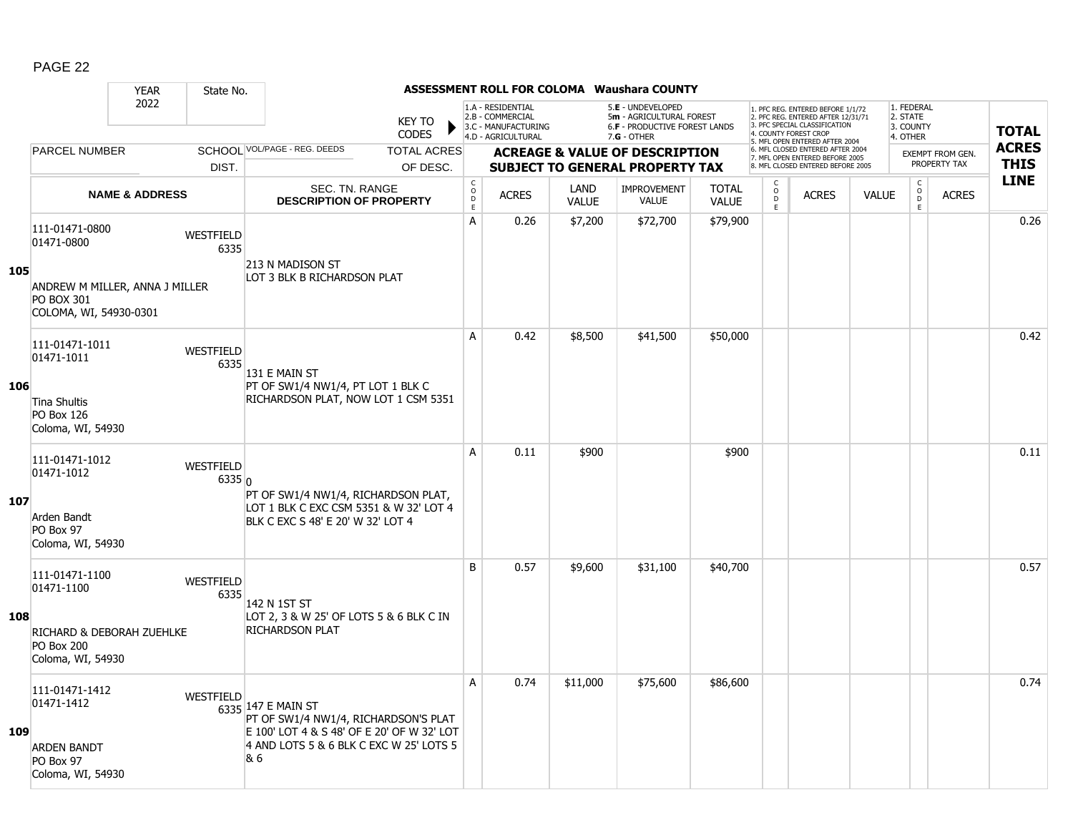|     |                                                                | <b>YEAR</b>               | State No.           |                                                                                                                                                            |                               |                                        |                                                                                    |                      | <b>ASSESSMENT ROLL FOR COLOMA Waushara COUNTY</b>                                               |                              |                                                |                                                                                                                                   |              |                                                 |                         |              |
|-----|----------------------------------------------------------------|---------------------------|---------------------|------------------------------------------------------------------------------------------------------------------------------------------------------------|-------------------------------|----------------------------------------|------------------------------------------------------------------------------------|----------------------|-------------------------------------------------------------------------------------------------|------------------------------|------------------------------------------------|-----------------------------------------------------------------------------------------------------------------------------------|--------------|-------------------------------------------------|-------------------------|--------------|
|     |                                                                | 2022                      |                     |                                                                                                                                                            | <b>KEY TO</b><br><b>CODES</b> |                                        | 1.A - RESIDENTIAL<br>2.B - COMMERCIAL<br>3.C - MANUFACTURING<br>4.D - AGRICULTURAL |                      | 5.E - UNDEVELOPED<br>5m - AGRICULTURAL FOREST<br>6.F - PRODUCTIVE FOREST LANDS<br>$7.G - OTHER$ |                              |                                                | 1. PFC REG. ENTERED BEFORE 1/1/72<br>2. PFC REG. ENTERED AFTER 12/31/71<br>3. PFC SPECIAL CLASSIFICATION<br>4. COUNTY FOREST CROP |              | 1. FEDERAL<br>2. STATE<br>3. COUNTY<br>4. OTHER |                         | <b>TOTAL</b> |
|     | <b>PARCEL NUMBER</b>                                           |                           |                     | SCHOOL VOL/PAGE - REG. DEEDS                                                                                                                               | <b>TOTAL ACRES</b>            |                                        |                                                                                    |                      | <b>ACREAGE &amp; VALUE OF DESCRIPTION</b>                                                       |                              |                                                | 5. MFL OPEN ENTERED AFTER 2004<br>6. MFL CLOSED ENTERED AFTER 2004<br>7. MFL OPEN ENTERED BEFORE 2005                             |              |                                                 | <b>EXEMPT FROM GEN.</b> | <b>ACRES</b> |
|     |                                                                |                           | DIST.               |                                                                                                                                                            | OF DESC.                      |                                        |                                                                                    |                      | <b>SUBJECT TO GENERAL PROPERTY TAX</b>                                                          |                              |                                                | 8. MFL CLOSED ENTERED BEFORE 2005                                                                                                 |              |                                                 | PROPERTY TAX            | <b>THIS</b>  |
|     |                                                                | <b>NAME &amp; ADDRESS</b> |                     | <b>SEC. TN. RANGE</b><br><b>DESCRIPTION OF PROPERTY</b>                                                                                                    |                               | $_{\rm o}^{\rm c}$<br>$\mathsf D$<br>E | <b>ACRES</b>                                                                       | LAND<br><b>VALUE</b> | <b>IMPROVEMENT</b><br>VALUE                                                                     | <b>TOTAL</b><br><b>VALUE</b> | $\begin{matrix} 0 \\ 0 \\ 0 \end{matrix}$<br>E | <b>ACRES</b>                                                                                                                      | <b>VALUE</b> | $\begin{matrix} 0 \\ 0 \end{matrix}$<br>E       | <b>ACRES</b>            | <b>LINE</b>  |
| 105 | 111-01471-0800<br>01471-0800<br>ANDREW M MILLER, ANNA J MILLER |                           | WESTFIELD<br>6335   | 213 N MADISON ST<br>LOT 3 BLK B RICHARDSON PLAT                                                                                                            |                               | А                                      | 0.26                                                                               | \$7,200              | \$72,700                                                                                        | \$79,900                     |                                                |                                                                                                                                   |              |                                                 |                         | 0.26         |
|     | <b>PO BOX 301</b><br>COLOMA, WI, 54930-0301                    |                           |                     |                                                                                                                                                            |                               |                                        |                                                                                    |                      |                                                                                                 |                              |                                                |                                                                                                                                   |              |                                                 |                         |              |
|     | 111-01471-1011<br>01471-1011                                   |                           | WESTFIELD<br>6335   | 131 E MAIN ST                                                                                                                                              |                               | A                                      | 0.42                                                                               | \$8,500              | \$41,500                                                                                        | \$50,000                     |                                                |                                                                                                                                   |              |                                                 |                         | 0.42         |
| 106 | Tina Shultis<br><b>PO Box 126</b><br>Coloma, WI, 54930         |                           |                     | PT OF SW1/4 NW1/4, PT LOT 1 BLK C<br>RICHARDSON PLAT, NOW LOT 1 CSM 5351                                                                                   |                               |                                        |                                                                                    |                      |                                                                                                 |                              |                                                |                                                                                                                                   |              |                                                 |                         |              |
| 107 | 111-01471-1012<br>01471-1012                                   |                           | WESTFIELD<br>6335 0 | PT OF SW1/4 NW1/4, RICHARDSON PLAT,                                                                                                                        |                               | A                                      | 0.11                                                                               | \$900                |                                                                                                 | \$900                        |                                                |                                                                                                                                   |              |                                                 |                         | 0.11         |
|     | Arden Bandt<br>PO Box 97<br>Coloma, WI, 54930                  |                           |                     | LOT 1 BLK C EXC CSM 5351 & W 32' LOT 4<br>BLK C EXC S 48' E 20' W 32' LOT 4                                                                                |                               |                                        |                                                                                    |                      |                                                                                                 |                              |                                                |                                                                                                                                   |              |                                                 |                         |              |
|     | 111-01471-1100<br>01471-1100                                   |                           | WESTFIELD<br>6335   | 142 N 1ST ST                                                                                                                                               |                               | B                                      | 0.57                                                                               | \$9,600              | \$31,100                                                                                        | \$40,700                     |                                                |                                                                                                                                   |              |                                                 |                         | 0.57         |
| 108 | RICHARD & DEBORAH ZUEHLKE<br>PO Box 200<br>Coloma, WI, 54930   |                           |                     | LOT 2, 3 & W 25' OF LOTS 5 & 6 BLK C IN<br><b>RICHARDSON PLAT</b>                                                                                          |                               |                                        |                                                                                    |                      |                                                                                                 |                              |                                                |                                                                                                                                   |              |                                                 |                         |              |
| 109 | 111-01471-1412<br>01471-1412<br><b>ARDEN BANDT</b>             |                           | <b>WESTFIELD</b>    | 6335 147 E MAIN ST<br>PT OF SW1/4 NW1/4, RICHARDSON'S PLAT<br>E 100' LOT 4 & S 48' OF E 20' OF W 32' LOT<br>4 AND LOTS 5 & 6 BLK C EXC W 25' LOTS 5<br>8.6 |                               | A                                      | 0.74                                                                               | \$11,000             | \$75,600                                                                                        | \$86,600                     |                                                |                                                                                                                                   |              |                                                 |                         | 0.74         |
|     | PO Box 97<br>Coloma, WI, 54930                                 |                           |                     |                                                                                                                                                            |                               |                                        |                                                                                    |                      |                                                                                                 |                              |                                                |                                                                                                                                   |              |                                                 |                         |              |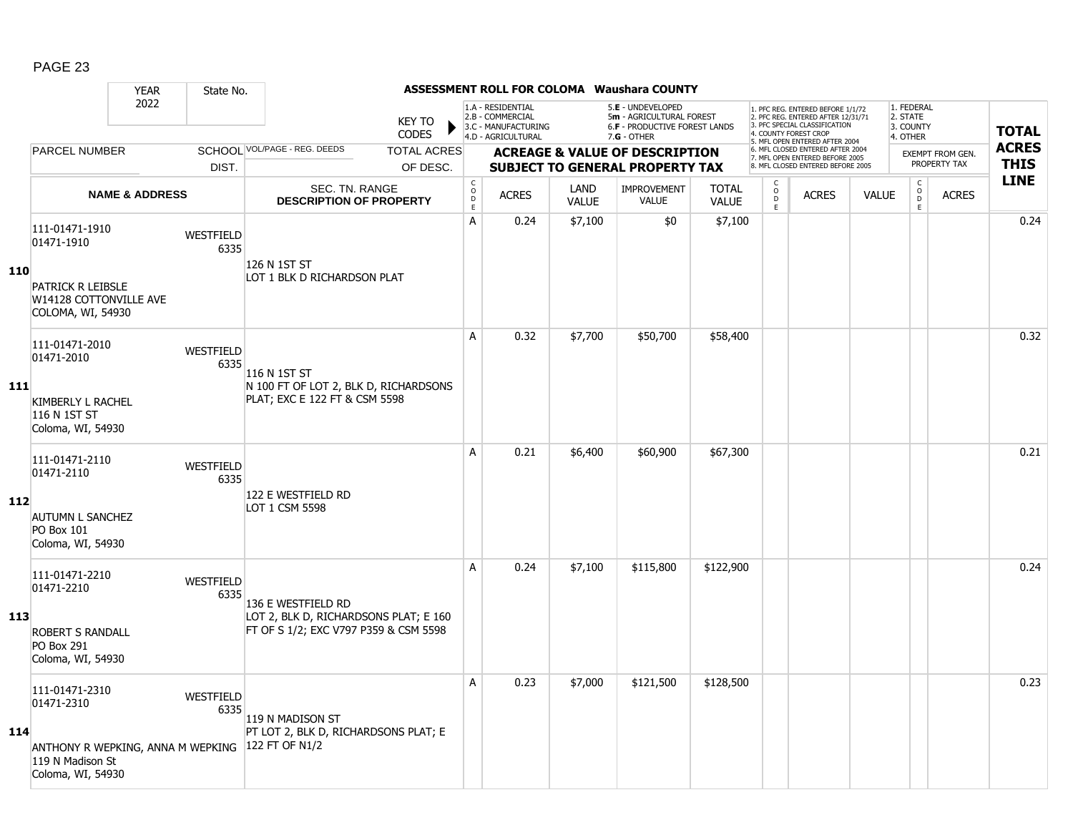|            |                                                                                                            | <b>YEAR</b>               | State No.                |                                                                                                      |                               |                               |                                                                                    |                      | <b>ASSESSMENT ROLL FOR COLOMA Waushara COUNTY</b>                                               |                              |                                                          |                                                                                                                                                                     |              |                                                           |                                         |                             |
|------------|------------------------------------------------------------------------------------------------------------|---------------------------|--------------------------|------------------------------------------------------------------------------------------------------|-------------------------------|-------------------------------|------------------------------------------------------------------------------------|----------------------|-------------------------------------------------------------------------------------------------|------------------------------|----------------------------------------------------------|---------------------------------------------------------------------------------------------------------------------------------------------------------------------|--------------|-----------------------------------------------------------|-----------------------------------------|-----------------------------|
|            |                                                                                                            | 2022                      |                          |                                                                                                      | <b>KEY TO</b><br><b>CODES</b> |                               | 1.A - RESIDENTIAL<br>2.B - COMMERCIAL<br>3.C - MANUFACTURING<br>4.D - AGRICULTURAL |                      | 5.E - UNDEVELOPED<br>5m - AGRICULTURAL FOREST<br>6.F - PRODUCTIVE FOREST LANDS<br>$7.G - OTHER$ |                              |                                                          | 1. PFC REG. ENTERED BEFORE 1/1/72<br>2. PFC REG. ENTERED AFTER 12/31/71<br>3. PFC SPECIAL CLASSIFICATION<br>4. COUNTY FOREST CROP<br>5. MFL OPEN ENTERED AFTER 2004 |              | 1. FEDERAL<br>2. STATE<br>3. COUNTY<br>4. OTHER           |                                         | <b>TOTAL</b>                |
|            | <b>PARCEL NUMBER</b>                                                                                       |                           |                          | SCHOOL VOL/PAGE - REG. DEEDS                                                                         | <b>TOTAL ACRES</b>            |                               |                                                                                    |                      | <b>ACREAGE &amp; VALUE OF DESCRIPTION</b>                                                       |                              |                                                          | 6. MFL CLOSED ENTERED AFTER 2004<br>7. MFL OPEN ENTERED BEFORE 2005                                                                                                 |              |                                                           | <b>EXEMPT FROM GEN.</b><br>PROPERTY TAX | <b>ACRES</b><br><b>THIS</b> |
|            |                                                                                                            |                           | DIST.                    |                                                                                                      | OF DESC.                      |                               |                                                                                    |                      | <b>SUBJECT TO GENERAL PROPERTY TAX</b>                                                          |                              |                                                          | 8. MFL CLOSED ENTERED BEFORE 2005                                                                                                                                   |              |                                                           |                                         | <b>LINE</b>                 |
|            |                                                                                                            | <b>NAME &amp; ADDRESS</b> |                          | <b>SEC. TN. RANGE</b><br><b>DESCRIPTION OF PROPERTY</b>                                              |                               | $_{\rm o}^{\rm c}$<br>D<br>E. | <b>ACRES</b>                                                                       | LAND<br><b>VALUE</b> | <b>IMPROVEMENT</b><br><b>VALUE</b>                                                              | <b>TOTAL</b><br><b>VALUE</b> | $\begin{smallmatrix} C \\ 0 \\ D \end{smallmatrix}$<br>E | <b>ACRES</b>                                                                                                                                                        | <b>VALUE</b> | $\overset{\mathsf{C}}{\underset{\mathsf{D}}{\circ}}$<br>E | <b>ACRES</b>                            |                             |
| 110        | 111-01471-1910<br>01471-1910<br>PATRICK R LEIBSLE<br>W14128 COTTONVILLE AVE<br>COLOMA, WI, 54930           |                           | <b>WESTFIELD</b><br>6335 | 126 N 1ST ST<br>LOT 1 BLK D RICHARDSON PLAT                                                          |                               | A                             | 0.24                                                                               | \$7,100              | \$0                                                                                             | \$7,100                      |                                                          |                                                                                                                                                                     |              |                                                           |                                         | 0.24                        |
|            | 111-01471-2010<br>01471-2010                                                                               |                           | <b>WESTFIELD</b><br>6335 | 116 N 1ST ST                                                                                         |                               | A                             | 0.32                                                                               | \$7,700              | \$50,700                                                                                        | \$58,400                     |                                                          |                                                                                                                                                                     |              |                                                           |                                         | 0.32                        |
| 111        | <b>KIMBERLY L RACHEL</b><br>116 N 1ST ST<br>Coloma, WI, 54930                                              |                           |                          | N 100 FT OF LOT 2, BLK D, RICHARDSONS<br>PLAT; EXC E 122 FT & CSM 5598                               |                               |                               |                                                                                    |                      |                                                                                                 |                              |                                                          |                                                                                                                                                                     |              |                                                           |                                         |                             |
| 112        | 111-01471-2110<br>01471-2110<br><b>AUTUMN L SANCHEZ</b><br><b>PO Box 101</b><br>Coloma, WI, 54930          |                           | <b>WESTFIELD</b><br>6335 | 122 E WESTFIELD RD<br>LOT 1 CSM 5598                                                                 |                               | A                             | 0.21                                                                               | \$6,400              | \$60,900                                                                                        | \$67,300                     |                                                          |                                                                                                                                                                     |              |                                                           |                                         | 0.21                        |
| <b>113</b> | 111-01471-2210<br>01471-2210<br><b>ROBERT S RANDALL</b><br><b>PO Box 291</b><br>Coloma, WI, 54930          |                           | <b>WESTFIELD</b><br>6335 | 136 E WESTFIELD RD<br>LOT 2, BLK D, RICHARDSONS PLAT; E 160<br>FT OF S 1/2; EXC V797 P359 & CSM 5598 |                               | A                             | 0.24                                                                               | \$7,100              | \$115,800                                                                                       | \$122,900                    |                                                          |                                                                                                                                                                     |              |                                                           |                                         | 0.24                        |
| 114        | 111-01471-2310<br>01471-2310<br>ANTHONY R WEPKING, ANNA M WEPKING<br>119 N Madison St<br>Coloma, WI, 54930 |                           | WESTFIELD<br>6335        | 119 N MADISON ST<br>PT LOT 2, BLK D, RICHARDSONS PLAT; E<br>122 FT OF N1/2                           |                               | A                             | 0.23                                                                               | \$7,000              | \$121,500                                                                                       | \$128,500                    |                                                          |                                                                                                                                                                     |              |                                                           |                                         | 0.23                        |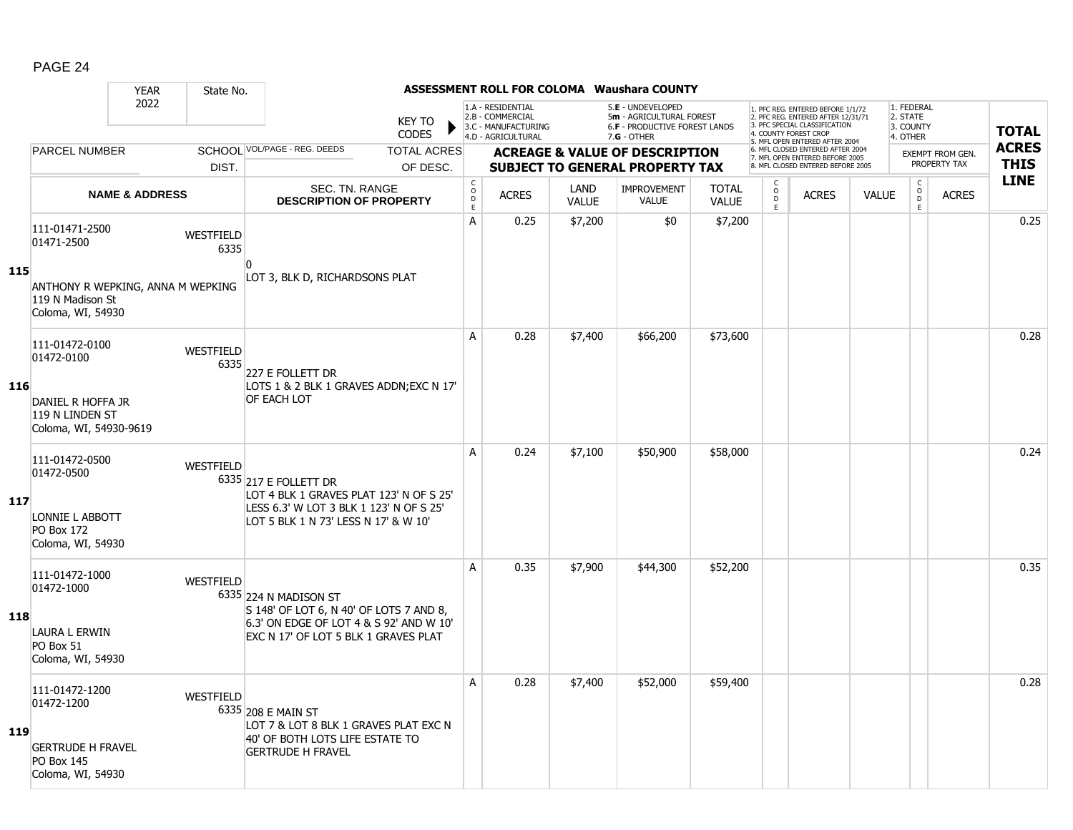|            |                                                                                                    | <b>YEAR</b>               | State No.         |                                                                                                                                                     |                    |                                       |                                                                                    |                      | <b>ASSESSMENT ROLL FOR COLOMA Waushara COUNTY</b>                                               |                              |                              |                                                                                                                                                                     |              |                                                 |                         |              |
|------------|----------------------------------------------------------------------------------------------------|---------------------------|-------------------|-----------------------------------------------------------------------------------------------------------------------------------------------------|--------------------|---------------------------------------|------------------------------------------------------------------------------------|----------------------|-------------------------------------------------------------------------------------------------|------------------------------|------------------------------|---------------------------------------------------------------------------------------------------------------------------------------------------------------------|--------------|-------------------------------------------------|-------------------------|--------------|
|            |                                                                                                    | 2022                      |                   | <b>KEY TO</b><br><b>CODES</b>                                                                                                                       |                    |                                       | 1.A - RESIDENTIAL<br>2.B - COMMERCIAL<br>3.C - MANUFACTURING<br>4.D - AGRICULTURAL |                      | 5.E - UNDEVELOPED<br>5m - AGRICULTURAL FOREST<br>6.F - PRODUCTIVE FOREST LANDS<br>$7.G - OTHER$ |                              |                              | 1. PFC REG. ENTERED BEFORE 1/1/72<br>2. PFC REG. ENTERED AFTER 12/31/71<br>3. PFC SPECIAL CLASSIFICATION<br>4. COUNTY FOREST CROP<br>5. MFL OPEN ENTERED AFTER 2004 |              | 1. FEDERAL<br>2. STATE<br>3. COUNTY<br>4. OTHER |                         | <b>TOTAL</b> |
|            | <b>PARCEL NUMBER</b>                                                                               |                           |                   | SCHOOL VOL/PAGE - REG. DEEDS                                                                                                                        | <b>TOTAL ACRES</b> |                                       |                                                                                    |                      | <b>ACREAGE &amp; VALUE OF DESCRIPTION</b>                                                       |                              |                              | 6. MFL CLOSED ENTERED AFTER 2004<br>7. MFL OPEN ENTERED BEFORE 2005                                                                                                 |              |                                                 | <b>EXEMPT FROM GEN.</b> | <b>ACRES</b> |
|            |                                                                                                    |                           | DIST.             |                                                                                                                                                     | OF DESC.           |                                       |                                                                                    |                      | <b>SUBJECT TO GENERAL PROPERTY TAX</b>                                                          |                              |                              | 8. MFL CLOSED ENTERED BEFORE 2005                                                                                                                                   |              |                                                 | PROPERTY TAX            | <b>THIS</b>  |
|            |                                                                                                    | <b>NAME &amp; ADDRESS</b> |                   | SEC. TN. RANGE<br><b>DESCRIPTION OF PROPERTY</b>                                                                                                    |                    | C<br>$\mathsf{O}$<br>$\mathsf D$<br>E | <b>ACRES</b>                                                                       | LAND<br><b>VALUE</b> | <b>IMPROVEMENT</b><br>VALUE                                                                     | <b>TOTAL</b><br><b>VALUE</b> | C<br>$_{\rm D}^{\rm O}$<br>E | <b>ACRES</b>                                                                                                                                                        | <b>VALUE</b> | $\begin{matrix} 0 \\ 0 \\ D \end{matrix}$<br>E  | <b>ACRES</b>            | <b>LINE</b>  |
|            | 111-01471-2500<br>01471-2500                                                                       |                           | WESTFIELD<br>6335 | n                                                                                                                                                   |                    | Α                                     | 0.25                                                                               | \$7,200              | \$0                                                                                             | \$7,200                      |                              |                                                                                                                                                                     |              |                                                 |                         | 0.25         |
| 115        | ANTHONY R WEPKING, ANNA M WEPKING<br>119 N Madison St<br>Coloma, WI, 54930                         |                           |                   | LOT 3, BLK D, RICHARDSONS PLAT                                                                                                                      |                    |                                       |                                                                                    |                      |                                                                                                 |                              |                              |                                                                                                                                                                     |              |                                                 |                         |              |
|            | 111-01472-0100<br>01472-0100                                                                       |                           | WESTFIELD<br>6335 | 227 E FOLLETT DR                                                                                                                                    |                    | A                                     | 0.28                                                                               | \$7,400              | \$66,200                                                                                        | \$73,600                     |                              |                                                                                                                                                                     |              |                                                 |                         | 0.28         |
| 116        | DANIEL R HOFFA JR<br>119 N LINDEN ST<br>Coloma, WI, 54930-9619                                     |                           |                   | LOTS 1 & 2 BLK 1 GRAVES ADDN; EXC N 17'<br>OF EACH LOT                                                                                              |                    |                                       |                                                                                    |                      |                                                                                                 |                              |                              |                                                                                                                                                                     |              |                                                 |                         |              |
| 117        | 111-01472-0500<br>01472-0500<br>LONNIE L ABBOTT<br><b>PO Box 172</b><br>Coloma, WI, 54930          |                           | <b>WESTFIELD</b>  | 6335 217 E FOLLETT DR<br>LOT 4 BLK 1 GRAVES PLAT 123' N OF S 25'<br>LESS 6.3' W LOT 3 BLK 1 123' N OF S 25'<br>LOT 5 BLK 1 N 73' LESS N 17' & W 10' |                    | A                                     | 0.24                                                                               | \$7,100              | \$50,900                                                                                        | \$58,000                     |                              |                                                                                                                                                                     |              |                                                 |                         | 0.24         |
| 118        | 111-01472-1000<br>01472-1000<br>LAURA L ERWIN<br>PO Box 51<br>Coloma, WI, 54930                    |                           | WESTFIELD         | 6335 224 N MADISON ST<br>S 148' OF LOT 6, N 40' OF LOTS 7 AND 8,<br>6.3' ON EDGE OF LOT 4 & S 92' AND W 10'<br>EXC N 17' OF LOT 5 BLK 1 GRAVES PLAT |                    | A                                     | 0.35                                                                               | \$7,900              | \$44,300                                                                                        | \$52,200                     |                              |                                                                                                                                                                     |              |                                                 |                         | 0.35         |
| <b>119</b> | 111-01472-1200<br>01472-1200<br><b>GERTRUDE H FRAVEL</b><br><b>PO Box 145</b><br>Coloma, WI, 54930 |                           | WESTFIELD         | 6335 208 E MAIN ST<br>LOT 7 & LOT 8 BLK 1 GRAVES PLAT EXC N<br>40' OF BOTH LOTS LIFE ESTATE TO<br><b>GERTRUDE H FRAVEL</b>                          |                    | A                                     | 0.28                                                                               | \$7,400              | \$52,000                                                                                        | \$59,400                     |                              |                                                                                                                                                                     |              |                                                 |                         | 0.28         |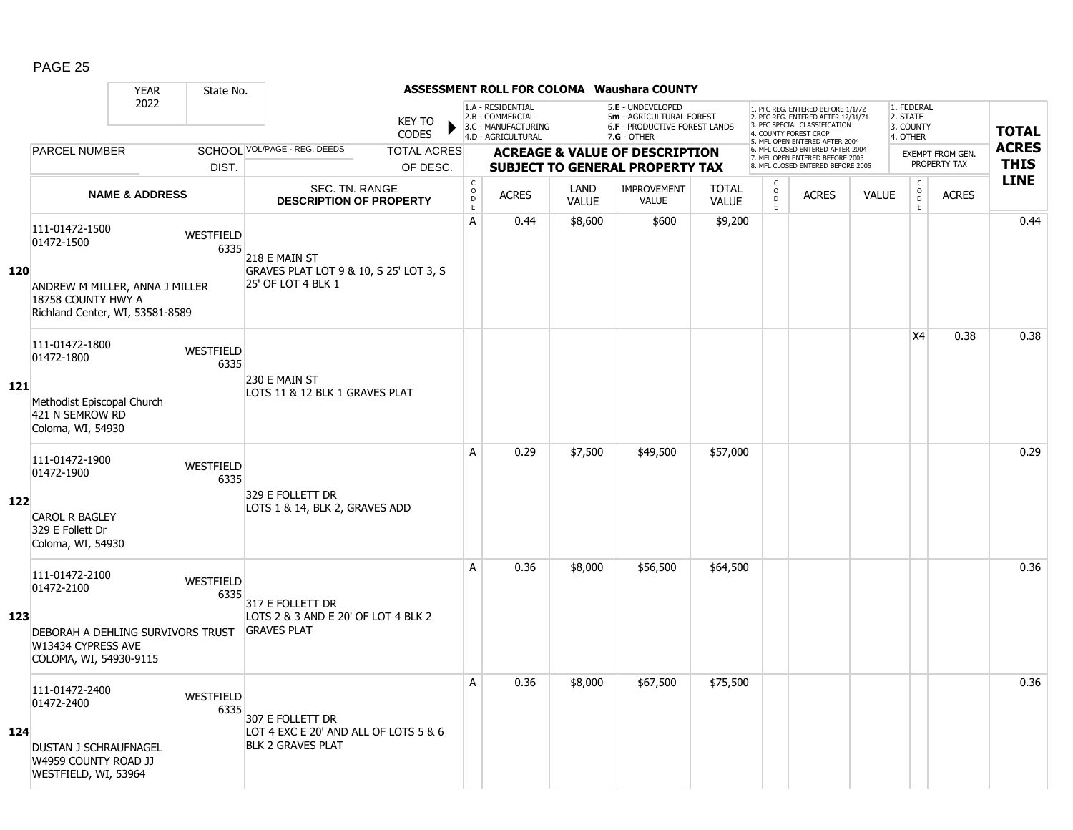|     |                                                                                                                         | <b>YEAR</b>               | State No.                |                                                                                       |                                |                                        |                                                                                    |                      | <b>ASSESSMENT ROLL FOR COLOMA Waushara COUNTY</b>                                             |                              |                               |                                                                                                                                                                     |              |                                                 |                                         |                             |
|-----|-------------------------------------------------------------------------------------------------------------------------|---------------------------|--------------------------|---------------------------------------------------------------------------------------|--------------------------------|----------------------------------------|------------------------------------------------------------------------------------|----------------------|-----------------------------------------------------------------------------------------------|------------------------------|-------------------------------|---------------------------------------------------------------------------------------------------------------------------------------------------------------------|--------------|-------------------------------------------------|-----------------------------------------|-----------------------------|
|     |                                                                                                                         | 2022                      |                          |                                                                                       | <b>KEY TO</b><br><b>CODES</b>  |                                        | 1.A - RESIDENTIAL<br>2.B - COMMERCIAL<br>3.C - MANUFACTURING<br>4.D - AGRICULTURAL |                      | 5.E - UNDEVELOPED<br>5m - AGRICULTURAL FOREST<br>6.F - PRODUCTIVE FOREST LANDS<br>7.G - OTHER |                              |                               | 1. PFC REG. ENTERED BEFORE 1/1/72<br>2. PFC REG. ENTERED AFTER 12/31/71<br>3. PFC SPECIAL CLASSIFICATION<br>4. COUNTY FOREST CROP<br>5. MFL OPEN ENTERED AFTER 2004 |              | 1. FEDERAL<br>2. STATE<br>3. COUNTY<br>4. OTHER |                                         | <b>TOTAL</b>                |
|     | <b>PARCEL NUMBER</b>                                                                                                    |                           | DIST.                    | SCHOOL VOL/PAGE - REG. DEEDS                                                          | <b>TOTAL ACRES</b><br>OF DESC. |                                        |                                                                                    |                      | <b>ACREAGE &amp; VALUE OF DESCRIPTION</b><br><b>SUBJECT TO GENERAL PROPERTY TAX</b>           |                              |                               | 6. MFL CLOSED ENTERED AFTER 2004<br>7. MFL OPEN ENTERED BEFORE 2005<br>8. MFL CLOSED ENTERED BEFORE 2005                                                            |              |                                                 | <b>EXEMPT FROM GEN.</b><br>PROPERTY TAX | <b>ACRES</b><br><b>THIS</b> |
|     |                                                                                                                         | <b>NAME &amp; ADDRESS</b> |                          | <b>SEC. TN. RANGE</b><br><b>DESCRIPTION OF PROPERTY</b>                               |                                | $_{\rm o}^{\rm c}$<br>$\mathsf D$<br>E | <b>ACRES</b>                                                                       | LAND<br><b>VALUE</b> | <b>IMPROVEMENT</b><br>VALUE                                                                   | <b>TOTAL</b><br><b>VALUE</b> | C<br>$_\mathrm{D}^\mathrm{O}$ | <b>ACRES</b>                                                                                                                                                        | <b>VALUE</b> | $\begin{matrix} 0 \\ 0 \\ 0 \end{matrix}$       | <b>ACRES</b>                            | <b>LINE</b>                 |
| 120 | 111-01472-1500<br>01472-1500<br>ANDREW M MILLER, ANNA J MILLER<br>18758 COUNTY HWY A<br>Richland Center, WI, 53581-8589 |                           | WESTFIELD<br>6335        | 218 E MAIN ST<br>GRAVES PLAT LOT 9 & 10, S 25' LOT 3, S<br>25' OF LOT 4 BLK 1         |                                | A                                      | 0.44                                                                               | \$8,600              | \$600                                                                                         | \$9,200                      | E                             |                                                                                                                                                                     |              | E                                               |                                         | 0.44                        |
| 121 | 111-01472-1800<br>01472-1800<br>Methodist Episcopal Church<br>421 N SEMROW RD<br>Coloma, WI, 54930                      |                           | <b>WESTFIELD</b><br>6335 | 230 E MAIN ST<br>LOTS 11 & 12 BLK 1 GRAVES PLAT                                       |                                |                                        |                                                                                    |                      |                                                                                               |                              |                               |                                                                                                                                                                     |              | <b>X4</b>                                       | 0.38                                    | 0.38                        |
| 122 | 111-01472-1900<br>01472-1900<br><b>CAROL R BAGLEY</b><br>329 E Follett Dr<br>Coloma, WI, 54930                          |                           | WESTFIELD<br>6335        | 329 E FOLLETT DR<br>LOTS 1 & 14, BLK 2, GRAVES ADD                                    |                                | A                                      | 0.29                                                                               | \$7,500              | \$49,500                                                                                      | \$57,000                     |                               |                                                                                                                                                                     |              |                                                 |                                         | 0.29                        |
| 123 | 111-01472-2100<br>01472-2100<br>DEBORAH A DEHLING SURVIVORS TRUST<br>W13434 CYPRESS AVE<br>COLOMA, WI, 54930-9115       |                           | WESTFIELD<br>6335        | 317 E FOLLETT DR<br>LOTS 2 & 3 AND E 20' OF LOT 4 BLK 2<br><b>GRAVES PLAT</b>         |                                | A                                      | 0.36                                                                               | \$8,000              | \$56,500                                                                                      | \$64,500                     |                               |                                                                                                                                                                     |              |                                                 |                                         | 0.36                        |
| 124 | 111-01472-2400<br>01472-2400<br>DUSTAN J SCHRAUFNAGEL<br>W4959 COUNTY ROAD JJ<br>WESTFIELD, WI, 53964                   |                           | <b>WESTFIELD</b><br>6335 | 307 E FOLLETT DR<br>LOT 4 EXC E 20' AND ALL OF LOTS 5 & 6<br><b>BLK 2 GRAVES PLAT</b> |                                | A                                      | 0.36                                                                               | \$8,000              | \$67,500                                                                                      | \$75,500                     |                               |                                                                                                                                                                     |              |                                                 |                                         | 0.36                        |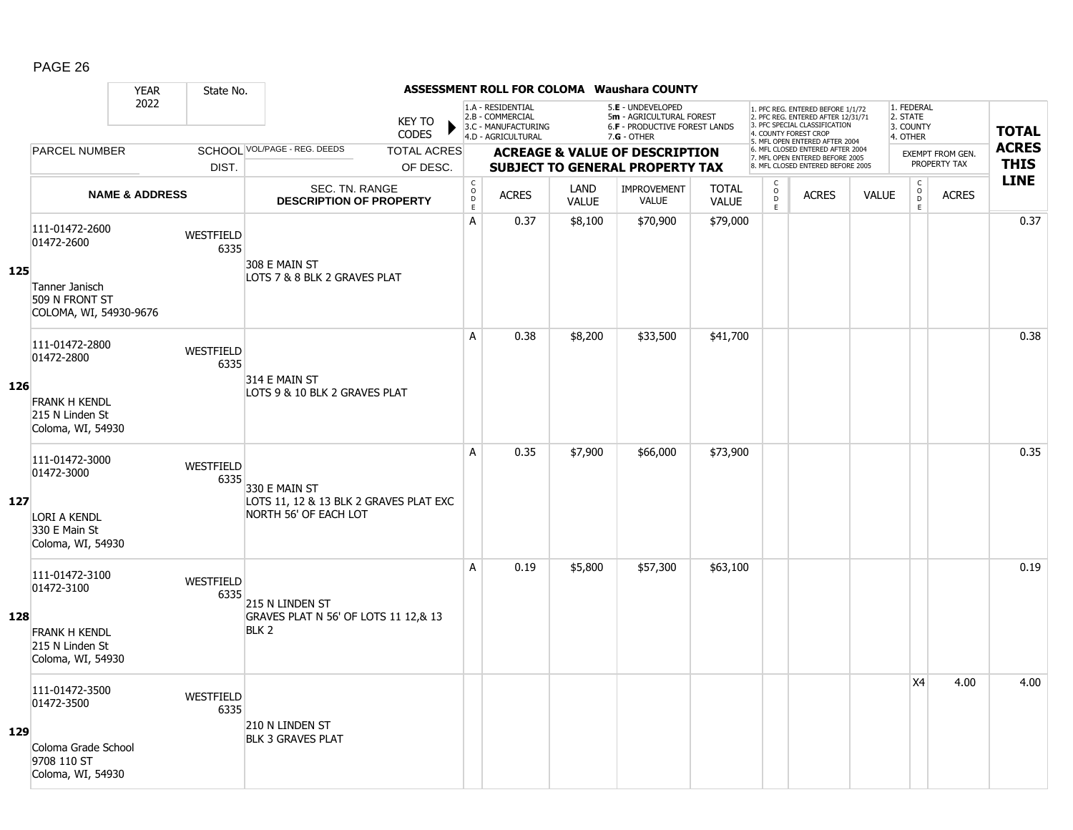|     |                                                              | <b>YEAR</b>               | State No.                |                                                                 |                                        |                                                                                    |                      | <b>ASSESSMENT ROLL FOR COLOMA Waushara COUNTY</b>                                                      |                              |                                                          |                                                                                                                                   |              |                                                                     |                                         |                             |
|-----|--------------------------------------------------------------|---------------------------|--------------------------|-----------------------------------------------------------------|----------------------------------------|------------------------------------------------------------------------------------|----------------------|--------------------------------------------------------------------------------------------------------|------------------------------|----------------------------------------------------------|-----------------------------------------------------------------------------------------------------------------------------------|--------------|---------------------------------------------------------------------|-----------------------------------------|-----------------------------|
|     |                                                              | 2022                      |                          | KEY TO<br><b>CODES</b>                                          |                                        | 1.A - RESIDENTIAL<br>2.B - COMMERCIAL<br>3.C - MANUFACTURING<br>4.D - AGRICULTURAL |                      | 5.E - UNDEVELOPED<br>5m - AGRICULTURAL FOREST<br><b>6.F - PRODUCTIVE FOREST LANDS</b><br>$7.G - OTHER$ |                              |                                                          | 1. PFC REG. ENTERED BEFORE 1/1/72<br>2. PFC REG. ENTERED AFTER 12/31/71<br>3. PFC SPECIAL CLASSIFICATION<br>4. COUNTY FOREST CROP |              | 1. FEDERAL<br>2. STATE<br>3. COUNTY<br>4. OTHER                     |                                         | <b>TOTAL</b>                |
|     | <b>PARCEL NUMBER</b>                                         |                           |                          | SCHOOL VOL/PAGE - REG. DEEDS<br><b>TOTAL ACRES</b>              |                                        |                                                                                    |                      | <b>ACREAGE &amp; VALUE OF DESCRIPTION</b>                                                              |                              |                                                          | 5. MFL OPEN ENTERED AFTER 2004<br>6. MFL CLOSED ENTERED AFTER 2004<br>7. MFL OPEN ENTERED BEFORE 2005                             |              |                                                                     | <b>EXEMPT FROM GEN.</b><br>PROPERTY TAX | <b>ACRES</b><br><b>THIS</b> |
|     |                                                              |                           | DIST.                    | OF DESC.                                                        |                                        |                                                                                    |                      | <b>SUBJECT TO GENERAL PROPERTY TAX</b>                                                                 |                              |                                                          | 8. MFL CLOSED ENTERED BEFORE 2005                                                                                                 |              |                                                                     |                                         | <b>LINE</b>                 |
|     |                                                              | <b>NAME &amp; ADDRESS</b> |                          | SEC. TN. RANGE<br><b>DESCRIPTION OF PROPERTY</b>                | $_{\rm o}^{\rm c}$<br>D<br>$\mathsf E$ | <b>ACRES</b>                                                                       | LAND<br><b>VALUE</b> | <b>IMPROVEMENT</b><br><b>VALUE</b>                                                                     | <b>TOTAL</b><br><b>VALUE</b> | $\begin{smallmatrix} C \\ 0 \\ D \end{smallmatrix}$<br>E | <b>ACRES</b>                                                                                                                      | <b>VALUE</b> | $\overset{\mathsf{C}}{\underset{\mathsf{D}}{\circ}}$<br>$\mathsf E$ | <b>ACRES</b>                            |                             |
| 125 | 111-01472-2600<br>01472-2600<br>Tanner Janisch               |                           | <b>WESTFIELD</b><br>6335 | 308 E MAIN ST<br>LOTS 7 & 8 BLK 2 GRAVES PLAT                   | A                                      | 0.37                                                                               | \$8,100              | \$70,900                                                                                               | \$79,000                     |                                                          |                                                                                                                                   |              |                                                                     |                                         | 0.37                        |
|     | 509 N FRONT ST<br>COLOMA, WI, 54930-9676                     |                           |                          |                                                                 |                                        |                                                                                    |                      |                                                                                                        |                              |                                                          |                                                                                                                                   |              |                                                                     |                                         |                             |
|     | 111-01472-2800<br>01472-2800                                 |                           | WESTFIELD<br>6335        |                                                                 | A                                      | 0.38                                                                               | \$8,200              | \$33,500                                                                                               | \$41,700                     |                                                          |                                                                                                                                   |              |                                                                     |                                         | 0.38                        |
| 126 | <b>FRANK H KENDL</b><br>215 N Linden St<br>Coloma, WI, 54930 |                           |                          | 314 E MAIN ST<br>LOTS 9 & 10 BLK 2 GRAVES PLAT                  |                                        |                                                                                    |                      |                                                                                                        |                              |                                                          |                                                                                                                                   |              |                                                                     |                                         |                             |
|     | 111-01472-3000<br>01472-3000                                 |                           | WESTFIELD<br>6335        | 330 E MAIN ST                                                   | A                                      | 0.35                                                                               | \$7,900              | \$66,000                                                                                               | \$73,900                     |                                                          |                                                                                                                                   |              |                                                                     |                                         | 0.35                        |
| 127 | LORI A KENDL<br>330 E Main St<br>Coloma, WI, 54930           |                           |                          | LOTS 11, 12 & 13 BLK 2 GRAVES PLAT EXC<br>NORTH 56' OF EACH LOT |                                        |                                                                                    |                      |                                                                                                        |                              |                                                          |                                                                                                                                   |              |                                                                     |                                         |                             |
|     | 111-01472-3100<br>01472-3100                                 |                           | <b>WESTFIELD</b><br>6335 | 215 N LINDEN ST                                                 | A                                      | 0.19                                                                               | \$5,800              | \$57,300                                                                                               | \$63,100                     |                                                          |                                                                                                                                   |              |                                                                     |                                         | 0.19                        |
| 128 | <b>FRANK H KENDL</b><br>215 N Linden St<br>Coloma, WI, 54930 |                           |                          | GRAVES PLAT N 56' OF LOTS 11 12,& 13<br>BLK 2                   |                                        |                                                                                    |                      |                                                                                                        |                              |                                                          |                                                                                                                                   |              |                                                                     |                                         |                             |
|     | 111-01472-3500<br>01472-3500                                 |                           | <b>WESTFIELD</b><br>6335 | 210 N LINDEN ST                                                 |                                        |                                                                                    |                      |                                                                                                        |                              |                                                          |                                                                                                                                   |              | X4                                                                  | 4.00                                    | 4.00                        |
| 129 | Coloma Grade School<br>9708 110 ST<br>Coloma, WI, 54930      |                           |                          | <b>BLK 3 GRAVES PLAT</b>                                        |                                        |                                                                                    |                      |                                                                                                        |                              |                                                          |                                                                                                                                   |              |                                                                     |                                         |                             |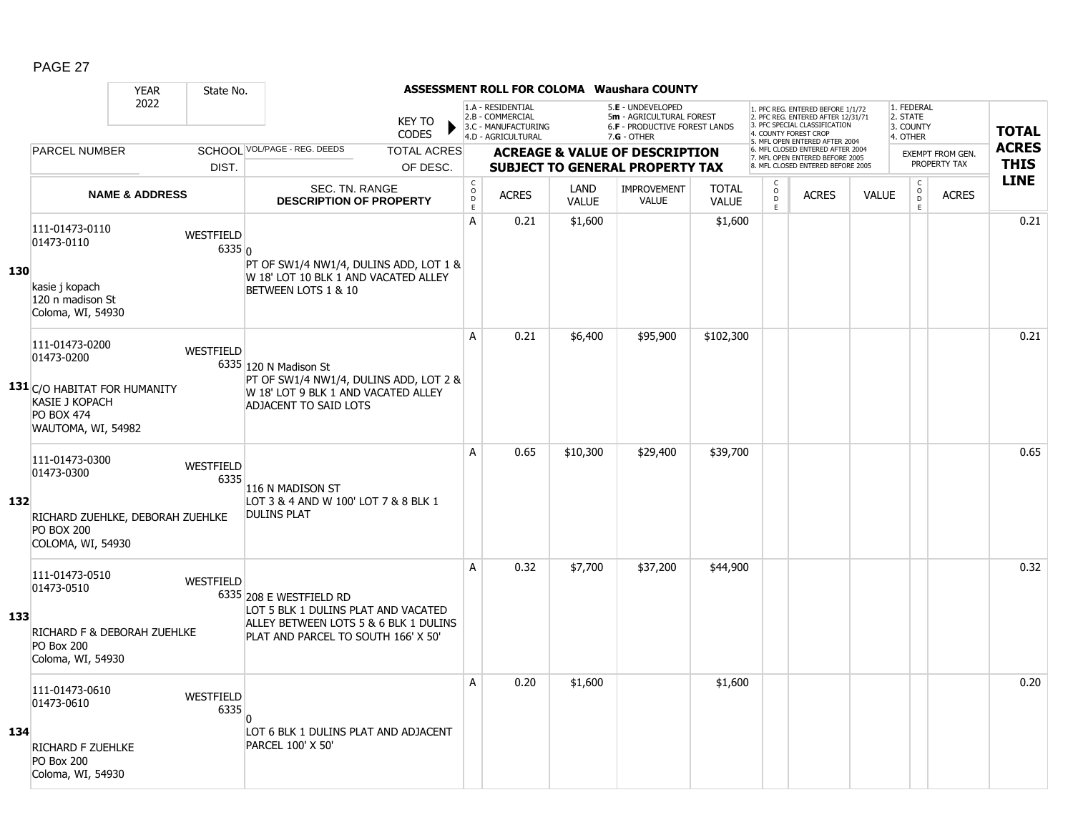|     |                                                                                                                                  | <b>YEAR</b>               | State No.                |                                                                                                                                                |                               |                    |                                                                                    |              | <b>ASSESSMENT ROLL FOR COLOMA Waushara COUNTY</b>                                             |              |                               |                                                                                                                                                                     |              |                                                 |                                         |                             |
|-----|----------------------------------------------------------------------------------------------------------------------------------|---------------------------|--------------------------|------------------------------------------------------------------------------------------------------------------------------------------------|-------------------------------|--------------------|------------------------------------------------------------------------------------|--------------|-----------------------------------------------------------------------------------------------|--------------|-------------------------------|---------------------------------------------------------------------------------------------------------------------------------------------------------------------|--------------|-------------------------------------------------|-----------------------------------------|-----------------------------|
|     |                                                                                                                                  | 2022                      |                          |                                                                                                                                                | <b>KEY TO</b><br><b>CODES</b> |                    | 1.A - RESIDENTIAL<br>2.B - COMMERCIAL<br>3.C - MANUFACTURING<br>4.D - AGRICULTURAL |              | 5.E - UNDEVELOPED<br>5m - AGRICULTURAL FOREST<br>6.F - PRODUCTIVE FOREST LANDS<br>7.G - OTHER |              |                               | 1. PFC REG. ENTERED BEFORE 1/1/72<br>2. PFC REG. ENTERED AFTER 12/31/71<br>3. PFC SPECIAL CLASSIFICATION<br>4. COUNTY FOREST CROP<br>5. MFL OPEN ENTERED AFTER 2004 |              | 1. FEDERAL<br>2. STATE<br>3. COUNTY<br>4. OTHER |                                         | <b>TOTAL</b>                |
|     | <b>PARCEL NUMBER</b>                                                                                                             |                           |                          | SCHOOL VOL/PAGE - REG. DEEDS                                                                                                                   | <b>TOTAL ACRES</b>            |                    |                                                                                    |              | <b>ACREAGE &amp; VALUE OF DESCRIPTION</b>                                                     |              |                               | 6. MFL CLOSED ENTERED AFTER 2004<br>7. MFL OPEN ENTERED BEFORE 2005<br>8. MFL CLOSED ENTERED BEFORE 2005                                                            |              |                                                 | <b>EXEMPT FROM GEN.</b><br>PROPERTY TAX | <b>ACRES</b><br><b>THIS</b> |
|     |                                                                                                                                  |                           | DIST.                    | <b>SEC. TN. RANGE</b>                                                                                                                          | OF DESC.                      | $_{\rm o}^{\rm c}$ |                                                                                    | LAND         | <b>SUBJECT TO GENERAL PROPERTY TAX</b>                                                        | <b>TOTAL</b> | C                             |                                                                                                                                                                     |              |                                                 |                                         | <b>LINE</b>                 |
|     |                                                                                                                                  | <b>NAME &amp; ADDRESS</b> |                          | <b>DESCRIPTION OF PROPERTY</b>                                                                                                                 |                               | $\mathsf D$<br>E   | <b>ACRES</b>                                                                       | <b>VALUE</b> | <b>IMPROVEMENT</b><br><b>VALUE</b>                                                            | <b>VALUE</b> | $_\mathrm{D}^\mathrm{O}$<br>E | <b>ACRES</b>                                                                                                                                                        | <b>VALUE</b> | $\begin{matrix} 0 \\ 0 \end{matrix}$<br>E       | <b>ACRES</b>                            |                             |
| 130 | 111-01473-0110<br>01473-0110<br>kasie i kopach<br>120 n madison St<br>Coloma, WI, 54930                                          |                           | WESTFIELD<br>6335 0      | PT OF SW1/4 NW1/4, DULINS ADD, LOT 1 &<br>W 18' LOT 10 BLK 1 AND VACATED ALLEY<br>BETWEEN LOTS 1 & 10                                          |                               | A                  | 0.21                                                                               | \$1,600      |                                                                                               | \$1,600      |                               |                                                                                                                                                                     |              |                                                 |                                         | 0.21                        |
|     | 111-01473-0200<br>01473-0200<br>131 C/O HABITAT FOR HUMANITY<br><b>KASIE J KOPACH</b><br><b>PO BOX 474</b><br>WAUTOMA, WI, 54982 |                           | <b>WESTFIELD</b>         | 6335 120 N Madison St<br>PT OF SW1/4 NW1/4, DULINS ADD, LOT 2 &<br>W 18' LOT 9 BLK 1 AND VACATED ALLEY<br><b>ADJACENT TO SAID LOTS</b>         |                               | A                  | 0.21                                                                               | \$6,400      | \$95,900                                                                                      | \$102,300    |                               |                                                                                                                                                                     |              |                                                 |                                         | 0.21                        |
| 132 | 111-01473-0300<br>01473-0300<br>RICHARD ZUEHLKE, DEBORAH ZUEHLKE<br><b>PO BOX 200</b><br>COLOMA, WI, 54930                       |                           | WESTFIELD<br>6335        | 116 N MADISON ST<br>LOT 3 & 4 AND W 100' LOT 7 & 8 BLK 1<br><b>DULINS PLAT</b>                                                                 |                               | A                  | 0.65                                                                               | \$10,300     | \$29,400                                                                                      | \$39,700     |                               |                                                                                                                                                                     |              |                                                 |                                         | 0.65                        |
| 133 | 111-01473-0510<br>01473-0510<br>RICHARD F & DEBORAH ZUEHLKE<br><b>PO Box 200</b><br>Coloma, WI, 54930                            |                           | <b>WESTFIELD</b>         | 6335 208 E WESTFIELD RD<br>LOT 5 BLK 1 DULINS PLAT AND VACATED<br>ALLEY BETWEEN LOTS 5 & 6 BLK 1 DULINS<br>PLAT AND PARCEL TO SOUTH 166' X 50' |                               | A                  | 0.32                                                                               | \$7,700      | \$37,200                                                                                      | \$44,900     |                               |                                                                                                                                                                     |              |                                                 |                                         | 0.32                        |
| 134 | 111-01473-0610<br>01473-0610<br>RICHARD F ZUEHLKE<br><b>PO Box 200</b><br>Coloma, WI, 54930                                      |                           | <b>WESTFIELD</b><br>6335 | n<br>LOT 6 BLK 1 DULINS PLAT AND ADJACENT<br>PARCEL 100' X 50'                                                                                 |                               | A                  | 0.20                                                                               | \$1,600      |                                                                                               | \$1,600      |                               |                                                                                                                                                                     |              |                                                 |                                         | 0.20                        |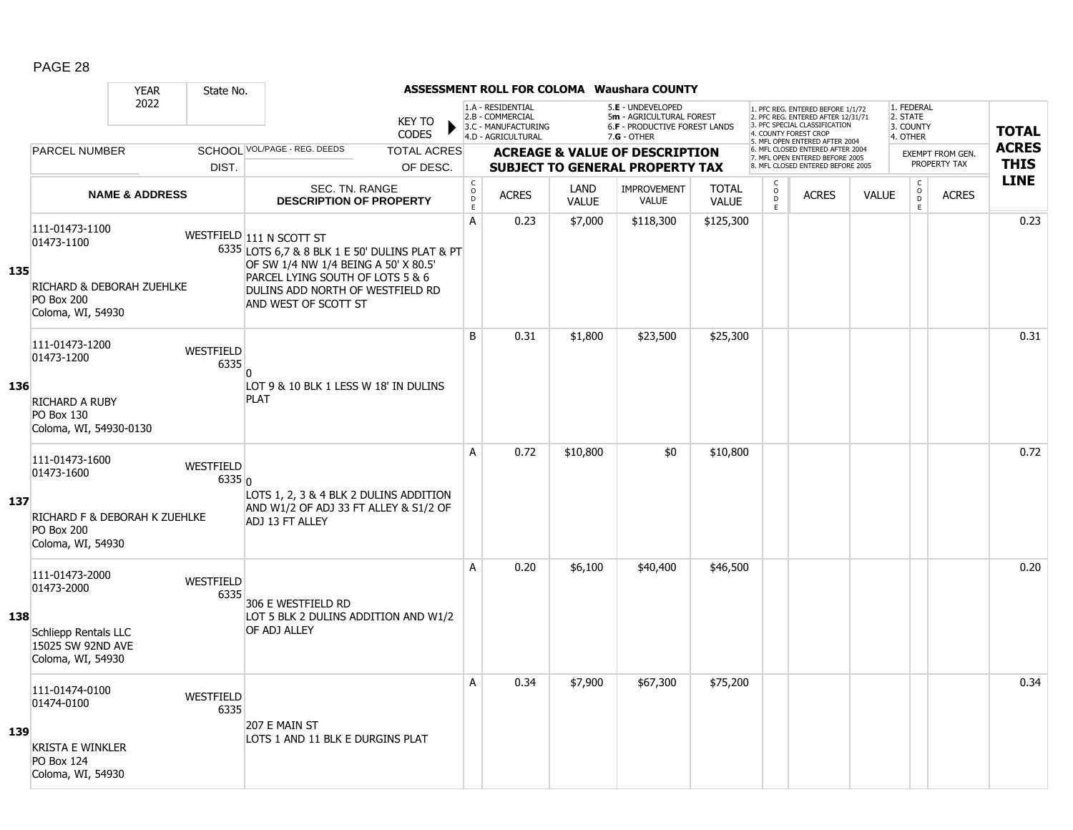|     |                                                                                                         | <b>YEAR</b>               | State No.                  |                                                                                                                                                                                                                    |                                |                                        |                                                                                    |                      | <b>ASSESSMENT ROLL FOR COLOMA Waushara COUNTY</b>                                                    |                              |                                                |                                                                                                                                                                     |              |                                                 |                                         |                             |
|-----|---------------------------------------------------------------------------------------------------------|---------------------------|----------------------------|--------------------------------------------------------------------------------------------------------------------------------------------------------------------------------------------------------------------|--------------------------------|----------------------------------------|------------------------------------------------------------------------------------|----------------------|------------------------------------------------------------------------------------------------------|------------------------------|------------------------------------------------|---------------------------------------------------------------------------------------------------------------------------------------------------------------------|--------------|-------------------------------------------------|-----------------------------------------|-----------------------------|
|     |                                                                                                         | 2022                      |                            |                                                                                                                                                                                                                    | <b>KEY TO</b><br><b>CODES</b>  |                                        | 1.A - RESIDENTIAL<br>2.B - COMMERCIAL<br>3.C - MANUFACTURING<br>4.D - AGRICULTURAL |                      | 5.E - UNDEVELOPED<br>5m - AGRICULTURAL FOREST<br><b>6.F - PRODUCTIVE FOREST LANDS</b><br>7.G - OTHER |                              |                                                | 1. PFC REG. ENTERED BEFORE 1/1/72<br>2. PFC REG. ENTERED AFTER 12/31/71<br>3. PFC SPECIAL CLASSIFICATION<br>4. COUNTY FOREST CROP<br>5. MFL OPEN ENTERED AFTER 2004 |              | 1. FEDERAL<br>2. STATE<br>3. COUNTY<br>4. OTHER |                                         | <b>TOTAL</b>                |
|     | <b>PARCEL NUMBER</b>                                                                                    |                           | DIST.                      | SCHOOL VOL/PAGE - REG. DEEDS                                                                                                                                                                                       | <b>TOTAL ACRES</b><br>OF DESC. |                                        |                                                                                    |                      | <b>ACREAGE &amp; VALUE OF DESCRIPTION</b><br><b>SUBJECT TO GENERAL PROPERTY TAX</b>                  |                              |                                                | 6. MFL CLOSED ENTERED AFTER 2004<br>7. MFL OPEN ENTERED BEFORE 2005<br>8. MFL CLOSED ENTERED BEFORE 2005                                                            |              |                                                 | <b>EXEMPT FROM GEN.</b><br>PROPERTY TAX | <b>ACRES</b><br><b>THIS</b> |
|     |                                                                                                         | <b>NAME &amp; ADDRESS</b> |                            | <b>SEC. TN. RANGE</b><br><b>DESCRIPTION OF PROPERTY</b>                                                                                                                                                            |                                | $_{\rm o}^{\rm c}$<br>$\mathsf D$<br>E | <b>ACRES</b>                                                                       | LAND<br><b>VALUE</b> | <b>IMPROVEMENT</b><br>VALUE                                                                          | <b>TOTAL</b><br><b>VALUE</b> | $\begin{matrix} 0 \\ 0 \\ D \end{matrix}$<br>E | <b>ACRES</b>                                                                                                                                                        | <b>VALUE</b> | $\begin{matrix} C \\ 0 \\ D \end{matrix}$<br>E  | <b>ACRES</b>                            | <b>LINE</b>                 |
| 135 | 111-01473-1100<br>01473-1100<br>RICHARD & DEBORAH ZUEHLKE<br><b>PO Box 200</b><br>Coloma, WI, 54930     |                           |                            | WESTFIELD 111 N SCOTT ST<br>6335 LOTS 6,7 & 8 BLK 1 E 50' DULINS PLAT & PT<br>OF SW 1/4 NW 1/4 BEING A 50' X 80.5'<br>PARCEL LYING SOUTH OF LOTS 5 & 6<br>DULINS ADD NORTH OF WESTFIELD RD<br>AND WEST OF SCOTT ST |                                | A                                      | 0.23                                                                               | \$7,000              | \$118,300                                                                                            | \$125,300                    |                                                |                                                                                                                                                                     |              |                                                 |                                         | 0.23                        |
| 136 | 111-01473-1200<br>01473-1200<br><b>RICHARD A RUBY</b><br>PO Box 130<br>Coloma, WI, 54930-0130           |                           | WESTFIELD<br>6335          | n<br>LOT 9 & 10 BLK 1 LESS W 18' IN DULINS<br><b>PLAT</b>                                                                                                                                                          |                                | B                                      | 0.31                                                                               | \$1,800              | \$23,500                                                                                             | \$25,300                     |                                                |                                                                                                                                                                     |              |                                                 |                                         | 0.31                        |
| 137 | 111-01473-1600<br>01473-1600<br>RICHARD F & DEBORAH K ZUEHLKE<br><b>PO Box 200</b><br>Coloma, WI, 54930 |                           | <b>WESTFIELD</b><br>6335 0 | LOTS 1, 2, 3 & 4 BLK 2 DULINS ADDITION<br>AND W1/2 OF ADJ 33 FT ALLEY & S1/2 OF<br>ADJ 13 FT ALLEY                                                                                                                 |                                | A                                      | 0.72                                                                               | \$10,800             | \$0                                                                                                  | \$10,800                     |                                                |                                                                                                                                                                     |              |                                                 |                                         | 0.72                        |
| 138 | 111-01473-2000<br>01473-2000<br><b>Schliepp Rentals LLC</b><br>15025 SW 92ND AVE<br>Coloma, WI, 54930   |                           | WESTFIELD<br>6335          | 306 E WESTFIELD RD<br>LOT 5 BLK 2 DULINS ADDITION AND W1/2<br>OF ADJ ALLEY                                                                                                                                         |                                | A                                      | 0.20                                                                               | \$6,100              | \$40,400                                                                                             | \$46,500                     |                                                |                                                                                                                                                                     |              |                                                 |                                         | 0.20                        |
| 139 | 111-01474-0100<br>01474-0100<br><b>KRISTA E WINKLER</b><br><b>PO Box 124</b><br>Coloma, WI, 54930       |                           | WESTFIELD<br>6335          | 207 E MAIN ST<br>LOTS 1 AND 11 BLK E DURGINS PLAT                                                                                                                                                                  |                                | A                                      | 0.34                                                                               | \$7,900              | \$67,300                                                                                             | \$75,200                     |                                                |                                                                                                                                                                     |              |                                                 |                                         | 0.34                        |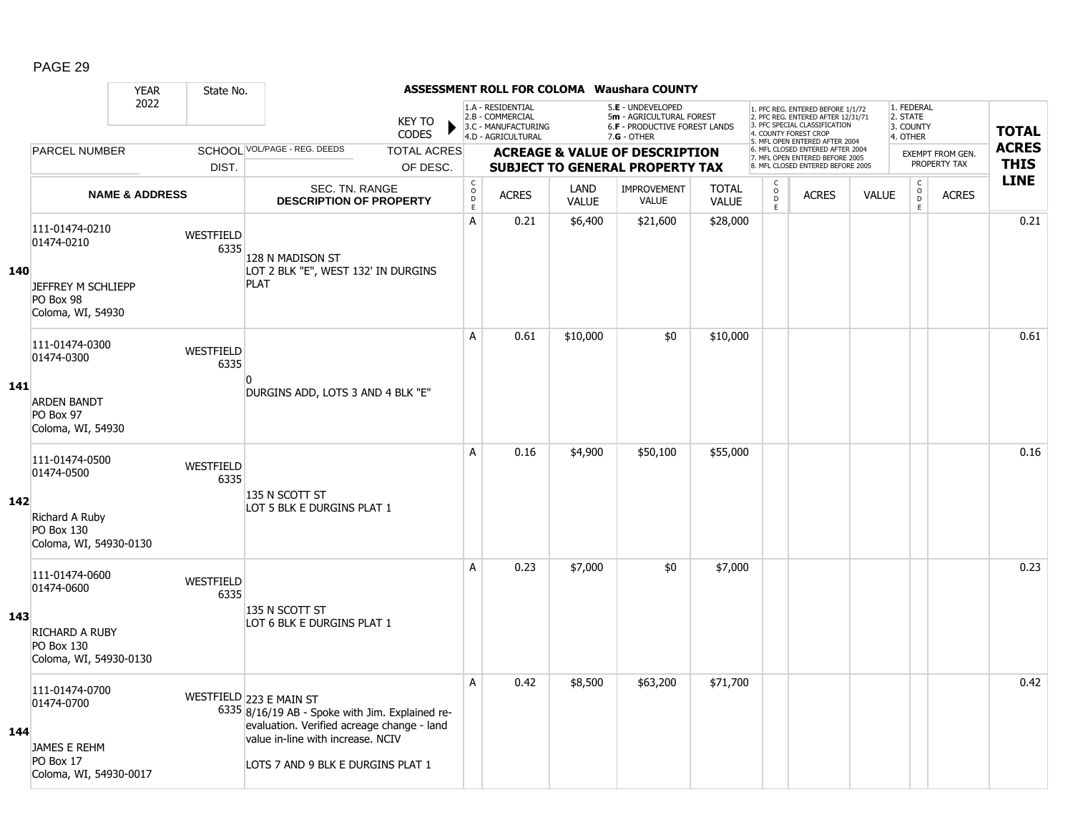|     |                                                                                            | <b>YEAR</b>               | State No.                |                                                                                                                                                                                                    |                               |                               |                                                                                    |                      | <b>ASSESSMENT ROLL FOR COLOMA Waushara COUNTY</b>                                             |                              |                                                          |                                                                                                                                   |              |                                                 |                         |                            |
|-----|--------------------------------------------------------------------------------------------|---------------------------|--------------------------|----------------------------------------------------------------------------------------------------------------------------------------------------------------------------------------------------|-------------------------------|-------------------------------|------------------------------------------------------------------------------------|----------------------|-----------------------------------------------------------------------------------------------|------------------------------|----------------------------------------------------------|-----------------------------------------------------------------------------------------------------------------------------------|--------------|-------------------------------------------------|-------------------------|----------------------------|
|     |                                                                                            | 2022                      |                          |                                                                                                                                                                                                    | <b>KEY TO</b><br><b>CODES</b> |                               | 1.A - RESIDENTIAL<br>2.B - COMMERCIAL<br>3.C - MANUFACTURING<br>4.D - AGRICULTURAL |                      | 5.E - UNDEVELOPED<br>5m - AGRICULTURAL FOREST<br>6.F - PRODUCTIVE FOREST LANDS<br>7.G - OTHER |                              |                                                          | 1. PFC REG. ENTERED BEFORE 1/1/72<br>2. PFC REG. ENTERED AFTER 12/31/71<br>3. PFC SPECIAL CLASSIFICATION<br>4. COUNTY FOREST CROP |              | 1. FEDERAL<br>2. STATE<br>3. COUNTY<br>4. OTHER |                         | <b>TOTAL</b>               |
|     | <b>PARCEL NUMBER</b>                                                                       |                           |                          | SCHOOL VOL/PAGE - REG. DEEDS                                                                                                                                                                       | <b>TOTAL ACRES</b>            |                               |                                                                                    |                      | <b>ACREAGE &amp; VALUE OF DESCRIPTION</b>                                                     |                              |                                                          | 5. MFL OPEN ENTERED AFTER 2004<br>6. MFL CLOSED ENTERED AFTER 2004<br>7. MFL OPEN ENTERED BEFORE 2005                             |              |                                                 | <b>EXEMPT FROM GEN.</b> | <b>ACRES</b>               |
|     |                                                                                            |                           | DIST.                    |                                                                                                                                                                                                    | OF DESC.                      |                               |                                                                                    |                      | <b>SUBJECT TO GENERAL PROPERTY TAX</b>                                                        |                              |                                                          | 8. MFL CLOSED ENTERED BEFORE 2005                                                                                                 |              |                                                 | PROPERTY TAX            | <b>THIS</b><br><b>LINE</b> |
|     |                                                                                            | <b>NAME &amp; ADDRESS</b> |                          | SEC. TN. RANGE<br><b>DESCRIPTION OF PROPERTY</b>                                                                                                                                                   |                               | $_{\rm o}^{\rm c}$<br>D<br>E. | <b>ACRES</b>                                                                       | LAND<br><b>VALUE</b> | <b>IMPROVEMENT</b><br><b>VALUE</b>                                                            | <b>TOTAL</b><br><b>VALUE</b> | $\begin{smallmatrix} C \\ 0 \\ D \end{smallmatrix}$<br>E | <b>ACRES</b>                                                                                                                      | <b>VALUE</b> | $\begin{matrix} C \\ O \\ D \end{matrix}$<br>E  | <b>ACRES</b>            |                            |
| 140 | 111-01474-0210<br>01474-0210<br>JEFFREY M SCHLIEPP<br>PO Box 98<br>Coloma, WI, 54930       |                           | <b>WESTFIELD</b><br>6335 | 128 N MADISON ST<br>LOT 2 BLK "E", WEST 132' IN DURGINS<br><b>PLAT</b>                                                                                                                             |                               | A                             | 0.21                                                                               | \$6,400              | \$21,600                                                                                      | \$28,000                     |                                                          |                                                                                                                                   |              |                                                 |                         | 0.21                       |
|     | 111-01474-0300<br>01474-0300                                                               |                           | <b>WESTFIELD</b><br>6335 | 0                                                                                                                                                                                                  |                               | A                             | 0.61                                                                               | \$10,000             | \$0                                                                                           | \$10,000                     |                                                          |                                                                                                                                   |              |                                                 |                         | 0.61                       |
| 141 | <b>ARDEN BANDT</b><br>PO Box 97<br>Coloma, WI, 54930                                       |                           |                          | DURGINS ADD, LOTS 3 AND 4 BLK "E"                                                                                                                                                                  |                               |                               |                                                                                    |                      |                                                                                               |                              |                                                          |                                                                                                                                   |              |                                                 |                         |                            |
| 142 | 111-01474-0500<br>01474-0500<br>Richard A Ruby<br>PO Box 130<br>Coloma, WI, 54930-0130     |                           | <b>WESTFIELD</b><br>6335 | 135 N SCOTT ST<br>LOT 5 BLK E DURGINS PLAT 1                                                                                                                                                       |                               | A                             | 0.16                                                                               | \$4,900              | \$50,100                                                                                      | \$55,000                     |                                                          |                                                                                                                                   |              |                                                 |                         | 0.16                       |
| 143 | 111-01474-0600<br>01474-0600<br>RICHARD A RUBY<br>PO Box 130<br>Coloma, WI, 54930-0130     |                           | <b>WESTFIELD</b><br>6335 | 135 N SCOTT ST<br>LOT 6 BLK E DURGINS PLAT 1                                                                                                                                                       |                               | A                             | 0.23                                                                               | \$7,000              | \$0                                                                                           | \$7,000                      |                                                          |                                                                                                                                   |              |                                                 |                         | 0.23                       |
| 144 | 111-01474-0700<br>01474-0700<br><b>JAMES E REHM</b><br>PO Box 17<br>Coloma, WI, 54930-0017 |                           |                          | WESTFIELD 223 E MAIN ST<br>6335 8/16/19 AB - Spoke with Jim. Explained re-<br>evaluation. Verified acreage change - land<br>value in-line with increase. NCIV<br>LOTS 7 AND 9 BLK E DURGINS PLAT 1 |                               | A                             | 0.42                                                                               | \$8,500              | \$63,200                                                                                      | \$71,700                     |                                                          |                                                                                                                                   |              |                                                 |                         | 0.42                       |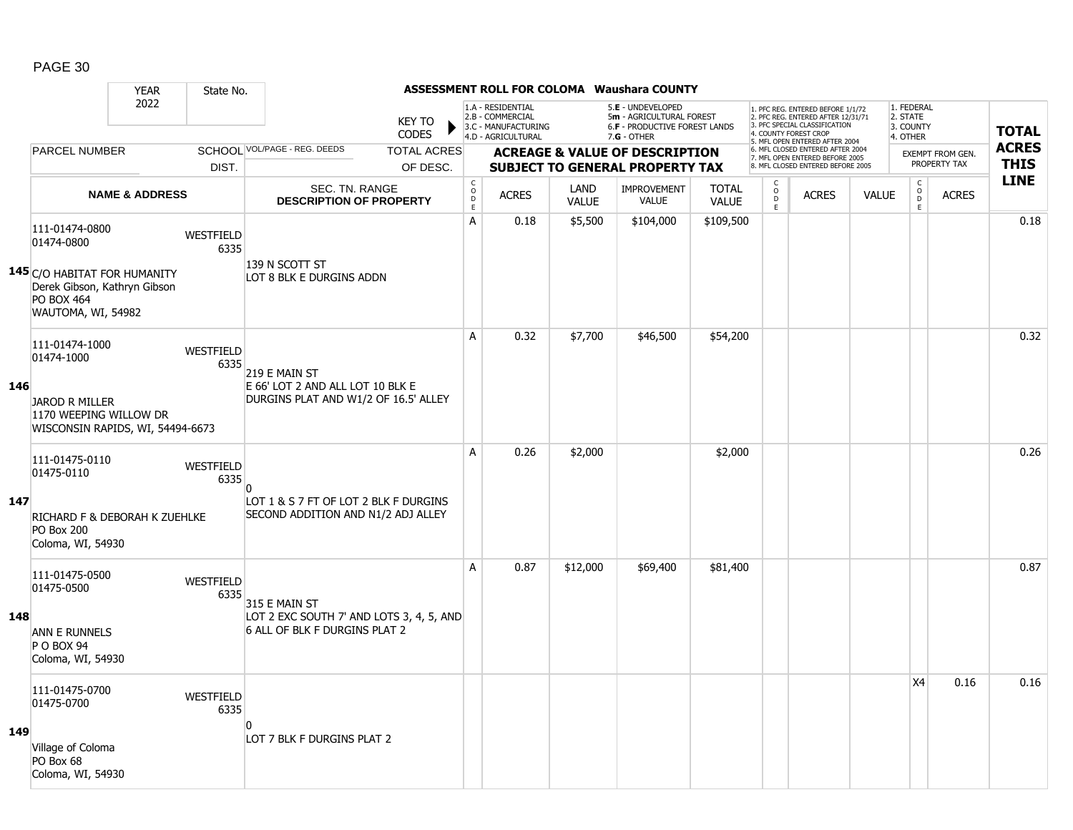|     |                                                                                                         | <b>YEAR</b>               | State No.                |                                                                             |                               |                              |                                                                                    |                      | <b>ASSESSMENT ROLL FOR COLOMA Waushara COUNTY</b>                                               |                              |                              |                                                                                                                                                                     |              |                                                 |                         |              |
|-----|---------------------------------------------------------------------------------------------------------|---------------------------|--------------------------|-----------------------------------------------------------------------------|-------------------------------|------------------------------|------------------------------------------------------------------------------------|----------------------|-------------------------------------------------------------------------------------------------|------------------------------|------------------------------|---------------------------------------------------------------------------------------------------------------------------------------------------------------------|--------------|-------------------------------------------------|-------------------------|--------------|
|     |                                                                                                         | 2022                      |                          |                                                                             | <b>KEY TO</b><br><b>CODES</b> |                              | 1.A - RESIDENTIAL<br>2.B - COMMERCIAL<br>3.C - MANUFACTURING<br>4.D - AGRICULTURAL |                      | 5.E - UNDEVELOPED<br>5m - AGRICULTURAL FOREST<br>6.F - PRODUCTIVE FOREST LANDS<br>$7.G - OTHER$ |                              |                              | 1. PFC REG. ENTERED BEFORE 1/1/72<br>2. PFC REG. ENTERED AFTER 12/31/71<br>3. PFC SPECIAL CLASSIFICATION<br>4. COUNTY FOREST CROP<br>5. MFL OPEN ENTERED AFTER 2004 |              | 1. FEDERAL<br>2. STATE<br>3. COUNTY<br>4. OTHER |                         | <b>TOTAL</b> |
|     | <b>PARCEL NUMBER</b>                                                                                    |                           |                          | SCHOOL VOL/PAGE - REG. DEEDS                                                | <b>TOTAL ACRES</b>            |                              |                                                                                    |                      | <b>ACREAGE &amp; VALUE OF DESCRIPTION</b>                                                       |                              |                              | 6. MFL CLOSED ENTERED AFTER 2004<br>7. MFL OPEN ENTERED BEFORE 2005                                                                                                 |              |                                                 | <b>EXEMPT FROM GEN.</b> | <b>ACRES</b> |
|     |                                                                                                         |                           | DIST.                    |                                                                             | OF DESC.                      |                              |                                                                                    |                      | <b>SUBJECT TO GENERAL PROPERTY TAX</b>                                                          |                              |                              | 8. MFL CLOSED ENTERED BEFORE 2005                                                                                                                                   |              |                                                 | PROPERTY TAX            | <b>THIS</b>  |
|     |                                                                                                         | <b>NAME &amp; ADDRESS</b> |                          | SEC. TN. RANGE<br><b>DESCRIPTION OF PROPERTY</b>                            |                               | C<br>$_{\rm D}^{\rm O}$<br>E | <b>ACRES</b>                                                                       | LAND<br><b>VALUE</b> | <b>IMPROVEMENT</b><br>VALUE                                                                     | <b>TOTAL</b><br><b>VALUE</b> | C<br>$_{\rm D}^{\rm O}$<br>E | <b>ACRES</b>                                                                                                                                                        | <b>VALUE</b> | $\begin{matrix} 0 \\ 0 \\ D \end{matrix}$<br>E  | <b>ACRES</b>            | <b>LINE</b>  |
|     | 111-01474-0800<br>01474-0800                                                                            |                           | WESTFIELD<br>6335        | 139 N SCOTT ST                                                              |                               | А                            | 0.18                                                                               | \$5,500              | \$104,000                                                                                       | \$109,500                    |                              |                                                                                                                                                                     |              |                                                 |                         | 0.18         |
|     | 145 C/O HABITAT FOR HUMANITY<br>Derek Gibson, Kathryn Gibson<br><b>PO BOX 464</b><br>WAUTOMA, WI, 54982 |                           |                          | LOT 8 BLK E DURGINS ADDN                                                    |                               |                              |                                                                                    |                      |                                                                                                 |                              |                              |                                                                                                                                                                     |              |                                                 |                         |              |
|     | 111-01474-1000<br>01474-1000                                                                            |                           | WESTFIELD<br>6335        | 219 E MAIN ST                                                               |                               | A                            | 0.32                                                                               | \$7,700              | \$46,500                                                                                        | \$54,200                     |                              |                                                                                                                                                                     |              |                                                 |                         | 0.32         |
| 146 | <b>JAROD R MILLER</b><br>1170 WEEPING WILLOW DR<br>WISCONSIN RAPIDS, WI, 54494-6673                     |                           |                          | E 66' LOT 2 AND ALL LOT 10 BLK E<br>DURGINS PLAT AND W1/2 OF 16.5' ALLEY    |                               |                              |                                                                                    |                      |                                                                                                 |                              |                              |                                                                                                                                                                     |              |                                                 |                         |              |
|     | 111-01475-0110<br>01475-0110                                                                            |                           | <b>WESTFIELD</b><br>6335 | $\Omega$                                                                    |                               | A                            | 0.26                                                                               | \$2,000              |                                                                                                 | \$2,000                      |                              |                                                                                                                                                                     |              |                                                 |                         | 0.26         |
| 147 | RICHARD F & DEBORAH K ZUEHLKE<br><b>PO Box 200</b><br>Coloma, WI, 54930                                 |                           |                          | LOT 1 & S 7 FT OF LOT 2 BLK F DURGINS<br>SECOND ADDITION AND N1/2 ADJ ALLEY |                               |                              |                                                                                    |                      |                                                                                                 |                              |                              |                                                                                                                                                                     |              |                                                 |                         |              |
|     | 111-01475-0500<br>01475-0500                                                                            |                           | <b>WESTFIELD</b><br>6335 | 315 E MAIN ST                                                               |                               | A                            | 0.87                                                                               | \$12,000             | \$69,400                                                                                        | \$81,400                     |                              |                                                                                                                                                                     |              |                                                 |                         | 0.87         |
| 148 | <b>ANN E RUNNELS</b><br>P O BOX 94<br>Coloma, WI, 54930                                                 |                           |                          | LOT 2 EXC SOUTH 7' AND LOTS 3, 4, 5, AND<br>6 ALL OF BLK F DURGINS PLAT 2   |                               |                              |                                                                                    |                      |                                                                                                 |                              |                              |                                                                                                                                                                     |              |                                                 |                         |              |
|     | 111-01475-0700<br>01475-0700                                                                            |                           | <b>WESTFIELD</b><br>6335 | n                                                                           |                               |                              |                                                                                    |                      |                                                                                                 |                              |                              |                                                                                                                                                                     |              | X4                                              | 0.16                    | 0.16         |
| 149 | Village of Coloma<br>PO Box 68<br>Coloma, WI, 54930                                                     |                           |                          | LOT 7 BLK F DURGINS PLAT 2                                                  |                               |                              |                                                                                    |                      |                                                                                                 |                              |                              |                                                                                                                                                                     |              |                                                 |                         |              |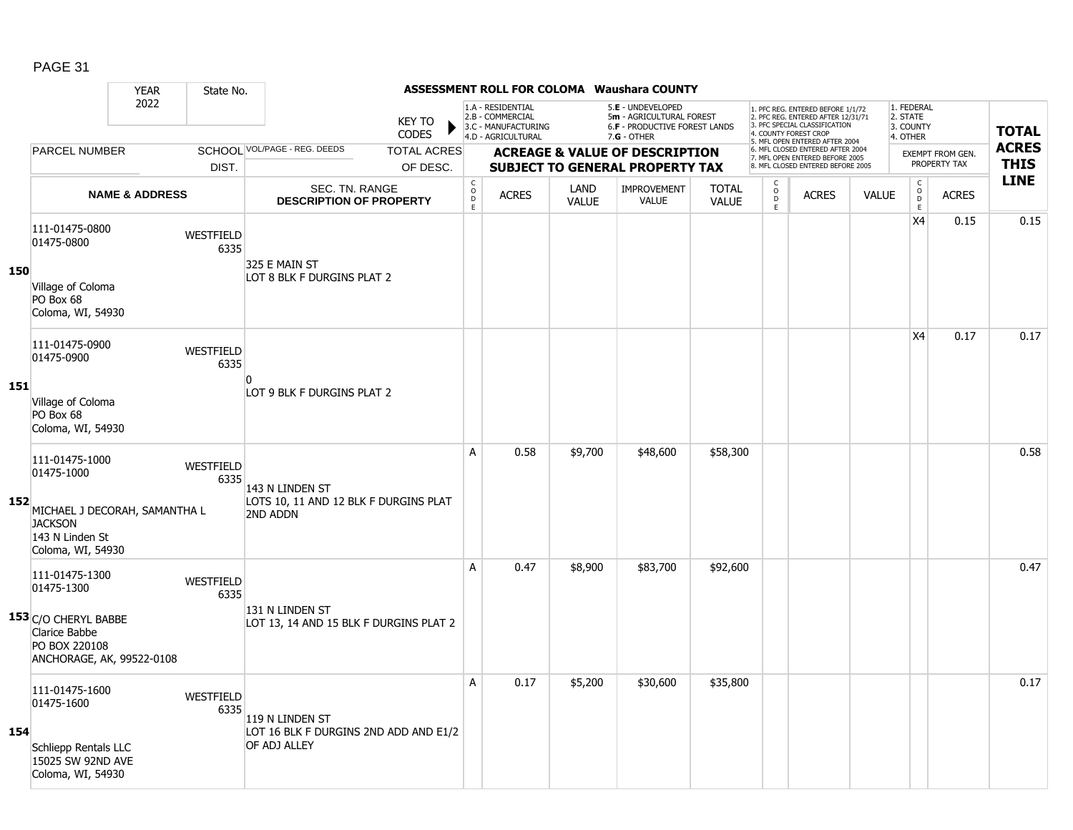|     |                                                                                                    | <b>YEAR</b>               | State No.                |                                                                             |                               |                                                |                                                                                    |                      | <b>ASSESSMENT ROLL FOR COLOMA Waushara COUNTY</b>                                                      |                              |                         |                                                                                                                                            |              |                                                 |                                         |                             |
|-----|----------------------------------------------------------------------------------------------------|---------------------------|--------------------------|-----------------------------------------------------------------------------|-------------------------------|------------------------------------------------|------------------------------------------------------------------------------------|----------------------|--------------------------------------------------------------------------------------------------------|------------------------------|-------------------------|--------------------------------------------------------------------------------------------------------------------------------------------|--------------|-------------------------------------------------|-----------------------------------------|-----------------------------|
|     |                                                                                                    | 2022                      |                          |                                                                             | <b>KEY TO</b><br><b>CODES</b> |                                                | 1.A - RESIDENTIAL<br>2.B - COMMERCIAL<br>3.C - MANUFACTURING<br>4.D - AGRICULTURAL |                      | 5.E - UNDEVELOPED<br>5m - AGRICULTURAL FOREST<br><b>6.F - PRODUCTIVE FOREST LANDS</b><br>$7.G - OTHER$ |                              | 4. COUNTY FOREST CROP   | 1. PFC REG. ENTERED BEFORE 1/1/72<br>2. PFC REG. ENTERED AFTER 12/31/71<br>3. PFC SPECIAL CLASSIFICATION<br>5. MFL OPEN ENTERED AFTER 2004 |              | 1. FEDERAL<br>2. STATE<br>3. COUNTY<br>4. OTHER |                                         | <b>TOTAL</b>                |
|     | PARCEL NUMBER                                                                                      |                           |                          | SCHOOL VOL/PAGE - REG. DEEDS                                                | <b>TOTAL ACRES</b>            |                                                |                                                                                    |                      | <b>ACREAGE &amp; VALUE OF DESCRIPTION</b>                                                              |                              |                         | 6. MFL CLOSED ENTERED AFTER 2004<br>7. MFL OPEN ENTERED BEFORE 2005<br>8. MFL CLOSED ENTERED BEFORE 2005                                   |              |                                                 | <b>EXEMPT FROM GEN.</b><br>PROPERTY TAX | <b>ACRES</b><br><b>THIS</b> |
|     |                                                                                                    |                           | DIST.                    |                                                                             | OF DESC.                      |                                                |                                                                                    |                      | <b>SUBJECT TO GENERAL PROPERTY TAX</b>                                                                 |                              | C                       |                                                                                                                                            |              | $\mathsf{C}$                                    |                                         | <b>LINE</b>                 |
|     |                                                                                                    | <b>NAME &amp; ADDRESS</b> |                          | SEC. TN. RANGE<br><b>DESCRIPTION OF PROPERTY</b>                            |                               | $\begin{matrix} 0 \\ 0 \\ D \end{matrix}$<br>E | <b>ACRES</b>                                                                       | LAND<br><b>VALUE</b> | <b>IMPROVEMENT</b><br><b>VALUE</b>                                                                     | <b>TOTAL</b><br><b>VALUE</b> | $_{\rm D}^{\rm O}$<br>E | <b>ACRES</b>                                                                                                                               | <b>VALUE</b> | $_{\rm D}^{\rm O}$<br>E                         | <b>ACRES</b>                            |                             |
| 150 | 111-01475-0800<br>01475-0800<br>Village of Coloma                                                  |                           | WESTFIELD<br>6335        | 325 E MAIN ST<br>LOT 8 BLK F DURGINS PLAT 2                                 |                               |                                                |                                                                                    |                      |                                                                                                        |                              |                         |                                                                                                                                            |              | X <sub>4</sub>                                  | 0.15                                    | 0.15                        |
|     | PO Box 68<br>Coloma, WI, 54930                                                                     |                           |                          |                                                                             |                               |                                                |                                                                                    |                      |                                                                                                        |                              |                         |                                                                                                                                            |              |                                                 |                                         |                             |
|     | 111-01475-0900<br>01475-0900                                                                       |                           | WESTFIELD<br>6335        |                                                                             |                               |                                                |                                                                                    |                      |                                                                                                        |                              |                         |                                                                                                                                            |              | X <sub>4</sub>                                  | 0.17                                    | 0.17                        |
| 151 | Village of Coloma<br>PO Box 68<br>Coloma, WI, 54930                                                |                           |                          | O<br>LOT 9 BLK F DURGINS PLAT 2                                             |                               |                                                |                                                                                    |                      |                                                                                                        |                              |                         |                                                                                                                                            |              |                                                 |                                         |                             |
| 152 | 111-01475-1000<br>01475-1000<br>MICHAEL J DECORAH, SAMANTHA L<br><b>JACKSON</b><br>143 N Linden St |                           | <b>WESTFIELD</b><br>6335 | 143 N LINDEN ST<br>LOTS 10, 11 AND 12 BLK F DURGINS PLAT<br><b>2ND ADDN</b> |                               | A                                              | 0.58                                                                               | \$9,700              | \$48,600                                                                                               | \$58,300                     |                         |                                                                                                                                            |              |                                                 |                                         | 0.58                        |
|     | Coloma, WI, 54930<br>111-01475-1300<br>01475-1300                                                  |                           | <b>WESTFIELD</b><br>6335 | 131 N LINDEN ST                                                             |                               | A                                              | 0.47                                                                               | \$8,900              | \$83,700                                                                                               | \$92,600                     |                         |                                                                                                                                            |              |                                                 |                                         | 0.47                        |
|     | 153 C/O CHERYL BABBE<br>Clarice Babbe<br>PO BOX 220108<br>ANCHORAGE, AK, 99522-0108                |                           |                          | LOT 13, 14 AND 15 BLK F DURGINS PLAT 2                                      |                               |                                                |                                                                                    |                      |                                                                                                        |                              |                         |                                                                                                                                            |              |                                                 |                                         |                             |
| 154 | 111-01475-1600<br>01475-1600<br>Schliepp Rentals LLC<br>15025 SW 92ND AVE<br>Coloma, WI, 54930     |                           | <b>WESTFIELD</b><br>6335 | 119 N LINDEN ST<br>LOT 16 BLK F DURGINS 2ND ADD AND E1/2<br>OF ADJ ALLEY    |                               | A                                              | 0.17                                                                               | \$5,200              | \$30,600                                                                                               | \$35,800                     |                         |                                                                                                                                            |              |                                                 |                                         | 0.17                        |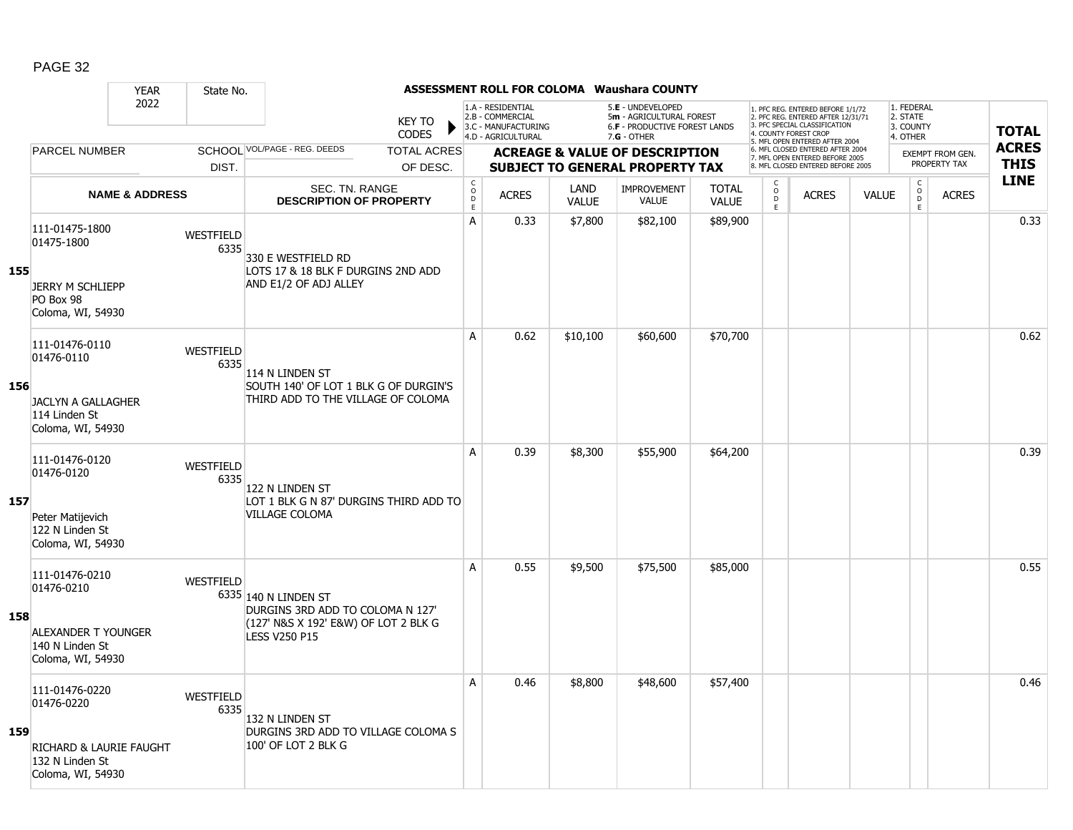|     | <b>YEAR</b>                                                                                     | State No.                |                                                                                                                          |                                        |                                                                                    |                      | <b>ASSESSMENT ROLL FOR COLOMA Waushara COUNTY</b>                                             |                              |                                                 |                                                                                                                                                                     |              |                                                 |                         |              |
|-----|-------------------------------------------------------------------------------------------------|--------------------------|--------------------------------------------------------------------------------------------------------------------------|----------------------------------------|------------------------------------------------------------------------------------|----------------------|-----------------------------------------------------------------------------------------------|------------------------------|-------------------------------------------------|---------------------------------------------------------------------------------------------------------------------------------------------------------------------|--------------|-------------------------------------------------|-------------------------|--------------|
|     | 2022                                                                                            |                          | <b>KEY TO</b><br><b>CODES</b>                                                                                            |                                        | 1.A - RESIDENTIAL<br>2.B - COMMERCIAL<br>3.C - MANUFACTURING<br>4.D - AGRICULTURAL |                      | 5.E - UNDEVELOPED<br>5m - AGRICULTURAL FOREST<br>6.F - PRODUCTIVE FOREST LANDS<br>7.G - OTHER |                              |                                                 | 1. PFC REG. ENTERED BEFORE 1/1/72<br>2. PFC REG. ENTERED AFTER 12/31/71<br>3. PFC SPECIAL CLASSIFICATION<br>4. COUNTY FOREST CROP<br>5. MFL OPEN ENTERED AFTER 2004 |              | 1. FEDERAL<br>2. STATE<br>3. COUNTY<br>4. OTHER |                         | <b>TOTAL</b> |
|     | <b>PARCEL NUMBER</b>                                                                            |                          | SCHOOL VOL/PAGE - REG. DEEDS<br><b>TOTAL ACRES</b>                                                                       |                                        |                                                                                    |                      | <b>ACREAGE &amp; VALUE OF DESCRIPTION</b>                                                     |                              |                                                 | 6. MFL CLOSED ENTERED AFTER 2004<br>7. MFL OPEN ENTERED BEFORE 2005                                                                                                 |              |                                                 | <b>EXEMPT FROM GEN.</b> | <b>ACRES</b> |
|     |                                                                                                 | DIST.                    | OF DESC.                                                                                                                 |                                        |                                                                                    |                      | <b>SUBJECT TO GENERAL PROPERTY TAX</b>                                                        |                              |                                                 | 8. MFL CLOSED ENTERED BEFORE 2005                                                                                                                                   |              |                                                 | PROPERTY TAX            | <b>THIS</b>  |
|     | <b>NAME &amp; ADDRESS</b>                                                                       |                          | <b>SEC. TN. RANGE</b><br><b>DESCRIPTION OF PROPERTY</b>                                                                  | $_{\rm o}^{\rm c}$<br>$\mathsf D$<br>E | <b>ACRES</b>                                                                       | LAND<br><b>VALUE</b> | <b>IMPROVEMENT</b><br><b>VALUE</b>                                                            | <b>TOTAL</b><br><b>VALUE</b> | $\begin{matrix} 0 \\ 0 \\ D \end{matrix}$<br>E. | <b>ACRES</b>                                                                                                                                                        | <b>VALUE</b> | $\begin{matrix} 0 \\ 0 \\ 0 \end{matrix}$<br>E  | <b>ACRES</b>            | <b>LINE</b>  |
| 155 | 111-01475-1800<br>01475-1800<br><b>JERRY M SCHLIEPP</b><br>PO Box 98<br>Coloma, WI, 54930       | WESTFIELD<br>6335        | 330 E WESTFIELD RD<br>LOTS 17 & 18 BLK F DURGINS 2ND ADD<br>AND E1/2 OF ADJ ALLEY                                        | A                                      | 0.33                                                                               | \$7,800              | \$82,100                                                                                      | \$89,900                     |                                                 |                                                                                                                                                                     |              |                                                 |                         | 0.33         |
| 156 | 111-01476-0110<br>01476-0110<br>JACLYN A GALLAGHER<br>114 Linden St<br>Coloma, WI, 54930        | WESTFIELD<br>6335        | 114 N LINDEN ST<br>SOUTH 140' OF LOT 1 BLK G OF DURGIN'S<br>THIRD ADD TO THE VILLAGE OF COLOMA                           | A                                      | 0.62                                                                               | \$10,100             | \$60,600                                                                                      | \$70,700                     |                                                 |                                                                                                                                                                     |              |                                                 |                         | 0.62         |
| 157 | 111-01476-0120<br>01476-0120<br>Peter Matijevich<br>122 N Linden St<br>Coloma, WI, 54930        | <b>WESTFIELD</b><br>6335 | 122 N LINDEN ST<br>LOT 1 BLK G N 87' DURGINS THIRD ADD TO<br>VILLAGE COLOMA                                              | A                                      | 0.39                                                                               | \$8,300              | \$55,900                                                                                      | \$64,200                     |                                                 |                                                                                                                                                                     |              |                                                 |                         | 0.39         |
| 158 | 111-01476-0210<br>01476-0210<br>ALEXANDER T YOUNGER<br>140 N Linden St<br>Coloma, WI, 54930     | WESTFIELD                | 6335 140 N LINDEN ST<br>DURGINS 3RD ADD TO COLOMA N 127'<br>(127' N&S X 192' E&W) OF LOT 2 BLK G<br><b>LESS V250 P15</b> | A                                      | 0.55                                                                               | \$9,500              | \$75,500                                                                                      | \$85,000                     |                                                 |                                                                                                                                                                     |              |                                                 |                         | 0.55         |
| 159 | 111-01476-0220<br>01476-0220<br>RICHARD & LAURIE FAUGHT<br>132 N Linden St<br>Coloma, WI, 54930 | WESTFIELD<br>6335        | 132 N LINDEN ST<br>DURGINS 3RD ADD TO VILLAGE COLOMA S<br>100' OF LOT 2 BLK G                                            | A                                      | 0.46                                                                               | \$8,800              | \$48,600                                                                                      | \$57,400                     |                                                 |                                                                                                                                                                     |              |                                                 |                         | 0.46         |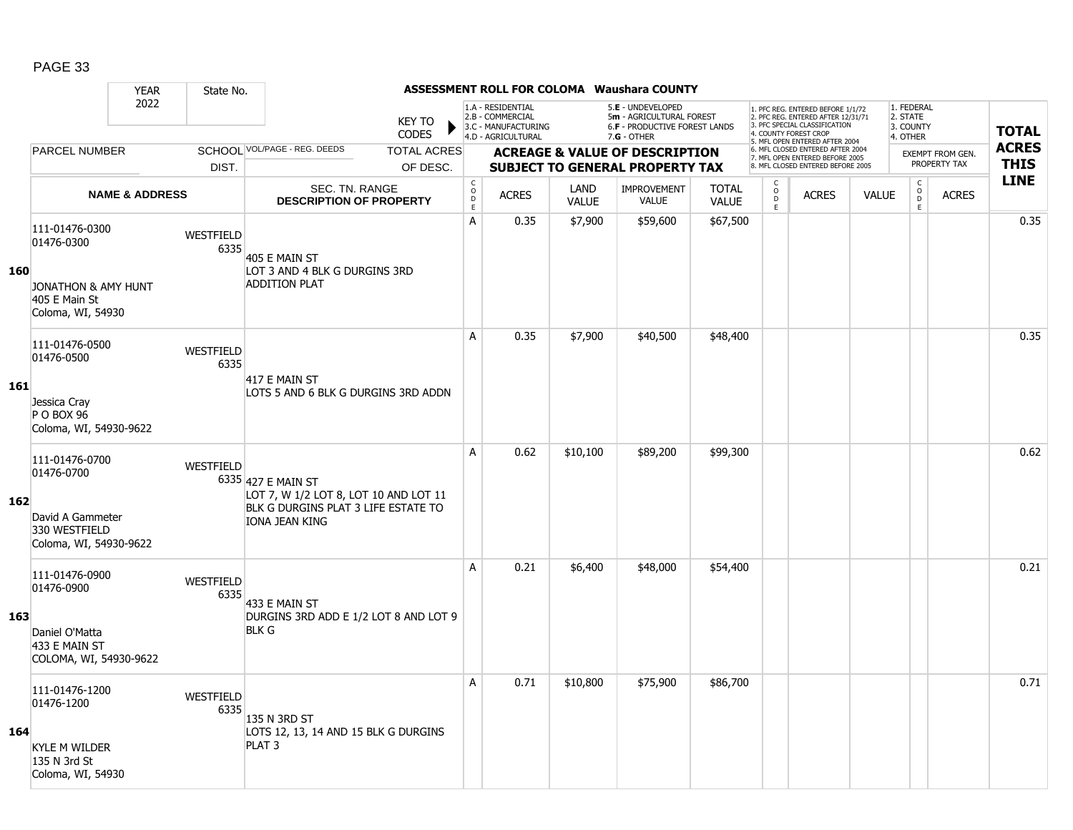|     |                                                                                                                     | <b>YEAR</b>                  | State No.                |                                                                                                                      |                                                                 |                                                                                    |              |                             | <b>ASSESSMENT ROLL FOR COLOMA Waushara COUNTY</b>                                               |                              |                                                                                                       |                                                                                                                                   |              |                                                 |              |                            |
|-----|---------------------------------------------------------------------------------------------------------------------|------------------------------|--------------------------|----------------------------------------------------------------------------------------------------------------------|-----------------------------------------------------------------|------------------------------------------------------------------------------------|--------------|-----------------------------|-------------------------------------------------------------------------------------------------|------------------------------|-------------------------------------------------------------------------------------------------------|-----------------------------------------------------------------------------------------------------------------------------------|--------------|-------------------------------------------------|--------------|----------------------------|
|     |                                                                                                                     | 2022                         |                          | <b>KEY TO</b><br><b>CODES</b>                                                                                        |                                                                 | 1.A - RESIDENTIAL<br>2.B - COMMERCIAL<br>3.C - MANUFACTURING<br>4.D - AGRICULTURAL |              |                             | 5.E - UNDEVELOPED<br>5m - AGRICULTURAL FOREST<br>6.F - PRODUCTIVE FOREST LANDS<br>$7.G - OTHER$ |                              |                                                                                                       | 1. PFC REG. ENTERED BEFORE 1/1/72<br>2. PFC REG. ENTERED AFTER 12/31/71<br>3. PFC SPECIAL CLASSIFICATION<br>4. COUNTY FOREST CROP |              | 1. FEDERAL<br>2. STATE<br>3. COUNTY<br>4. OTHER |              | <b>TOTAL</b>               |
|     | <b>PARCEL NUMBER</b>                                                                                                | SCHOOL VOL/PAGE - REG. DEEDS |                          |                                                                                                                      | <b>TOTAL ACRES</b><br><b>ACREAGE &amp; VALUE OF DESCRIPTION</b> |                                                                                    |              |                             |                                                                                                 |                              | 5. MFL OPEN ENTERED AFTER 2004<br>6. MFL CLOSED ENTERED AFTER 2004<br>7. MFL OPEN ENTERED BEFORE 2005 |                                                                                                                                   |              | <b>EXEMPT FROM GEN.</b>                         |              | <b>ACRES</b>               |
|     |                                                                                                                     |                              | DIST.                    |                                                                                                                      | OF DESC.                                                        |                                                                                    |              |                             | <b>SUBJECT TO GENERAL PROPERTY TAX</b>                                                          |                              |                                                                                                       | 8. MFL CLOSED ENTERED BEFORE 2005                                                                                                 |              |                                                 | PROPERTY TAX | <b>THIS</b><br><b>LINE</b> |
|     |                                                                                                                     | <b>NAME &amp; ADDRESS</b>    |                          | SEC. TN. RANGE<br><b>DESCRIPTION OF PROPERTY</b>                                                                     |                                                                 | C<br>$\mathsf{O}$<br>$\mathsf D$<br>E                                              | <b>ACRES</b> | <b>LAND</b><br><b>VALUE</b> | <b>IMPROVEMENT</b><br>VALUE                                                                     | <b>TOTAL</b><br><b>VALUE</b> | C<br>$_{\rm D}^{\rm O}$<br>E                                                                          | <b>ACRES</b>                                                                                                                      | <b>VALUE</b> | $\begin{matrix} 0 \\ 0 \\ D \end{matrix}$<br>E  | <b>ACRES</b> |                            |
| 160 | 111-01476-0300<br>WESTFIELD<br>01476-0300                                                                           |                              | 6335                     | 405 E MAIN ST                                                                                                        |                                                                 | A                                                                                  | 0.35         | \$7,900                     | \$59,600                                                                                        | \$67,500                     |                                                                                                       |                                                                                                                                   |              |                                                 |              | 0.35                       |
|     | <b>JONATHON &amp; AMY HUNT</b><br>405 E Main St<br>Coloma, WI, 54930                                                |                              |                          | LOT 3 AND 4 BLK G DURGINS 3RD<br><b>ADDITION PLAT</b>                                                                |                                                                 |                                                                                    |              |                             |                                                                                                 |                              |                                                                                                       |                                                                                                                                   |              |                                                 |              |                            |
|     | 111-01476-0500<br>01476-0500                                                                                        |                              | WESTFIELD<br>6335        | 417 E MAIN ST                                                                                                        |                                                                 | А                                                                                  | 0.35         | \$7,900                     | \$40,500                                                                                        | \$48,400                     |                                                                                                       |                                                                                                                                   |              |                                                 |              | 0.35                       |
| 161 | Jessica Cray<br>P O BOX 96<br>Coloma, WI, 54930-9622                                                                |                              |                          | LOTS 5 AND 6 BLK G DURGINS 3RD ADDN                                                                                  |                                                                 |                                                                                    |              |                             |                                                                                                 |                              |                                                                                                       |                                                                                                                                   |              |                                                 |              |                            |
| 162 | 111-01476-0700<br>01476-0700<br>David A Gammeter<br>330 WESTFIELD<br>Coloma, WI, 54930-9622                         |                              | WESTFIELD                | 6335 427 E MAIN ST<br>LOT 7, W 1/2 LOT 8, LOT 10 AND LOT 11<br>BLK G DURGINS PLAT 3 LIFE ESTATE TO<br>IONA JEAN KING |                                                                 | A                                                                                  | 0.62         | \$10,100                    | \$89,200                                                                                        | \$99,300                     |                                                                                                       |                                                                                                                                   |              |                                                 |              | 0.62                       |
| 163 | 111-01476-0900<br>01476-0900<br>Daniel O'Matta<br>433 E MAIN ST                                                     |                              | <b>WESTFIELD</b><br>6335 | 433 E MAIN ST<br>DURGINS 3RD ADD E 1/2 LOT 8 AND LOT 9<br><b>BLK G</b>                                               |                                                                 | А                                                                                  | 0.21         | \$6,400                     | \$48,000                                                                                        | \$54,400                     |                                                                                                       |                                                                                                                                   |              |                                                 |              | 0.21                       |
| 164 | COLOMA, WI, 54930-9622<br>111-01476-1200<br>01476-1200<br><b>KYLE M WILDER</b><br>135 N 3rd St<br>Coloma, WI, 54930 |                              | WESTFIELD<br>6335        | 135 N 3RD ST<br>LOTS 12, 13, 14 AND 15 BLK G DURGINS<br>PLAT <sub>3</sub>                                            |                                                                 | A                                                                                  | 0.71         | \$10,800                    | \$75,900                                                                                        | \$86,700                     |                                                                                                       |                                                                                                                                   |              |                                                 |              | 0.71                       |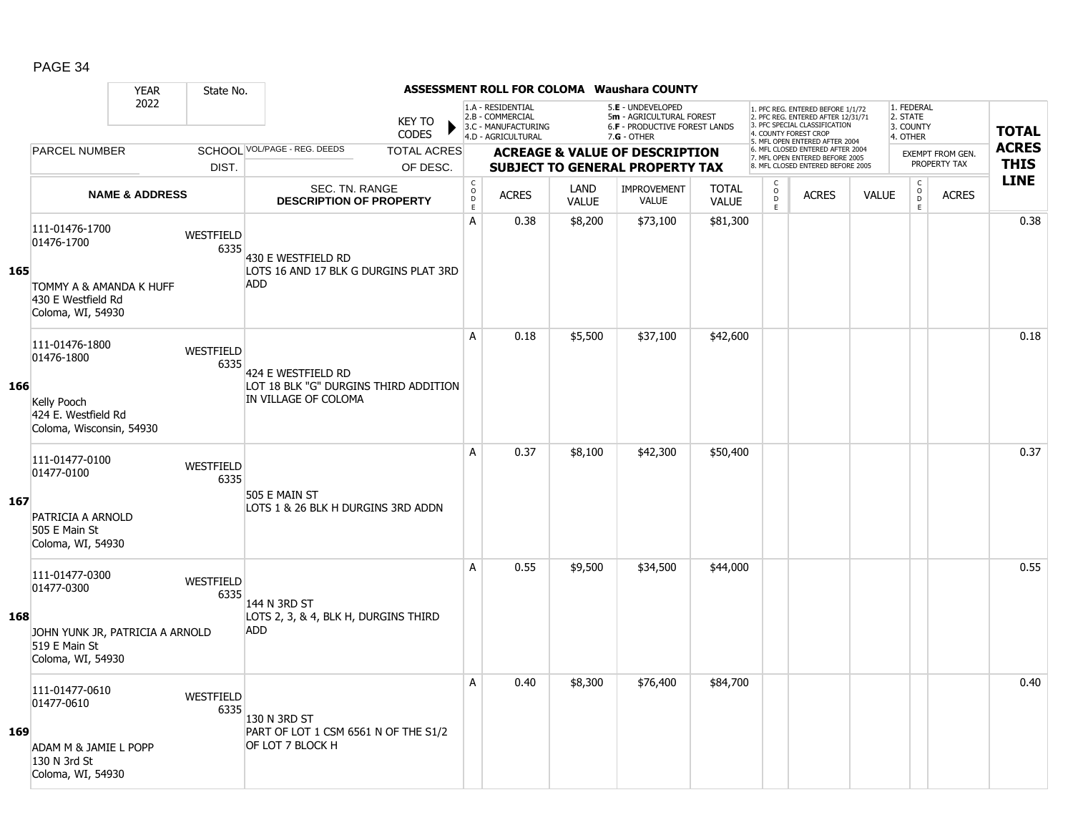|     |                                                                                                       | <b>YEAR</b>                           | State No.                |                                                                                     |                                                              |                       |                                                                                    |                                                                                     | ASSESSMENT ROLL FOR COLOMA Waushara COUNTY                                                      |                              |                         |                                                                                                                                            |              |                                                    |                                         |                             |
|-----|-------------------------------------------------------------------------------------------------------|---------------------------------------|--------------------------|-------------------------------------------------------------------------------------|--------------------------------------------------------------|-----------------------|------------------------------------------------------------------------------------|-------------------------------------------------------------------------------------|-------------------------------------------------------------------------------------------------|------------------------------|-------------------------|--------------------------------------------------------------------------------------------------------------------------------------------|--------------|----------------------------------------------------|-----------------------------------------|-----------------------------|
|     |                                                                                                       | 2022                                  |                          |                                                                                     | <b>KEY TO</b><br><b>CODES</b>                                |                       | 1.A - RESIDENTIAL<br>2.B - COMMERCIAL<br>3.C - MANUFACTURING<br>4.D - AGRICULTURAL |                                                                                     | 5.E - UNDEVELOPED<br>5m - AGRICULTURAL FOREST<br>6.F - PRODUCTIVE FOREST LANDS<br>$7.G - OTHER$ |                              |                         | 1. PFC REG. ENTERED BEFORE 1/1/72<br>2. PFC REG. ENTERED AFTER 12/31/71<br>3. PFC SPECIAL CLASSIFICATION<br>4. COUNTY FOREST CROP          |              | 1. FEDERAL<br>2. STATE<br>3. COUNTY<br>4. OTHER    |                                         | <b>TOTAL</b>                |
|     | PARCEL NUMBER                                                                                         | SCHOOL VOL/PAGE - REG. DEEDS<br>DIST. |                          |                                                                                     | <b>TOTAL ACRES</b>                                           |                       |                                                                                    | <b>ACREAGE &amp; VALUE OF DESCRIPTION</b><br><b>SUBJECT TO GENERAL PROPERTY TAX</b> |                                                                                                 |                              |                         | 5. MFL OPEN ENTERED AFTER 2004<br>6. MFL CLOSED ENTERED AFTER 2004<br>7. MFL OPEN ENTERED BEFORE 2005<br>8. MFL CLOSED ENTERED BEFORE 2005 |              |                                                    | <b>EXEMPT FROM GEN.</b><br>PROPERTY TAX | <b>ACRES</b><br><b>THIS</b> |
|     |                                                                                                       | <b>NAME &amp; ADDRESS</b>             |                          |                                                                                     | OF DESC.<br>SEC. TN. RANGE<br><b>DESCRIPTION OF PROPERTY</b> |                       | <b>ACRES</b>                                                                       | LAND<br><b>VALUE</b>                                                                | <b>IMPROVEMENT</b><br><b>VALUE</b>                                                              | <b>TOTAL</b><br><b>VALUE</b> | C<br>$_{\rm D}^{\rm O}$ | <b>ACRES</b>                                                                                                                               | <b>VALUE</b> | $\mathsf{C}$<br>$\overset{\mathsf{O}}{\mathsf{D}}$ | <b>ACRES</b>                            | <b>LINE</b>                 |
| 165 | 111-01476-1700<br>01476-1700<br>TOMMY A & AMANDA K HUFF<br>430 E Westfield Rd<br>Coloma, WI, 54930    |                                       | WESTFIELD<br>6335        | 430 E WESTFIELD RD<br>LOTS 16 AND 17 BLK G DURGINS PLAT 3RD<br><b>ADD</b>           |                                                              | $\mathsf D$<br>E<br>A | 0.38                                                                               | \$8,200                                                                             | \$73,100                                                                                        | \$81,300                     | E                       |                                                                                                                                            |              | E                                                  |                                         | 0.38                        |
| 166 | 111-01476-1800<br>01476-1800<br>Kelly Pooch<br>424 E. Westfield Rd<br>Coloma, Wisconsin, 54930        |                                       | <b>WESTFIELD</b><br>6335 | 424 E WESTFIELD RD<br>LOT 18 BLK "G" DURGINS THIRD ADDITION<br>IN VILLAGE OF COLOMA |                                                              | A                     | 0.18                                                                               | \$5,500                                                                             | \$37,100                                                                                        | \$42,600                     |                         |                                                                                                                                            |              |                                                    |                                         | 0.18                        |
| 167 | 111-01477-0100<br>01477-0100<br>PATRICIA A ARNOLD<br>505 E Main St<br>Coloma, WI, 54930               |                                       | <b>WESTFIELD</b><br>6335 | 505 E MAIN ST<br>LOTS 1 & 26 BLK H DURGINS 3RD ADDN                                 |                                                              | A                     | 0.37                                                                               | \$8,100                                                                             | \$42,300                                                                                        | \$50,400                     |                         |                                                                                                                                            |              |                                                    |                                         | 0.37                        |
| 168 | 111-01477-0300<br>01477-0300<br>JOHN YUNK JR, PATRICIA A ARNOLD<br>519 E Main St<br>Coloma, WI, 54930 |                                       | WESTFIELD<br>6335        | 144 N 3RD ST<br>LOTS 2, 3, & 4, BLK H, DURGINS THIRD<br>ADD.                        |                                                              | A                     | 0.55                                                                               | \$9,500                                                                             | \$34,500                                                                                        | \$44,000                     |                         |                                                                                                                                            |              |                                                    |                                         | 0.55                        |
| 169 | 111-01477-0610<br>01477-0610<br>ADAM M & JAMIE L POPP<br>130 N 3rd St<br>Coloma, WI, 54930            |                                       | <b>WESTFIELD</b><br>6335 | 130 N 3RD ST<br>PART OF LOT 1 CSM 6561 N OF THE S1/2<br>OF LOT 7 BLOCK H            |                                                              | A                     | 0.40                                                                               | \$8,300                                                                             | \$76,400                                                                                        | \$84,700                     |                         |                                                                                                                                            |              |                                                    |                                         | 0.40                        |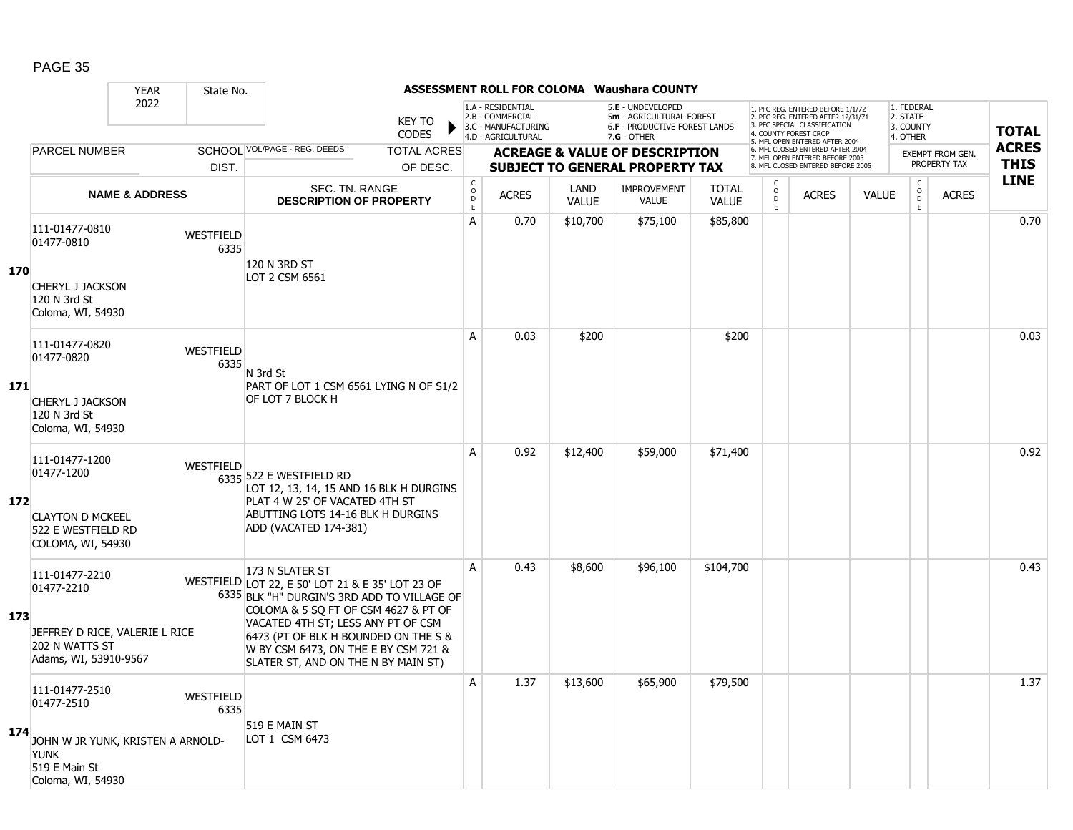|     |                                                                                                           | <b>YEAR</b>                  | State No.         |                                                                                                                                                                                                                                                                                                                         |  |                                        |                                                                                    |                                           | <b>ASSESSMENT ROLL FOR COLOMA Waushara COUNTY</b>                                               |                              |                                                                                                       |                                                                                                                                   |              |                                                 |              |              |
|-----|-----------------------------------------------------------------------------------------------------------|------------------------------|-------------------|-------------------------------------------------------------------------------------------------------------------------------------------------------------------------------------------------------------------------------------------------------------------------------------------------------------------------|--|----------------------------------------|------------------------------------------------------------------------------------|-------------------------------------------|-------------------------------------------------------------------------------------------------|------------------------------|-------------------------------------------------------------------------------------------------------|-----------------------------------------------------------------------------------------------------------------------------------|--------------|-------------------------------------------------|--------------|--------------|
|     |                                                                                                           | 2022                         |                   | <b>KEY TO</b><br><b>CODES</b>                                                                                                                                                                                                                                                                                           |  |                                        | 1.A - RESIDENTIAL<br>2.B - COMMERCIAL<br>3.C - MANUFACTURING<br>4.D - AGRICULTURAL |                                           | 5.E - UNDEVELOPED<br>5m - AGRICULTURAL FOREST<br>6.F - PRODUCTIVE FOREST LANDS<br>$7.G - OTHER$ |                              |                                                                                                       | 1. PFC REG. ENTERED BEFORE 1/1/72<br>2. PFC REG. ENTERED AFTER 12/31/71<br>3. PFC SPECIAL CLASSIFICATION<br>4. COUNTY FOREST CROP |              | 1. FEDERAL<br>2. STATE<br>3. COUNTY<br>4. OTHER |              | <b>TOTAL</b> |
|     | <b>PARCEL NUMBER</b>                                                                                      | SCHOOL VOL/PAGE - REG. DEEDS |                   | <b>TOTAL ACRES</b>                                                                                                                                                                                                                                                                                                      |  |                                        |                                                                                    | <b>ACREAGE &amp; VALUE OF DESCRIPTION</b> |                                                                                                 |                              | 5. MFL OPEN ENTERED AFTER 2004<br>6. MFL CLOSED ENTERED AFTER 2004<br>7. MFL OPEN ENTERED BEFORE 2005 |                                                                                                                                   |              | <b>EXEMPT FROM GEN.</b>                         | <b>ACRES</b> |              |
|     |                                                                                                           |                              | DIST.             | OF DESC.                                                                                                                                                                                                                                                                                                                |  |                                        |                                                                                    |                                           | <b>SUBJECT TO GENERAL PROPERTY TAX</b>                                                          |                              |                                                                                                       | 8. MFL CLOSED ENTERED BEFORE 2005                                                                                                 |              |                                                 | PROPERTY TAX | <b>THIS</b>  |
|     |                                                                                                           | <b>NAME &amp; ADDRESS</b>    |                   | SEC. TN. RANGE<br><b>DESCRIPTION OF PROPERTY</b>                                                                                                                                                                                                                                                                        |  | C<br>$\mathsf{O}$<br>$\mathsf D$<br>E. | <b>ACRES</b>                                                                       | <b>LAND</b><br><b>VALUE</b>               | <b>IMPROVEMENT</b><br><b>VALUE</b>                                                              | <b>TOTAL</b><br><b>VALUE</b> | C<br>$_{\rm D}^{\rm O}$<br>E                                                                          | <b>ACRES</b>                                                                                                                      | <b>VALUE</b> | $\begin{matrix} 0 \\ 0 \\ D \end{matrix}$<br>E  | <b>ACRES</b> | <b>LINE</b>  |
| 170 | 111-01477-0810<br>WESTFIELD<br>01477-0810<br><b>CHERYL J JACKSON</b>                                      |                              | 6335              | 120 N 3RD ST<br>LOT 2 CSM 6561                                                                                                                                                                                                                                                                                          |  | A                                      | 0.70                                                                               | \$10,700                                  | \$75,100                                                                                        | \$85,800                     |                                                                                                       |                                                                                                                                   |              |                                                 |              | 0.70         |
|     | 120 N 3rd St<br>Coloma, WI, 54930                                                                         |                              |                   |                                                                                                                                                                                                                                                                                                                         |  |                                        |                                                                                    |                                           |                                                                                                 |                              |                                                                                                       |                                                                                                                                   |              |                                                 |              |              |
| 171 | 111-01477-0820<br>01477-0820                                                                              |                              | WESTFIELD<br>6335 | N 3rd St<br>PART OF LOT 1 CSM 6561 LYING N OF S1/2                                                                                                                                                                                                                                                                      |  | A                                      | 0.03                                                                               | \$200                                     |                                                                                                 | \$200                        |                                                                                                       |                                                                                                                                   |              |                                                 |              | 0.03         |
|     | <b>CHERYL J JACKSON</b><br>120 N 3rd St<br>Coloma, WI, 54930                                              |                              |                   | OF LOT 7 BLOCK H                                                                                                                                                                                                                                                                                                        |  |                                        |                                                                                    |                                           |                                                                                                 |                              |                                                                                                       |                                                                                                                                   |              |                                                 |              |              |
| 172 | 111-01477-1200<br>01477-1200<br><b>CLAYTON D MCKEEL</b><br>522 E WESTFIELD RD<br>COLOMA, WI, 54930        |                              | <b>WESTFIELD</b>  | 6335 522 E WESTFIELD RD<br>LOT 12, 13, 14, 15 AND 16 BLK H DURGINS<br>PLAT 4 W 25' OF VACATED 4TH ST<br>ABUTTING LOTS 14-16 BLK H DURGINS<br>ADD (VACATED 174-381)                                                                                                                                                      |  | A                                      | 0.92                                                                               | \$12,400                                  | \$59,000                                                                                        | \$71,400                     |                                                                                                       |                                                                                                                                   |              |                                                 |              | 0.92         |
| 173 | 111-01477-2210<br>01477-2210<br>JEFFREY D RICE, VALERIE L RICE<br>202 N WATTS ST<br>Adams, WI, 53910-9567 |                              |                   | 173 N SLATER ST<br>WESTFIELD LOT 22, E 50' LOT 21 & E 35' LOT 23 OF<br>6335 BLK "H" DURGIN'S 3RD ADD TO VILLAGE OF<br>COLOMA & 5 SO FT OF CSM 4627 & PT OF<br>VACATED 4TH ST; LESS ANY PT OF CSM<br>6473 (PT OF BLK H BOUNDED ON THE S &<br>W BY CSM 6473, ON THE E BY CSM 721 &<br>SLATER ST, AND ON THE N BY MAIN ST) |  | A                                      | 0.43                                                                               | \$8,600                                   | \$96,100                                                                                        | \$104,700                    |                                                                                                       |                                                                                                                                   |              |                                                 |              | 0.43         |
| 174 | 111-01477-2510<br>01477-2510<br>JOHN W JR YUNK, KRISTEN A ARNOLD-<br><b>YUNK</b><br>519 E Main St         |                              | WESTFIELD<br>6335 | 519 E MAIN ST<br>LOT 1 CSM 6473                                                                                                                                                                                                                                                                                         |  | Α                                      | 1.37                                                                               | \$13,600                                  | \$65,900                                                                                        | \$79,500                     |                                                                                                       |                                                                                                                                   |              |                                                 |              | 1.37         |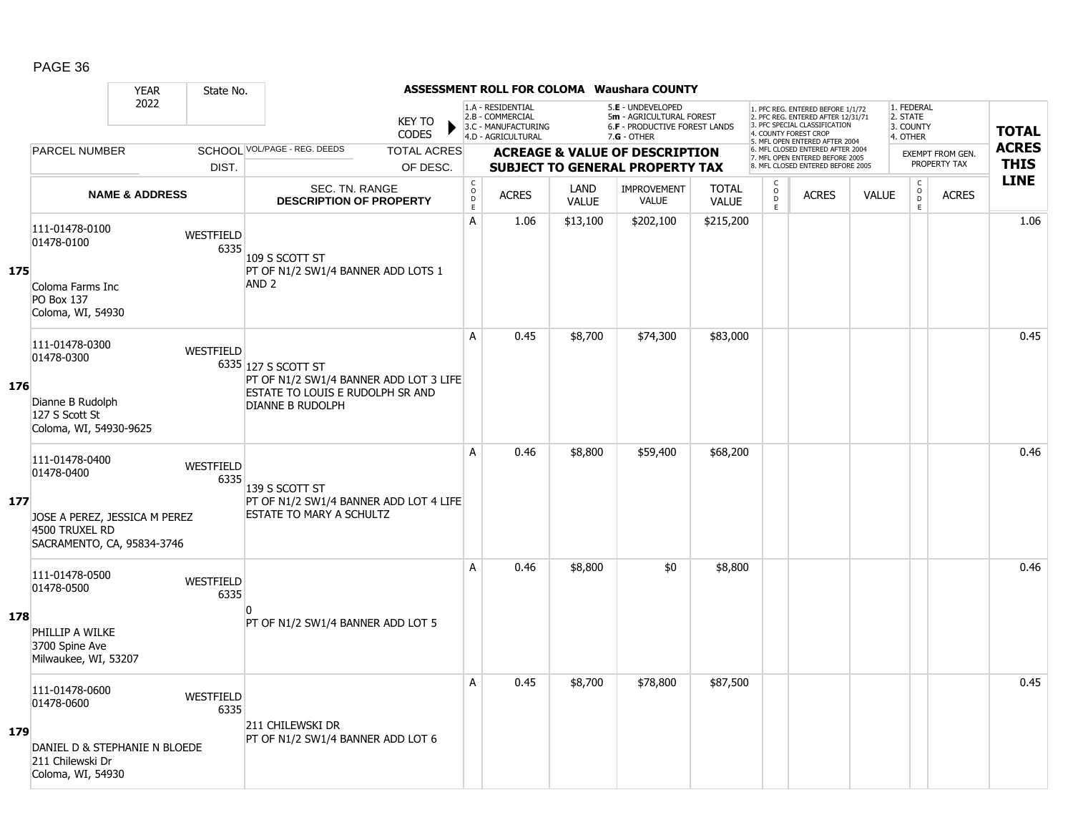|     |                                                                                     | <b>YEAR</b>               | State No.                                  |                                                                           |                               |                                        |                                                                                    |                      | <b>ASSESSMENT ROLL FOR COLOMA Waushara COUNTY</b>                                             |                              |                                                                                                       |                                                                                                                                   |              |                                                            |              |                             |
|-----|-------------------------------------------------------------------------------------|---------------------------|--------------------------------------------|---------------------------------------------------------------------------|-------------------------------|----------------------------------------|------------------------------------------------------------------------------------|----------------------|-----------------------------------------------------------------------------------------------|------------------------------|-------------------------------------------------------------------------------------------------------|-----------------------------------------------------------------------------------------------------------------------------------|--------------|------------------------------------------------------------|--------------|-----------------------------|
|     |                                                                                     | 2022                      |                                            |                                                                           | <b>KEY TO</b><br><b>CODES</b> |                                        | 1.A - RESIDENTIAL<br>2.B - COMMERCIAL<br>3.C - MANUFACTURING<br>4.D - AGRICULTURAL |                      | 5.E - UNDEVELOPED<br>5m - AGRICULTURAL FOREST<br>6.F - PRODUCTIVE FOREST LANDS<br>7.G - OTHER |                              |                                                                                                       | 1. PFC REG. ENTERED BEFORE 1/1/72<br>2. PFC REG. ENTERED AFTER 12/31/71<br>3. PFC SPECIAL CLASSIFICATION<br>4. COUNTY FOREST CROP |              | 1. FEDERAL<br>2. STATE<br>3. COUNTY<br>4. OTHER            |              | <b>TOTAL</b>                |
|     | <b>PARCEL NUMBER</b>                                                                |                           |                                            | SCHOOL VOL/PAGE - REG. DEEDS                                              | <b>TOTAL ACRES</b>            |                                        |                                                                                    |                      | <b>ACREAGE &amp; VALUE OF DESCRIPTION</b>                                                     |                              | 5. MFL OPEN ENTERED AFTER 2004<br>6. MFL CLOSED ENTERED AFTER 2004<br>7. MFL OPEN ENTERED BEFORE 2005 |                                                                                                                                   |              | <b>EXEMPT FROM GEN.</b><br>PROPERTY TAX                    |              | <b>ACRES</b><br><b>THIS</b> |
|     |                                                                                     |                           | DIST.                                      |                                                                           | OF DESC.                      |                                        |                                                                                    |                      | <b>SUBJECT TO GENERAL PROPERTY TAX</b>                                                        |                              | 8. MFL CLOSED ENTERED BEFORE 2005                                                                     |                                                                                                                                   |              |                                                            |              | <b>LINE</b>                 |
|     |                                                                                     | <b>NAME &amp; ADDRESS</b> |                                            | <b>SEC. TN. RANGE</b><br><b>DESCRIPTION OF PROPERTY</b>                   |                               | $_{\rm o}^{\rm c}$<br>$\mathsf D$<br>E | <b>ACRES</b>                                                                       | LAND<br><b>VALUE</b> | <b>IMPROVEMENT</b><br>VALUE                                                                   | <b>TOTAL</b><br><b>VALUE</b> | $\begin{matrix} 0 \\ 0 \\ D \end{matrix}$<br>E.                                                       | <b>ACRES</b>                                                                                                                      | <b>VALUE</b> | $\begin{smallmatrix} C\\ O\\ O\\ D \end{smallmatrix}$<br>E | <b>ACRES</b> |                             |
| 175 | 111-01478-0100<br>01478-0100<br>Coloma Farms Inc<br>PO Box 137<br>Coloma, WI, 54930 |                           | WESTFIELD<br>6335                          | 109 S SCOTT ST<br>PT OF N1/2 SW1/4 BANNER ADD LOTS 1                      |                               | A                                      | 1.06                                                                               | \$13,100             | \$202,100                                                                                     | \$215,200                    |                                                                                                       |                                                                                                                                   |              |                                                            |              | 1.06                        |
|     |                                                                                     |                           | AND <sub>2</sub>                           |                                                                           |                               |                                        |                                                                                    |                      |                                                                                               |                              |                                                                                                       |                                                                                                                                   |              |                                                            |              |                             |
| 176 | 111-01478-0300<br>01478-0300                                                        |                           | WESTFIELD                                  | 6335 127 S SCOTT ST<br>PT OF N1/2 SW1/4 BANNER ADD LOT 3 LIFE             |                               | A                                      | 0.45                                                                               | \$8,700              | \$74,300                                                                                      | \$83,000                     |                                                                                                       |                                                                                                                                   |              |                                                            |              | 0.45                        |
|     | Dianne B Rudolph<br>127 S Scott St<br>Coloma, WI, 54930-9625                        |                           |                                            | ESTATE TO LOUIS E RUDOLPH SR AND<br>DIANNE B RUDOLPH                      |                               |                                        |                                                                                    |                      |                                                                                               |                              |                                                                                                       |                                                                                                                                   |              |                                                            |              |                             |
| 177 | 111-01478-0400<br>01478-0400                                                        |                           | <b>WESTFIELD</b><br>6335<br>139 S SCOTT ST |                                                                           | A                             | 0.46                                   | \$8,800                                                                            | \$59,400             | \$68,200                                                                                      |                              |                                                                                                       |                                                                                                                                   |              |                                                            | 0.46         |                             |
|     | JOSE A PEREZ, JESSICA M PEREZ<br>4500 TRUXEL RD<br>SACRAMENTO, CA, 95834-3746       |                           |                                            | PT OF N1/2 SW1/4 BANNER ADD LOT 4 LIFE<br><b>ESTATE TO MARY A SCHULTZ</b> |                               |                                        |                                                                                    |                      |                                                                                               |                              |                                                                                                       |                                                                                                                                   |              |                                                            |              |                             |
|     | 111-01478-0500<br>01478-0500                                                        |                           | <b>WESTFIELD</b><br>6335                   |                                                                           |                               | A                                      | 0.46                                                                               | \$8,800              | \$0                                                                                           | \$8,800                      |                                                                                                       |                                                                                                                                   |              |                                                            |              | 0.46                        |
| 178 | PHILLIP A WILKE<br>3700 Spine Ave<br>Milwaukee, WI, 53207                           |                           |                                            | PT OF N1/2 SW1/4 BANNER ADD LOT 5                                         |                               |                                        |                                                                                    |                      |                                                                                               |                              |                                                                                                       |                                                                                                                                   |              |                                                            |              |                             |
|     | 111-01478-0600<br>01478-0600                                                        |                           | WESTFIELD<br>6335                          | 211 CHILEWSKI DR                                                          |                               | A                                      | 0.45                                                                               | \$8,700              | \$78,800                                                                                      | \$87,500                     |                                                                                                       |                                                                                                                                   |              |                                                            |              | 0.45                        |
| 179 | DANIEL D & STEPHANIE N BLOEDE<br>211 Chilewski Dr<br>Coloma, WI, 54930              |                           |                                            | PT OF N1/2 SW1/4 BANNER ADD LOT 6                                         |                               |                                        |                                                                                    |                      |                                                                                               |                              |                                                                                                       |                                                                                                                                   |              |                                                            |              |                             |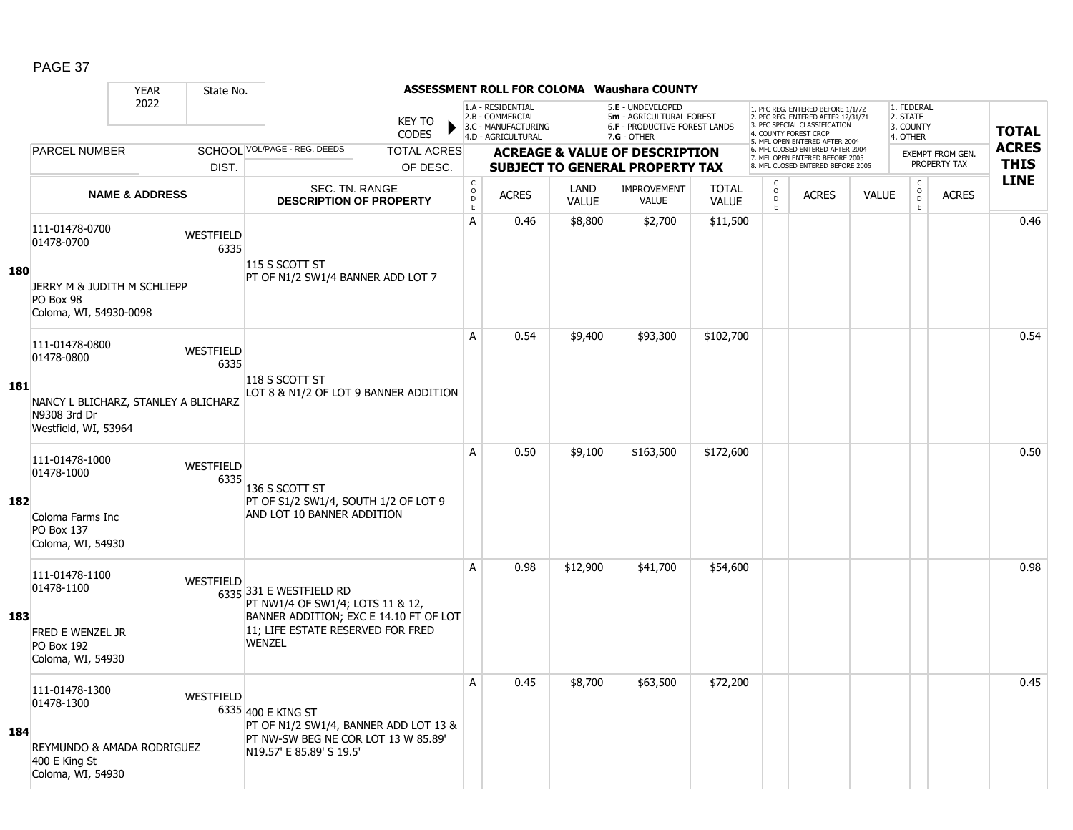|            |                                                                                                  | <b>YEAR</b>               | State No.                |                                                                                                                                                             |                             |                                                                                    |                      | <b>ASSESSMENT ROLL FOR COLOMA Waushara COUNTY</b>                                             |                              |                                                 |                                                                                                                                   |              |                                                          |                         |              |
|------------|--------------------------------------------------------------------------------------------------|---------------------------|--------------------------|-------------------------------------------------------------------------------------------------------------------------------------------------------------|-----------------------------|------------------------------------------------------------------------------------|----------------------|-----------------------------------------------------------------------------------------------|------------------------------|-------------------------------------------------|-----------------------------------------------------------------------------------------------------------------------------------|--------------|----------------------------------------------------------|-------------------------|--------------|
|            |                                                                                                  | 2022                      |                          | <b>KEY TO</b><br><b>CODES</b>                                                                                                                               |                             | 1.A - RESIDENTIAL<br>2.B - COMMERCIAL<br>3.C - MANUFACTURING<br>4.D - AGRICULTURAL |                      | 5.E - UNDEVELOPED<br>5m - AGRICULTURAL FOREST<br>6.F - PRODUCTIVE FOREST LANDS<br>7.G - OTHER |                              |                                                 | 1. PFC REG. ENTERED BEFORE 1/1/72<br>2. PFC REG. ENTERED AFTER 12/31/71<br>3. PFC SPECIAL CLASSIFICATION<br>4. COUNTY FOREST CROP |              | 1. FEDERAL<br>2. STATE<br>3. COUNTY<br>4. OTHER          |                         | <b>TOTAL</b> |
|            | <b>PARCEL NUMBER</b>                                                                             |                           |                          | SCHOOL VOL/PAGE - REG. DEEDS<br><b>TOTAL ACRES</b>                                                                                                          |                             |                                                                                    |                      | <b>ACREAGE &amp; VALUE OF DESCRIPTION</b>                                                     |                              |                                                 | 5. MFL OPEN ENTERED AFTER 2004<br>6. MFL CLOSED ENTERED AFTER 2004                                                                |              |                                                          | <b>EXEMPT FROM GEN.</b> | <b>ACRES</b> |
|            |                                                                                                  |                           | DIST.                    | OF DESC.                                                                                                                                                    |                             |                                                                                    |                      | <b>SUBJECT TO GENERAL PROPERTY TAX</b>                                                        |                              |                                                 | 7. MFL OPEN ENTERED BEFORE 2005<br>8. MFL CLOSED ENTERED BEFORE 2005                                                              |              |                                                          | PROPERTY TAX            | <b>THIS</b>  |
|            |                                                                                                  | <b>NAME &amp; ADDRESS</b> |                          | SEC. TN. RANGE<br><b>DESCRIPTION OF PROPERTY</b>                                                                                                            | $\rm _c^C$<br>$\frac{D}{E}$ | <b>ACRES</b>                                                                       | LAND<br><b>VALUE</b> | <b>IMPROVEMENT</b><br><b>VALUE</b>                                                            | <b>TOTAL</b><br><b>VALUE</b> | $\begin{matrix} 0 \\ 0 \\ D \end{matrix}$<br>E. | <b>ACRES</b>                                                                                                                      | <b>VALUE</b> | $\begin{matrix} 0 \\ 0 \\ 0 \end{matrix}$<br>$\mathsf E$ | <b>ACRES</b>            | <b>LINE</b>  |
| <b>180</b> | 111-01478-0700<br>01478-0700<br>JERRY M & JUDITH M SCHLIEPP<br>PO Box 98                         |                           | <b>WESTFIELD</b><br>6335 | 115 S SCOTT ST<br>PT OF N1/2 SW1/4 BANNER ADD LOT 7                                                                                                         | A                           | 0.46                                                                               | \$8,800              | \$2,700                                                                                       | \$11,500                     |                                                 |                                                                                                                                   |              |                                                          |                         | 0.46         |
| 181        | Coloma, WI, 54930-0098<br>111-01478-0800<br>01478-0800<br>NANCY L BLICHARZ, STANLEY A BLICHARZ   |                           | WESTFIELD<br>6335        | 118 S SCOTT ST<br>LOT 8 & N1/2 OF LOT 9 BANNER ADDITION                                                                                                     | A                           | 0.54                                                                               | \$9,400              | \$93,300                                                                                      | \$102,700                    |                                                 |                                                                                                                                   |              |                                                          |                         | 0.54         |
|            | N9308 3rd Dr<br>Westfield, WI, 53964<br>111-01478-1000<br>01478-1000                             |                           | <b>WESTFIELD</b><br>6335 |                                                                                                                                                             | A                           | 0.50                                                                               | \$9,100              | \$163,500                                                                                     | \$172,600                    |                                                 |                                                                                                                                   |              |                                                          |                         | 0.50         |
| 182        | Coloma Farms Inc<br><b>PO Box 137</b><br>Coloma, WI, 54930                                       |                           |                          | 136 S SCOTT ST<br>PT OF S1/2 SW1/4, SOUTH 1/2 OF LOT 9<br>AND LOT 10 BANNER ADDITION                                                                        |                             |                                                                                    |                      |                                                                                               |                              |                                                 |                                                                                                                                   |              |                                                          |                         |              |
| 183        | 111-01478-1100<br>01478-1100<br>FRED E WENZEL JR<br><b>PO Box 192</b><br>Coloma, WI, 54930       |                           | WESTFIELD                | 6335 331 E WESTFIELD RD<br>PT NW1/4 OF SW1/4; LOTS 11 & 12,<br>BANNER ADDITION; EXC E 14.10 FT OF LOT<br>11; LIFE ESTATE RESERVED FOR FRED<br><b>WENZEL</b> | A                           | 0.98                                                                               | \$12,900             | \$41,700                                                                                      | \$54,600                     |                                                 |                                                                                                                                   |              |                                                          |                         | 0.98         |
| 184        | 111-01478-1300<br>01478-1300<br>REYMUNDO & AMADA RODRIGUEZ<br>400 E King St<br>Coloma, WI, 54930 |                           | <b>WESTFIELD</b>         | 6335 400 E KING ST<br>PT OF N1/2 SW1/4, BANNER ADD LOT 13 &<br>PT NW-SW BEG NE COR LOT 13 W 85.89'<br>N19.57' E 85.89' S 19.5'                              | Α                           | 0.45                                                                               | \$8,700              | \$63,500                                                                                      | \$72,200                     |                                                 |                                                                                                                                   |              |                                                          |                         | 0.45         |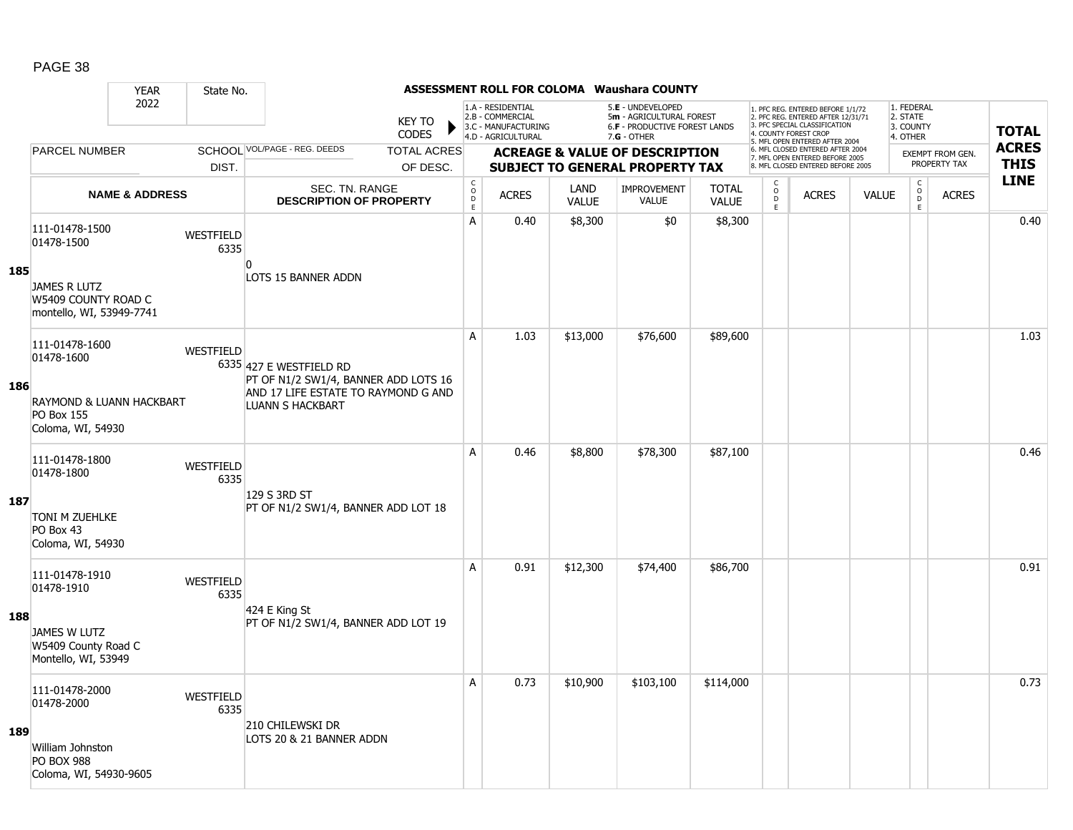|     |                                                                        | <b>YEAR</b>               | State No.         |                                                                 |                               |                                        |                                                                                    |                      | <b>ASSESSMENT ROLL FOR COLOMA Waushara COUNTY</b>                                                    |                              |                                                 |                                                                                                                                   |              |                                                 |                  |              |
|-----|------------------------------------------------------------------------|---------------------------|-------------------|-----------------------------------------------------------------|-------------------------------|----------------------------------------|------------------------------------------------------------------------------------|----------------------|------------------------------------------------------------------------------------------------------|------------------------------|-------------------------------------------------|-----------------------------------------------------------------------------------------------------------------------------------|--------------|-------------------------------------------------|------------------|--------------|
|     |                                                                        | 2022                      |                   |                                                                 | <b>KEY TO</b><br><b>CODES</b> |                                        | 1.A - RESIDENTIAL<br>2.B - COMMERCIAL<br>3.C - MANUFACTURING<br>4.D - AGRICULTURAL |                      | 5.E - UNDEVELOPED<br>5m - AGRICULTURAL FOREST<br><b>6.F - PRODUCTIVE FOREST LANDS</b><br>7.G - OTHER |                              |                                                 | 1. PFC REG. ENTERED BEFORE 1/1/72<br>2. PFC REG. ENTERED AFTER 12/31/71<br>3. PFC SPECIAL CLASSIFICATION<br>4. COUNTY FOREST CROP |              | 1. FEDERAL<br>2. STATE<br>3. COUNTY<br>4. OTHER |                  | <b>TOTAL</b> |
|     | <b>PARCEL NUMBER</b>                                                   |                           |                   | SCHOOL VOL/PAGE - REG. DEEDS                                    | <b>TOTAL ACRES</b>            |                                        |                                                                                    |                      | <b>ACREAGE &amp; VALUE OF DESCRIPTION</b>                                                            |                              |                                                 | 5. MFL OPEN ENTERED AFTER 2004<br>6. MFL CLOSED ENTERED AFTER 2004<br>7. MFL OPEN ENTERED BEFORE 2005                             |              |                                                 | EXEMPT FROM GEN. | <b>ACRES</b> |
|     |                                                                        |                           | DIST.             |                                                                 | OF DESC.                      |                                        |                                                                                    |                      | <b>SUBJECT TO GENERAL PROPERTY TAX</b>                                                               |                              |                                                 | 8. MFL CLOSED ENTERED BEFORE 2005                                                                                                 |              |                                                 | PROPERTY TAX     | <b>THIS</b>  |
|     |                                                                        | <b>NAME &amp; ADDRESS</b> |                   | <b>SEC. TN. RANGE</b><br><b>DESCRIPTION OF PROPERTY</b>         |                               | $_{\rm o}^{\rm c}$<br>$\mathsf D$<br>E | <b>ACRES</b>                                                                       | LAND<br><b>VALUE</b> | <b>IMPROVEMENT</b><br>VALUE                                                                          | <b>TOTAL</b><br><b>VALUE</b> | $\begin{matrix} 0 \\ 0 \\ D \end{matrix}$<br>E. | <b>ACRES</b>                                                                                                                      | <b>VALUE</b> | $\begin{matrix} 0 \\ 0 \end{matrix}$<br>E       | <b>ACRES</b>     | <b>LINE</b>  |
|     | 111-01478-1500<br>01478-1500                                           |                           | WESTFIELD<br>6335 | $\Omega$                                                        |                               | А                                      | 0.40                                                                               | \$8,300              | \$0                                                                                                  | \$8,300                      |                                                 |                                                                                                                                   |              |                                                 |                  | 0.40         |
| 185 | <b>JAMES R LUTZ</b><br>W5409 COUNTY ROAD C<br>montello, WI, 53949-7741 |                           |                   | LOTS 15 BANNER ADDN                                             |                               |                                        |                                                                                    |                      |                                                                                                      |                              |                                                 |                                                                                                                                   |              |                                                 |                  |              |
|     | 111-01478-1600<br>01478-1600                                           |                           | WESTFIELD         | 6335 427 E WESTFIELD RD<br>PT OF N1/2 SW1/4, BANNER ADD LOTS 16 |                               | A                                      | 1.03                                                                               | \$13,000             | \$76,600                                                                                             | \$89,600                     |                                                 |                                                                                                                                   |              |                                                 |                  | 1.03         |
| 186 | RAYMOND & LUANN HACKBART<br>PO Box 155<br>Coloma, WI, 54930            |                           |                   | AND 17 LIFE ESTATE TO RAYMOND G AND<br><b>LUANN S HACKBART</b>  |                               |                                        |                                                                                    |                      |                                                                                                      |                              |                                                 |                                                                                                                                   |              |                                                 |                  |              |
|     | 111-01478-1800<br>01478-1800                                           |                           | WESTFIELD<br>6335 | 129 S 3RD ST                                                    |                               | A                                      | 0.46                                                                               | \$8,800              | \$78,300                                                                                             | \$87,100                     |                                                 |                                                                                                                                   |              |                                                 |                  | 0.46         |
| 187 | <b>TONI M ZUEHLKE</b><br>PO Box 43<br>Coloma, WI, 54930                |                           |                   | PT OF N1/2 SW1/4, BANNER ADD LOT 18                             |                               |                                        |                                                                                    |                      |                                                                                                      |                              |                                                 |                                                                                                                                   |              |                                                 |                  |              |
|     | 111-01478-1910<br>01478-1910                                           |                           | WESTFIELD<br>6335 |                                                                 |                               | A                                      | 0.91                                                                               | \$12,300             | \$74,400                                                                                             | \$86,700                     |                                                 |                                                                                                                                   |              |                                                 |                  | 0.91         |
| 188 | JAMES W LUTZ<br>W5409 County Road C<br>Montello, WI, 53949             |                           |                   | 424 E King St<br>PT OF N1/2 SW1/4, BANNER ADD LOT 19            |                               |                                        |                                                                                    |                      |                                                                                                      |                              |                                                 |                                                                                                                                   |              |                                                 |                  |              |
|     | 111-01478-2000<br>01478-2000                                           |                           | WESTFIELD<br>6335 | 210 CHILEWSKI DR                                                |                               | A                                      | 0.73                                                                               | \$10,900             | \$103,100                                                                                            | \$114,000                    |                                                 |                                                                                                                                   |              |                                                 |                  | 0.73         |
| 189 | William Johnston<br><b>PO BOX 988</b><br>Coloma, WI, 54930-9605        |                           |                   | LOTS 20 & 21 BANNER ADDN                                        |                               |                                        |                                                                                    |                      |                                                                                                      |                              |                                                 |                                                                                                                                   |              |                                                 |                  |              |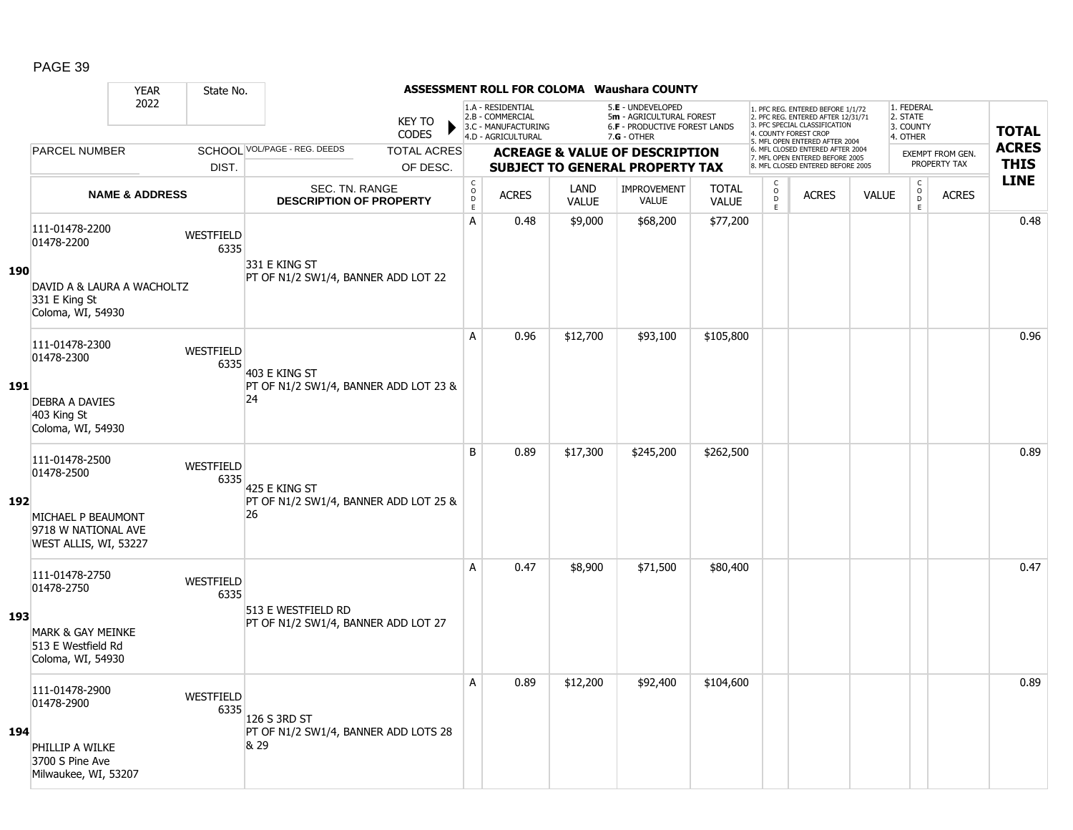|            |                                                                                                         | <b>YEAR</b>               | State No.                |                                                              |                               |                             |                                                                                    |                      | <b>ASSESSMENT ROLL FOR COLOMA Waushara COUNTY</b>                                             |                              |                                                |                                                                                                                                   |              |                                                          |                                         |              |
|------------|---------------------------------------------------------------------------------------------------------|---------------------------|--------------------------|--------------------------------------------------------------|-------------------------------|-----------------------------|------------------------------------------------------------------------------------|----------------------|-----------------------------------------------------------------------------------------------|------------------------------|------------------------------------------------|-----------------------------------------------------------------------------------------------------------------------------------|--------------|----------------------------------------------------------|-----------------------------------------|--------------|
|            |                                                                                                         | 2022                      |                          |                                                              | <b>KEY TO</b><br><b>CODES</b> |                             | 1.A - RESIDENTIAL<br>2.B - COMMERCIAL<br>3.C - MANUFACTURING<br>4.D - AGRICULTURAL |                      | 5.E - UNDEVELOPED<br>5m - AGRICULTURAL FOREST<br>6.F - PRODUCTIVE FOREST LANDS<br>7.G - OTHER |                              |                                                | 1. PFC REG. ENTERED BEFORE 1/1/72<br>2. PFC REG. ENTERED AFTER 12/31/71<br>3. PFC SPECIAL CLASSIFICATION<br>4. COUNTY FOREST CROP |              | 1. FEDERAL<br>2. STATE<br>3. COUNTY<br>4. OTHER          |                                         | <b>TOTAL</b> |
|            | <b>PARCEL NUMBER</b>                                                                                    |                           |                          | SCHOOL VOL/PAGE - REG. DEEDS                                 | <b>TOTAL ACRES</b>            |                             |                                                                                    |                      |                                                                                               |                              |                                                | 5. MFL OPEN ENTERED AFTER 2004<br>6. MFL CLOSED ENTERED AFTER 2004                                                                |              |                                                          |                                         | <b>ACRES</b> |
|            |                                                                                                         |                           | DIST.                    |                                                              | OF DESC.                      |                             |                                                                                    |                      | <b>ACREAGE &amp; VALUE OF DESCRIPTION</b><br><b>SUBJECT TO GENERAL PROPERTY TAX</b>           |                              |                                                | 7. MFL OPEN ENTERED BEFORE 2005<br>8. MFL CLOSED ENTERED BEFORE 2005                                                              |              |                                                          | <b>EXEMPT FROM GEN.</b><br>PROPERTY TAX | <b>THIS</b>  |
|            |                                                                                                         | <b>NAME &amp; ADDRESS</b> |                          | SEC. TN. RANGE<br><b>DESCRIPTION OF PROPERTY</b>             |                               | $\rm _c^C$<br>$\frac{D}{E}$ | <b>ACRES</b>                                                                       | LAND<br><b>VALUE</b> | <b>IMPROVEMENT</b><br><b>VALUE</b>                                                            | <b>TOTAL</b><br><b>VALUE</b> | $\begin{matrix} 0 \\ 0 \\ D \end{matrix}$<br>E | <b>ACRES</b>                                                                                                                      | <b>VALUE</b> | $\begin{matrix} 0 \\ 0 \\ 0 \end{matrix}$<br>$\mathsf E$ | <b>ACRES</b>                            | <b>LINE</b>  |
| <b>190</b> | 111-01478-2200<br>01478-2200<br>DAVID A & LAURA A WACHOLTZ<br>331 E King St                             |                           | <b>WESTFIELD</b><br>6335 | 331 E KING ST<br>PT OF N1/2 SW1/4, BANNER ADD LOT 22         |                               | A                           | 0.48                                                                               | \$9,000              | \$68,200                                                                                      | \$77,200                     |                                                |                                                                                                                                   |              |                                                          |                                         | 0.48         |
| <b>191</b> | Coloma, WI, 54930<br>111-01478-2300<br>01478-2300<br><b>DEBRA A DAVIES</b>                              |                           | WESTFIELD<br>6335        | 403 E KING ST<br>PT OF N1/2 SW1/4, BANNER ADD LOT 23 &<br>24 |                               | A                           | 0.96                                                                               | \$12,700             | \$93,100                                                                                      | \$105,800                    |                                                |                                                                                                                                   |              |                                                          |                                         | 0.96         |
|            | 403 King St<br>Coloma, WI, 54930<br>111-01478-2500<br>01478-2500                                        |                           | <b>WESTFIELD</b><br>6335 |                                                              |                               | B                           | 0.89                                                                               | \$17,300             | \$245,200                                                                                     | \$262,500                    |                                                |                                                                                                                                   |              |                                                          |                                         | 0.89         |
| 192        | MICHAEL P BEAUMONT<br>9718 W NATIONAL AVE<br>WEST ALLIS, WI, 53227                                      |                           |                          | 425 E KING ST<br>PT OF N1/2 SW1/4, BANNER ADD LOT 25 &<br>26 |                               |                             |                                                                                    |                      |                                                                                               |                              |                                                |                                                                                                                                   |              |                                                          |                                         |              |
| 193        | 111-01478-2750<br>01478-2750<br><b>MARK &amp; GAY MEINKE</b><br>513 E Westfield Rd<br>Coloma, WI, 54930 |                           | WESTFIELD<br>6335        | 513 E WESTFIELD RD<br>PT OF N1/2 SW1/4, BANNER ADD LOT 27    |                               | Α                           | 0.47                                                                               | \$8,900              | \$71,500                                                                                      | \$80,400                     |                                                |                                                                                                                                   |              |                                                          |                                         | 0.47         |
| 194        | 111-01478-2900<br>01478-2900<br>PHILLIP A WILKE<br>3700 S Pine Ave<br>Milwaukee, WI, 53207              |                           | <b>WESTFIELD</b><br>6335 | 126 S 3RD ST<br>PT OF N1/2 SW1/4, BANNER ADD LOTS 28<br>& 29 |                               | Α                           | 0.89                                                                               | \$12,200             | \$92,400                                                                                      | \$104,600                    |                                                |                                                                                                                                   |              |                                                          |                                         | 0.89         |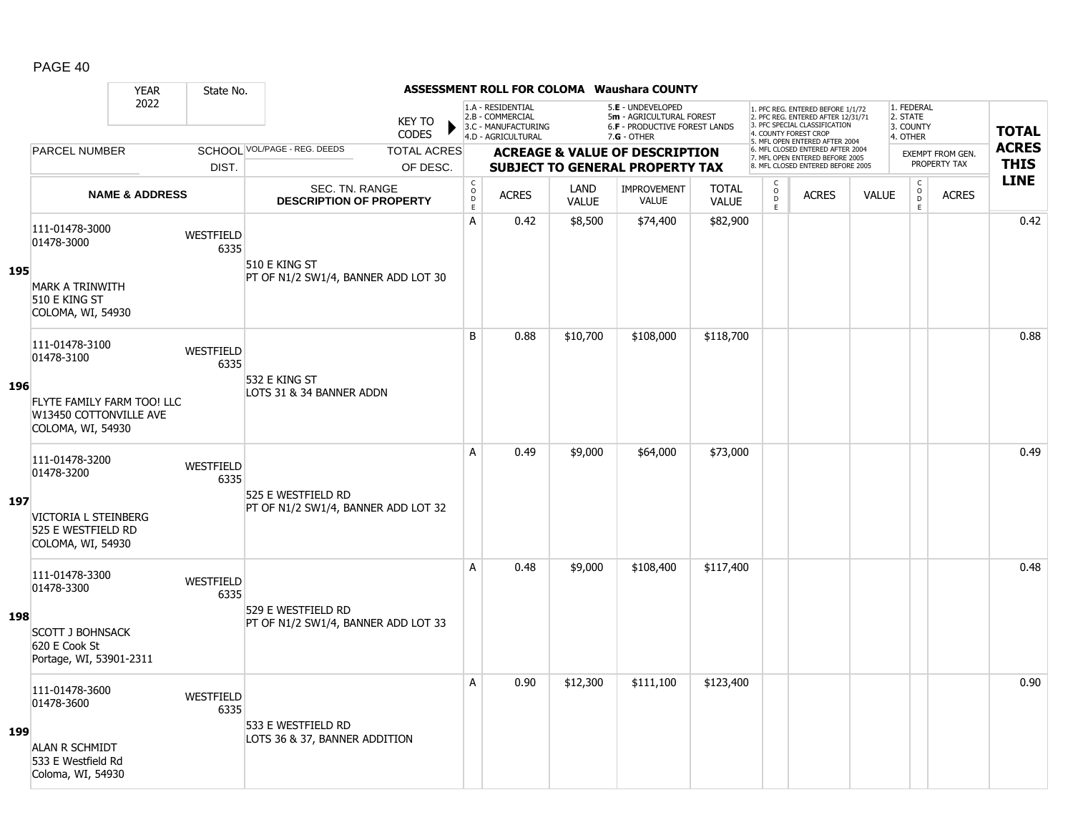|     |                                                                           | <b>YEAR</b>               | State No.                |                                                  |                               |                                                 |                                                                                    |                      | <b>ASSESSMENT ROLL FOR COLOMA Waushara COUNTY</b>                                   |                              |                                                           |                                                                                                                                   |              |                                                          |                                         |              |
|-----|---------------------------------------------------------------------------|---------------------------|--------------------------|--------------------------------------------------|-------------------------------|-------------------------------------------------|------------------------------------------------------------------------------------|----------------------|-------------------------------------------------------------------------------------|------------------------------|-----------------------------------------------------------|-----------------------------------------------------------------------------------------------------------------------------------|--------------|----------------------------------------------------------|-----------------------------------------|--------------|
|     |                                                                           | 2022                      |                          |                                                  | <b>KEY TO</b><br><b>CODES</b> |                                                 | 1.A - RESIDENTIAL<br>2.B - COMMERCIAL<br>3.C - MANUFACTURING<br>4.D - AGRICULTURAL |                      | 5.E - UNDEVELOPED<br>5m - AGRICULTURAL FOREST<br>6.F - PRODUCTIVE FOREST LANDS      |                              |                                                           | 1. PFC REG. ENTERED BEFORE 1/1/72<br>2. PFC REG. ENTERED AFTER 12/31/71<br>3. PFC SPECIAL CLASSIFICATION<br>4. COUNTY FOREST CROP |              | 1. FEDERAL<br>2. STATE<br>3. COUNTY                      |                                         | <b>TOTAL</b> |
|     | <b>PARCEL NUMBER</b>                                                      |                           |                          | SCHOOL VOL/PAGE - REG. DEEDS                     | <b>TOTAL ACRES</b>            |                                                 |                                                                                    |                      | 7.G - OTHER                                                                         |                              |                                                           | 5. MFL OPEN ENTERED AFTER 2004<br>6. MFL CLOSED ENTERED AFTER 2004                                                                |              | 4. OTHER                                                 |                                         | <b>ACRES</b> |
|     |                                                                           |                           | DIST.                    |                                                  | OF DESC.                      |                                                 |                                                                                    |                      | <b>ACREAGE &amp; VALUE OF DESCRIPTION</b><br><b>SUBJECT TO GENERAL PROPERTY TAX</b> |                              |                                                           | 7. MFL OPEN ENTERED BEFORE 2005<br>8. MFL CLOSED ENTERED BEFORE 2005                                                              |              |                                                          | <b>EXEMPT FROM GEN.</b><br>PROPERTY TAX | <b>THIS</b>  |
|     |                                                                           | <b>NAME &amp; ADDRESS</b> |                          | SEC. TN. RANGE<br><b>DESCRIPTION OF PROPERTY</b> |                               | $_{\rm o}^{\rm c}$<br>$\mathsf{D}_{\mathsf{E}}$ | <b>ACRES</b>                                                                       | LAND<br><b>VALUE</b> | <b>IMPROVEMENT</b><br><b>VALUE</b>                                                  | <b>TOTAL</b><br><b>VALUE</b> | $\begin{matrix} 0 \\ 0 \\ D \end{matrix}$<br>$\mathsf{E}$ | <b>ACRES</b>                                                                                                                      | <b>VALUE</b> | $\begin{matrix} 0 \\ 0 \\ 0 \end{matrix}$<br>$\mathsf E$ | <b>ACRES</b>                            | <b>LINE</b>  |
|     | 111-01478-3000<br>01478-3000                                              |                           | <b>WESTFIELD</b><br>6335 | 510 E KING ST                                    |                               | А                                               | 0.42                                                                               | \$8,500              | \$74,400                                                                            | \$82,900                     |                                                           |                                                                                                                                   |              |                                                          |                                         | 0.42         |
| 195 | <b>MARK A TRINWITH</b><br>510 E KING ST<br>COLOMA, WI, 54930              |                           |                          | PT OF N1/2 SW1/4, BANNER ADD LOT 30              |                               |                                                 |                                                                                    |                      |                                                                                     |                              |                                                           |                                                                                                                                   |              |                                                          |                                         |              |
|     | 111-01478-3100<br>01478-3100                                              |                           | WESTFIELD<br>6335        |                                                  |                               | B                                               | 0.88                                                                               | \$10,700             | \$108,000                                                                           | \$118,700                    |                                                           |                                                                                                                                   |              |                                                          |                                         | 0.88         |
| 196 | FLYTE FAMILY FARM TOO! LLC<br>W13450 COTTONVILLE AVE<br>COLOMA, WI, 54930 |                           |                          | 532 E KING ST<br>LOTS 31 & 34 BANNER ADDN        |                               |                                                 |                                                                                    |                      |                                                                                     |                              |                                                           |                                                                                                                                   |              |                                                          |                                         |              |
|     | 111-01478-3200<br>01478-3200                                              |                           | WESTFIELD<br>6335        | 525 E WESTFIELD RD                               |                               | A                                               | 0.49                                                                               | \$9,000              | \$64,000                                                                            | \$73,000                     |                                                           |                                                                                                                                   |              |                                                          |                                         | 0.49         |
| 197 | VICTORIA L STEINBERG<br>525 E WESTFIELD RD<br>COLOMA, WI, 54930           |                           |                          | PT OF N1/2 SW1/4, BANNER ADD LOT 32              |                               |                                                 |                                                                                    |                      |                                                                                     |                              |                                                           |                                                                                                                                   |              |                                                          |                                         |              |
|     | 111-01478-3300<br>01478-3300                                              |                           | WESTFIELD<br>6335        | 529 E WESTFIELD RD                               |                               | A                                               | 0.48                                                                               | \$9,000              | \$108,400                                                                           | \$117,400                    |                                                           |                                                                                                                                   |              |                                                          |                                         | 0.48         |
| 198 | <b>SCOTT J BOHNSACK</b><br>620 E Cook St<br>Portage, WI, 53901-2311       |                           |                          | PT OF N1/2 SW1/4, BANNER ADD LOT 33              |                               |                                                 |                                                                                    |                      |                                                                                     |                              |                                                           |                                                                                                                                   |              |                                                          |                                         |              |
|     | 111-01478-3600<br>01478-3600                                              |                           | WESTFIELD<br>6335        | 533 E WESTFIELD RD                               |                               | A                                               | 0.90                                                                               | \$12,300             | \$111,100                                                                           | \$123,400                    |                                                           |                                                                                                                                   |              |                                                          |                                         | 0.90         |
| 199 | <b>ALAN R SCHMIDT</b><br>533 E Westfield Rd<br>Coloma, WI, 54930          |                           |                          | LOTS 36 & 37, BANNER ADDITION                    |                               |                                                 |                                                                                    |                      |                                                                                     |                              |                                                           |                                                                                                                                   |              |                                                          |                                         |              |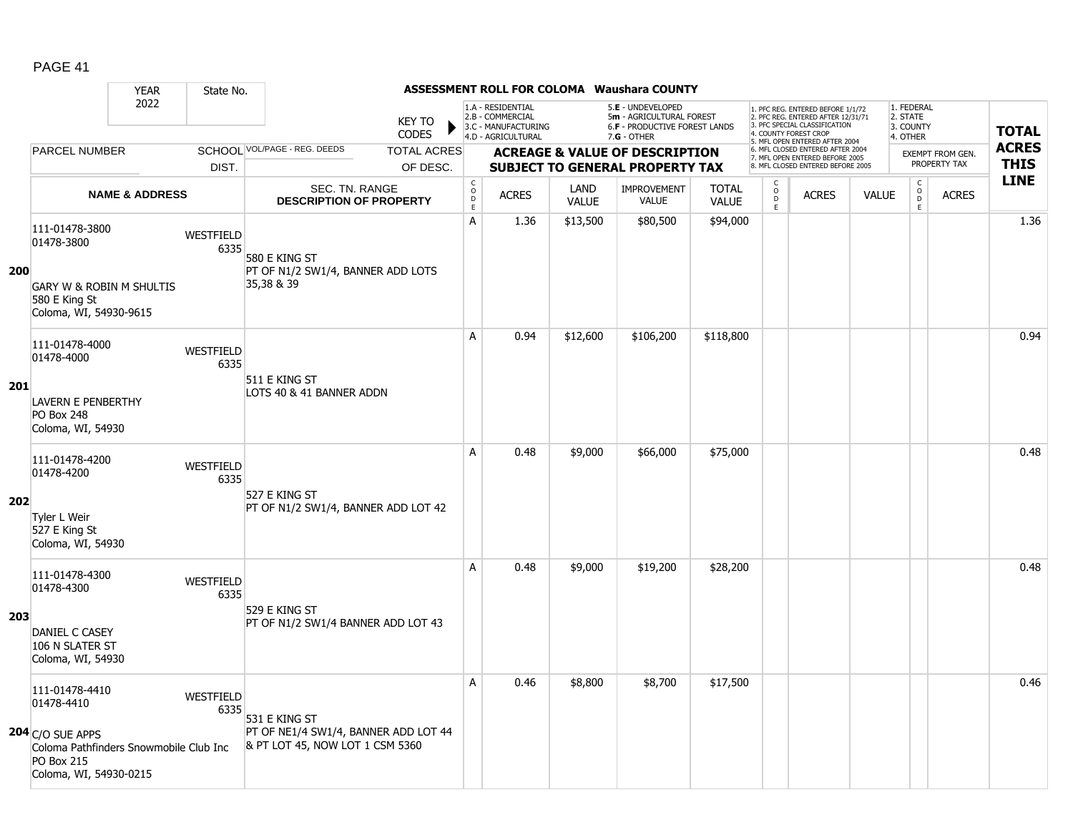|     |                                                                                                             | <b>YEAR</b>               | State No.                |                                                                         |                               |                                        |                                                                                    |                      | <b>ASSESSMENT ROLL FOR COLOMA Waushara COUNTY</b>                                                      |                              |                                                |                                                                                                                                                                     |              |                                                 |                                         |                             |
|-----|-------------------------------------------------------------------------------------------------------------|---------------------------|--------------------------|-------------------------------------------------------------------------|-------------------------------|----------------------------------------|------------------------------------------------------------------------------------|----------------------|--------------------------------------------------------------------------------------------------------|------------------------------|------------------------------------------------|---------------------------------------------------------------------------------------------------------------------------------------------------------------------|--------------|-------------------------------------------------|-----------------------------------------|-----------------------------|
|     |                                                                                                             | 2022                      |                          |                                                                         | <b>KEY TO</b><br><b>CODES</b> |                                        | 1.A - RESIDENTIAL<br>2.B - COMMERCIAL<br>3.C - MANUFACTURING<br>4.D - AGRICULTURAL |                      | 5.E - UNDEVELOPED<br>5m - AGRICULTURAL FOREST<br><b>6.F - PRODUCTIVE FOREST LANDS</b><br>$7.G - OTHER$ |                              |                                                | 1. PFC REG. ENTERED BEFORE 1/1/72<br>2. PFC REG. ENTERED AFTER 12/31/71<br>3. PFC SPECIAL CLASSIFICATION<br>4. COUNTY FOREST CROP<br>5. MFL OPEN ENTERED AFTER 2004 |              | 1. FEDERAL<br>2. STATE<br>3. COUNTY<br>4. OTHER |                                         | <b>TOTAL</b>                |
|     | <b>PARCEL NUMBER</b>                                                                                        |                           |                          | SCHOOL VOL/PAGE - REG. DEEDS                                            | <b>TOTAL ACRES</b>            |                                        |                                                                                    |                      | <b>ACREAGE &amp; VALUE OF DESCRIPTION</b>                                                              |                              |                                                | 6. MFL CLOSED ENTERED AFTER 2004<br>7. MFL OPEN ENTERED BEFORE 2005                                                                                                 |              |                                                 | <b>EXEMPT FROM GEN.</b><br>PROPERTY TAX | <b>ACRES</b><br><b>THIS</b> |
|     |                                                                                                             |                           | DIST.                    |                                                                         | OF DESC.                      |                                        |                                                                                    |                      | <b>SUBJECT TO GENERAL PROPERTY TAX</b>                                                                 |                              |                                                | 8. MFL CLOSED ENTERED BEFORE 2005                                                                                                                                   |              |                                                 |                                         | <b>LINE</b>                 |
|     |                                                                                                             | <b>NAME &amp; ADDRESS</b> |                          | <b>SEC. TN. RANGE</b><br><b>DESCRIPTION OF PROPERTY</b>                 |                               | $_{\rm o}^{\rm c}$<br>$\mathsf D$<br>E | <b>ACRES</b>                                                                       | LAND<br><b>VALUE</b> | <b>IMPROVEMENT</b><br>VALUE                                                                            | <b>TOTAL</b><br><b>VALUE</b> | $\begin{matrix} 0 \\ 0 \\ 0 \end{matrix}$<br>E | <b>ACRES</b>                                                                                                                                                        | <b>VALUE</b> | $\begin{array}{c}\nC \\ O \\ E\n\end{array}$    | <b>ACRES</b>                            |                             |
| 200 | 111-01478-3800<br>01478-3800<br><b>GARY W &amp; ROBIN M SHULTIS</b>                                         |                           | WESTFIELD<br>6335        | 580 E KING ST<br>PT OF N1/2 SW1/4, BANNER ADD LOTS<br>35,38 & 39        |                               | $\mathsf{A}$                           | 1.36                                                                               | \$13,500             | \$80,500                                                                                               | \$94,000                     |                                                |                                                                                                                                                                     |              |                                                 |                                         | 1.36                        |
|     | 580 E King St<br>Coloma, WI, 54930-9615                                                                     |                           |                          |                                                                         |                               |                                        |                                                                                    |                      |                                                                                                        |                              |                                                |                                                                                                                                                                     |              |                                                 |                                         |                             |
|     | 111-01478-4000<br>01478-4000                                                                                |                           | WESTFIELD<br>6335        |                                                                         |                               | A                                      | 0.94                                                                               | \$12,600             | \$106,200                                                                                              | \$118,800                    |                                                |                                                                                                                                                                     |              |                                                 |                                         | 0.94                        |
| 201 | <b>LAVERN E PENBERTHY</b><br>PO Box 248<br>Coloma, WI, 54930                                                |                           |                          | 511 E KING ST<br>LOTS 40 & 41 BANNER ADDN                               |                               |                                        |                                                                                    |                      |                                                                                                        |                              |                                                |                                                                                                                                                                     |              |                                                 |                                         |                             |
|     | 111-01478-4200<br>01478-4200                                                                                |                           | WESTFIELD<br>6335        | 527 E KING ST                                                           |                               | A                                      | 0.48                                                                               | \$9,000              | \$66,000                                                                                               | \$75,000                     |                                                |                                                                                                                                                                     |              |                                                 |                                         | 0.48                        |
| 202 | Tyler L Weir<br>527 E King St<br>Coloma, WI, 54930                                                          |                           |                          | PT OF N1/2 SW1/4, BANNER ADD LOT 42                                     |                               |                                        |                                                                                    |                      |                                                                                                        |                              |                                                |                                                                                                                                                                     |              |                                                 |                                         |                             |
|     | 111-01478-4300<br>01478-4300                                                                                |                           | WESTFIELD<br>6335        | 529 E KING ST                                                           |                               | A                                      | 0.48                                                                               | \$9,000              | \$19,200                                                                                               | \$28,200                     |                                                |                                                                                                                                                                     |              |                                                 |                                         | 0.48                        |
| 203 | DANIEL C CASEY<br>106 N SLATER ST<br>Coloma, WI, 54930                                                      |                           |                          | PT OF N1/2 SW1/4 BANNER ADD LOT 43                                      |                               |                                        |                                                                                    |                      |                                                                                                        |                              |                                                |                                                                                                                                                                     |              |                                                 |                                         |                             |
|     | 111-01478-4410<br>01478-4410                                                                                |                           | <b>WESTFIELD</b><br>6335 | 531 E KING ST                                                           |                               | A                                      | 0.46                                                                               | \$8,800              | \$8,700                                                                                                | \$17,500                     |                                                |                                                                                                                                                                     |              |                                                 |                                         | 0.46                        |
|     | $204$ C/O SUE APPS<br>Coloma Pathfinders Snowmobile Club Inc<br><b>PO Box 215</b><br>Coloma, WI, 54930-0215 |                           |                          | PT OF NE1/4 SW1/4, BANNER ADD LOT 44<br>& PT LOT 45, NOW LOT 1 CSM 5360 |                               |                                        |                                                                                    |                      |                                                                                                        |                              |                                                |                                                                                                                                                                     |              |                                                 |                                         |                             |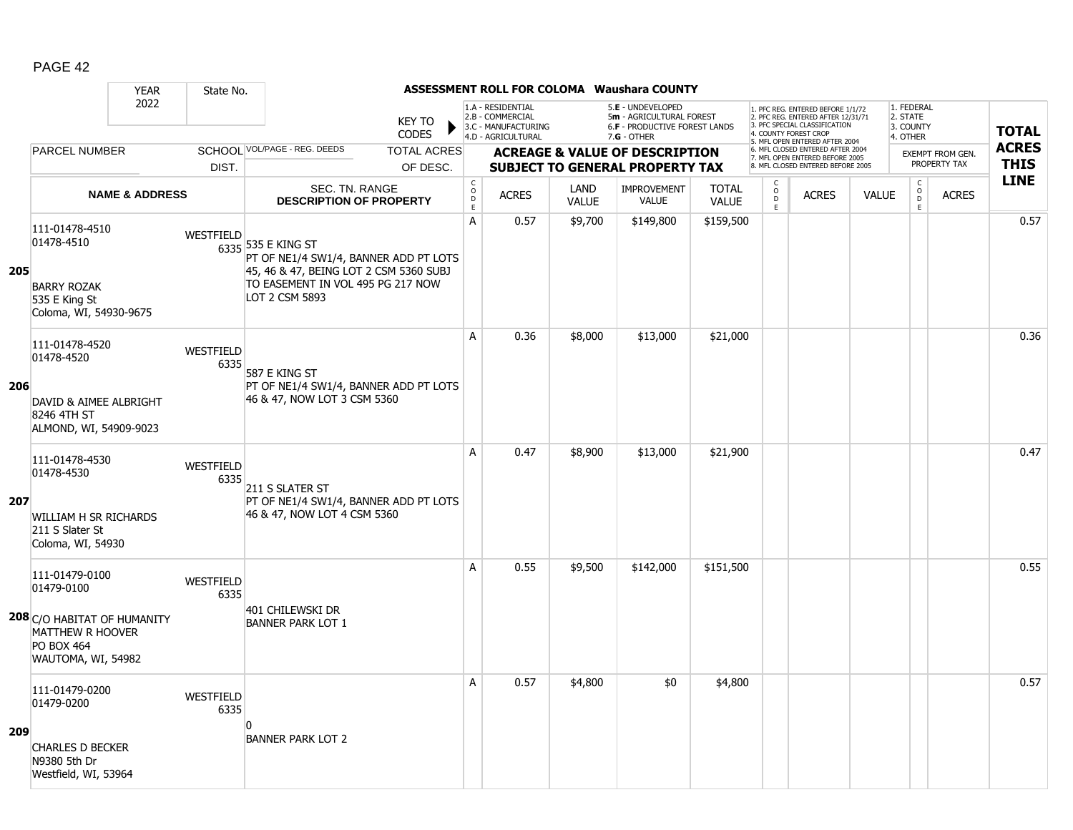|     | <b>YEAR</b>                                                                                                                       | State No.                |                                                                                                                                                              |                                     |                                                                                    |                      | <b>ASSESSMENT ROLL FOR COLOMA Waushara COUNTY</b>                                                      |                              |                                                 |                                                                                                                                   |              |                                                 |                         |              |
|-----|-----------------------------------------------------------------------------------------------------------------------------------|--------------------------|--------------------------------------------------------------------------------------------------------------------------------------------------------------|-------------------------------------|------------------------------------------------------------------------------------|----------------------|--------------------------------------------------------------------------------------------------------|------------------------------|-------------------------------------------------|-----------------------------------------------------------------------------------------------------------------------------------|--------------|-------------------------------------------------|-------------------------|--------------|
|     | 2022                                                                                                                              |                          | <b>KEY TO</b><br><b>CODES</b>                                                                                                                                |                                     | 1.A - RESIDENTIAL<br>2.B - COMMERCIAL<br>3.C - MANUFACTURING<br>4.D - AGRICULTURAL |                      | 5.E - UNDEVELOPED<br>5m - AGRICULTURAL FOREST<br><b>6.F - PRODUCTIVE FOREST LANDS</b><br>$7.G - OTHER$ |                              |                                                 | 1. PFC REG. ENTERED BEFORE 1/1/72<br>2. PFC REG. ENTERED AFTER 12/31/71<br>3. PFC SPECIAL CLASSIFICATION<br>4. COUNTY FOREST CROP |              | 1. FEDERAL<br>2. STATE<br>3. COUNTY<br>4. OTHER |                         | <b>TOTAL</b> |
|     | <b>PARCEL NUMBER</b>                                                                                                              |                          | SCHOOL VOL/PAGE - REG. DEEDS<br><b>TOTAL ACRES</b>                                                                                                           |                                     |                                                                                    |                      | <b>ACREAGE &amp; VALUE OF DESCRIPTION</b>                                                              |                              |                                                 | 5. MFL OPEN ENTERED AFTER 2004<br>6. MFL CLOSED ENTERED AFTER 2004<br>7. MFL OPEN ENTERED BEFORE 2005                             |              |                                                 | <b>EXEMPT FROM GEN.</b> | <b>ACRES</b> |
|     |                                                                                                                                   | DIST.                    | OF DESC.                                                                                                                                                     |                                     |                                                                                    |                      | <b>SUBJECT TO GENERAL PROPERTY TAX</b>                                                                 |                              |                                                 | 8. MFL CLOSED ENTERED BEFORE 2005                                                                                                 |              |                                                 | PROPERTY TAX            | <b>THIS</b>  |
|     | <b>NAME &amp; ADDRESS</b>                                                                                                         |                          | <b>SEC. TN. RANGE</b><br><b>DESCRIPTION OF PROPERTY</b>                                                                                                      | $_{\rm o}^{\rm c}$<br>$\frac{D}{E}$ | <b>ACRES</b>                                                                       | LAND<br><b>VALUE</b> | <b>IMPROVEMENT</b><br>VALUE                                                                            | <b>TOTAL</b><br><b>VALUE</b> | $\begin{array}{c} C \\ O \\ D \\ E \end{array}$ | <b>ACRES</b>                                                                                                                      | <b>VALUE</b> | $\begin{array}{c} C \\ O \\ E \end{array}$      | <b>ACRES</b>            | <b>LINE</b>  |
| 205 | 111-01478-4510<br>01478-4510<br><b>BARRY ROZAK</b><br>535 E King St<br>Coloma, WI, 54930-9675                                     | WESTFIELD                | 6335 535 E KING ST<br>PT OF NE1/4 SW1/4, BANNER ADD PT LOTS<br>45, 46 & 47, BEING LOT 2 CSM 5360 SUBJ<br>TO EASEMENT IN VOL 495 PG 217 NOW<br>LOT 2 CSM 5893 | $\overline{A}$                      | 0.57                                                                               | \$9,700              | \$149,800                                                                                              | \$159,500                    |                                                 |                                                                                                                                   |              |                                                 |                         | 0.57         |
| 206 | 111-01478-4520<br>01478-4520<br>DAVID & AIMEE ALBRIGHT<br>8246 4TH ST<br>ALMOND, WI, 54909-9023                                   | WESTFIELD<br>6335        | 587 E KING ST<br>PT OF NE1/4 SW1/4, BANNER ADD PT LOTS<br>46 & 47, NOW LOT 3 CSM 5360                                                                        | A                                   | 0.36                                                                               | \$8,000              | \$13,000                                                                                               | \$21,000                     |                                                 |                                                                                                                                   |              |                                                 |                         | 0.36         |
| 207 | 111-01478-4530<br>01478-4530<br>WILLIAM H SR RICHARDS<br>211 S Slater St<br>Coloma, WI, 54930                                     | <b>WESTFIELD</b><br>6335 | 211 S SLATER ST<br>PT OF NE1/4 SW1/4, BANNER ADD PT LOTS<br>46 & 47, NOW LOT 4 CSM 5360                                                                      | A                                   | 0.47                                                                               | \$8,900              | \$13,000                                                                                               | \$21,900                     |                                                 |                                                                                                                                   |              |                                                 |                         | 0.47         |
|     | 111-01479-0100<br>01479-0100<br>208 C/O HABITAT OF HUMANITY<br><b>MATTHEW R HOOVER</b><br><b>PO BOX 464</b><br>WAUTOMA, WI, 54982 | WESTFIELD<br>6335        | 401 CHILEWSKI DR<br><b>BANNER PARK LOT 1</b>                                                                                                                 | Α                                   | 0.55                                                                               | \$9,500              | \$142,000                                                                                              | \$151,500                    |                                                 |                                                                                                                                   |              |                                                 |                         | 0.55         |
| 209 | 111-01479-0200<br>01479-0200<br><b>CHARLES D BECKER</b><br>N9380 5th Dr<br>Westfield, WI, 53964                                   | WESTFIELD<br>6335        | $\Omega$<br><b>BANNER PARK LOT 2</b>                                                                                                                         | A                                   | 0.57                                                                               | \$4,800              | \$0                                                                                                    | \$4,800                      |                                                 |                                                                                                                                   |              |                                                 |                         | 0.57         |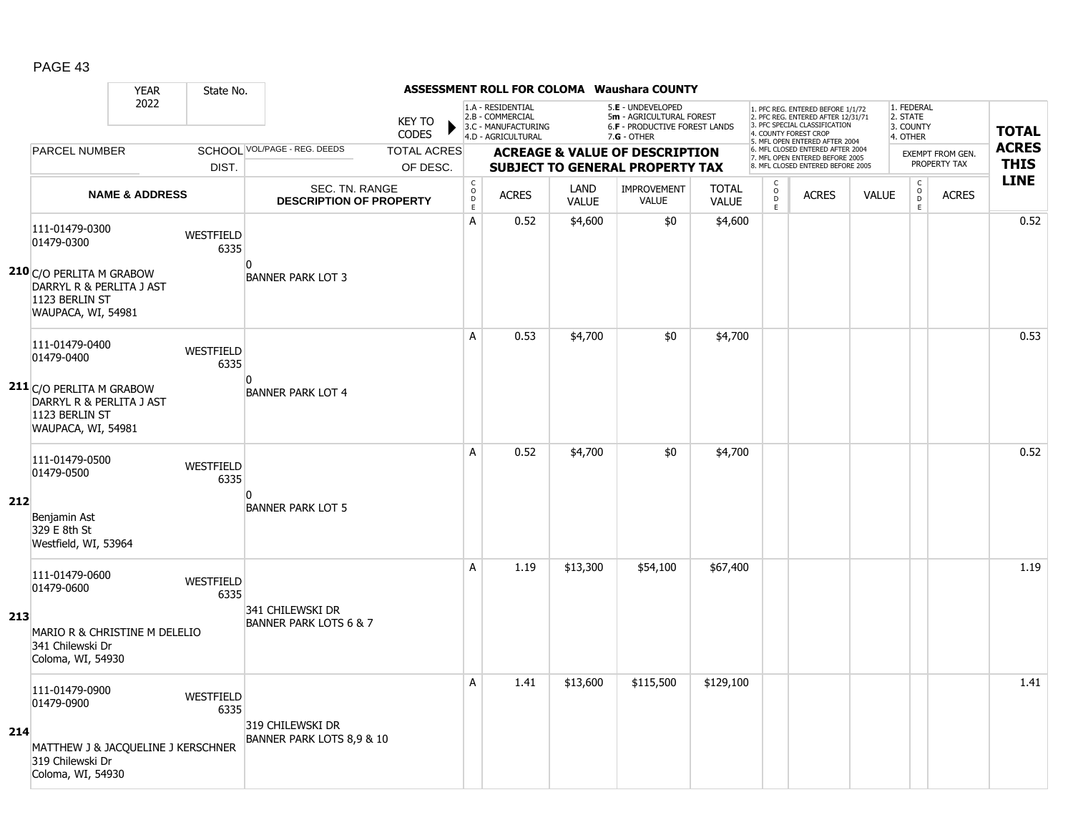|     |                                                                                                     | <b>YEAR</b>               | State No.                |                                                         |                               |                                     |                                                                                    |                      | <b>ASSESSMENT ROLL FOR COLOMA Waushara COUNTY</b>                                             |                              |                                                 |                                                                                                                                   |              |                                                 |                         |              |
|-----|-----------------------------------------------------------------------------------------------------|---------------------------|--------------------------|---------------------------------------------------------|-------------------------------|-------------------------------------|------------------------------------------------------------------------------------|----------------------|-----------------------------------------------------------------------------------------------|------------------------------|-------------------------------------------------|-----------------------------------------------------------------------------------------------------------------------------------|--------------|-------------------------------------------------|-------------------------|--------------|
|     |                                                                                                     | 2022                      |                          |                                                         | <b>KEY TO</b><br><b>CODES</b> |                                     | 1.A - RESIDENTIAL<br>2.B - COMMERCIAL<br>3.C - MANUFACTURING<br>4.D - AGRICULTURAL |                      | 5.E - UNDEVELOPED<br>5m - AGRICULTURAL FOREST<br>6.F - PRODUCTIVE FOREST LANDS<br>7.G - OTHER |                              |                                                 | 1. PFC REG. ENTERED BEFORE 1/1/72<br>2. PFC REG. ENTERED AFTER 12/31/71<br>3. PFC SPECIAL CLASSIFICATION<br>4. COUNTY FOREST CROP |              | 1. FEDERAL<br>2. STATE<br>3. COUNTY<br>4. OTHER |                         | <b>TOTAL</b> |
|     | <b>PARCEL NUMBER</b>                                                                                |                           |                          | SCHOOL VOL/PAGE - REG. DEEDS                            | <b>TOTAL ACRES</b>            |                                     |                                                                                    |                      | <b>ACREAGE &amp; VALUE OF DESCRIPTION</b>                                                     |                              |                                                 | 5. MFL OPEN ENTERED AFTER 2004<br>6. MFL CLOSED ENTERED AFTER 2004                                                                |              |                                                 | <b>EXEMPT FROM GEN.</b> | <b>ACRES</b> |
|     |                                                                                                     |                           | DIST.                    |                                                         | OF DESC.                      |                                     |                                                                                    |                      | <b>SUBJECT TO GENERAL PROPERTY TAX</b>                                                        |                              |                                                 | 7. MFL OPEN ENTERED BEFORE 2005<br>8. MFL CLOSED ENTERED BEFORE 2005                                                              |              |                                                 | PROPERTY TAX            | <b>THIS</b>  |
|     |                                                                                                     | <b>NAME &amp; ADDRESS</b> |                          | <b>SEC. TN. RANGE</b><br><b>DESCRIPTION OF PROPERTY</b> |                               | $_{\rm o}^{\rm c}$<br>$\frac{D}{E}$ | <b>ACRES</b>                                                                       | LAND<br><b>VALUE</b> | <b>IMPROVEMENT</b><br><b>VALUE</b>                                                            | <b>TOTAL</b><br><b>VALUE</b> | $\begin{matrix} 0 \\ 0 \\ D \end{matrix}$<br>E. | <b>ACRES</b>                                                                                                                      | <b>VALUE</b> | $\mathsf{C}$<br>$_{\rm D}^{\rm O}$<br>E.        | <b>ACRES</b>            | <b>LINE</b>  |
|     | 111-01479-0300<br>01479-0300                                                                        |                           | WESTFIELD<br>6335        |                                                         |                               | А                                   | 0.52                                                                               | \$4,600              | \$0                                                                                           | \$4,600                      |                                                 |                                                                                                                                   |              |                                                 |                         | 0.52         |
|     | <b>210</b> C/O PERLITA M GRABOW<br>DARRYL R & PERLITA J AST<br>1123 BERLIN ST<br>WAUPACA, WI, 54981 |                           |                          | n<br><b>BANNER PARK LOT 3</b>                           |                               |                                     |                                                                                    |                      |                                                                                               |                              |                                                 |                                                                                                                                   |              |                                                 |                         |              |
|     | 111-01479-0400<br>01479-0400                                                                        |                           | WESTFIELD<br>6335        |                                                         |                               | A                                   | 0.53                                                                               | \$4,700              | \$0                                                                                           | \$4,700                      |                                                 |                                                                                                                                   |              |                                                 |                         | 0.53         |
|     | 211 C/O PERLITA M GRABOW<br>DARRYL R & PERLITA J AST<br>1123 BERLIN ST<br>WAUPACA, WI, 54981        |                           |                          | <sup>0</sup><br><b>BANNER PARK LOT 4</b>                |                               |                                     |                                                                                    |                      |                                                                                               |                              |                                                 |                                                                                                                                   |              |                                                 |                         |              |
|     | 111-01479-0500<br>01479-0500                                                                        |                           | <b>WESTFIELD</b><br>6335 |                                                         |                               | Α                                   | 0.52                                                                               | \$4,700              | \$0                                                                                           | \$4,700                      |                                                 |                                                                                                                                   |              |                                                 |                         | 0.52         |
| 212 | Benjamin Ast<br>329 E 8th St<br>Westfield, WI, 53964                                                |                           |                          | n<br><b>BANNER PARK LOT 5</b>                           |                               |                                     |                                                                                    |                      |                                                                                               |                              |                                                 |                                                                                                                                   |              |                                                 |                         |              |
|     | 111-01479-0600<br>01479-0600                                                                        |                           | WESTFIELD<br>6335        |                                                         |                               | A                                   | 1.19                                                                               | \$13,300             | \$54,100                                                                                      | \$67,400                     |                                                 |                                                                                                                                   |              |                                                 |                         | 1.19         |
| 213 | MARIO R & CHRISTINE M DELELIO<br>341 Chilewski Dr<br>Coloma, WI, 54930                              |                           |                          | 341 CHILEWSKI DR<br><b>BANNER PARK LOTS 6 &amp; 7</b>   |                               |                                     |                                                                                    |                      |                                                                                               |                              |                                                 |                                                                                                                                   |              |                                                 |                         |              |
|     | 111-01479-0900<br>01479-0900                                                                        |                           | WESTFIELD<br>6335        |                                                         |                               | А                                   | 1.41                                                                               | \$13,600             | \$115,500                                                                                     | \$129,100                    |                                                 |                                                                                                                                   |              |                                                 |                         | 1.41         |
| 214 | MATTHEW J & JACOUELINE J KERSCHNER<br>319 Chilewski Dr<br>Coloma, WI, 54930                         |                           |                          | 319 CHILEWSKI DR<br>BANNER PARK LOTS 8,9 & 10           |                               |                                     |                                                                                    |                      |                                                                                               |                              |                                                 |                                                                                                                                   |              |                                                 |                         |              |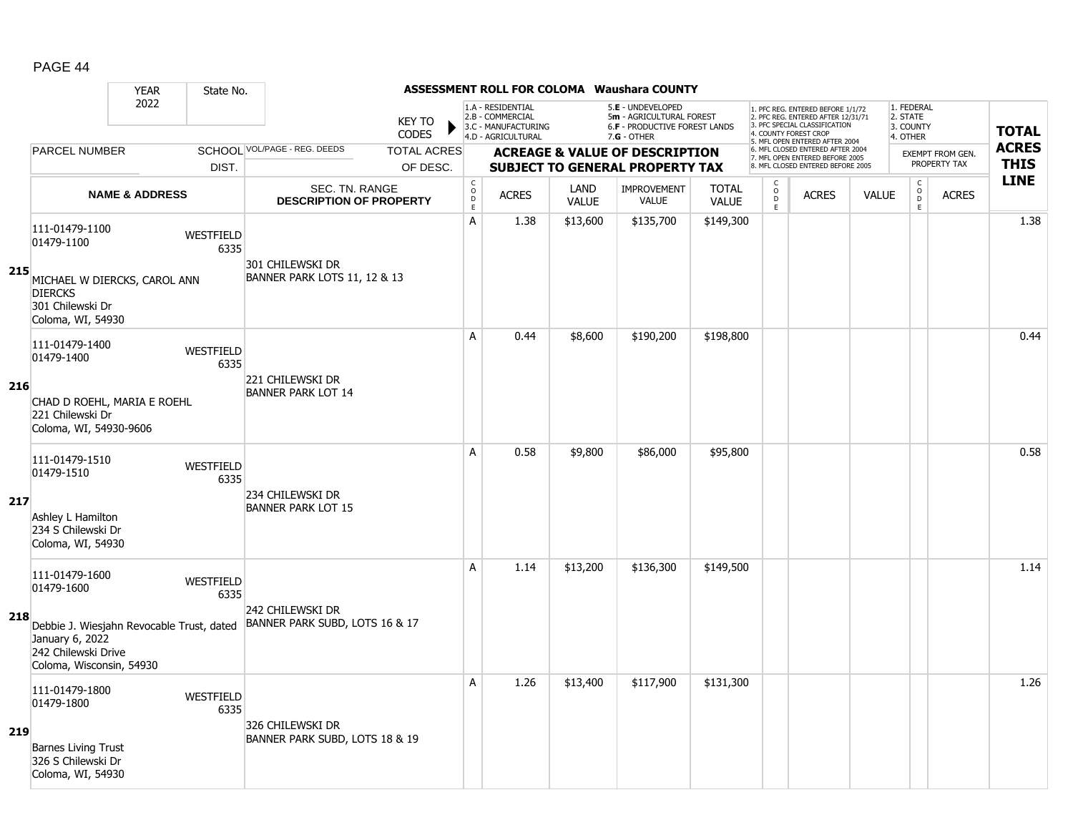|     |                                                                                                                                                 | <b>YEAR</b>               | State No.                |                                                             |                               |                             |                                                                                    |                      | <b>ASSESSMENT ROLL FOR COLOMA Waushara COUNTY</b>                                             |                              |                                                 |                                                                                                                                   |              |                                                 |                         |              |
|-----|-------------------------------------------------------------------------------------------------------------------------------------------------|---------------------------|--------------------------|-------------------------------------------------------------|-------------------------------|-----------------------------|------------------------------------------------------------------------------------|----------------------|-----------------------------------------------------------------------------------------------|------------------------------|-------------------------------------------------|-----------------------------------------------------------------------------------------------------------------------------------|--------------|-------------------------------------------------|-------------------------|--------------|
|     |                                                                                                                                                 | 2022                      |                          |                                                             | <b>KEY TO</b><br><b>CODES</b> |                             | 1.A - RESIDENTIAL<br>2.B - COMMERCIAL<br>3.C - MANUFACTURING<br>4.D - AGRICULTURAL |                      | 5.E - UNDEVELOPED<br>5m - AGRICULTURAL FOREST<br>6.F - PRODUCTIVE FOREST LANDS<br>7.G - OTHER |                              |                                                 | 1. PFC REG. ENTERED BEFORE 1/1/72<br>2. PFC REG. ENTERED AFTER 12/31/71<br>3. PFC SPECIAL CLASSIFICATION<br>4. COUNTY FOREST CROP |              | 1. FEDERAL<br>2. STATE<br>3. COUNTY<br>4. OTHER |                         | <b>TOTAL</b> |
|     | <b>PARCEL NUMBER</b>                                                                                                                            |                           |                          | SCHOOL VOL/PAGE - REG. DEEDS                                | <b>TOTAL ACRES</b>            |                             |                                                                                    |                      | <b>ACREAGE &amp; VALUE OF DESCRIPTION</b>                                                     |                              |                                                 | 5. MFL OPEN ENTERED AFTER 2004<br>6. MFL CLOSED ENTERED AFTER 2004                                                                |              |                                                 | <b>EXEMPT FROM GEN.</b> | <b>ACRES</b> |
|     |                                                                                                                                                 |                           | DIST.                    |                                                             | OF DESC.                      |                             |                                                                                    |                      | <b>SUBJECT TO GENERAL PROPERTY TAX</b>                                                        |                              |                                                 | 7. MFL OPEN ENTERED BEFORE 2005<br>8. MFL CLOSED ENTERED BEFORE 2005                                                              |              |                                                 | PROPERTY TAX            | <b>THIS</b>  |
|     |                                                                                                                                                 | <b>NAME &amp; ADDRESS</b> |                          | SEC. TN. RANGE<br><b>DESCRIPTION OF PROPERTY</b>            |                               | $\rm _c^C$<br>$\frac{D}{E}$ | <b>ACRES</b>                                                                       | LAND<br><b>VALUE</b> | <b>IMPROVEMENT</b><br><b>VALUE</b>                                                            | <b>TOTAL</b><br><b>VALUE</b> | $\begin{matrix} 0 \\ 0 \\ D \end{matrix}$<br>E. | <b>ACRES</b>                                                                                                                      | <b>VALUE</b> | $\begin{matrix} 0 \\ 0 \\ 0 \end{matrix}$<br>E  | <b>ACRES</b>            | <b>LINE</b>  |
| 215 | 111-01479-1100<br>01479-1100<br>MICHAEL W DIERCKS, CAROL ANN<br><b>DIERCKS</b>                                                                  |                           | WESTFIELD<br>6335        | 301 CHILEWSKI DR<br><b>BANNER PARK LOTS 11, 12 &amp; 13</b> |                               | A                           | 1.38                                                                               | \$13,600             | \$135,700                                                                                     | \$149,300                    |                                                 |                                                                                                                                   |              |                                                 |                         | 1.38         |
|     | 301 Chilewski Dr<br>Coloma, WI, 54930<br>111-01479-1400                                                                                         |                           | WESTFIELD                |                                                             |                               | A                           | 0.44                                                                               | \$8,600              | \$190,200                                                                                     | \$198,800                    |                                                 |                                                                                                                                   |              |                                                 |                         | 0.44         |
| 216 | 01479-1400<br>CHAD D ROEHL, MARIA E ROEHL<br>221 Chilewski Dr<br>Coloma, WI, 54930-9606                                                         |                           | 6335                     | 221 CHILEWSKI DR<br><b>BANNER PARK LOT 14</b>               |                               |                             |                                                                                    |                      |                                                                                               |                              |                                                 |                                                                                                                                   |              |                                                 |                         |              |
| 217 | 111-01479-1510<br>01479-1510<br>Ashley L Hamilton<br>234 S Chilewski Dr<br>Coloma, WI, 54930                                                    |                           | <b>WESTFIELD</b><br>6335 | 234 CHILEWSKI DR<br><b>BANNER PARK LOT 15</b>               |                               | A                           | 0.58                                                                               | \$9,800              | \$86,000                                                                                      | \$95,800                     |                                                 |                                                                                                                                   |              |                                                 |                         | 0.58         |
| 218 | 111-01479-1600<br>01479-1600<br>Debbie J. Wiesjahn Revocable Trust, dated<br>January 6, 2022<br>242 Chilewski Drive<br>Coloma, Wisconsin, 54930 |                           | WESTFIELD<br>6335        | 242 CHILEWSKI DR<br>BANNER PARK SUBD, LOTS 16 & 17          |                               | A                           | 1.14                                                                               | \$13,200             | \$136,300                                                                                     | \$149,500                    |                                                 |                                                                                                                                   |              |                                                 |                         | 1.14         |
| 219 | 111-01479-1800<br>01479-1800<br><b>Barnes Living Trust</b><br>326 S Chilewski Dr<br>Coloma, WI, 54930                                           |                           | WESTFIELD<br>6335        | 326 CHILEWSKI DR<br>BANNER PARK SUBD, LOTS 18 & 19          |                               | A                           | 1.26                                                                               | \$13,400             | \$117,900                                                                                     | \$131,300                    |                                                 |                                                                                                                                   |              |                                                 |                         | 1.26         |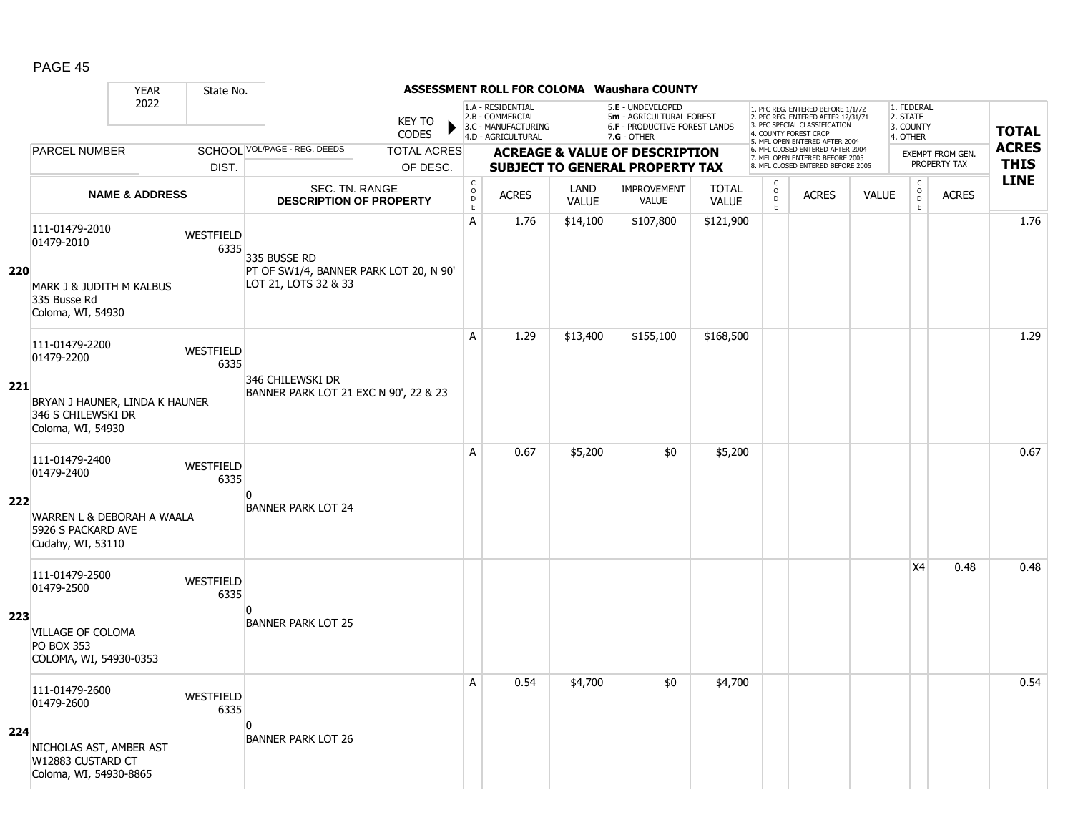|     |                                                                           | <b>YEAR</b>               | State No.         |                                                                                |                               |                                        |                                                                                    |                      | <b>ASSESSMENT ROLL FOR COLOMA Waushara COUNTY</b>                                                    |                              |                                                 |                                                                                                                                                                     |              |                                                 |                  |              |
|-----|---------------------------------------------------------------------------|---------------------------|-------------------|--------------------------------------------------------------------------------|-------------------------------|----------------------------------------|------------------------------------------------------------------------------------|----------------------|------------------------------------------------------------------------------------------------------|------------------------------|-------------------------------------------------|---------------------------------------------------------------------------------------------------------------------------------------------------------------------|--------------|-------------------------------------------------|------------------|--------------|
|     |                                                                           | 2022                      |                   |                                                                                | <b>KEY TO</b><br><b>CODES</b> |                                        | 1.A - RESIDENTIAL<br>2.B - COMMERCIAL<br>3.C - MANUFACTURING<br>4.D - AGRICULTURAL |                      | 5.E - UNDEVELOPED<br>5m - AGRICULTURAL FOREST<br><b>6.F - PRODUCTIVE FOREST LANDS</b><br>7.G - OTHER |                              |                                                 | 1. PFC REG. ENTERED BEFORE 1/1/72<br>2. PFC REG. ENTERED AFTER 12/31/71<br>3. PFC SPECIAL CLASSIFICATION<br>4. COUNTY FOREST CROP<br>5. MFL OPEN ENTERED AFTER 2004 |              | 1. FEDERAL<br>2. STATE<br>3. COUNTY<br>4. OTHER |                  | <b>TOTAL</b> |
|     | <b>PARCEL NUMBER</b>                                                      |                           |                   | SCHOOL VOL/PAGE - REG. DEEDS                                                   | <b>TOTAL ACRES</b>            |                                        |                                                                                    |                      | <b>ACREAGE &amp; VALUE OF DESCRIPTION</b>                                                            |                              |                                                 | 6. MFL CLOSED ENTERED AFTER 2004<br>7. MFL OPEN ENTERED BEFORE 2005                                                                                                 |              |                                                 | EXEMPT FROM GEN. | <b>ACRES</b> |
|     |                                                                           |                           | DIST.             |                                                                                | OF DESC.                      |                                        |                                                                                    |                      | <b>SUBJECT TO GENERAL PROPERTY TAX</b>                                                               |                              |                                                 | 8. MFL CLOSED ENTERED BEFORE 2005                                                                                                                                   |              |                                                 | PROPERTY TAX     | <b>THIS</b>  |
|     |                                                                           | <b>NAME &amp; ADDRESS</b> |                   | <b>SEC. TN. RANGE</b><br><b>DESCRIPTION OF PROPERTY</b>                        |                               | $_{\rm o}^{\rm c}$<br>$\mathsf D$<br>E | <b>ACRES</b>                                                                       | LAND<br><b>VALUE</b> | <b>IMPROVEMENT</b><br>VALUE                                                                          | <b>TOTAL</b><br><b>VALUE</b> | $\begin{matrix} 0 \\ 0 \\ D \end{matrix}$<br>E. | <b>ACRES</b>                                                                                                                                                        | <b>VALUE</b> | $\begin{matrix} 0 \\ 0 \end{matrix}$<br>E       | <b>ACRES</b>     | <b>LINE</b>  |
| 220 | 111-01479-2010<br>01479-2010<br>MARK J & JUDITH M KALBUS                  |                           | WESTFIELD<br>6335 | 335 BUSSE RD<br>PT OF SW1/4, BANNER PARK LOT 20, N 90'<br>LOT 21, LOTS 32 & 33 |                               | А                                      | 1.76                                                                               | \$14,100             | \$107,800                                                                                            | \$121,900                    |                                                 |                                                                                                                                                                     |              |                                                 |                  | 1.76         |
|     | 335 Busse Rd<br>Coloma, WI, 54930                                         |                           |                   |                                                                                |                               |                                        |                                                                                    |                      |                                                                                                      |                              |                                                 |                                                                                                                                                                     |              |                                                 |                  |              |
|     | 111-01479-2200<br>01479-2200                                              |                           | WESTFIELD<br>6335 | 346 CHILEWSKI DR                                                               |                               | A                                      | 1.29                                                                               | \$13,400             | \$155,100                                                                                            | \$168,500                    |                                                 |                                                                                                                                                                     |              |                                                 |                  | 1.29         |
| 221 | BRYAN J HAUNER, LINDA K HAUNER<br>346 S CHILEWSKI DR<br>Coloma, WI, 54930 |                           |                   | BANNER PARK LOT 21 EXC N 90', 22 & 23                                          |                               |                                        |                                                                                    |                      |                                                                                                      |                              |                                                 |                                                                                                                                                                     |              |                                                 |                  |              |
|     | 111-01479-2400<br>01479-2400                                              |                           | WESTFIELD<br>6335 | n                                                                              |                               | A                                      | 0.67                                                                               | \$5,200              | \$0                                                                                                  | \$5,200                      |                                                 |                                                                                                                                                                     |              |                                                 |                  | 0.67         |
| 222 | WARREN L & DEBORAH A WAALA<br>5926 S PACKARD AVE<br>Cudahy, WI, 53110     |                           |                   | <b>BANNER PARK LOT 24</b>                                                      |                               |                                        |                                                                                    |                      |                                                                                                      |                              |                                                 |                                                                                                                                                                     |              |                                                 |                  |              |
|     | 111-01479-2500<br>01479-2500                                              |                           | WESTFIELD<br>6335 | $\Omega$                                                                       |                               |                                        |                                                                                    |                      |                                                                                                      |                              |                                                 |                                                                                                                                                                     |              | X4                                              | 0.48             | 0.48         |
| 223 | VILLAGE OF COLOMA<br><b>PO BOX 353</b><br>COLOMA, WI, 54930-0353          |                           |                   | <b>BANNER PARK LOT 25</b>                                                      |                               |                                        |                                                                                    |                      |                                                                                                      |                              |                                                 |                                                                                                                                                                     |              |                                                 |                  |              |
|     | 111-01479-2600<br>01479-2600                                              |                           | WESTFIELD<br>6335 | n                                                                              |                               | A                                      | 0.54                                                                               | \$4,700              | \$0                                                                                                  | \$4,700                      |                                                 |                                                                                                                                                                     |              |                                                 |                  | 0.54         |
| 224 | NICHOLAS AST, AMBER AST<br>W12883 CUSTARD CT<br>Coloma, WI, 54930-8865    |                           |                   | <b>BANNER PARK LOT 26</b>                                                      |                               |                                        |                                                                                    |                      |                                                                                                      |                              |                                                 |                                                                                                                                                                     |              |                                                 |                  |              |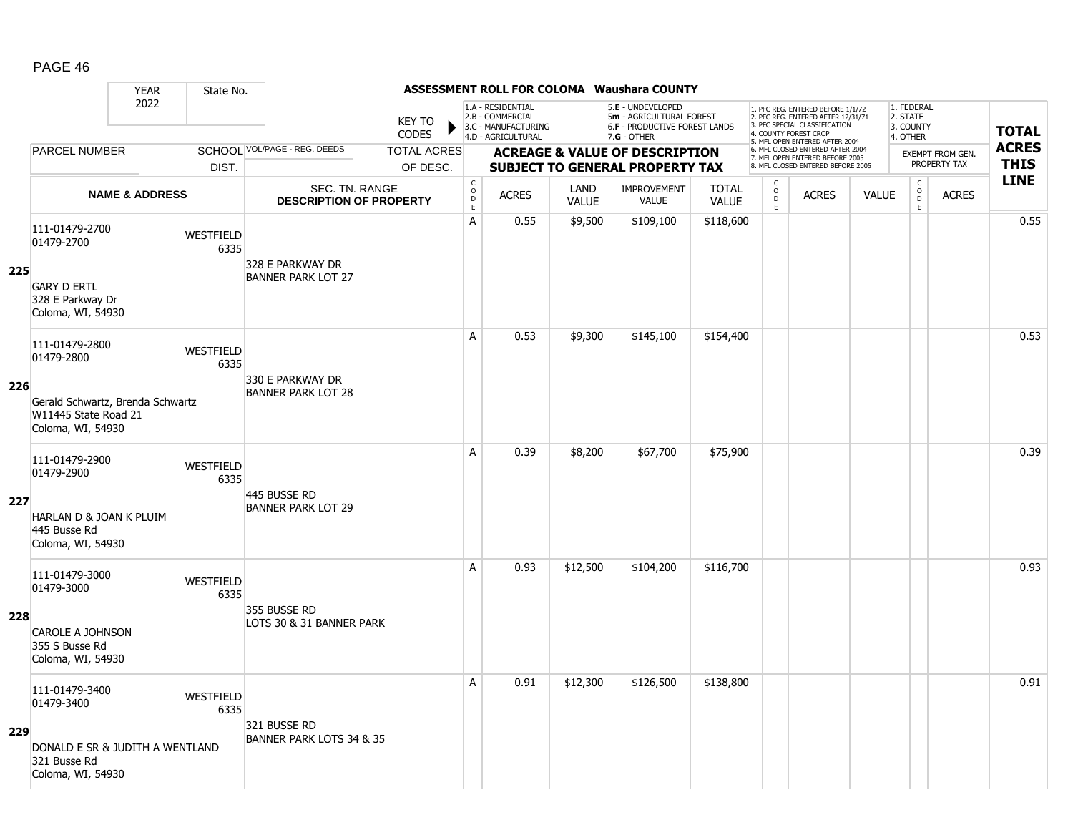|     |                                                                               | <b>YEAR</b>               | State No.         |                                                         |                               |                                        |                                                                                    |                      | <b>ASSESSMENT ROLL FOR COLOMA Waushara COUNTY</b>                                                    |                              |                                                 |                                                                                                                                                                     |              |                                                 |                  |              |
|-----|-------------------------------------------------------------------------------|---------------------------|-------------------|---------------------------------------------------------|-------------------------------|----------------------------------------|------------------------------------------------------------------------------------|----------------------|------------------------------------------------------------------------------------------------------|------------------------------|-------------------------------------------------|---------------------------------------------------------------------------------------------------------------------------------------------------------------------|--------------|-------------------------------------------------|------------------|--------------|
|     |                                                                               | 2022                      |                   |                                                         | <b>KEY TO</b><br><b>CODES</b> |                                        | 1.A - RESIDENTIAL<br>2.B - COMMERCIAL<br>3.C - MANUFACTURING<br>4.D - AGRICULTURAL |                      | 5.E - UNDEVELOPED<br>5m - AGRICULTURAL FOREST<br><b>6.F - PRODUCTIVE FOREST LANDS</b><br>7.G - OTHER |                              |                                                 | 1. PFC REG. ENTERED BEFORE 1/1/72<br>2. PFC REG. ENTERED AFTER 12/31/71<br>3. PFC SPECIAL CLASSIFICATION<br>4. COUNTY FOREST CROP<br>5. MFL OPEN ENTERED AFTER 2004 |              | 1. FEDERAL<br>2. STATE<br>3. COUNTY<br>4. OTHER |                  | <b>TOTAL</b> |
|     | <b>PARCEL NUMBER</b>                                                          |                           |                   | SCHOOL VOL/PAGE - REG. DEEDS                            | <b>TOTAL ACRES</b>            |                                        |                                                                                    |                      | <b>ACREAGE &amp; VALUE OF DESCRIPTION</b>                                                            |                              |                                                 | 6. MFL CLOSED ENTERED AFTER 2004<br>7. MFL OPEN ENTERED BEFORE 2005                                                                                                 |              |                                                 | EXEMPT FROM GEN. | <b>ACRES</b> |
|     |                                                                               |                           | DIST.             |                                                         | OF DESC.                      |                                        |                                                                                    |                      | <b>SUBJECT TO GENERAL PROPERTY TAX</b>                                                               |                              |                                                 | 8. MFL CLOSED ENTERED BEFORE 2005                                                                                                                                   |              |                                                 | PROPERTY TAX     | <b>THIS</b>  |
|     |                                                                               | <b>NAME &amp; ADDRESS</b> |                   | <b>SEC. TN. RANGE</b><br><b>DESCRIPTION OF PROPERTY</b> |                               | $_{\rm o}^{\rm c}$<br>$\mathsf D$<br>E | <b>ACRES</b>                                                                       | LAND<br><b>VALUE</b> | <b>IMPROVEMENT</b><br>VALUE                                                                          | <b>TOTAL</b><br><b>VALUE</b> | $\begin{matrix} 0 \\ 0 \\ 0 \end{matrix}$<br>E. | <b>ACRES</b>                                                                                                                                                        | <b>VALUE</b> | $\begin{matrix} 0 \\ 0 \\ 0 \end{matrix}$<br>E  | <b>ACRES</b>     | <b>LINE</b>  |
| 225 | 111-01479-2700<br>01479-2700                                                  |                           | WESTFIELD<br>6335 | 328 E PARKWAY DR                                        |                               | А                                      | 0.55                                                                               | \$9,500              | \$109,100                                                                                            | \$118,600                    |                                                 |                                                                                                                                                                     |              |                                                 |                  | 0.55         |
|     | <b>GARY D ERTL</b><br>328 E Parkway Dr<br>Coloma, WI, 54930                   |                           |                   | <b>BANNER PARK LOT 27</b>                               |                               |                                        |                                                                                    |                      |                                                                                                      |                              |                                                 |                                                                                                                                                                     |              |                                                 |                  |              |
|     | 111-01479-2800<br>01479-2800                                                  |                           | WESTFIELD<br>6335 | 330 E PARKWAY DR                                        |                               | A                                      | 0.53                                                                               | \$9,300              | \$145,100                                                                                            | \$154,400                    |                                                 |                                                                                                                                                                     |              |                                                 |                  | 0.53         |
| 226 | Gerald Schwartz, Brenda Schwartz<br>W11445 State Road 21<br>Coloma, WI, 54930 |                           |                   | <b>BANNER PARK LOT 28</b>                               |                               |                                        |                                                                                    |                      |                                                                                                      |                              |                                                 |                                                                                                                                                                     |              |                                                 |                  |              |
|     | 111-01479-2900<br>01479-2900                                                  |                           | WESTFIELD<br>6335 | 445 BUSSE RD                                            |                               | A                                      | 0.39                                                                               | \$8,200              | \$67,700                                                                                             | \$75,900                     |                                                 |                                                                                                                                                                     |              |                                                 |                  | 0.39         |
| 227 | HARLAN D & JOAN K PLUIM<br>445 Busse Rd<br>Coloma, WI, 54930                  |                           |                   | <b>BANNER PARK LOT 29</b>                               |                               |                                        |                                                                                    |                      |                                                                                                      |                              |                                                 |                                                                                                                                                                     |              |                                                 |                  |              |
|     | 111-01479-3000<br>01479-3000                                                  |                           | WESTFIELD<br>6335 | 355 BUSSE RD                                            |                               | A                                      | 0.93                                                                               | \$12,500             | \$104,200                                                                                            | \$116,700                    |                                                 |                                                                                                                                                                     |              |                                                 |                  | 0.93         |
| 228 | <b>CAROLE A JOHNSON</b><br>355 S Busse Rd<br>Coloma, WI, 54930                |                           |                   | LOTS 30 & 31 BANNER PARK                                |                               |                                        |                                                                                    |                      |                                                                                                      |                              |                                                 |                                                                                                                                                                     |              |                                                 |                  |              |
|     | 111-01479-3400<br>01479-3400                                                  |                           | WESTFIELD<br>6335 | 321 BUSSE RD                                            |                               | A                                      | 0.91                                                                               | \$12,300             | \$126,500                                                                                            | \$138,800                    |                                                 |                                                                                                                                                                     |              |                                                 |                  | 0.91         |
| 229 | DONALD E SR & JUDITH A WENTLAND<br>321 Busse Rd<br>Coloma, WI, 54930          |                           |                   | BANNER PARK LOTS 34 & 35                                |                               |                                        |                                                                                    |                      |                                                                                                      |                              |                                                 |                                                                                                                                                                     |              |                                                 |                  |              |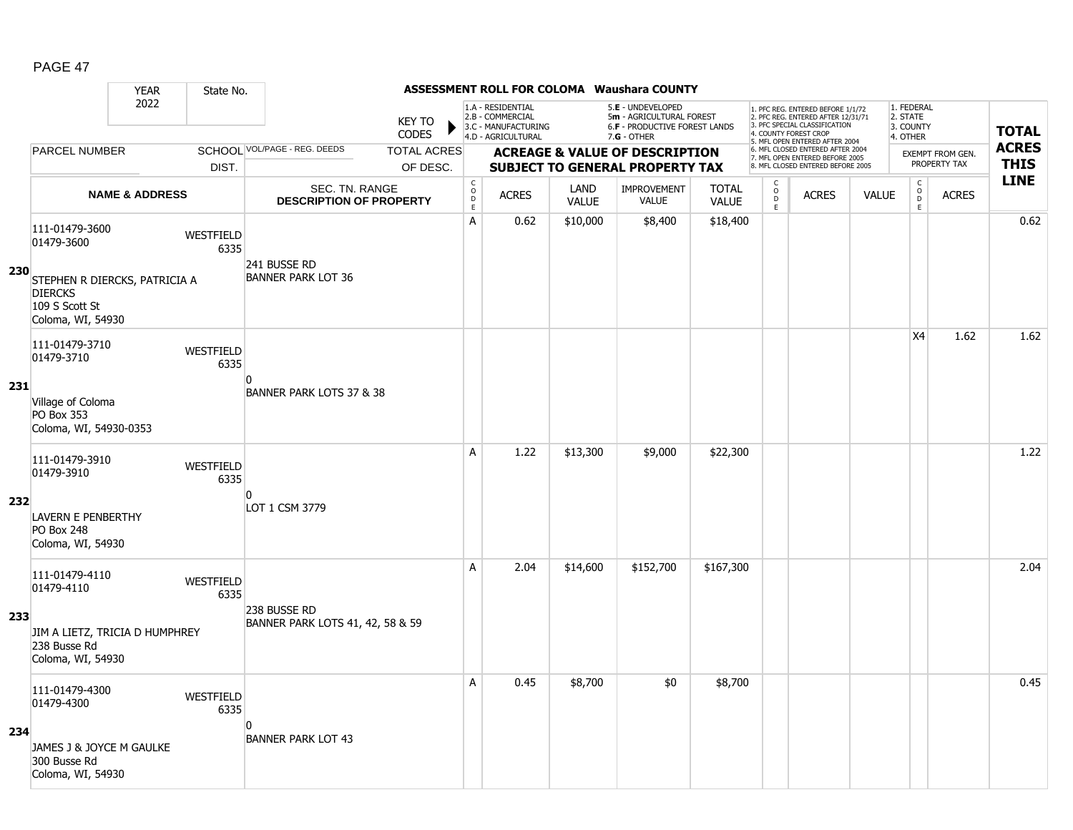|            |                                                                     | <b>YEAR</b>               | State No.                |                                                  |                               |                                        |                                                                                    |                      | <b>ASSESSMENT ROLL FOR COLOMA Waushara COUNTY</b>                                               |                              |                                                |                                                                                                                                                                     |              |                                                 |                                  |                             |
|------------|---------------------------------------------------------------------|---------------------------|--------------------------|--------------------------------------------------|-------------------------------|----------------------------------------|------------------------------------------------------------------------------------|----------------------|-------------------------------------------------------------------------------------------------|------------------------------|------------------------------------------------|---------------------------------------------------------------------------------------------------------------------------------------------------------------------|--------------|-------------------------------------------------|----------------------------------|-----------------------------|
|            |                                                                     | 2022                      |                          |                                                  | <b>KEY TO</b><br><b>CODES</b> |                                        | 1.A - RESIDENTIAL<br>2.B - COMMERCIAL<br>3.C - MANUFACTURING<br>4.D - AGRICULTURAL |                      | 5.E - UNDEVELOPED<br>5m - AGRICULTURAL FOREST<br>6.F - PRODUCTIVE FOREST LANDS<br>$7.G - OTHER$ |                              |                                                | 1. PFC REG. ENTERED BEFORE 1/1/72<br>2. PFC REG. ENTERED AFTER 12/31/71<br>3. PFC SPECIAL CLASSIFICATION<br>4. COUNTY FOREST CROP<br>5. MFL OPEN ENTERED AFTER 2004 |              | 1. FEDERAL<br>2. STATE<br>3. COUNTY<br>4. OTHER |                                  | <b>TOTAL</b>                |
|            | <b>PARCEL NUMBER</b>                                                |                           |                          | SCHOOL VOL/PAGE - REG. DEEDS                     | <b>TOTAL ACRES</b>            |                                        |                                                                                    |                      | <b>ACREAGE &amp; VALUE OF DESCRIPTION</b>                                                       |                              |                                                | 6. MFL CLOSED ENTERED AFTER 2004<br>7. MFL OPEN ENTERED BEFORE 2005<br>8. MFL CLOSED ENTERED BEFORE 2005                                                            |              |                                                 | EXEMPT FROM GEN.<br>PROPERTY TAX | <b>ACRES</b><br><b>THIS</b> |
|            |                                                                     |                           | DIST.                    |                                                  | OF DESC.                      |                                        |                                                                                    |                      | <b>SUBJECT TO GENERAL PROPERTY TAX</b>                                                          |                              |                                                |                                                                                                                                                                     |              |                                                 |                                  | <b>LINE</b>                 |
|            |                                                                     | <b>NAME &amp; ADDRESS</b> |                          | SEC. TN. RANGE<br><b>DESCRIPTION OF PROPERTY</b> |                               | $_{\rm o}^{\rm c}$<br>$\mathsf D$<br>E | <b>ACRES</b>                                                                       | LAND<br><b>VALUE</b> | <b>IMPROVEMENT</b><br><b>VALUE</b>                                                              | <b>TOTAL</b><br><b>VALUE</b> | $\begin{matrix} 0 \\ 0 \\ D \end{matrix}$<br>E | <b>ACRES</b>                                                                                                                                                        | <b>VALUE</b> | $\begin{matrix} 0 \\ 0 \end{matrix}$<br>E       | <b>ACRES</b>                     |                             |
| <b>230</b> | 111-01479-3600<br>01479-3600<br>STEPHEN R DIERCKS, PATRICIA A       |                           | WESTFIELD<br>6335        | 241 BUSSE RD<br><b>BANNER PARK LOT 36</b>        |                               | A                                      | 0.62                                                                               | \$10,000             | \$8,400                                                                                         | \$18,400                     |                                                |                                                                                                                                                                     |              |                                                 |                                  | 0.62                        |
|            | <b>DIERCKS</b><br>109 S Scott St<br>Coloma, WI, 54930               |                           |                          |                                                  |                               |                                        |                                                                                    |                      |                                                                                                 |                              |                                                |                                                                                                                                                                     |              |                                                 |                                  |                             |
|            | 111-01479-3710<br>01479-3710                                        |                           | WESTFIELD<br>6335        |                                                  |                               |                                        |                                                                                    |                      |                                                                                                 |                              |                                                |                                                                                                                                                                     |              | X4                                              | 1.62                             | 1.62                        |
| 231        | Village of Coloma<br>PO Box 353<br>Coloma, WI, 54930-0353           |                           |                          | $\Omega$<br>BANNER PARK LOTS 37 & 38             |                               |                                        |                                                                                    |                      |                                                                                                 |                              |                                                |                                                                                                                                                                     |              |                                                 |                                  |                             |
|            | 111-01479-3910<br>01479-3910                                        |                           | <b>WESTFIELD</b><br>6335 |                                                  |                               | A                                      | 1.22                                                                               | \$13,300             | \$9,000                                                                                         | \$22,300                     |                                                |                                                                                                                                                                     |              |                                                 |                                  | 1.22                        |
| 232        | <b>LAVERN E PENBERTHY</b><br><b>PO Box 248</b><br>Coloma, WI, 54930 |                           |                          | n<br>LOT 1 CSM 3779                              |                               |                                        |                                                                                    |                      |                                                                                                 |                              |                                                |                                                                                                                                                                     |              |                                                 |                                  |                             |
|            | 111-01479-4110<br>01479-4110                                        |                           | WESTFIELD<br>6335        |                                                  |                               | A                                      | 2.04                                                                               | \$14,600             | \$152,700                                                                                       | \$167,300                    |                                                |                                                                                                                                                                     |              |                                                 |                                  | 2.04                        |
| 233        | JIM A LIETZ, TRICIA D HUMPHREY<br>238 Busse Rd<br>Coloma, WI, 54930 |                           |                          | 238 BUSSE RD<br>BANNER PARK LOTS 41, 42, 58 & 59 |                               |                                        |                                                                                    |                      |                                                                                                 |                              |                                                |                                                                                                                                                                     |              |                                                 |                                  |                             |
|            | 111-01479-4300<br>01479-4300                                        |                           | WESTFIELD<br>6335        |                                                  |                               | A                                      | 0.45                                                                               | \$8,700              | \$0                                                                                             | \$8,700                      |                                                |                                                                                                                                                                     |              |                                                 |                                  | 0.45                        |
| 234        | JAMES J & JOYCE M GAULKE<br>300 Busse Rd<br>Coloma, WI, 54930       |                           |                          | $\mathbf{0}$<br><b>BANNER PARK LOT 43</b>        |                               |                                        |                                                                                    |                      |                                                                                                 |                              |                                                |                                                                                                                                                                     |              |                                                 |                                  |                             |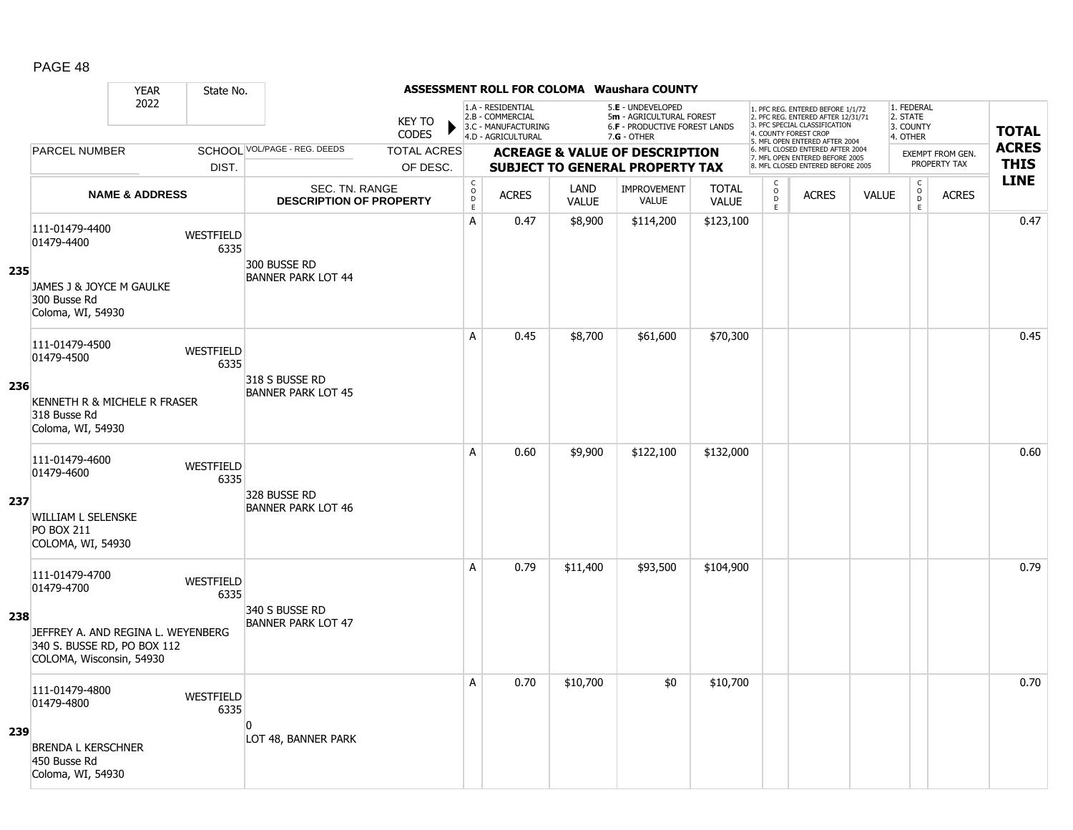|     |                                                                                                                               | <b>YEAR</b>               | State No.                |                                                  |                                |                                   |                                                                                    |                      | <b>ASSESSMENT ROLL FOR COLOMA Waushara COUNTY</b>                                             |                              |                                           |                                                                                                                                            |              |                                                 |                                  |                             |
|-----|-------------------------------------------------------------------------------------------------------------------------------|---------------------------|--------------------------|--------------------------------------------------|--------------------------------|-----------------------------------|------------------------------------------------------------------------------------|----------------------|-----------------------------------------------------------------------------------------------|------------------------------|-------------------------------------------|--------------------------------------------------------------------------------------------------------------------------------------------|--------------|-------------------------------------------------|----------------------------------|-----------------------------|
|     |                                                                                                                               | 2022                      |                          |                                                  | <b>KEY TO</b><br><b>CODES</b>  |                                   | 1.A - RESIDENTIAL<br>2.B - COMMERCIAL<br>3.C - MANUFACTURING<br>4.D - AGRICULTURAL |                      | 5.E - UNDEVELOPED<br>5m - AGRICULTURAL FOREST<br>6.F - PRODUCTIVE FOREST LANDS<br>7.G - OTHER |                              |                                           | 1. PFC REG. ENTERED BEFORE 1/1/72<br>2. PFC REG. ENTERED AFTER 12/31/71<br>3. PFC SPECIAL CLASSIFICATION<br>4. COUNTY FOREST CROP          |              | 1. FEDERAL<br>2. STATE<br>3. COUNTY<br>4. OTHER |                                  | <b>TOTAL</b>                |
|     | <b>PARCEL NUMBER</b>                                                                                                          |                           | DIST.                    | SCHOOL VOL/PAGE - REG. DEEDS                     | <b>TOTAL ACRES</b><br>OF DESC. |                                   |                                                                                    |                      | <b>ACREAGE &amp; VALUE OF DESCRIPTION</b>                                                     |                              |                                           | 5. MFL OPEN ENTERED AFTER 2004<br>6. MFL CLOSED ENTERED AFTER 2004<br>7. MFL OPEN ENTERED BEFORE 2005<br>8. MFL CLOSED ENTERED BEFORE 2005 |              |                                                 | EXEMPT FROM GEN.<br>PROPERTY TAX | <b>ACRES</b><br><b>THIS</b> |
|     |                                                                                                                               | <b>NAME &amp; ADDRESS</b> |                          | SEC. TN. RANGE<br><b>DESCRIPTION OF PROPERTY</b> |                                | $_{\rm o}^{\rm c}$<br>$\mathsf D$ | <b>ACRES</b>                                                                       | LAND<br><b>VALUE</b> | <b>SUBJECT TO GENERAL PROPERTY TAX</b><br><b>IMPROVEMENT</b><br><b>VALUE</b>                  | <b>TOTAL</b><br><b>VALUE</b> | $\begin{matrix} 0 \\ 0 \\ 0 \end{matrix}$ | <b>ACRES</b>                                                                                                                               | <b>VALUE</b> | $\begin{matrix} 0 \\ 0 \end{matrix}$            | <b>ACRES</b>                     | <b>LINE</b>                 |
| 235 | 111-01479-4400<br>01479-4400<br>JAMES J & JOYCE M GAULKE                                                                      |                           | WESTFIELD<br>6335        | 300 BUSSE RD<br><b>BANNER PARK LOT 44</b>        |                                | E<br>A                            | 0.47                                                                               | \$8,900              | \$114,200                                                                                     | \$123,100                    | E                                         |                                                                                                                                            |              | E                                               |                                  | 0.47                        |
|     | 300 Busse Rd<br>Coloma, WI, 54930                                                                                             |                           |                          |                                                  |                                | A                                 | 0.45                                                                               | \$8,700              | \$61,600                                                                                      | \$70,300                     |                                           |                                                                                                                                            |              |                                                 |                                  | 0.45                        |
| 236 | 111-01479-4500<br>01479-4500<br>KENNETH R & MICHELE R FRASER<br>318 Busse Rd<br>Coloma, WI, 54930                             |                           | WESTFIELD<br>6335        | 318 S BUSSE RD<br><b>BANNER PARK LOT 45</b>      |                                |                                   |                                                                                    |                      |                                                                                               |                              |                                           |                                                                                                                                            |              |                                                 |                                  |                             |
| 237 | 111-01479-4600<br>01479-4600<br><b>WILLIAM L SELENSKE</b><br><b>PO BOX 211</b><br>COLOMA, WI, 54930                           |                           | <b>WESTFIELD</b><br>6335 | 328 BUSSE RD<br><b>BANNER PARK LOT 46</b>        |                                | A                                 | 0.60                                                                               | \$9,900              | \$122,100                                                                                     | \$132,000                    |                                           |                                                                                                                                            |              |                                                 |                                  | 0.60                        |
| 238 | 111-01479-4700<br>01479-4700<br>JEFFREY A. AND REGINA L. WEYENBERG<br>340 S. BUSSE RD, PO BOX 112<br>COLOMA, Wisconsin, 54930 |                           | WESTFIELD<br>6335        | 340 S BUSSE RD<br><b>BANNER PARK LOT 47</b>      |                                | A                                 | 0.79                                                                               | \$11,400             | \$93,500                                                                                      | \$104,900                    |                                           |                                                                                                                                            |              |                                                 |                                  | 0.79                        |
| 239 | 111-01479-4800<br>01479-4800<br><b>BRENDA L KERSCHNER</b><br>450 Busse Rd<br>Coloma, WI, 54930                                |                           | WESTFIELD<br>6335        | $\mathbf{0}$<br>LOT 48, BANNER PARK              |                                | A                                 | 0.70                                                                               | \$10,700             | \$0                                                                                           | \$10,700                     |                                           |                                                                                                                                            |              |                                                 |                                  | 0.70                        |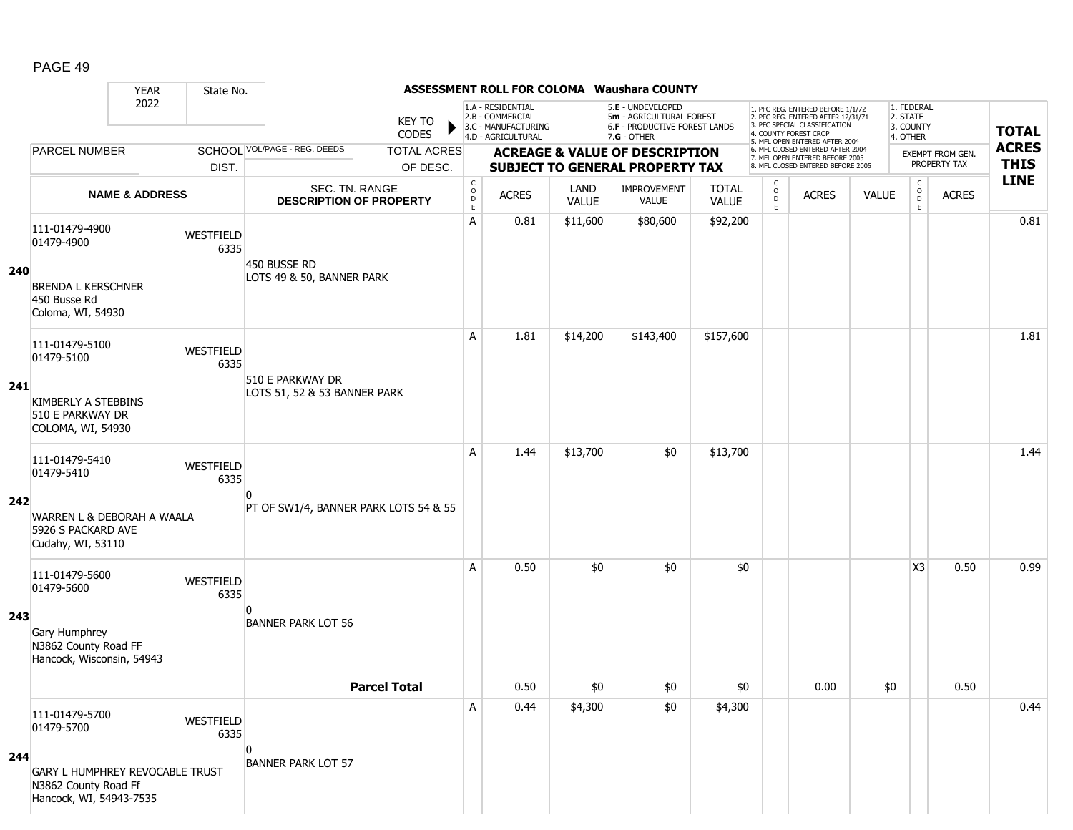|     |                                                                                                                    | <b>YEAR</b>               | State No.              |                                                  |                                                |                                                              |                      | ASSESSMENT ROLL FOR COLOMA Waushara COUNTY                                          |                              |                                                |                                                                                                                                   |              |                                          |                                  |              |
|-----|--------------------------------------------------------------------------------------------------------------------|---------------------------|------------------------|--------------------------------------------------|------------------------------------------------|--------------------------------------------------------------|----------------------|-------------------------------------------------------------------------------------|------------------------------|------------------------------------------------|-----------------------------------------------------------------------------------------------------------------------------------|--------------|------------------------------------------|----------------------------------|--------------|
|     |                                                                                                                    | 2022                      |                        | <b>KEY TO</b><br><b>CODES</b>                    |                                                | 1.A - RESIDENTIAL<br>2.B - COMMERCIAL<br>3.C - MANUFACTURING |                      | 5.E - UNDEVELOPED<br>5m - AGRICULTURAL FOREST<br>6.F - PRODUCTIVE FOREST LANDS      |                              |                                                | 1. PFC REG. ENTERED BEFORE 1/1/72<br>2. PFC REG. ENTERED AFTER 12/31/71<br>3. PFC SPECIAL CLASSIFICATION<br>4. COUNTY FOREST CROP |              | 1. FEDERAL<br>2. STATE<br>3. COUNTY      |                                  | <b>TOTAL</b> |
|     |                                                                                                                    |                           |                        | <b>SCHOOL VOL/PAGE - REG. DEEDS</b>              |                                                | 4.D - AGRICULTURAL                                           |                      | $7.G - OTHER$                                                                       |                              |                                                | 5. MFL OPEN ENTERED AFTER 2004<br>6. MFL CLOSED ENTERED AFTER 2004                                                                |              | 4. OTHER                                 |                                  | <b>ACRES</b> |
|     | <b>PARCEL NUMBER</b>                                                                                               |                           | DIST.                  | <b>TOTAL ACRES</b><br>OF DESC.                   |                                                |                                                              |                      | <b>ACREAGE &amp; VALUE OF DESCRIPTION</b><br><b>SUBJECT TO GENERAL PROPERTY TAX</b> |                              |                                                | 7. MFL OPEN ENTERED BEFORE 2005<br>8. MFL CLOSED ENTERED BEFORE 2005                                                              |              |                                          | EXEMPT FROM GEN.<br>PROPERTY TAX | <b>THIS</b>  |
|     |                                                                                                                    | <b>NAME &amp; ADDRESS</b> |                        | SEC. TN. RANGE<br><b>DESCRIPTION OF PROPERTY</b> | $\begin{matrix} 0 \\ 0 \\ D \end{matrix}$<br>E | <b>ACRES</b>                                                 | LAND<br><b>VALUE</b> | IMPROVEMENT<br>VALUE                                                                | <b>TOTAL</b><br><b>VALUE</b> | $\begin{matrix} 0 \\ 0 \\ 0 \end{matrix}$<br>E | <b>ACRES</b>                                                                                                                      | <b>VALUE</b> | $\mathsf{C}$<br>$_{\rm D}^{\rm O}$<br>E. | <b>ACRES</b>                     | <b>LINE</b>  |
| 240 | 111-01479-4900<br>01479-4900<br><b>BRENDA L KERSCHNER</b><br>450 Busse Rd<br>Coloma, WI, 54930                     | WESTFIELD                 | 6335                   | 450 BUSSE RD<br>LOTS 49 & 50, BANNER PARK        | Α                                              | 0.81                                                         | \$11,600             | \$80,600                                                                            | \$92,200                     |                                                |                                                                                                                                   |              |                                          |                                  | 0.81         |
| 241 | 111-01479-5100<br>01479-5100<br><b>KIMBERLY A STEBBINS</b><br>510 E PARKWAY DR<br>COLOMA, WI, 54930                | WESTFIELD                 | 6335                   | 510 E PARKWAY DR<br>LOTS 51, 52 & 53 BANNER PARK | Α                                              | 1.81                                                         | \$14,200             | \$143,400                                                                           | \$157,600                    |                                                |                                                                                                                                   |              |                                          |                                  | 1.81         |
| 242 | 111-01479-5410<br>01479-5410<br>WARREN L & DEBORAH A WAALA<br>5926 S PACKARD AVE<br>Cudahy, WI, 53110              | WESTFIELD                 | 6335<br>n              | PT OF SW1/4, BANNER PARK LOTS 54 & 55            | A                                              | 1.44                                                         | \$13,700             | \$0                                                                                 | \$13,700                     |                                                |                                                                                                                                   |              |                                          |                                  | 1.44         |
| 243 | 111-01479-5600<br>01479-5600<br>Gary Humphrey<br>N3862 County Road FF<br>Hancock, Wisconsin, 54943                 | WESTFIELD                 | 6335<br>$\overline{0}$ | <b>BANNER PARK LOT 56</b><br><b>Parcel Total</b> | Α                                              | 0.50<br>0.50                                                 | \$0<br>\$0           | \$0<br>\$0                                                                          | \$0<br>\$0                   |                                                | 0.00                                                                                                                              | \$0          | X3                                       | 0.50<br>0.50                     | 0.99         |
| 244 | 111-01479-5700<br>01479-5700<br>GARY L HUMPHREY REVOCABLE TRUST<br>N3862 County Road Ff<br>Hancock, WI, 54943-7535 | WESTFIELD                 | 6335<br>$\Omega$       | <b>BANNER PARK LOT 57</b>                        | Α                                              | 0.44                                                         | \$4,300              | \$0                                                                                 | \$4,300                      |                                                |                                                                                                                                   |              |                                          |                                  | 0.44         |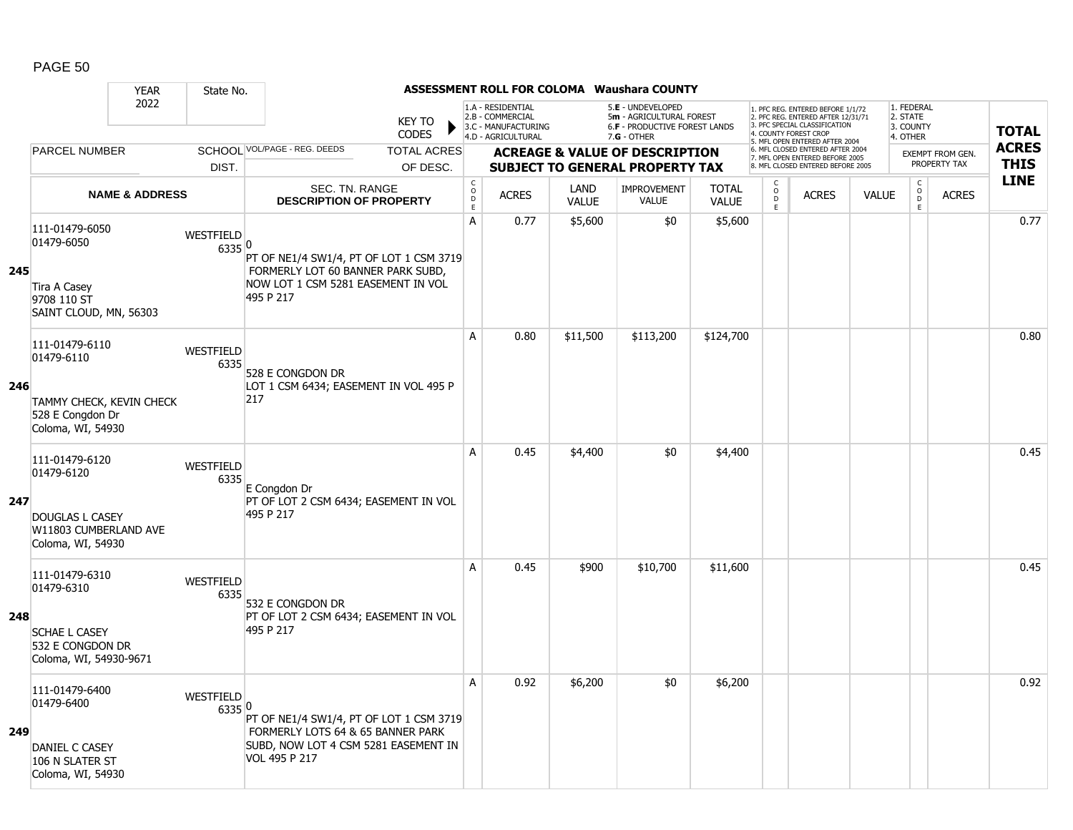|     |                                                                                                      | <b>YEAR</b>               | State No.                  |                                                                                                                                       |                               |                                        |                                                                                    |                      | <b>ASSESSMENT ROLL FOR COLOMA Waushara COUNTY</b>                                                    |                              |                                                |                                                                                                                                                                     |              |                                                 |                         |              |
|-----|------------------------------------------------------------------------------------------------------|---------------------------|----------------------------|---------------------------------------------------------------------------------------------------------------------------------------|-------------------------------|----------------------------------------|------------------------------------------------------------------------------------|----------------------|------------------------------------------------------------------------------------------------------|------------------------------|------------------------------------------------|---------------------------------------------------------------------------------------------------------------------------------------------------------------------|--------------|-------------------------------------------------|-------------------------|--------------|
|     |                                                                                                      | 2022                      |                            |                                                                                                                                       | <b>KEY TO</b><br><b>CODES</b> |                                        | 1.A - RESIDENTIAL<br>2.B - COMMERCIAL<br>3.C - MANUFACTURING<br>4.D - AGRICULTURAL |                      | 5.E - UNDEVELOPED<br>5m - AGRICULTURAL FOREST<br><b>6.F - PRODUCTIVE FOREST LANDS</b><br>7.G - OTHER |                              |                                                | 1. PFC REG. ENTERED BEFORE 1/1/72<br>2. PFC REG. ENTERED AFTER 12/31/71<br>3. PFC SPECIAL CLASSIFICATION<br>4. COUNTY FOREST CROP<br>5. MFL OPEN ENTERED AFTER 2004 |              | 1. FEDERAL<br>2. STATE<br>3. COUNTY<br>4. OTHER |                         | <b>TOTAL</b> |
|     | <b>PARCEL NUMBER</b>                                                                                 |                           |                            | SCHOOL VOL/PAGE - REG. DEEDS                                                                                                          | <b>TOTAL ACRES</b>            |                                        |                                                                                    |                      | <b>ACREAGE &amp; VALUE OF DESCRIPTION</b>                                                            |                              |                                                | 6. MFL CLOSED ENTERED AFTER 2004<br>7. MFL OPEN ENTERED BEFORE 2005                                                                                                 |              |                                                 | <b>EXEMPT FROM GEN.</b> | <b>ACRES</b> |
|     |                                                                                                      |                           | DIST.                      |                                                                                                                                       | OF DESC.                      |                                        |                                                                                    |                      | <b>SUBJECT TO GENERAL PROPERTY TAX</b>                                                               |                              |                                                | 8. MFL CLOSED ENTERED BEFORE 2005                                                                                                                                   |              |                                                 | PROPERTY TAX            | <b>THIS</b>  |
|     |                                                                                                      | <b>NAME &amp; ADDRESS</b> |                            | <b>SEC. TN. RANGE</b><br><b>DESCRIPTION OF PROPERTY</b>                                                                               |                               | $_{\rm o}^{\rm c}$<br>$\mathsf D$<br>E | <b>ACRES</b>                                                                       | LAND<br><b>VALUE</b> | <b>IMPROVEMENT</b><br><b>VALUE</b>                                                                   | <b>TOTAL</b><br><b>VALUE</b> | $\begin{matrix} 0 \\ 0 \\ D \end{matrix}$<br>E | <b>ACRES</b>                                                                                                                                                        | <b>VALUE</b> | $\begin{matrix} 0 \\ 0 \\ 0 \end{matrix}$<br>E  | <b>ACRES</b>            | <b>LINE</b>  |
| 245 | 111-01479-6050<br>01479-6050<br><b>Tira A Casey</b><br>9708 110 ST                                   |                           | <b>WESTFIELD</b><br>6335 0 | PT OF NE1/4 SW1/4, PT OF LOT 1 CSM 3719<br>FORMERLY LOT 60 BANNER PARK SUBD,<br>NOW LOT 1 CSM 5281 EASEMENT IN VOL<br>495 P 217       |                               | A                                      | 0.77                                                                               | \$5,600              | \$0                                                                                                  | \$5,600                      |                                                |                                                                                                                                                                     |              |                                                 |                         | 0.77         |
|     | SAINT CLOUD, MN, 56303<br>111-01479-6110<br>01479-6110                                               |                           | WESTFIELD                  |                                                                                                                                       |                               | A                                      | 0.80                                                                               | \$11,500             | \$113,200                                                                                            | \$124,700                    |                                                |                                                                                                                                                                     |              |                                                 |                         | 0.80         |
| 246 | TAMMY CHECK, KEVIN CHECK<br>528 E Congdon Dr<br>Coloma, WI, 54930                                    |                           | 6335                       | 528 E CONGDON DR<br>LOT 1 CSM 6434; EASEMENT IN VOL 495 P<br>217                                                                      |                               |                                        |                                                                                    |                      |                                                                                                      |                              |                                                |                                                                                                                                                                     |              |                                                 |                         |              |
| 247 | 111-01479-6120<br>01479-6120<br><b>DOUGLAS L CASEY</b><br>W11803 CUMBERLAND AVE<br>Coloma, WI, 54930 |                           | <b>WESTFIELD</b><br>6335   | E Congdon Dr<br>PT OF LOT 2 CSM 6434; EASEMENT IN VOL<br>495 P 217                                                                    |                               | A                                      | 0.45                                                                               | \$4,400              | \$0                                                                                                  | \$4,400                      |                                                |                                                                                                                                                                     |              |                                                 |                         | 0.45         |
| 248 | 111-01479-6310<br>01479-6310<br><b>SCHAE L CASEY</b><br>532 E CONGDON DR<br>Coloma, WI, 54930-9671   |                           | WESTFIELD<br>6335          | 532 E CONGDON DR<br>PT OF LOT 2 CSM 6434; EASEMENT IN VOL<br>495 P 217                                                                |                               | A                                      | 0.45                                                                               | \$900                | \$10,700                                                                                             | \$11,600                     |                                                |                                                                                                                                                                     |              |                                                 |                         | 0.45         |
| 249 | 111-01479-6400<br>01479-6400<br>DANIEL C CASEY<br>106 N SLATER ST<br>Coloma, WI, 54930               |                           | WESTFIELD<br>6335 0        | PT OF NE1/4 SW1/4, PT OF LOT 1 CSM 3719<br>FORMERLY LOTS 64 & 65 BANNER PARK<br>SUBD, NOW LOT 4 CSM 5281 EASEMENT IN<br>VOL 495 P 217 |                               | A                                      | 0.92                                                                               | \$6,200              | \$0                                                                                                  | \$6,200                      |                                                |                                                                                                                                                                     |              |                                                 |                         | 0.92         |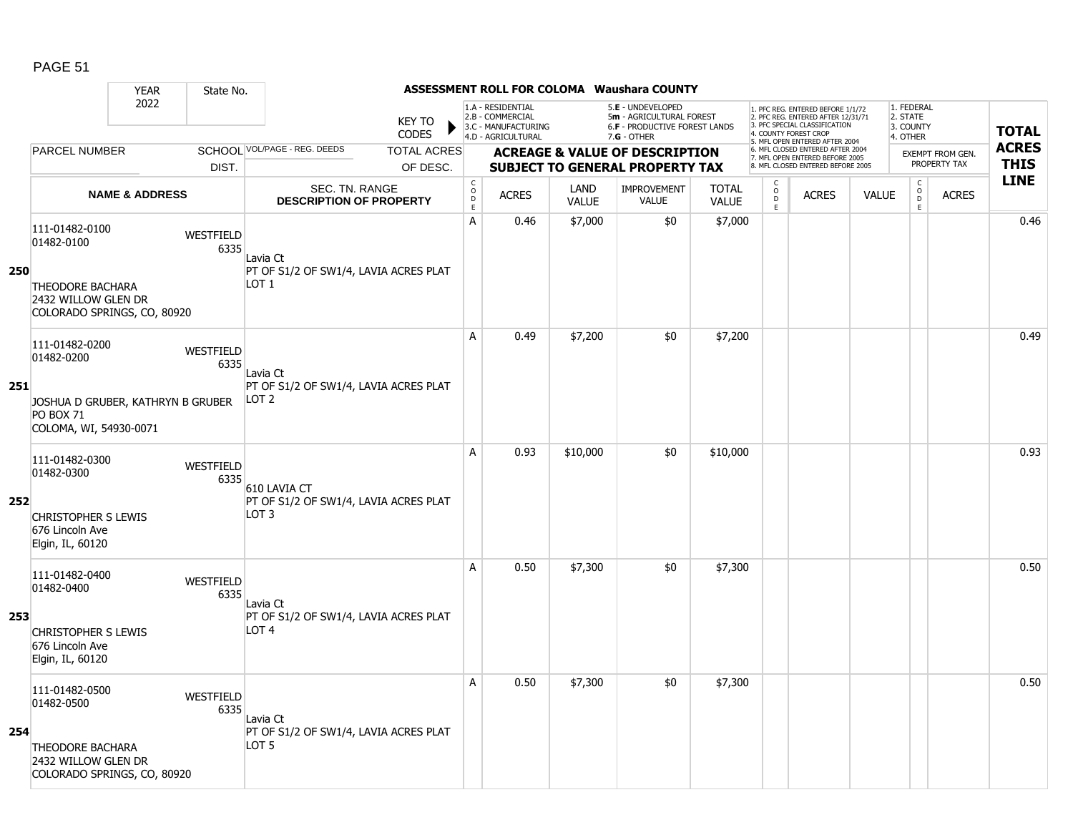|     |                                                                                 | <b>YEAR</b>               | State No.                |                                                                       |                               |                                  |                                                                                    |                      | <b>ASSESSMENT ROLL FOR COLOMA Waushara COUNTY</b>                                               |                              |                          |                                                                                                                                                                     |              |                                                 |                         |                             |
|-----|---------------------------------------------------------------------------------|---------------------------|--------------------------|-----------------------------------------------------------------------|-------------------------------|----------------------------------|------------------------------------------------------------------------------------|----------------------|-------------------------------------------------------------------------------------------------|------------------------------|--------------------------|---------------------------------------------------------------------------------------------------------------------------------------------------------------------|--------------|-------------------------------------------------|-------------------------|-----------------------------|
|     |                                                                                 | 2022                      |                          |                                                                       | <b>KEY TO</b><br><b>CODES</b> |                                  | 1.A - RESIDENTIAL<br>2.B - COMMERCIAL<br>3.C - MANUFACTURING<br>4.D - AGRICULTURAL |                      | 5.E - UNDEVELOPED<br>5m - AGRICULTURAL FOREST<br>6.F - PRODUCTIVE FOREST LANDS<br>$7.G - OTHER$ |                              |                          | 1. PFC REG. ENTERED BEFORE 1/1/72<br>2. PFC REG. ENTERED AFTER 12/31/71<br>3. PFC SPECIAL CLASSIFICATION<br>4. COUNTY FOREST CROP<br>5. MFL OPEN ENTERED AFTER 2004 |              | 1. FEDERAL<br>2. STATE<br>3. COUNTY<br>4. OTHER |                         | <b>TOTAL</b>                |
|     | PARCEL NUMBER                                                                   |                           |                          | SCHOOL VOL/PAGE - REG. DEEDS                                          | <b>TOTAL ACRES</b>            |                                  |                                                                                    |                      | <b>ACREAGE &amp; VALUE OF DESCRIPTION</b>                                                       |                              |                          | 6. MFL CLOSED ENTERED AFTER 2004<br>7. MFL OPEN ENTERED BEFORE 2005                                                                                                 |              |                                                 | <b>EXEMPT FROM GEN.</b> | <b>ACRES</b><br><b>THIS</b> |
|     |                                                                                 |                           | DIST.                    |                                                                       | OF DESC.                      | C                                |                                                                                    |                      | <b>SUBJECT TO GENERAL PROPERTY TAX</b>                                                          |                              | C                        | 8. MFL CLOSED ENTERED BEFORE 2005                                                                                                                                   |              | $\mathsf{C}$                                    | PROPERTY TAX            | <b>LINE</b>                 |
|     |                                                                                 | <b>NAME &amp; ADDRESS</b> |                          | SEC. TN. RANGE<br><b>DESCRIPTION OF PROPERTY</b>                      |                               | $\mathsf{O}$<br>$\mathsf D$<br>E | <b>ACRES</b>                                                                       | LAND<br><b>VALUE</b> | <b>IMPROVEMENT</b><br><b>VALUE</b>                                                              | <b>TOTAL</b><br><b>VALUE</b> | $_{\rm D}^{\rm O}$<br>E. | <b>ACRES</b>                                                                                                                                                        | <b>VALUE</b> | $\overset{\mathsf{O}}{\mathsf{D}}$<br>E         | <b>ACRES</b>            |                             |
| 250 | 111-01482-0100<br>01482-0100<br><b>THEODORE BACHARA</b>                         |                           | WESTFIELD<br>6335        | Lavia Ct<br>PT OF S1/2 OF SW1/4, LAVIA ACRES PLAT<br>LOT <sub>1</sub> |                               | Α                                | 0.46                                                                               | \$7,000              | \$0                                                                                             | \$7,000                      |                          |                                                                                                                                                                     |              |                                                 |                         | 0.46                        |
|     | 2432 WILLOW GLEN DR<br>COLORADO SPRINGS, CO, 80920                              |                           |                          |                                                                       |                               |                                  |                                                                                    |                      |                                                                                                 |                              |                          |                                                                                                                                                                     |              |                                                 |                         |                             |
|     | 111-01482-0200<br>01482-0200                                                    |                           | WESTFIELD<br>6335        | Lavia Ct                                                              |                               | A                                | 0.49                                                                               | \$7,200              | \$0                                                                                             | \$7,200                      |                          |                                                                                                                                                                     |              |                                                 |                         | 0.49                        |
| 251 | JOSHUA D GRUBER, KATHRYN B GRUBER<br><b>PO BOX 71</b><br>COLOMA, WI, 54930-0071 |                           |                          | PT OF S1/2 OF SW1/4, LAVIA ACRES PLAT<br>LOT 2                        |                               |                                  |                                                                                    |                      |                                                                                                 |                              |                          |                                                                                                                                                                     |              |                                                 |                         |                             |
|     | 111-01482-0300<br>01482-0300                                                    |                           | <b>WESTFIELD</b><br>6335 | 610 LAVIA CT                                                          |                               | A                                | 0.93                                                                               | \$10,000             | \$0                                                                                             | \$10,000                     |                          |                                                                                                                                                                     |              |                                                 |                         | 0.93                        |
| 252 | <b>CHRISTOPHER S LEWIS</b><br>676 Lincoln Ave<br>Elgin, IL, 60120               |                           |                          | PT OF S1/2 OF SW1/4, LAVIA ACRES PLAT<br>LOT 3                        |                               |                                  |                                                                                    |                      |                                                                                                 |                              |                          |                                                                                                                                                                     |              |                                                 |                         |                             |
|     | 111-01482-0400<br>01482-0400                                                    |                           | WESTFIELD<br>6335        | Lavia Ct                                                              |                               | A                                | 0.50                                                                               | \$7,300              | \$0                                                                                             | \$7,300                      |                          |                                                                                                                                                                     |              |                                                 |                         | 0.50                        |
| 253 | <b>CHRISTOPHER S LEWIS</b><br>676 Lincoln Ave<br>Elgin, IL, 60120               |                           |                          | PT OF S1/2 OF SW1/4, LAVIA ACRES PLAT<br>LOT <sub>4</sub>             |                               |                                  |                                                                                    |                      |                                                                                                 |                              |                          |                                                                                                                                                                     |              |                                                 |                         |                             |
| 254 | 111-01482-0500<br>01482-0500                                                    |                           | <b>WESTFIELD</b><br>6335 | Lavia Ct<br>PT OF S1/2 OF SW1/4, LAVIA ACRES PLAT                     |                               | A                                | 0.50                                                                               | \$7,300              | \$0                                                                                             | \$7,300                      |                          |                                                                                                                                                                     |              |                                                 |                         | 0.50                        |
|     | <b>THEODORE BACHARA</b><br>2432 WILLOW GLEN DR<br>COLORADO SPRINGS, CO, 80920   |                           |                          | LOT <sub>5</sub>                                                      |                               |                                  |                                                                                    |                      |                                                                                                 |                              |                          |                                                                                                                                                                     |              |                                                 |                         |                             |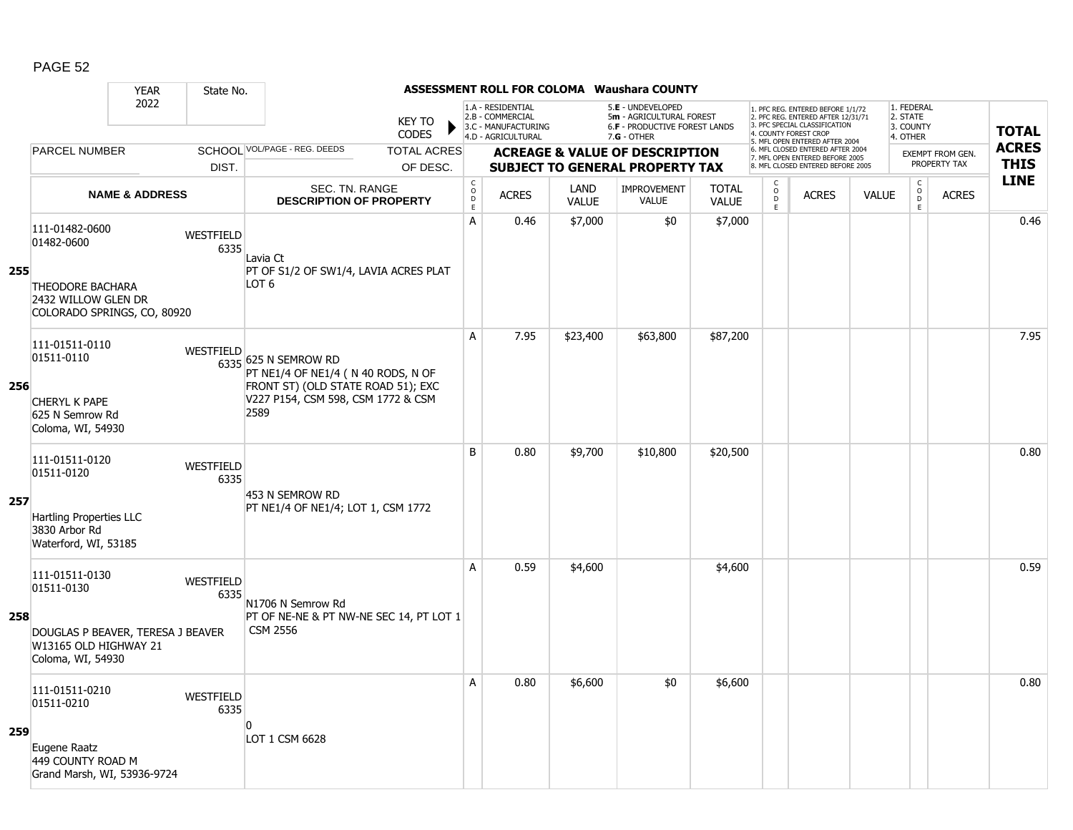|     |                                                                                 | <b>YEAR</b>               | State No.                |                                                                                                  |                                     |                                                                                    |                      | <b>ASSESSMENT ROLL FOR COLOMA Waushara COUNTY</b>                                                      |                              |                                                 |                                                                                                                                   |              |                                                 |                         |              |
|-----|---------------------------------------------------------------------------------|---------------------------|--------------------------|--------------------------------------------------------------------------------------------------|-------------------------------------|------------------------------------------------------------------------------------|----------------------|--------------------------------------------------------------------------------------------------------|------------------------------|-------------------------------------------------|-----------------------------------------------------------------------------------------------------------------------------------|--------------|-------------------------------------------------|-------------------------|--------------|
|     |                                                                                 | 2022                      |                          | <b>KEY TO</b><br><b>CODES</b>                                                                    |                                     | 1.A - RESIDENTIAL<br>2.B - COMMERCIAL<br>3.C - MANUFACTURING<br>4.D - AGRICULTURAL |                      | 5.E - UNDEVELOPED<br>5m - AGRICULTURAL FOREST<br><b>6.F - PRODUCTIVE FOREST LANDS</b><br>$7.G - OTHER$ |                              |                                                 | 1. PFC REG. ENTERED BEFORE 1/1/72<br>2. PFC REG. ENTERED AFTER 12/31/71<br>3. PFC SPECIAL CLASSIFICATION<br>4. COUNTY FOREST CROP |              | 1. FEDERAL<br>2. STATE<br>3. COUNTY<br>4. OTHER |                         | <b>TOTAL</b> |
|     | <b>PARCEL NUMBER</b>                                                            |                           |                          | SCHOOL VOL/PAGE - REG. DEEDS<br><b>TOTAL ACRES</b>                                               |                                     |                                                                                    |                      | <b>ACREAGE &amp; VALUE OF DESCRIPTION</b>                                                              |                              |                                                 | 5. MFL OPEN ENTERED AFTER 2004<br>6. MFL CLOSED ENTERED AFTER 2004<br>7. MFL OPEN ENTERED BEFORE 2005                             |              |                                                 | <b>EXEMPT FROM GEN.</b> | <b>ACRES</b> |
|     |                                                                                 |                           | DIST.                    | OF DESC.                                                                                         |                                     |                                                                                    |                      | <b>SUBJECT TO GENERAL PROPERTY TAX</b>                                                                 |                              |                                                 | 8. MFL CLOSED ENTERED BEFORE 2005                                                                                                 |              |                                                 | PROPERTY TAX            | <b>THIS</b>  |
|     |                                                                                 | <b>NAME &amp; ADDRESS</b> |                          | <b>SEC. TN. RANGE</b><br><b>DESCRIPTION OF PROPERTY</b>                                          | $_{\rm o}^{\rm c}$<br>$\frac{D}{E}$ | <b>ACRES</b>                                                                       | LAND<br><b>VALUE</b> | <b>IMPROVEMENT</b><br>VALUE                                                                            | <b>TOTAL</b><br><b>VALUE</b> | $\begin{array}{c} C \\ 0 \\ D \\ E \end{array}$ | <b>ACRES</b>                                                                                                                      | <b>VALUE</b> | $\begin{array}{c} C \\ O \\ E \end{array}$      | <b>ACRES</b>            | <b>LINE</b>  |
|     | 111-01482-0600<br>01482-0600                                                    |                           | WESTFIELD<br>6335        | Lavia Ct                                                                                         | $\overline{A}$                      | 0.46                                                                               | \$7,000              | \$0                                                                                                    | \$7,000                      |                                                 |                                                                                                                                   |              |                                                 |                         | 0.46         |
| 255 | <b>THEODORE BACHARA</b><br>2432 WILLOW GLEN DR<br>COLORADO SPRINGS, CO, 80920   |                           |                          | PT OF S1/2 OF SW1/4, LAVIA ACRES PLAT<br>LOT <sub>6</sub>                                        |                                     |                                                                                    |                      |                                                                                                        |                              |                                                 |                                                                                                                                   |              |                                                 |                         |              |
| 256 | 111-01511-0110<br>01511-0110                                                    |                           | WESTFIELD                | 6335 625 N SEMROW RD<br>PT NE1/4 OF NE1/4 (N 40 RODS, N OF<br>FRONT ST) (OLD STATE ROAD 51); EXC | A                                   | 7.95                                                                               | \$23,400             | \$63,800                                                                                               | \$87,200                     |                                                 |                                                                                                                                   |              |                                                 |                         | 7.95         |
|     | CHERYL K PAPE<br>625 N Semrow Rd<br>Coloma, WI, 54930                           |                           |                          | V227 P154, CSM 598, CSM 1772 & CSM<br>2589                                                       |                                     |                                                                                    |                      |                                                                                                        |                              |                                                 |                                                                                                                                   |              |                                                 |                         |              |
|     | 111-01511-0120<br>01511-0120                                                    |                           | <b>WESTFIELD</b><br>6335 | 453 N SEMROW RD                                                                                  | B                                   | 0.80                                                                               | \$9,700              | \$10,800                                                                                               | \$20,500                     |                                                 |                                                                                                                                   |              |                                                 |                         | 0.80         |
| 257 | <b>Hartling Properties LLC</b><br>3830 Arbor Rd<br>Waterford, WI, 53185         |                           |                          | PT NE1/4 OF NE1/4; LOT 1, CSM 1772                                                               |                                     |                                                                                    |                      |                                                                                                        |                              |                                                 |                                                                                                                                   |              |                                                 |                         |              |
|     | 111-01511-0130<br>01511-0130                                                    |                           | WESTFIELD<br>6335        | N1706 N Semrow Rd                                                                                | $\overline{A}$                      | 0.59                                                                               | \$4,600              |                                                                                                        | \$4,600                      |                                                 |                                                                                                                                   |              |                                                 |                         | 0.59         |
| 258 | DOUGLAS P BEAVER, TERESA J BEAVER<br>W13165 OLD HIGHWAY 21<br>Coloma, WI, 54930 |                           |                          | PT OF NE-NE & PT NW-NE SEC 14, PT LOT 1<br><b>CSM 2556</b>                                       |                                     |                                                                                    |                      |                                                                                                        |                              |                                                 |                                                                                                                                   |              |                                                 |                         |              |
|     | 111-01511-0210<br>01511-0210                                                    |                           | WESTFIELD<br>6335        | $\Omega$                                                                                         | A                                   | 0.80                                                                               | \$6,600              | \$0                                                                                                    | \$6,600                      |                                                 |                                                                                                                                   |              |                                                 |                         | 0.80         |
| 259 | Eugene Raatz<br>449 COUNTY ROAD M<br>Grand Marsh, WI, 53936-9724                |                           |                          | LOT 1 CSM 6628                                                                                   |                                     |                                                                                    |                      |                                                                                                        |                              |                                                 |                                                                                                                                   |              |                                                 |                         |              |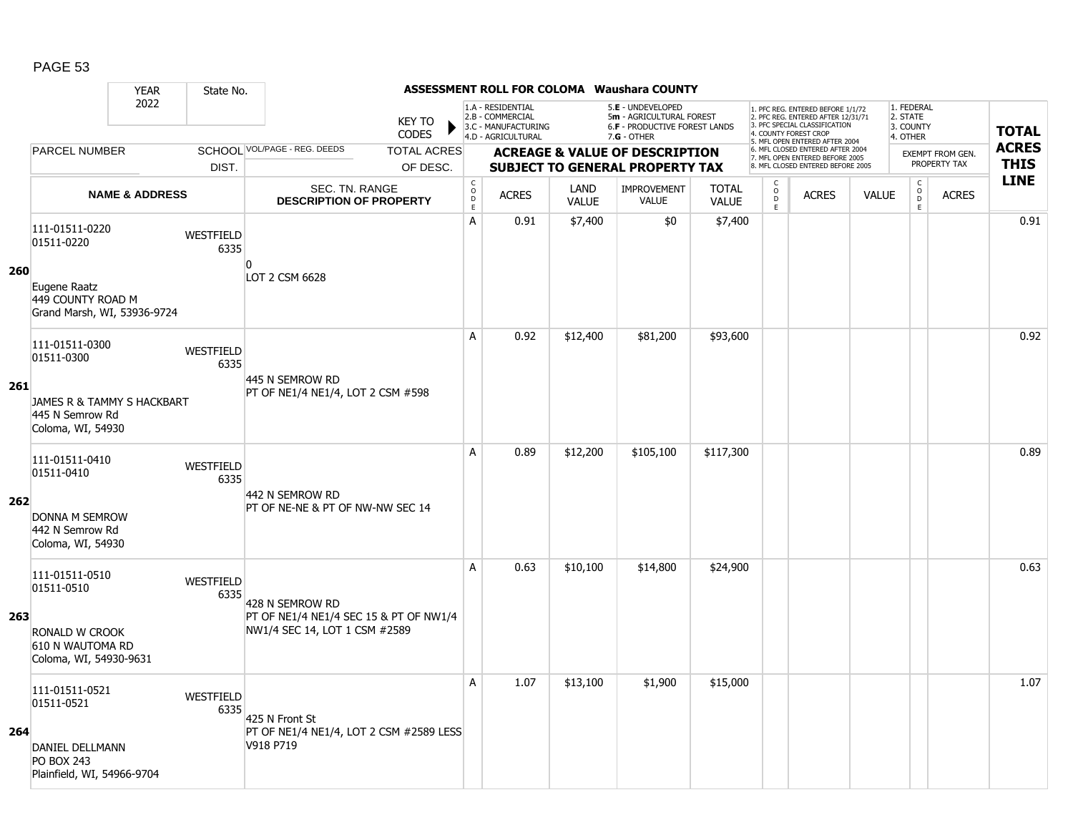| 260<br>261 | 2022<br><b>PARCEL NUMBER</b><br><b>NAME &amp; ADDRESS</b><br>111-01511-0220<br>01511-0220<br>Eugene Raatz<br>449 COUNTY ROAD M<br>Grand Marsh, WI, 53936-9724 | DIST.<br>WESTFIELD<br>6335 | <b>KEY TO</b><br><b>CODES</b><br>SCHOOL VOL/PAGE - REG. DEEDS<br><b>TOTAL ACRES</b><br>OF DESC.<br>SEC. TN. RANGE<br><b>DESCRIPTION OF PROPERTY</b><br>$\overline{0}$<br>LOT 2 CSM 6628 | $_{\rm o}^{\rm c}$<br>$\bar{\mathsf{D}}$<br>E<br>А | 1.A - RESIDENTIAL<br>2.B - COMMERCIAL<br>3.C - MANUFACTURING<br>4.D - AGRICULTURAL<br><b>ACRES</b><br>0.91 | LAND<br><b>VALUE</b> | 5.E - UNDEVELOPED<br>5m - AGRICULTURAL FOREST<br>6.F - PRODUCTIVE FOREST LANDS<br>7.G - OTHER<br><b>ACREAGE &amp; VALUE OF DESCRIPTION</b><br><b>SUBJECT TO GENERAL PROPERTY TAX</b><br><b>IMPROVEMENT</b><br><b>VALUE</b> | <b>TOTAL</b> | C<br>$_{\rm D}^{\rm O}$ | 1. PFC REG. ENTERED BEFORE 1/1/72<br>2. PFC REG. ENTERED AFTER 12/31/71<br>3. PFC SPECIAL CLASSIFICATION<br>4. COUNTY FOREST CROP<br>5. MFL OPEN ENTERED AFTER 2004<br>6. MFL CLOSED ENTERED AFTER 2004<br>7. MFL OPEN ENTERED BEFORE 2005<br>8. MFL CLOSED ENTERED BEFORE 2005 |              | 1. FEDERAL<br>2. STATE<br>3. COUNTY<br>4. OTHER<br>$\mathsf C$ | EXEMPT FROM GEN.<br>PROPERTY TAX | <b>TOTAL</b><br><b>ACRES</b><br><b>THIS</b><br><b>LINE</b> |
|------------|---------------------------------------------------------------------------------------------------------------------------------------------------------------|----------------------------|-----------------------------------------------------------------------------------------------------------------------------------------------------------------------------------------|----------------------------------------------------|------------------------------------------------------------------------------------------------------------|----------------------|----------------------------------------------------------------------------------------------------------------------------------------------------------------------------------------------------------------------------|--------------|-------------------------|---------------------------------------------------------------------------------------------------------------------------------------------------------------------------------------------------------------------------------------------------------------------------------|--------------|----------------------------------------------------------------|----------------------------------|------------------------------------------------------------|
|            |                                                                                                                                                               |                            |                                                                                                                                                                                         |                                                    |                                                                                                            |                      |                                                                                                                                                                                                                            |              |                         |                                                                                                                                                                                                                                                                                 |              |                                                                |                                  |                                                            |
|            |                                                                                                                                                               |                            |                                                                                                                                                                                         |                                                    |                                                                                                            |                      |                                                                                                                                                                                                                            |              |                         |                                                                                                                                                                                                                                                                                 |              |                                                                |                                  |                                                            |
|            |                                                                                                                                                               |                            |                                                                                                                                                                                         |                                                    |                                                                                                            |                      |                                                                                                                                                                                                                            | <b>VALUE</b> | E                       | <b>ACRES</b>                                                                                                                                                                                                                                                                    | <b>VALUE</b> | $\overline{0}$<br>E.                                           | <b>ACRES</b>                     |                                                            |
|            |                                                                                                                                                               |                            |                                                                                                                                                                                         |                                                    |                                                                                                            | \$7,400              | \$0                                                                                                                                                                                                                        | \$7,400      |                         |                                                                                                                                                                                                                                                                                 |              |                                                                |                                  | 0.91                                                       |
|            |                                                                                                                                                               |                            |                                                                                                                                                                                         |                                                    |                                                                                                            |                      |                                                                                                                                                                                                                            |              |                         |                                                                                                                                                                                                                                                                                 |              |                                                                |                                  |                                                            |
|            | 111-01511-0300<br>01511-0300                                                                                                                                  | WESTFIELD<br>6335          |                                                                                                                                                                                         | A                                                  | 0.92                                                                                                       | \$12,400             | \$81,200                                                                                                                                                                                                                   | \$93,600     |                         |                                                                                                                                                                                                                                                                                 |              |                                                                |                                  | 0.92                                                       |
|            | JAMES R & TAMMY S HACKBART<br>445 N Semrow Rd<br>Coloma, WI, 54930                                                                                            |                            | 445 N SEMROW RD<br>PT OF NE1/4 NE1/4, LOT 2 CSM #598                                                                                                                                    |                                                    |                                                                                                            |                      |                                                                                                                                                                                                                            |              |                         |                                                                                                                                                                                                                                                                                 |              |                                                                |                                  |                                                            |
| 262        | 111-01511-0410<br>01511-0410<br>DONNA M SEMROW                                                                                                                | <b>WESTFIELD</b><br>6335   | 442 N SEMROW RD<br>PT OF NE-NE & PT OF NW-NW SEC 14                                                                                                                                     | A                                                  | 0.89                                                                                                       | \$12,200             | \$105,100                                                                                                                                                                                                                  | \$117,300    |                         |                                                                                                                                                                                                                                                                                 |              |                                                                |                                  | 0.89                                                       |
|            | 442 N Semrow Rd<br>Coloma, WI, 54930                                                                                                                          |                            |                                                                                                                                                                                         |                                                    |                                                                                                            |                      |                                                                                                                                                                                                                            |              |                         |                                                                                                                                                                                                                                                                                 |              |                                                                |                                  |                                                            |
| 263        | 111-01511-0510<br>01511-0510                                                                                                                                  | WESTFIELD<br>6335          | 428 N SEMROW RD<br>PT OF NE1/4 NE1/4 SEC 15 & PT OF NW1/4                                                                                                                               | A                                                  | 0.63                                                                                                       | \$10,100             | \$14,800                                                                                                                                                                                                                   | \$24,900     |                         |                                                                                                                                                                                                                                                                                 |              |                                                                |                                  | 0.63                                                       |
|            | RONALD W CROOK<br>610 N WAUTOMA RD<br>Coloma, WI, 54930-9631                                                                                                  |                            | NW1/4 SEC 14, LOT 1 CSM #2589                                                                                                                                                           |                                                    |                                                                                                            |                      |                                                                                                                                                                                                                            |              |                         |                                                                                                                                                                                                                                                                                 |              |                                                                |                                  |                                                            |
| 264        | 111-01511-0521<br>01511-0521<br>DANIEL DELLMANN<br><b>PO BOX 243</b>                                                                                          | WESTFIELD<br>6335          | 425 N Front St<br><b>PT OF NE1/4 NE1/4, LOT 2 CSM #2589 LESS</b><br>V918 P719                                                                                                           | A                                                  | 1.07                                                                                                       | \$13,100             | \$1,900                                                                                                                                                                                                                    | \$15,000     |                         |                                                                                                                                                                                                                                                                                 |              |                                                                |                                  | 1.07                                                       |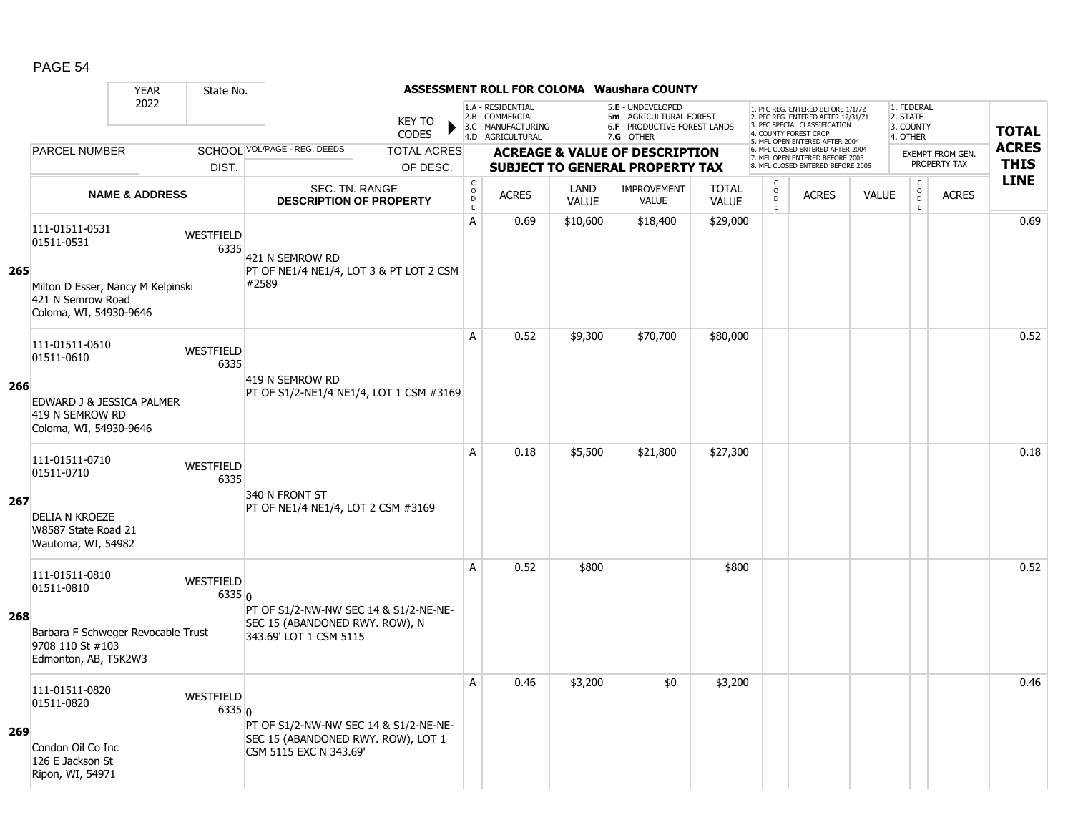|     |                                                                                  | <b>YEAR</b>               | State No.                |                                                              |                               |                                                  |                                                                                    |                      | ASSESSMENT ROLL FOR COLOMA Waushara COUNTY                                                      |                              |                                     |                                                                                                                                   |              |                                                 |                         |                             |
|-----|----------------------------------------------------------------------------------|---------------------------|--------------------------|--------------------------------------------------------------|-------------------------------|--------------------------------------------------|------------------------------------------------------------------------------------|----------------------|-------------------------------------------------------------------------------------------------|------------------------------|-------------------------------------|-----------------------------------------------------------------------------------------------------------------------------------|--------------|-------------------------------------------------|-------------------------|-----------------------------|
|     |                                                                                  | 2022                      |                          |                                                              | <b>KEY TO</b><br><b>CODES</b> |                                                  | 1.A - RESIDENTIAL<br>2.B - COMMERCIAL<br>3.C - MANUFACTURING<br>4.D - AGRICULTURAL |                      | 5.E - UNDEVELOPED<br>5m - AGRICULTURAL FOREST<br>6.F - PRODUCTIVE FOREST LANDS<br>$7.G - OTHER$ |                              |                                     | 1. PFC REG. ENTERED BEFORE 1/1/72<br>2. PFC REG. ENTERED AFTER 12/31/71<br>3. PFC SPECIAL CLASSIFICATION<br>4. COUNTY FOREST CROP |              | 1. FEDERAL<br>2. STATE<br>3. COUNTY<br>4. OTHER |                         | <b>TOTAL</b>                |
|     | <b>PARCEL NUMBER</b>                                                             |                           |                          | SCHOOL VOL/PAGE - REG. DEEDS                                 | <b>TOTAL ACRES</b>            |                                                  |                                                                                    |                      | <b>ACREAGE &amp; VALUE OF DESCRIPTION</b>                                                       |                              |                                     | 5. MFL OPEN ENTERED AFTER 2004<br>6. MFL CLOSED ENTERED AFTER 2004<br>7. MFL OPEN ENTERED BEFORE 2005                             |              |                                                 | <b>EXEMPT FROM GEN.</b> | <b>ACRES</b><br><b>THIS</b> |
|     |                                                                                  |                           | DIST.                    |                                                              | OF DESC.                      |                                                  |                                                                                    |                      | <b>SUBJECT TO GENERAL PROPERTY TAX</b>                                                          |                              |                                     | 8. MFL CLOSED ENTERED BEFORE 2005                                                                                                 |              |                                                 | PROPERTY TAX            | <b>LINE</b>                 |
|     |                                                                                  | <b>NAME &amp; ADDRESS</b> |                          | SEC. TN. RANGE<br><b>DESCRIPTION OF PROPERTY</b>             |                               | $_{\rm o}^{\rm c}$<br>$\mathsf D$<br>$\mathsf E$ | <b>ACRES</b>                                                                       | LAND<br><b>VALUE</b> | <b>IMPROVEMENT</b><br><b>VALUE</b>                                                              | <b>TOTAL</b><br><b>VALUE</b> | C<br>$\overline{0}$<br>$\mathsf{E}$ | <b>ACRES</b>                                                                                                                      | <b>VALUE</b> | $\mathsf C$<br>$_{\rm D}^{\rm O}$<br>E          | <b>ACRES</b>            |                             |
| 265 | 111-01511-0531<br>01511-0531                                                     |                           | <b>WESTFIELD</b><br>6335 | 421 N SEMROW RD<br>PT OF NE1/4 NE1/4, LOT 3 & PT LOT 2 CSM   |                               | A                                                | 0.69                                                                               | \$10,600             | \$18,400                                                                                        | \$29,000                     |                                     |                                                                                                                                   |              |                                                 |                         | 0.69                        |
|     | Milton D Esser, Nancy M Kelpinski<br>421 N Semrow Road<br>Coloma, WI, 54930-9646 |                           |                          | #2589                                                        |                               |                                                  |                                                                                    |                      |                                                                                                 |                              |                                     |                                                                                                                                   |              |                                                 |                         |                             |
|     | 111-01511-0610<br>01511-0610                                                     |                           | <b>WESTFIELD</b><br>6335 | 419 N SEMROW RD                                              |                               | A                                                | 0.52                                                                               | \$9,300              | \$70,700                                                                                        | \$80,000                     |                                     |                                                                                                                                   |              |                                                 |                         | 0.52                        |
| 266 | EDWARD J & JESSICA PALMER<br>419 N SEMROW RD<br>Coloma, WI, 54930-9646           |                           |                          | PT OF S1/2-NE1/4 NE1/4, LOT 1 CSM #3169                      |                               |                                                  |                                                                                    |                      |                                                                                                 |                              |                                     |                                                                                                                                   |              |                                                 |                         |                             |
|     | 111-01511-0710<br>01511-0710                                                     |                           | <b>WESTFIELD</b><br>6335 | 340 N FRONT ST                                               |                               | A                                                | 0.18                                                                               | \$5,500              | \$21,800                                                                                        | \$27,300                     |                                     |                                                                                                                                   |              |                                                 |                         | 0.18                        |
| 267 | <b>DELIA N KROEZE</b><br>W8587 State Road 21<br>Wautoma, WI, 54982               |                           |                          | PT OF NE1/4 NE1/4, LOT 2 CSM #3169                           |                               |                                                  |                                                                                    |                      |                                                                                                 |                              |                                     |                                                                                                                                   |              |                                                 |                         |                             |
|     | 111-01511-0810<br>01511-0810                                                     |                           | WESTFIELD<br>6335 0      | PT OF S1/2-NW-NW SEC 14 & S1/2-NE-NE-                        |                               | A                                                | 0.52                                                                               | \$800                |                                                                                                 | \$800                        |                                     |                                                                                                                                   |              |                                                 |                         | 0.52                        |
| 268 | Barbara F Schweger Revocable Trust<br>9708 110 St #103<br>Edmonton, AB, T5K2W3   |                           |                          | SEC 15 (ABANDONED RWY, ROW), N<br>343.69' LOT 1 CSM 5115     |                               |                                                  |                                                                                    |                      |                                                                                                 |                              |                                     |                                                                                                                                   |              |                                                 |                         |                             |
|     | 111-01511-0820<br>01511-0820                                                     |                           | WESTFIELD<br>$6335$ 0    | PT OF S1/2-NW-NW SEC 14 & S1/2-NE-NE-                        |                               | $\overline{A}$                                   | 0.46                                                                               | \$3,200              | \$0                                                                                             | \$3,200                      |                                     |                                                                                                                                   |              |                                                 |                         | 0.46                        |
| 269 | Condon Oil Co Inc<br>126 E Jackson St<br>Ripon, WI, 54971                        |                           |                          | SEC 15 (ABANDONED RWY. ROW), LOT 1<br>CSM 5115 EXC N 343.69' |                               |                                                  |                                                                                    |                      |                                                                                                 |                              |                                     |                                                                                                                                   |              |                                                 |                         |                             |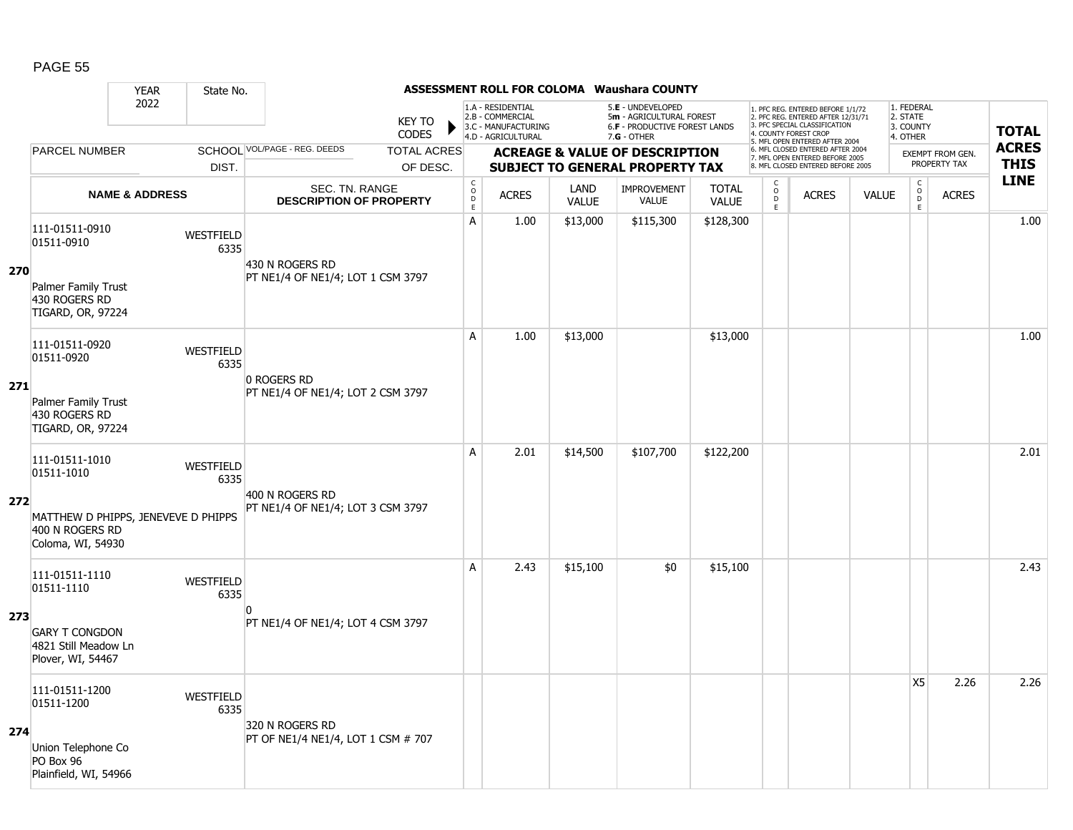|     |                                                                                                             | <b>YEAR</b>               | State No.                |                                                       |                               |                                     |                                                                                    |                             | <b>ASSESSMENT ROLL FOR COLOMA Waushara COUNTY</b>                                                      |                              |                                                |                                                                                                                                   |              |                                                          |                  |              |
|-----|-------------------------------------------------------------------------------------------------------------|---------------------------|--------------------------|-------------------------------------------------------|-------------------------------|-------------------------------------|------------------------------------------------------------------------------------|-----------------------------|--------------------------------------------------------------------------------------------------------|------------------------------|------------------------------------------------|-----------------------------------------------------------------------------------------------------------------------------------|--------------|----------------------------------------------------------|------------------|--------------|
|     |                                                                                                             | 2022                      |                          |                                                       | <b>KEY TO</b><br><b>CODES</b> |                                     | 1.A - RESIDENTIAL<br>2.B - COMMERCIAL<br>3.C - MANUFACTURING<br>4.D - AGRICULTURAL |                             | 5.E - UNDEVELOPED<br>5m - AGRICULTURAL FOREST<br><b>6.F - PRODUCTIVE FOREST LANDS</b><br>$7.G - OTHER$ |                              |                                                | 1. PFC REG. ENTERED BEFORE 1/1/72<br>2. PFC REG. ENTERED AFTER 12/31/71<br>3. PFC SPECIAL CLASSIFICATION<br>4. COUNTY FOREST CROP |              | 1. FEDERAL<br>2. STATE<br>3. COUNTY<br>4. OTHER          |                  | <b>TOTAL</b> |
|     | <b>PARCEL NUMBER</b>                                                                                        |                           |                          | SCHOOL VOL/PAGE - REG. DEEDS                          | <b>TOTAL ACRES</b>            |                                     |                                                                                    |                             | <b>ACREAGE &amp; VALUE OF DESCRIPTION</b>                                                              |                              |                                                | 5. MFL OPEN ENTERED AFTER 2004<br>6. MFL CLOSED ENTERED AFTER 2004                                                                |              |                                                          | EXEMPT FROM GEN. | <b>ACRES</b> |
|     |                                                                                                             |                           | DIST.                    |                                                       | OF DESC.                      |                                     |                                                                                    |                             | <b>SUBJECT TO GENERAL PROPERTY TAX</b>                                                                 |                              |                                                | 7. MFL OPEN ENTERED BEFORE 2005<br>8. MFL CLOSED ENTERED BEFORE 2005                                                              |              |                                                          | PROPERTY TAX     | <b>THIS</b>  |
|     |                                                                                                             | <b>NAME &amp; ADDRESS</b> |                          | SEC. TN. RANGE<br><b>DESCRIPTION OF PROPERTY</b>      |                               | $_{\rm o}^{\rm c}$<br>$\frac{D}{E}$ | <b>ACRES</b>                                                                       | <b>LAND</b><br><b>VALUE</b> | <b>IMPROVEMENT</b><br><b>VALUE</b>                                                                     | <b>TOTAL</b><br><b>VALUE</b> | $\begin{matrix} 0 \\ 0 \\ D \end{matrix}$<br>E | <b>ACRES</b>                                                                                                                      | <b>VALUE</b> | $\begin{matrix} 0 \\ 0 \\ 0 \end{matrix}$<br>$\mathsf E$ | <b>ACRES</b>     | <b>LINE</b>  |
| 270 | 111-01511-0910<br>01511-0910<br>Palmer Family Trust<br>430 ROGERS RD<br>TIGARD, OR, 97224                   |                           | <b>WESTFIELD</b><br>6335 | 430 N ROGERS RD<br>PT NE1/4 OF NE1/4; LOT 1 CSM 3797  |                               | A                                   | 1.00                                                                               | \$13,000                    | \$115,300                                                                                              | \$128,300                    |                                                |                                                                                                                                   |              |                                                          |                  | 1.00         |
| 271 | 111-01511-0920<br>01511-0920<br>Palmer Family Trust<br>430 ROGERS RD<br>TIGARD, OR, 97224                   |                           | WESTFIELD<br>6335        | 0 ROGERS RD<br>PT NE1/4 OF NE1/4; LOT 2 CSM 3797      |                               | $\mathsf{A}$                        | 1.00                                                                               | \$13,000                    |                                                                                                        | \$13,000                     |                                                |                                                                                                                                   |              |                                                          |                  | 1.00         |
| 272 | 111-01511-1010<br>01511-1010<br>MATTHEW D PHIPPS, JENEVEVE D PHIPPS<br>400 N ROGERS RD<br>Coloma, WI, 54930 |                           | <b>WESTFIELD</b><br>6335 | 400 N ROGERS RD<br>PT NE1/4 OF NE1/4; LOT 3 CSM 3797  |                               | A                                   | 2.01                                                                               | \$14,500                    | \$107,700                                                                                              | \$122,200                    |                                                |                                                                                                                                   |              |                                                          |                  | 2.01         |
| 273 | 111-01511-1110<br>01511-1110<br><b>GARY T CONGDON</b><br>4821 Still Meadow Ln<br>Plover, WI, 54467          |                           | WESTFIELD<br>6335        | n<br>PT NE1/4 OF NE1/4; LOT 4 CSM 3797                |                               | А                                   | 2.43                                                                               | \$15,100                    | \$0                                                                                                    | \$15,100                     |                                                |                                                                                                                                   |              |                                                          |                  | 2.43         |
| 274 | 111-01511-1200<br>01511-1200<br>Union Telephone Co<br>PO Box 96<br>Plainfield, WI, 54966                    |                           | <b>WESTFIELD</b><br>6335 | 320 N ROGERS RD<br>PT OF NE1/4 NE1/4, LOT 1 CSM # 707 |                               |                                     |                                                                                    |                             |                                                                                                        |                              |                                                |                                                                                                                                   |              | <b>X5</b>                                                | 2.26             | 2.26         |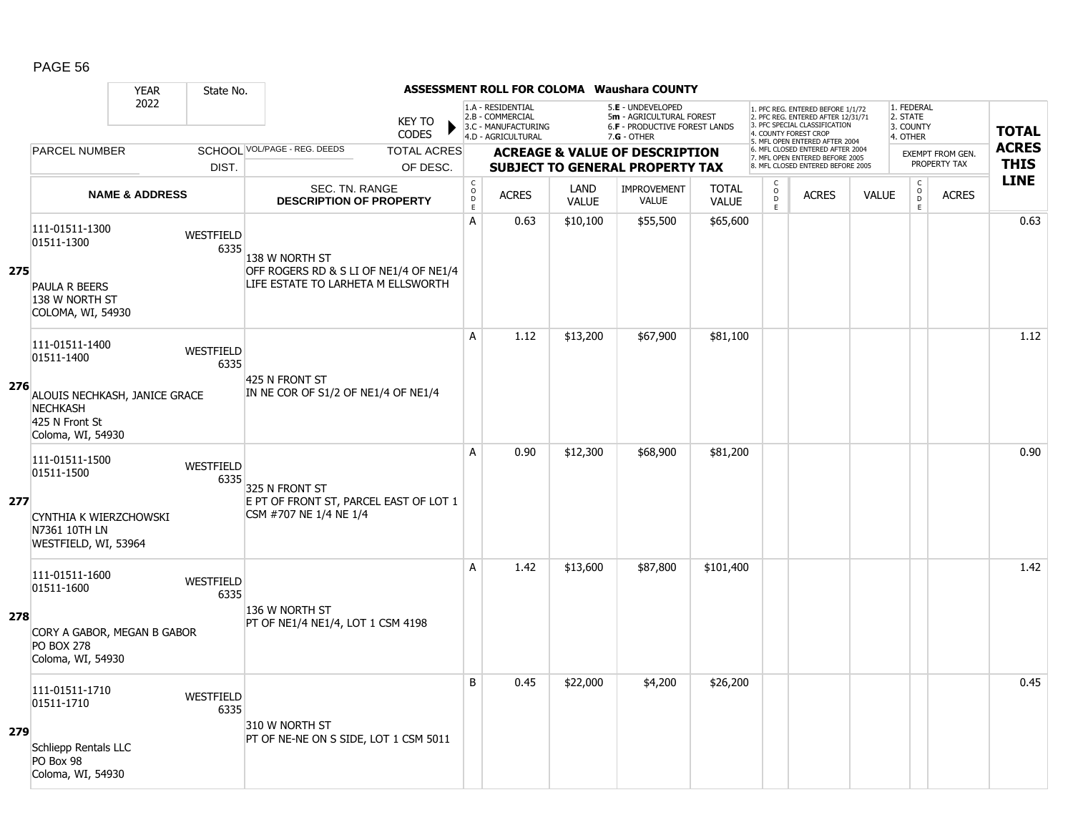|     |                                                                                                       | <b>YEAR</b>               | State No.                |                                                                                                |                                         |                                                                                    |                      | <b>ASSESSMENT ROLL FOR COLOMA Waushara COUNTY</b>                                                      |                              |                                            |                                                                                                                                   |              |                                                 |                                         |              |
|-----|-------------------------------------------------------------------------------------------------------|---------------------------|--------------------------|------------------------------------------------------------------------------------------------|-----------------------------------------|------------------------------------------------------------------------------------|----------------------|--------------------------------------------------------------------------------------------------------|------------------------------|--------------------------------------------|-----------------------------------------------------------------------------------------------------------------------------------|--------------|-------------------------------------------------|-----------------------------------------|--------------|
|     |                                                                                                       | 2022                      |                          | <b>KEY TO</b><br><b>CODES</b>                                                                  |                                         | 1.A - RESIDENTIAL<br>2.B - COMMERCIAL<br>3.C - MANUFACTURING<br>4.D - AGRICULTURAL |                      | 5.E - UNDEVELOPED<br>5m - AGRICULTURAL FOREST<br><b>6.F - PRODUCTIVE FOREST LANDS</b><br>$7.G - OTHER$ |                              |                                            | 1. PFC REG. ENTERED BEFORE 1/1/72<br>2. PFC REG. ENTERED AFTER 12/31/71<br>3. PFC SPECIAL CLASSIFICATION<br>4. COUNTY FOREST CROP |              | 1. FEDERAL<br>2. STATE<br>3. COUNTY<br>4. OTHER |                                         | <b>TOTAL</b> |
|     | <b>PARCEL NUMBER</b>                                                                                  |                           |                          | SCHOOL VOL/PAGE - REG. DEEDS<br><b>TOTAL ACRES</b>                                             |                                         |                                                                                    |                      |                                                                                                        |                              |                                            | 5. MFL OPEN ENTERED AFTER 2004<br>6. MFL CLOSED ENTERED AFTER 2004                                                                |              |                                                 |                                         | <b>ACRES</b> |
|     |                                                                                                       |                           | DIST.                    | OF DESC.                                                                                       |                                         |                                                                                    |                      | <b>ACREAGE &amp; VALUE OF DESCRIPTION</b><br><b>SUBJECT TO GENERAL PROPERTY TAX</b>                    |                              |                                            | 7. MFL OPEN ENTERED BEFORE 2005<br>8. MFL CLOSED ENTERED BEFORE 2005                                                              |              |                                                 | <b>EXEMPT FROM GEN.</b><br>PROPERTY TAX | <b>THIS</b>  |
|     |                                                                                                       | <b>NAME &amp; ADDRESS</b> |                          | SEC. TN. RANGE<br><b>DESCRIPTION OF PROPERTY</b>                                               | $\rm _o^C$<br>$\mathsf{D}_{\mathsf{E}}$ | <b>ACRES</b>                                                                       | LAND<br><b>VALUE</b> | <b>IMPROVEMENT</b><br><b>VALUE</b>                                                                     | <b>TOTAL</b><br><b>VALUE</b> | $\begin{array}{c} C \\ 0 \\ E \end{array}$ | <b>ACRES</b>                                                                                                                      | <b>VALUE</b> | $\begin{matrix} C \\ O \\ D \end{matrix}$<br>E  | <b>ACRES</b>                            | <b>LINE</b>  |
| 275 | 111-01511-1300<br>01511-1300                                                                          |                           | <b>WESTFIELD</b><br>6335 | 138 w north St<br>OFF ROGERS RD & S LI OF NE1/4 OF NE1/4<br>LIFE ESTATE TO LARHETA M ELLSWORTH | Α                                       | 0.63                                                                               | \$10,100             | \$55,500                                                                                               | \$65,600                     |                                            |                                                                                                                                   |              |                                                 |                                         | 0.63         |
|     | PAULA R BEERS<br>138 W NORTH ST<br>COLOMA, WI, 54930                                                  |                           |                          |                                                                                                |                                         |                                                                                    |                      |                                                                                                        |                              |                                            |                                                                                                                                   |              |                                                 |                                         |              |
|     | 111-01511-1400<br>01511-1400                                                                          |                           | WESTFIELD<br>6335        | 425 N FRONT ST                                                                                 | A                                       | 1.12                                                                               | \$13,200             | \$67,900                                                                                               | \$81,100                     |                                            |                                                                                                                                   |              |                                                 |                                         | 1.12         |
| 276 | ALOUIS NECHKASH, JANICE GRACE<br><b>NECHKASH</b><br>425 N Front St<br>Coloma, WI, 54930               |                           |                          | IN NE COR OF S1/2 OF NE1/4 OF NE1/4                                                            |                                         |                                                                                    |                      |                                                                                                        |                              |                                            |                                                                                                                                   |              |                                                 |                                         |              |
| 277 | 111-01511-1500<br>01511-1500<br>CYNTHIA K WIERZCHOWSKI<br>N7361 10TH LN<br>WESTFIELD, WI, 53964       |                           | WESTFIELD<br>6335        | 325 N FRONT ST<br>E PT OF FRONT ST, PARCEL EAST OF LOT 1<br>CSM #707 NE 1/4 NE 1/4             | A                                       | 0.90                                                                               | \$12,300             | \$68,900                                                                                               | \$81,200                     |                                            |                                                                                                                                   |              |                                                 |                                         | 0.90         |
| 278 | 111-01511-1600<br>01511-1600<br>CORY A GABOR, MEGAN B GABOR<br><b>PO BOX 278</b><br>Coloma, WI, 54930 |                           | WESTFIELD<br>6335        | 136 W NORTH ST<br>PT OF NE1/4 NE1/4, LOT 1 CSM 4198                                            | A                                       | 1.42                                                                               | \$13,600             | \$87,800                                                                                               | \$101,400                    |                                            |                                                                                                                                   |              |                                                 |                                         | 1.42         |
| 279 | 111-01511-1710<br>01511-1710<br>Schliepp Rentals LLC<br>PO Box 98<br>Coloma, WI, 54930                |                           | WESTFIELD<br>6335        | 310 W NORTH ST<br>PT OF NE-NE ON S SIDE, LOT 1 CSM 5011                                        | B                                       | 0.45                                                                               | \$22,000             | \$4,200                                                                                                | \$26,200                     |                                            |                                                                                                                                   |              |                                                 |                                         | 0.45         |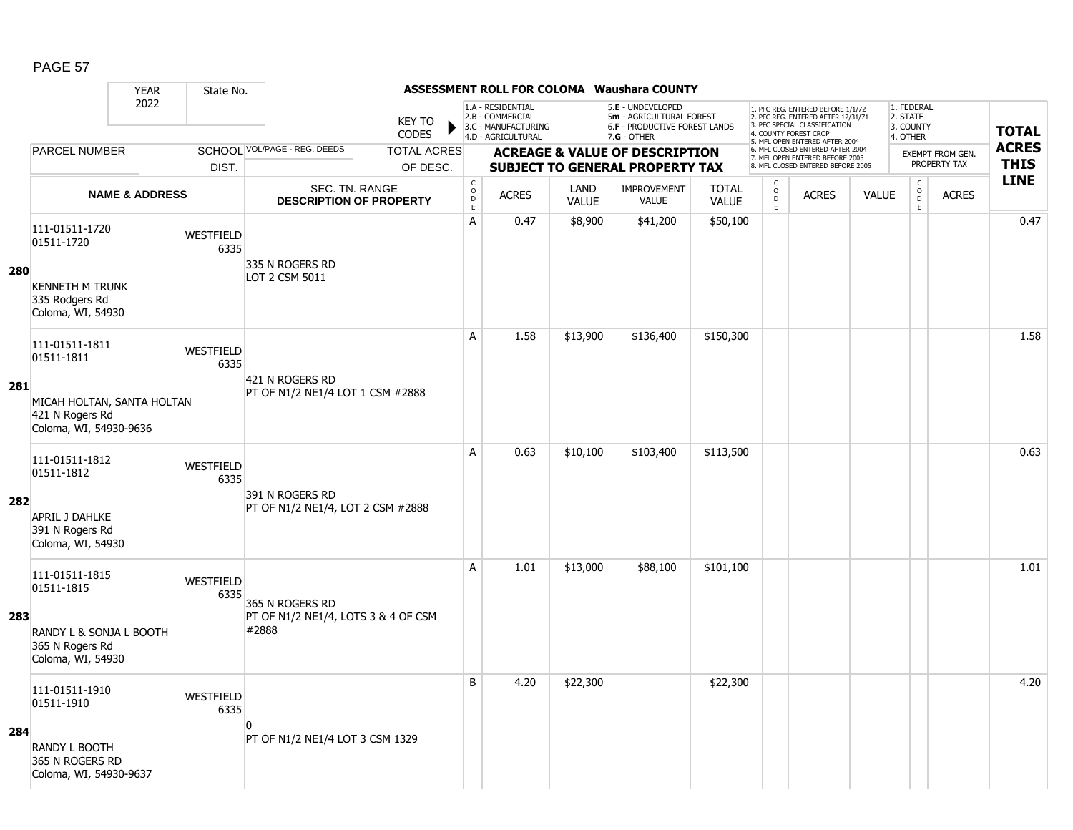|     |                                                                                                         | <b>YEAR</b>               | State No.                |                                                                 |                               |                                                 |                                                                                    |                      | <b>ASSESSMENT ROLL FOR COLOMA Waushara COUNTY</b>                                                    |                              |                                                 |                                                                                                                                   |              |                                                          |                  |              |
|-----|---------------------------------------------------------------------------------------------------------|---------------------------|--------------------------|-----------------------------------------------------------------|-------------------------------|-------------------------------------------------|------------------------------------------------------------------------------------|----------------------|------------------------------------------------------------------------------------------------------|------------------------------|-------------------------------------------------|-----------------------------------------------------------------------------------------------------------------------------------|--------------|----------------------------------------------------------|------------------|--------------|
|     |                                                                                                         | 2022                      |                          |                                                                 | <b>KEY TO</b><br><b>CODES</b> |                                                 | 1.A - RESIDENTIAL<br>2.B - COMMERCIAL<br>3.C - MANUFACTURING<br>4.D - AGRICULTURAL |                      | 5.E - UNDEVELOPED<br>5m - AGRICULTURAL FOREST<br><b>6.F - PRODUCTIVE FOREST LANDS</b><br>7.G - OTHER |                              |                                                 | 1. PFC REG. ENTERED BEFORE 1/1/72<br>2. PFC REG. ENTERED AFTER 12/31/71<br>3. PFC SPECIAL CLASSIFICATION<br>4. COUNTY FOREST CROP |              | 1. FEDERAL<br>2. STATE<br>3. COUNTY<br>4. OTHER          |                  | <b>TOTAL</b> |
|     | <b>PARCEL NUMBER</b>                                                                                    |                           |                          | SCHOOL VOL/PAGE - REG. DEEDS                                    | <b>TOTAL ACRES</b>            |                                                 |                                                                                    |                      | <b>ACREAGE &amp; VALUE OF DESCRIPTION</b>                                                            |                              |                                                 | 5. MFL OPEN ENTERED AFTER 2004<br>6. MFL CLOSED ENTERED AFTER 2004                                                                |              |                                                          | EXEMPT FROM GEN. | <b>ACRES</b> |
|     |                                                                                                         |                           | DIST.                    |                                                                 | OF DESC.                      |                                                 |                                                                                    |                      | <b>SUBJECT TO GENERAL PROPERTY TAX</b>                                                               |                              |                                                 | 7. MFL OPEN ENTERED BEFORE 2005<br>8. MFL CLOSED ENTERED BEFORE 2005                                                              |              |                                                          | PROPERTY TAX     | <b>THIS</b>  |
|     |                                                                                                         | <b>NAME &amp; ADDRESS</b> |                          | SEC. TN. RANGE<br><b>DESCRIPTION OF PROPERTY</b>                |                               | $_{\rm o}^{\rm c}$<br>$\mathsf{D}_{\mathsf{E}}$ | <b>ACRES</b>                                                                       | LAND<br><b>VALUE</b> | <b>IMPROVEMENT</b><br><b>VALUE</b>                                                                   | <b>TOTAL</b><br><b>VALUE</b> | $\begin{array}{c} C \\ O \\ D \end{array}$<br>E | <b>ACRES</b>                                                                                                                      | <b>VALUE</b> | $\begin{matrix} 0 \\ 0 \\ 0 \end{matrix}$<br>$\mathsf E$ | <b>ACRES</b>     | <b>LINE</b>  |
| 280 | 111-01511-1720<br>01511-1720<br><b>KENNETH M TRUNK</b><br>335 Rodgers Rd<br>Coloma, WI, 54930           |                           | <b>WESTFIELD</b><br>6335 | 335 N ROGERS RD<br>LOT 2 CSM 5011                               |                               | А                                               | 0.47                                                                               | \$8,900              | \$41,200                                                                                             | \$50,100                     |                                                 |                                                                                                                                   |              |                                                          |                  | 0.47         |
| 281 | 111-01511-1811<br>01511-1811<br>MICAH HOLTAN, SANTA HOLTAN<br>421 N Rogers Rd<br>Coloma, WI, 54930-9636 |                           | WESTFIELD<br>6335        | 421 N ROGERS RD<br>PT OF N1/2 NE1/4 LOT 1 CSM #2888             |                               | A                                               | 1.58                                                                               | \$13,900             | \$136,400                                                                                            | \$150,300                    |                                                 |                                                                                                                                   |              |                                                          |                  | 1.58         |
| 282 | 111-01511-1812<br>01511-1812<br><b>APRIL J DAHLKE</b><br>391 N Rogers Rd<br>Coloma, WI, 54930           |                           | WESTFIELD<br>6335        | 391 N ROGERS RD<br>PT OF N1/2 NE1/4, LOT 2 CSM #2888            |                               | A                                               | 0.63                                                                               | \$10,100             | \$103,400                                                                                            | \$113,500                    |                                                 |                                                                                                                                   |              |                                                          |                  | 0.63         |
| 283 | 111-01511-1815<br>01511-1815<br>RANDY L & SONJA L BOOTH<br>365 N Rogers Rd<br>Coloma, WI, 54930         |                           | WESTFIELD<br>6335        | 365 N ROGERS RD<br>PT OF N1/2 NE1/4, LOTS 3 & 4 OF CSM<br>#2888 |                               | A                                               | 1.01                                                                               | \$13,000             | \$88,100                                                                                             | \$101,100                    |                                                 |                                                                                                                                   |              |                                                          |                  | 1.01         |
| 284 | 111-01511-1910<br>01511-1910<br>RANDY L BOOTH<br>365 N ROGERS RD<br>Coloma, WI, 54930-9637              |                           | WESTFIELD<br>6335        | $\Omega$<br>PT OF N1/2 NE1/4 LOT 3 CSM 1329                     |                               | B                                               | 4.20                                                                               | \$22,300             |                                                                                                      | \$22,300                     |                                                 |                                                                                                                                   |              |                                                          |                  | 4.20         |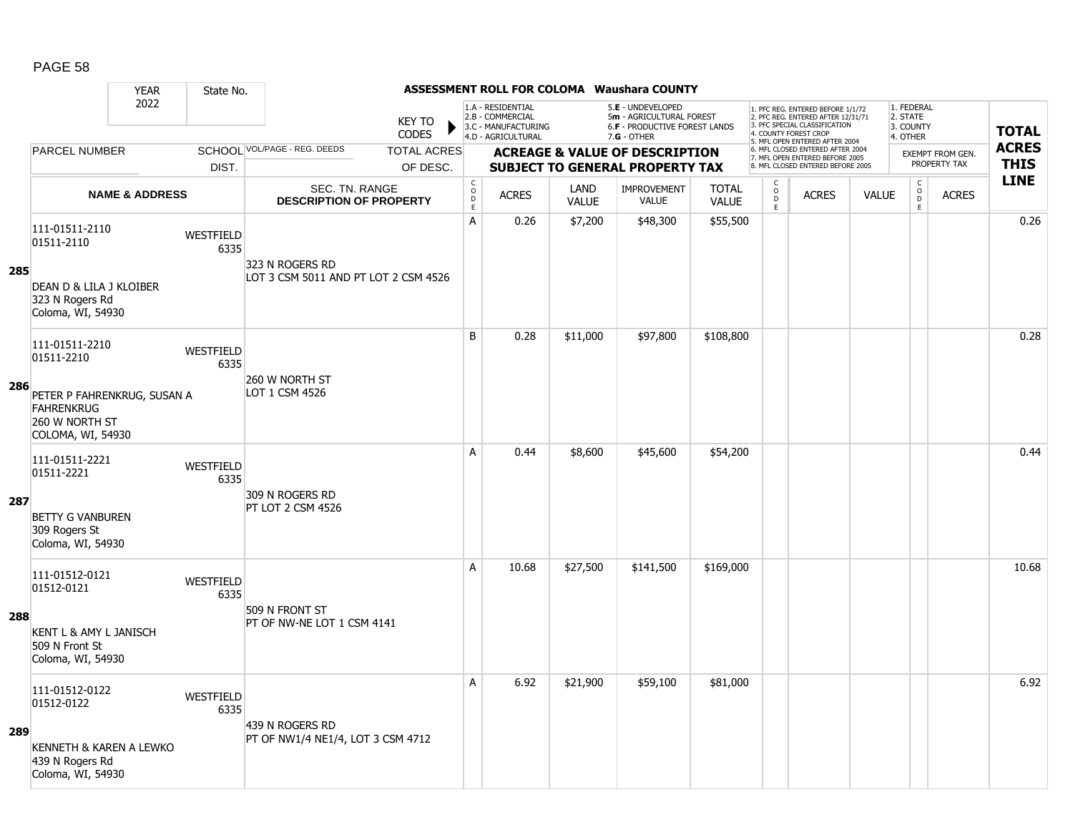|     | <b>YEAR</b>                                                                             | State No.                |                                                    |                                      |                                                              |                      | <b>ASSESSMENT ROLL FOR COLOMA Waushara COUNTY</b>                                   |                              |                                              |                                                                                                                                   |              |                                                          |                                  |              |
|-----|-----------------------------------------------------------------------------------------|--------------------------|----------------------------------------------------|--------------------------------------|--------------------------------------------------------------|----------------------|-------------------------------------------------------------------------------------|------------------------------|----------------------------------------------|-----------------------------------------------------------------------------------------------------------------------------------|--------------|----------------------------------------------------------|----------------------------------|--------------|
|     | 2022                                                                                    |                          | <b>KEY TO</b><br><b>CODES</b>                      |                                      | 1.A - RESIDENTIAL<br>2.B - COMMERCIAL<br>3.C - MANUFACTURING |                      | 5.E - UNDEVELOPED<br>5m - AGRICULTURAL FOREST<br>6.F - PRODUCTIVE FOREST LANDS      |                              |                                              | 1. PFC REG. ENTERED BEFORE 1/1/72<br>2. PFC REG. ENTERED AFTER 12/31/71<br>3. PFC SPECIAL CLASSIFICATION<br>4. COUNTY FOREST CROP |              | 1. FEDERAL<br>2. STATE<br>3. COUNTY                      |                                  | <b>TOTAL</b> |
|     | <b>PARCEL NUMBER</b>                                                                    |                          | SCHOOL VOL/PAGE - REG. DEEDS<br><b>TOTAL ACRES</b> |                                      | 4.D - AGRICULTURAL                                           |                      | $7.G - OTHER$                                                                       |                              |                                              | 5. MFL OPEN ENTERED AFTER 2004<br>6. MFL CLOSED ENTERED AFTER 2004                                                                |              | 4. OTHER                                                 |                                  | <b>ACRES</b> |
|     |                                                                                         | DIST.                    | OF DESC.                                           |                                      |                                                              |                      | <b>ACREAGE &amp; VALUE OF DESCRIPTION</b><br><b>SUBJECT TO GENERAL PROPERTY TAX</b> |                              |                                              | 7. MFL OPEN ENTERED BEFORE 2005<br>8. MFL CLOSED ENTERED BEFORE 2005                                                              |              |                                                          | EXEMPT FROM GEN.<br>PROPERTY TAX | <b>THIS</b>  |
|     | <b>NAME &amp; ADDRESS</b>                                                               |                          | SEC. TN. RANGE<br><b>DESCRIPTION OF PROPERTY</b>   | $_{\rm o}^{\rm c}$<br>D<br>$\bar{E}$ | <b>ACRES</b>                                                 | LAND<br><b>VALUE</b> | <b>IMPROVEMENT</b><br><b>VALUE</b>                                                  | <b>TOTAL</b><br><b>VALUE</b> | $\begin{array}{c}\nC \\ O \\ E\n\end{array}$ | <b>ACRES</b>                                                                                                                      | <b>VALUE</b> | $\begin{matrix} C \\ O \\ D \end{matrix}$<br>$\mathsf E$ | <b>ACRES</b>                     | <b>LINE</b>  |
| 285 | 111-01511-2110<br>01511-2110                                                            | <b>WESTFIELD</b><br>6335 | 323 N ROGERS RD                                    | $\overline{A}$                       | 0.26                                                         | \$7,200              | \$48,300                                                                            | \$55,500                     |                                              |                                                                                                                                   |              |                                                          |                                  | 0.26         |
|     | DEAN D & LILA J KLOIBER<br>323 N Rogers Rd<br>Coloma, WI, 54930                         |                          | LOT 3 CSM 5011 AND PT LOT 2 CSM 4526               |                                      |                                                              |                      |                                                                                     |                              |                                              |                                                                                                                                   |              |                                                          |                                  |              |
|     | 111-01511-2210<br>01511-2210                                                            | <b>WESTFIELD</b><br>6335 | 260 W NORTH ST                                     | B                                    | 0.28                                                         | \$11,000             | \$97,800                                                                            | \$108,800                    |                                              |                                                                                                                                   |              |                                                          |                                  | 0.28         |
| 286 | PETER P FAHRENKRUG, SUSAN A<br><b>FAHRENKRUG</b><br>260 W NORTH ST<br>COLOMA, WI, 54930 |                          | LOT 1 CSM 4526                                     |                                      |                                                              |                      |                                                                                     |                              |                                              |                                                                                                                                   |              |                                                          |                                  |              |
|     | 111-01511-2221<br>01511-2221                                                            | <b>WESTFIELD</b><br>6335 | 309 N ROGERS RD                                    | $\overline{A}$                       | 0.44                                                         | \$8,600              | \$45,600                                                                            | \$54,200                     |                                              |                                                                                                                                   |              |                                                          |                                  | 0.44         |
| 287 | <b>BETTY G VANBUREN</b><br>309 Rogers St<br>Coloma, WI, 54930                           |                          | PT LOT 2 CSM 4526                                  |                                      |                                                              |                      |                                                                                     |                              |                                              |                                                                                                                                   |              |                                                          |                                  |              |
|     | 111-01512-0121<br>01512-0121                                                            | <b>WESTFIELD</b><br>6335 | 509 N FRONT ST                                     | Α                                    | 10.68                                                        | \$27,500             | \$141,500                                                                           | \$169,000                    |                                              |                                                                                                                                   |              |                                                          |                                  | 10.68        |
| 288 | KENT L & AMY L JANISCH<br>509 N Front St<br>Coloma, WI, 54930                           |                          | PT OF NW-NE LOT 1 CSM 4141                         |                                      |                                                              |                      |                                                                                     |                              |                                              |                                                                                                                                   |              |                                                          |                                  |              |
|     | 111-01512-0122<br>01512-0122                                                            | <b>WESTFIELD</b><br>6335 | 439 N ROGERS RD                                    | Α                                    | 6.92                                                         | \$21,900             | \$59,100                                                                            | \$81,000                     |                                              |                                                                                                                                   |              |                                                          |                                  | 6.92         |
| 289 | KENNETH & KAREN A LEWKO<br>439 N Rogers Rd<br>Coloma, WI, 54930                         |                          | PT OF NW1/4 NE1/4, LOT 3 CSM 4712                  |                                      |                                                              |                      |                                                                                     |                              |                                              |                                                                                                                                   |              |                                                          |                                  |              |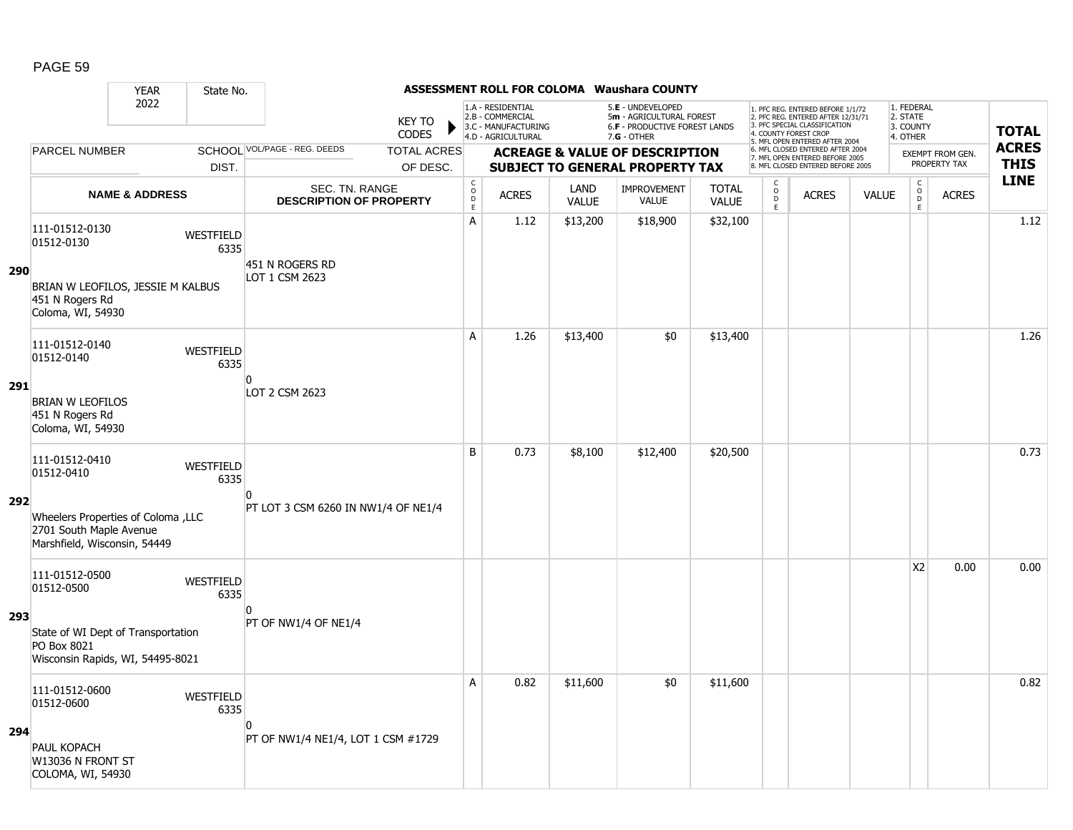|            |                                                                                                           | <b>YEAR</b>               | State No.                |                                                  |                        |                                     |                                                                                    |                      | <b>ASSESSMENT ROLL FOR COLOMA Waushara COUNTY</b>                                               |                              |                         |                                                                                                          |              |                                                 |                         |              |
|------------|-----------------------------------------------------------------------------------------------------------|---------------------------|--------------------------|--------------------------------------------------|------------------------|-------------------------------------|------------------------------------------------------------------------------------|----------------------|-------------------------------------------------------------------------------------------------|------------------------------|-------------------------|----------------------------------------------------------------------------------------------------------|--------------|-------------------------------------------------|-------------------------|--------------|
|            |                                                                                                           | 2022                      |                          |                                                  | <b>KEY TO</b><br>CODES |                                     | 1.A - RESIDENTIAL<br>2.B - COMMERCIAL<br>3.C - MANUFACTURING<br>4.D - AGRICULTURAL |                      | 5.E - UNDEVELOPED<br>5m - AGRICULTURAL FOREST<br>6.F - PRODUCTIVE FOREST LANDS<br>$7.G - OTHER$ |                              | 4. COUNTY FOREST CROP   | 1. PFC REG. ENTERED BEFORE 1/1/72<br>2. PFC REG. ENTERED AFTER 12/31/71<br>3. PFC SPECIAL CLASSIFICATION |              | 1. FEDERAL<br>2. STATE<br>3. COUNTY<br>4. OTHER |                         | <b>TOTAL</b> |
|            | <b>PARCEL NUMBER</b>                                                                                      |                           |                          | SCHOOL VOL/PAGE - REG. DEEDS                     | <b>TOTAL ACRES</b>     |                                     |                                                                                    |                      | <b>ACREAGE &amp; VALUE OF DESCRIPTION</b>                                                       |                              |                         | 5. MFL OPEN ENTERED AFTER 2004<br>6. MFL CLOSED ENTERED AFTER 2004                                       |              |                                                 | <b>EXEMPT FROM GEN.</b> | <b>ACRES</b> |
|            |                                                                                                           |                           | DIST.                    |                                                  | OF DESC.               |                                     |                                                                                    |                      | <b>SUBJECT TO GENERAL PROPERTY TAX</b>                                                          |                              |                         | 7. MFL OPEN ENTERED BEFORE 2005<br>8. MFL CLOSED ENTERED BEFORE 2005                                     |              |                                                 | PROPERTY TAX            | <b>THIS</b>  |
|            |                                                                                                           | <b>NAME &amp; ADDRESS</b> |                          | SEC. TN. RANGE<br><b>DESCRIPTION OF PROPERTY</b> |                        | $_{\rm o}^{\rm c}$<br>$\frac{D}{E}$ | <b>ACRES</b>                                                                       | LAND<br><b>VALUE</b> | <b>IMPROVEMENT</b><br><b>VALUE</b>                                                              | <b>TOTAL</b><br><b>VALUE</b> | C<br>$\circ$<br>D<br>E. | <b>ACRES</b>                                                                                             | <b>VALUE</b> | $\begin{matrix} C \\ O \\ D \end{matrix}$<br>E  | <b>ACRES</b>            | <b>LINE</b>  |
| <b>290</b> | 111-01512-0130<br>01512-0130<br>BRIAN W LEOFILOS, JESSIE M KALBUS<br>451 N Rogers Rd<br>Coloma, WI, 54930 |                           | WESTFIELD<br>6335        | 451 N ROGERS RD<br>LOT 1 CSM 2623                |                        | A                                   | 1.12                                                                               | \$13,200             | \$18,900                                                                                        | \$32,100                     |                         |                                                                                                          |              |                                                 |                         | 1.12         |
|            | 111-01512-0140<br>01512-0140                                                                              |                           | WESTFIELD<br>6335        | O                                                |                        | A                                   | 1.26                                                                               | \$13,400             | \$0                                                                                             | \$13,400                     |                         |                                                                                                          |              |                                                 |                         | 1.26         |
| 291        | <b>BRIAN W LEOFILOS</b><br>451 N Rogers Rd<br>Coloma, WI, 54930                                           |                           |                          | LOT 2 CSM 2623                                   |                        |                                     |                                                                                    |                      |                                                                                                 |                              |                         |                                                                                                          |              |                                                 |                         |              |
|            | 111-01512-0410<br>01512-0410                                                                              |                           | WESTFIELD<br>6335        | ŋ                                                |                        | B                                   | 0.73                                                                               | \$8,100              | \$12,400                                                                                        | \$20,500                     |                         |                                                                                                          |              |                                                 |                         | 0.73         |
| 292        | Vheelers Properties of Coloma , LLC<br>2701 South Maple Avenue<br>Marshfield, Wisconsin, 54449            |                           |                          | PT LOT 3 CSM 6260 IN NW1/4 OF NE1/4              |                        |                                     |                                                                                    |                      |                                                                                                 |                              |                         |                                                                                                          |              |                                                 |                         |              |
|            | 111-01512-0500<br>01512-0500                                                                              |                           | <b>WESTFIELD</b><br>6335 | n                                                |                        |                                     |                                                                                    |                      |                                                                                                 |                              |                         |                                                                                                          |              | X <sub>2</sub>                                  | 0.00                    | 0.00         |
| 293        | State of WI Dept of Transportation<br>PO Box 8021<br>Wisconsin Rapids, WI, 54495-8021                     |                           |                          | PT OF NW1/4 OF NE1/4                             |                        |                                     |                                                                                    |                      |                                                                                                 |                              |                         |                                                                                                          |              |                                                 |                         |              |
|            | 111-01512-0600<br>01512-0600                                                                              |                           | WESTFIELD<br>6335        | <sup>0</sup>                                     |                        | A                                   | 0.82                                                                               | \$11,600             | \$0                                                                                             | \$11,600                     |                         |                                                                                                          |              |                                                 |                         | 0.82         |
| 294        | PAUL KOPACH<br>W13036 N FRONT ST<br>COLOMA, WI, 54930                                                     |                           |                          | PT OF NW1/4 NE1/4, LOT 1 CSM #1729               |                        |                                     |                                                                                    |                      |                                                                                                 |                              |                         |                                                                                                          |              |                                                 |                         |              |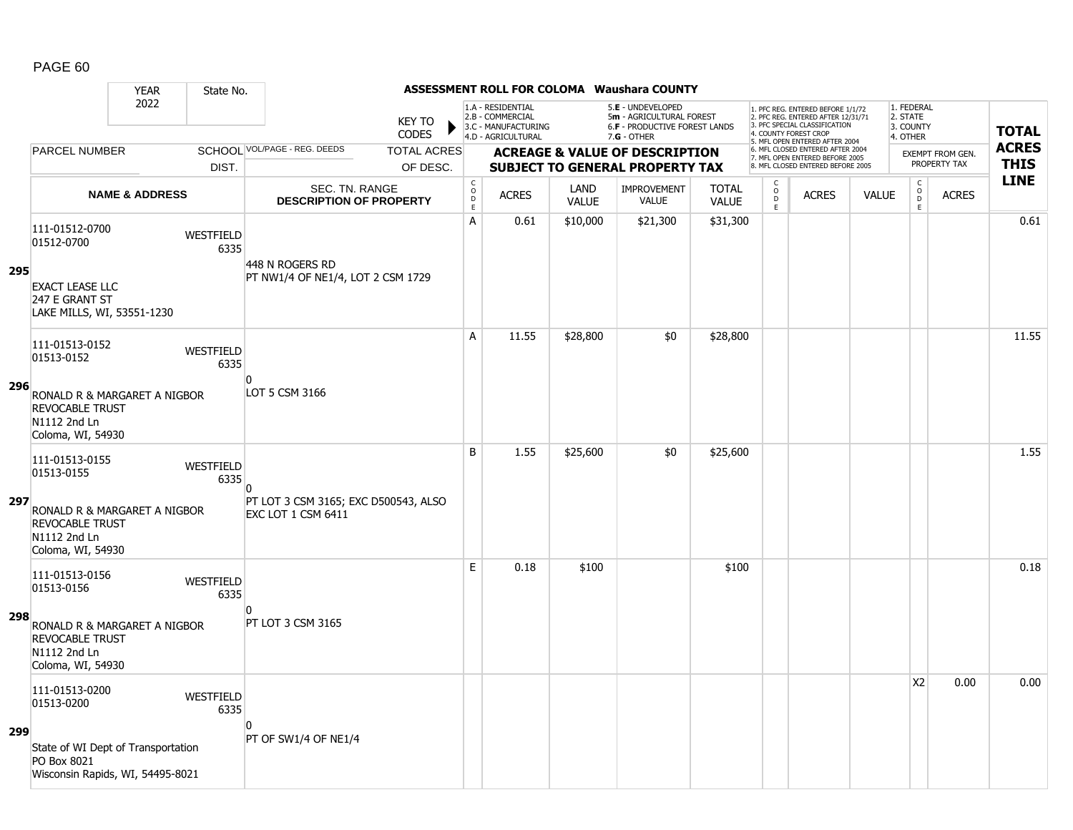|     |                                                                                             | <b>YEAR</b>               | State No.                |                                                        |                               |                             |                                                                                    |                             | <b>ASSESSMENT ROLL FOR COLOMA Waushara COUNTY</b>                                               |                              |                                                 |                                                                                                                                   |              |                                                          |                         |              |
|-----|---------------------------------------------------------------------------------------------|---------------------------|--------------------------|--------------------------------------------------------|-------------------------------|-----------------------------|------------------------------------------------------------------------------------|-----------------------------|-------------------------------------------------------------------------------------------------|------------------------------|-------------------------------------------------|-----------------------------------------------------------------------------------------------------------------------------------|--------------|----------------------------------------------------------|-------------------------|--------------|
|     |                                                                                             | 2022                      |                          |                                                        | <b>KEY TO</b><br><b>CODES</b> |                             | 1.A - RESIDENTIAL<br>2.B - COMMERCIAL<br>3.C - MANUFACTURING<br>4.D - AGRICULTURAL |                             | 5.E - UNDEVELOPED<br>5m - AGRICULTURAL FOREST<br>6.F - PRODUCTIVE FOREST LANDS<br>$7.G - OTHER$ |                              |                                                 | 1. PFC REG. ENTERED BEFORE 1/1/72<br>2. PFC REG. ENTERED AFTER 12/31/71<br>3. PFC SPECIAL CLASSIFICATION<br>4. COUNTY FOREST CROP |              | 1. FEDERAL<br>2. STATE<br>3. COUNTY<br>4. OTHER          |                         | <b>TOTAL</b> |
|     | <b>PARCEL NUMBER</b>                                                                        |                           |                          | SCHOOL VOL/PAGE - REG. DEEDS                           | <b>TOTAL ACRES</b>            |                             |                                                                                    |                             | <b>ACREAGE &amp; VALUE OF DESCRIPTION</b>                                                       |                              |                                                 | 5. MFL OPEN ENTERED AFTER 2004<br>6. MFL CLOSED ENTERED AFTER 2004                                                                |              |                                                          | <b>EXEMPT FROM GEN.</b> | <b>ACRES</b> |
|     |                                                                                             |                           | DIST.                    |                                                        | OF DESC.                      |                             |                                                                                    |                             | <b>SUBJECT TO GENERAL PROPERTY TAX</b>                                                          |                              |                                                 | 7. MFL OPEN ENTERED BEFORE 2005<br>8. MFL CLOSED ENTERED BEFORE 2005                                                              |              |                                                          | PROPERTY TAX            | <b>THIS</b>  |
|     |                                                                                             | <b>NAME &amp; ADDRESS</b> |                          | SEC. TN. RANGE<br><b>DESCRIPTION OF PROPERTY</b>       |                               | $\rm _c^C$<br>$\frac{D}{E}$ | <b>ACRES</b>                                                                       | <b>LAND</b><br><b>VALUE</b> | <b>IMPROVEMENT</b><br><b>VALUE</b>                                                              | <b>TOTAL</b><br><b>VALUE</b> | $\begin{matrix} 0 \\ 0 \\ D \end{matrix}$<br>E. | <b>ACRES</b>                                                                                                                      | <b>VALUE</b> | $\begin{matrix} 0 \\ 0 \\ 0 \end{matrix}$<br>$\mathsf E$ | <b>ACRES</b>            | <b>LINE</b>  |
| 295 | 111-01512-0700<br>01512-0700                                                                |                           | <b>WESTFIELD</b><br>6335 | 448 N ROGERS RD                                        |                               | A                           | 0.61                                                                               | \$10,000                    | \$21,300                                                                                        | \$31,300                     |                                                 |                                                                                                                                   |              |                                                          |                         | 0.61         |
|     | <b>EXACT LEASE LLC</b><br>247 E GRANT ST<br>LAKE MILLS, WI, 53551-1230                      |                           |                          | PT NW1/4 OF NE1/4, LOT 2 CSM 1729                      |                               |                             |                                                                                    |                             |                                                                                                 |                              |                                                 |                                                                                                                                   |              |                                                          |                         |              |
|     | 111-01513-0152<br>01513-0152                                                                |                           | WESTFIELD<br>6335        | n                                                      |                               | A                           | 11.55                                                                              | \$28,800                    | \$0                                                                                             | \$28,800                     |                                                 |                                                                                                                                   |              |                                                          |                         | 11.55        |
| 296 | RONALD R & MARGARET A NIGBOR<br><b>REVOCABLE TRUST</b><br>N1112 2nd Ln<br>Coloma, WI, 54930 |                           |                          | LOT 5 CSM 3166                                         |                               |                             |                                                                                    |                             |                                                                                                 |                              |                                                 |                                                                                                                                   |              |                                                          |                         |              |
| 297 | 111-01513-0155<br>01513-0155                                                                |                           | <b>WESTFIELD</b><br>6335 | $\overline{0}$<br>PT LOT 3 CSM 3165; EXC D500543, ALSO |                               | B                           | 1.55                                                                               | \$25,600                    | \$0                                                                                             | \$25,600                     |                                                 |                                                                                                                                   |              |                                                          |                         | 1.55         |
|     | RONALD R & MARGARET A NIGBOR<br><b>REVOCABLE TRUST</b><br>N1112 2nd Ln<br>Coloma, WI, 54930 |                           |                          | <b>EXC LOT 1 CSM 6411</b>                              |                               |                             |                                                                                    |                             |                                                                                                 |                              |                                                 |                                                                                                                                   |              |                                                          |                         |              |
| 298 | 111-01513-0156<br>01513-0156                                                                |                           | WESTFIELD<br>6335        | n                                                      |                               | E                           | 0.18                                                                               | \$100                       |                                                                                                 | \$100                        |                                                 |                                                                                                                                   |              |                                                          |                         | 0.18         |
|     | RONALD R & MARGARET A NIGBOR<br><b>REVOCABLE TRUST</b><br>N1112 2nd Ln<br>Coloma, WI, 54930 |                           |                          | PT LOT 3 CSM 3165                                      |                               |                             |                                                                                    |                             |                                                                                                 |                              |                                                 |                                                                                                                                   |              |                                                          |                         |              |
| 299 | 111-01513-0200<br>01513-0200                                                                |                           | WESTFIELD<br>6335        | n                                                      |                               |                             |                                                                                    |                             |                                                                                                 |                              |                                                 |                                                                                                                                   |              | X <sub>2</sub>                                           | 0.00                    | 0.00         |
|     | State of WI Dept of Transportation<br>PO Box 8021<br>Wisconsin Rapids, WI, 54495-8021       |                           |                          | PT OF SW1/4 OF NE1/4                                   |                               |                             |                                                                                    |                             |                                                                                                 |                              |                                                 |                                                                                                                                   |              |                                                          |                         |              |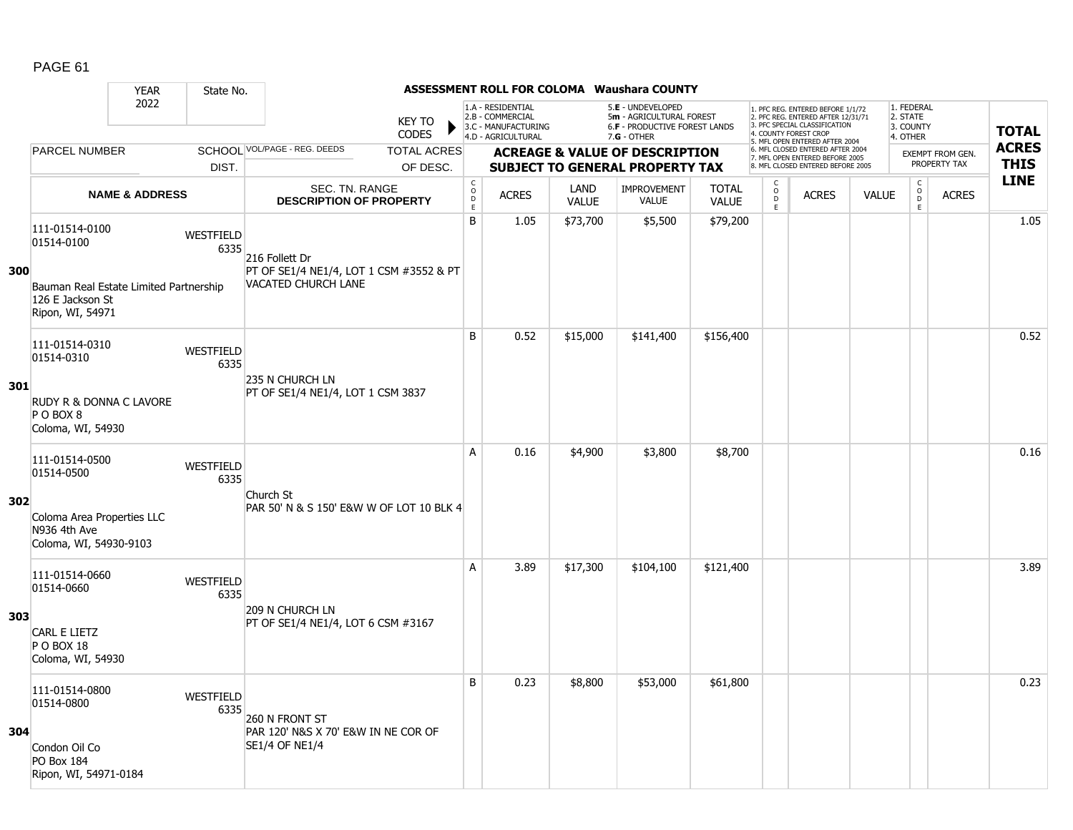|     |                                                                                | <b>YEAR</b>               | State No.                |                                                                |                                |                                           |                                                              |                      | <b>ASSESSMENT ROLL FOR COLOMA Waushara COUNTY</b>                                   |                              |                                                   |                                                                                                                                   |              |                                                          |                                         |              |
|-----|--------------------------------------------------------------------------------|---------------------------|--------------------------|----------------------------------------------------------------|--------------------------------|-------------------------------------------|--------------------------------------------------------------|----------------------|-------------------------------------------------------------------------------------|------------------------------|---------------------------------------------------|-----------------------------------------------------------------------------------------------------------------------------------|--------------|----------------------------------------------------------|-----------------------------------------|--------------|
|     |                                                                                | 2022                      |                          |                                                                | <b>KEY TO</b><br><b>CODES</b>  |                                           | 1.A - RESIDENTIAL<br>2.B - COMMERCIAL<br>3.C - MANUFACTURING |                      | 5.E - UNDEVELOPED<br>5m - AGRICULTURAL FOREST<br>6.F - PRODUCTIVE FOREST LANDS      |                              |                                                   | 1. PFC REG. ENTERED BEFORE 1/1/72<br>2. PFC REG. ENTERED AFTER 12/31/71<br>3. PFC SPECIAL CLASSIFICATION<br>4. COUNTY FOREST CROP |              | 1. FEDERAL<br>2. STATE<br>3. COUNTY                      |                                         | <b>TOTAL</b> |
|     | <b>PARCEL NUMBER</b>                                                           |                           |                          | SCHOOL VOL/PAGE - REG. DEEDS                                   |                                |                                           | 4.D - AGRICULTURAL                                           |                      | $7.G - OTHER$                                                                       |                              |                                                   | 5. MFL OPEN ENTERED AFTER 2004<br>6. MFL CLOSED ENTERED AFTER 2004                                                                |              | 4. OTHER                                                 |                                         | <b>ACRES</b> |
|     |                                                                                |                           | DIST.                    |                                                                | <b>TOTAL ACRES</b><br>OF DESC. |                                           |                                                              |                      | <b>ACREAGE &amp; VALUE OF DESCRIPTION</b><br><b>SUBJECT TO GENERAL PROPERTY TAX</b> |                              |                                                   | 7. MFL OPEN ENTERED BEFORE 2005<br>8. MFL CLOSED ENTERED BEFORE 2005                                                              |              |                                                          | <b>EXEMPT FROM GEN.</b><br>PROPERTY TAX | <b>THIS</b>  |
|     |                                                                                | <b>NAME &amp; ADDRESS</b> |                          | SEC. TN. RANGE<br><b>DESCRIPTION OF PROPERTY</b>               |                                | $\frac{c}{0}$<br>$\mathsf D$<br>$\bar{E}$ | <b>ACRES</b>                                                 | LAND<br><b>VALUE</b> | <b>IMPROVEMENT</b><br><b>VALUE</b>                                                  | <b>TOTAL</b><br><b>VALUE</b> | $\begin{array}{c}\nC \\ O \\ D \\ E\n\end{array}$ | <b>ACRES</b>                                                                                                                      | <b>VALUE</b> | $\begin{matrix} 0 \\ 0 \\ D \end{matrix}$<br>$\mathsf E$ | <b>ACRES</b>                            | <b>LINE</b>  |
|     | 111-01514-0100<br>01514-0100                                                   |                           | <b>WESTFIELD</b><br>6335 | 216 Follett Dr                                                 |                                | B                                         | 1.05                                                         | \$73,700             | \$5,500                                                                             | \$79,200                     |                                                   |                                                                                                                                   |              |                                                          |                                         | 1.05         |
| 300 | Bauman Real Estate Limited Partnership<br>126 E Jackson St<br>Ripon, WI, 54971 |                           |                          | PT OF SE1/4 NE1/4, LOT 1 CSM #3552 & PT<br>VACATED CHURCH LANE |                                |                                           |                                                              |                      |                                                                                     |                              |                                                   |                                                                                                                                   |              |                                                          |                                         |              |
|     | 111-01514-0310<br>01514-0310                                                   |                           | WESTFIELD<br>6335        | 235 N CHURCH LN                                                |                                | B                                         | 0.52                                                         | \$15,000             | \$141,400                                                                           | \$156,400                    |                                                   |                                                                                                                                   |              |                                                          |                                         | 0.52         |
| 301 | RUDY R & DONNA C LAVORE<br>PO BOX 8<br>Coloma, WI, 54930                       |                           |                          | PT OF SE1/4 NE1/4, LOT 1 CSM 3837                              |                                |                                           |                                                              |                      |                                                                                     |                              |                                                   |                                                                                                                                   |              |                                                          |                                         |              |
|     | 111-01514-0500<br>01514-0500                                                   |                           | WESTFIELD<br>6335        | Church St                                                      |                                | A                                         | 0.16                                                         | \$4,900              | \$3,800                                                                             | \$8,700                      |                                                   |                                                                                                                                   |              |                                                          |                                         | 0.16         |
| 302 | Coloma Area Properties LLC<br>N936 4th Ave<br>Coloma, WI, 54930-9103           |                           |                          | PAR 50' N & S 150' E&W W OF LOT 10 BLK 4                       |                                |                                           |                                                              |                      |                                                                                     |                              |                                                   |                                                                                                                                   |              |                                                          |                                         |              |
|     | 111-01514-0660<br>01514-0660                                                   |                           | WESTFIELD<br>6335        | 209 N CHURCH LN                                                |                                | A                                         | 3.89                                                         | \$17,300             | \$104,100                                                                           | \$121,400                    |                                                   |                                                                                                                                   |              |                                                          |                                         | 3.89         |
| 303 | <b>CARL E LIETZ</b><br>P O BOX 18<br>Coloma, WI, 54930                         |                           |                          | PT OF SE1/4 NE1/4, LOT 6 CSM #3167                             |                                |                                           |                                                              |                      |                                                                                     |                              |                                                   |                                                                                                                                   |              |                                                          |                                         |              |
|     | 111-01514-0800<br>01514-0800                                                   |                           | WESTFIELD<br>6335        | 260 N FRONT ST                                                 |                                | B                                         | 0.23                                                         | \$8,800              | \$53,000                                                                            | \$61,800                     |                                                   |                                                                                                                                   |              |                                                          |                                         | 0.23         |
| 304 | Condon Oil Co<br><b>PO Box 184</b><br>Ripon, WI, 54971-0184                    |                           |                          | PAR 120' N&S X 70' E&W IN NE COR OF<br><b>SE1/4 OF NE1/4</b>   |                                |                                           |                                                              |                      |                                                                                     |                              |                                                   |                                                                                                                                   |              |                                                          |                                         |              |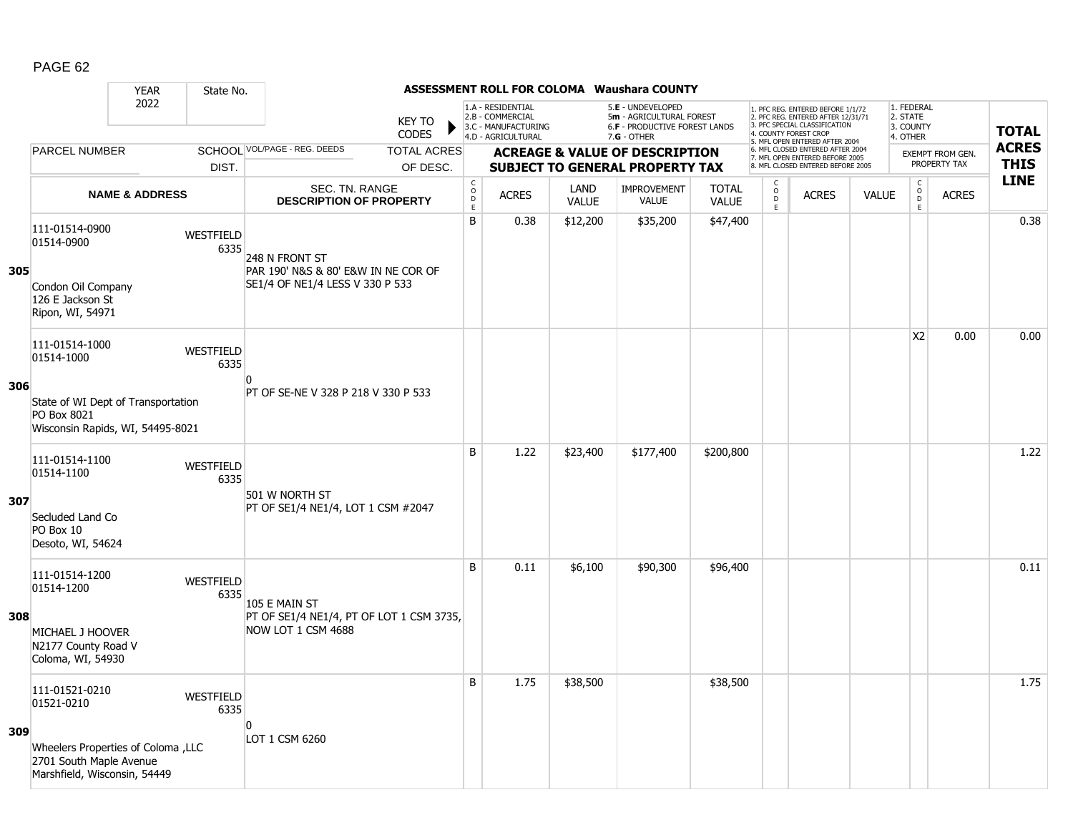|     |                                                                                                | <b>YEAR</b>               | State No.                |                                                                                          |                               |                                                 |                                                                                    |                             | <b>ASSESSMENT ROLL FOR COLOMA Waushara COUNTY</b>                                                      |                              |                                                            |                                                                                                          |              |                                                          |                                  |              |
|-----|------------------------------------------------------------------------------------------------|---------------------------|--------------------------|------------------------------------------------------------------------------------------|-------------------------------|-------------------------------------------------|------------------------------------------------------------------------------------|-----------------------------|--------------------------------------------------------------------------------------------------------|------------------------------|------------------------------------------------------------|----------------------------------------------------------------------------------------------------------|--------------|----------------------------------------------------------|----------------------------------|--------------|
|     |                                                                                                | 2022                      |                          |                                                                                          | <b>KEY TO</b><br><b>CODES</b> |                                                 | 1.A - RESIDENTIAL<br>2.B - COMMERCIAL<br>3.C - MANUFACTURING<br>4.D - AGRICULTURAL |                             | 5.E - UNDEVELOPED<br>5m - AGRICULTURAL FOREST<br><b>6.F - PRODUCTIVE FOREST LANDS</b><br>$7.G - OTHER$ |                              | 4. COUNTY FOREST CROP                                      | 1. PFC REG. ENTERED BEFORE 1/1/72<br>2. PFC REG. ENTERED AFTER 12/31/71<br>3. PFC SPECIAL CLASSIFICATION |              | 1. FEDERAL<br>2. STATE<br>3. COUNTY<br>4. OTHER          |                                  | <b>TOTAL</b> |
|     | <b>PARCEL NUMBER</b>                                                                           |                           |                          | SCHOOL VOL/PAGE - REG. DEEDS                                                             | <b>TOTAL ACRES</b>            |                                                 |                                                                                    |                             |                                                                                                        |                              |                                                            | 5. MFL OPEN ENTERED AFTER 2004<br>6. MFL CLOSED ENTERED AFTER 2004                                       |              |                                                          |                                  | <b>ACRES</b> |
|     |                                                                                                |                           | DIST.                    |                                                                                          | OF DESC.                      |                                                 |                                                                                    |                             | <b>ACREAGE &amp; VALUE OF DESCRIPTION</b><br><b>SUBJECT TO GENERAL PROPERTY TAX</b>                    |                              |                                                            | 7. MFL OPEN ENTERED BEFORE 2005<br>8. MFL CLOSED ENTERED BEFORE 2005                                     |              |                                                          | EXEMPT FROM GEN.<br>PROPERTY TAX | <b>THIS</b>  |
|     |                                                                                                | <b>NAME &amp; ADDRESS</b> |                          | <b>SEC. TN. RANGE</b><br><b>DESCRIPTION OF PROPERTY</b>                                  |                               | $_{\rm o}^{\rm c}$<br>$\mathsf{D}_{\mathsf{E}}$ | <b>ACRES</b>                                                                       | <b>LAND</b><br><b>VALUE</b> | <b>IMPROVEMENT</b><br><b>VALUE</b>                                                                     | <b>TOTAL</b><br><b>VALUE</b> | $\begin{array}{c} C \\ O \\ D \end{array}$<br>$\mathsf{E}$ | <b>ACRES</b>                                                                                             | <b>VALUE</b> | $\begin{matrix} 0 \\ 0 \\ 0 \end{matrix}$<br>$\mathsf E$ | <b>ACRES</b>                     | <b>LINE</b>  |
| 305 | 111-01514-0900<br>01514-0900<br>Condon Oil Company                                             |                           | <b>WESTFIELD</b><br>6335 | 248 N FRONT ST<br>PAR 190' N&S & 80' E&W IN NE COR OF<br>SE1/4 OF NE1/4 LESS V 330 P 533 |                               | B                                               | 0.38                                                                               | \$12,200                    | \$35,200                                                                                               | \$47,400                     |                                                            |                                                                                                          |              |                                                          |                                  | 0.38         |
|     | 126 E Jackson St<br>Ripon, WI, 54971                                                           |                           |                          |                                                                                          |                               |                                                 |                                                                                    |                             |                                                                                                        |                              |                                                            |                                                                                                          |              |                                                          |                                  |              |
|     | 111-01514-1000<br>01514-1000                                                                   |                           | WESTFIELD<br>6335        | $\Omega$                                                                                 |                               |                                                 |                                                                                    |                             |                                                                                                        |                              |                                                            |                                                                                                          |              | X <sub>2</sub>                                           | 0.00                             | 0.00         |
| 306 | State of WI Dept of Transportation<br>PO Box 8021<br>Wisconsin Rapids, WI, 54495-8021          |                           |                          | PT OF SE-NE V 328 P 218 V 330 P 533                                                      |                               |                                                 |                                                                                    |                             |                                                                                                        |                              |                                                            |                                                                                                          |              |                                                          |                                  |              |
|     | 111-01514-1100<br>01514-1100                                                                   |                           | WESTFIELD<br>6335        | 501 W NORTH ST                                                                           |                               | B                                               | 1.22                                                                               | \$23,400                    | \$177,400                                                                                              | \$200,800                    |                                                            |                                                                                                          |              |                                                          |                                  | 1.22         |
| 307 | Secluded Land Co<br>PO Box 10<br>Desoto, WI, 54624                                             |                           |                          | PT OF SE1/4 NE1/4, LOT 1 CSM #2047                                                       |                               |                                                 |                                                                                    |                             |                                                                                                        |                              |                                                            |                                                                                                          |              |                                                          |                                  |              |
| 308 | 111-01514-1200<br>01514-1200<br>MICHAEL J HOOVER                                               |                           | WESTFIELD<br>6335        | 105 E MAIN ST<br>PT OF SE1/4 NE1/4, PT OF LOT 1 CSM 3735,<br>NOW LOT 1 CSM 4688          |                               | B                                               | 0.11                                                                               | \$6,100                     | \$90,300                                                                                               | \$96,400                     |                                                            |                                                                                                          |              |                                                          |                                  | 0.11         |
|     | N2177 County Road V<br>Coloma, WI, 54930                                                       |                           |                          |                                                                                          |                               |                                                 |                                                                                    |                             |                                                                                                        |                              |                                                            |                                                                                                          |              |                                                          |                                  |              |
| 309 | 111-01521-0210<br>01521-0210                                                                   |                           | WESTFIELD<br>6335        | $\Omega$                                                                                 |                               | B                                               | 1.75                                                                               | \$38,500                    |                                                                                                        | \$38,500                     |                                                            |                                                                                                          |              |                                                          |                                  | 1.75         |
|     | Vheelers Properties of Coloma , LLC<br>2701 South Maple Avenue<br>Marshfield, Wisconsin, 54449 |                           |                          | LOT 1 CSM 6260                                                                           |                               |                                                 |                                                                                    |                             |                                                                                                        |                              |                                                            |                                                                                                          |              |                                                          |                                  |              |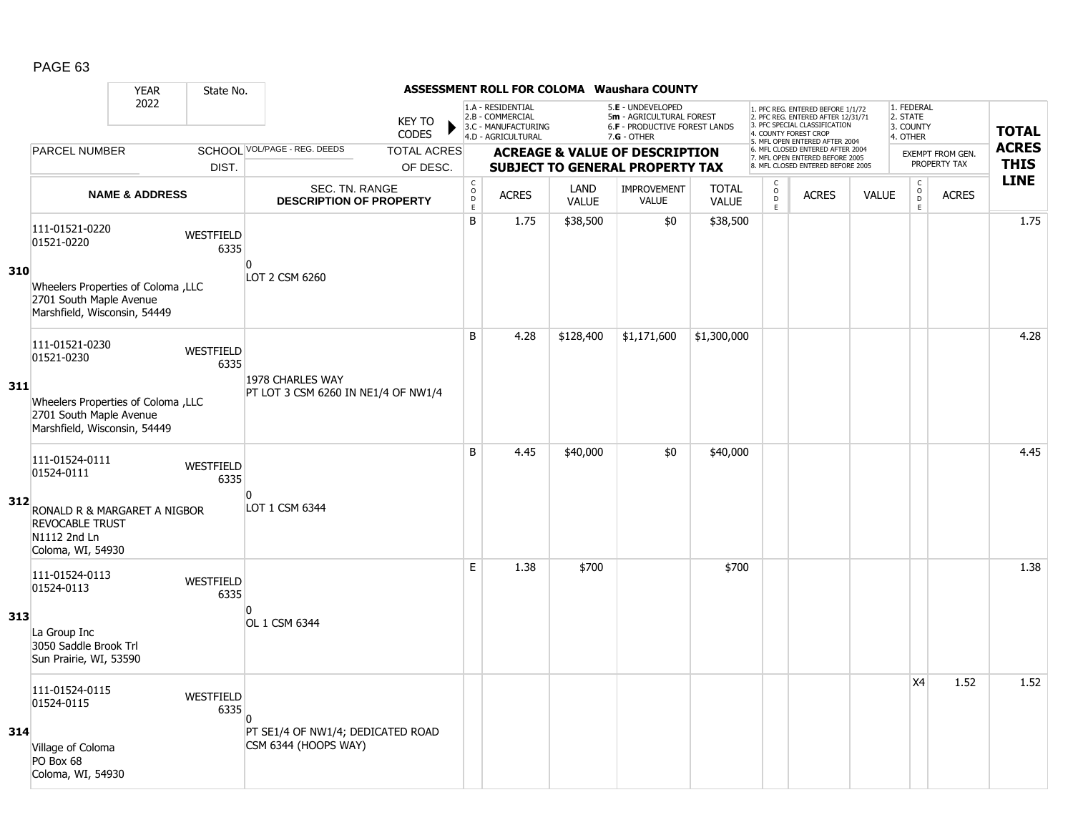|     |                                                                                                | <b>YEAR</b>               | State No.                |                                                           |                                |                                                |                                                                                    |                      | <b>ASSESSMENT ROLL FOR COLOMA Waushara COUNTY</b>                                                      |                              |                              |                                                                                                                                                                     |              |                                                 |                                         |                             |
|-----|------------------------------------------------------------------------------------------------|---------------------------|--------------------------|-----------------------------------------------------------|--------------------------------|------------------------------------------------|------------------------------------------------------------------------------------|----------------------|--------------------------------------------------------------------------------------------------------|------------------------------|------------------------------|---------------------------------------------------------------------------------------------------------------------------------------------------------------------|--------------|-------------------------------------------------|-----------------------------------------|-----------------------------|
|     |                                                                                                | 2022                      |                          |                                                           | <b>KEY TO</b><br><b>CODES</b>  |                                                | 1.A - RESIDENTIAL<br>2.B - COMMERCIAL<br>3.C - MANUFACTURING<br>4.D - AGRICULTURAL |                      | 5.E - UNDEVELOPED<br>5m - AGRICULTURAL FOREST<br><b>6.F - PRODUCTIVE FOREST LANDS</b><br>$7.G - OTHER$ |                              |                              | 1. PFC REG. ENTERED BEFORE 1/1/72<br>2. PFC REG. ENTERED AFTER 12/31/71<br>3. PFC SPECIAL CLASSIFICATION<br>4. COUNTY FOREST CROP<br>5. MFL OPEN ENTERED AFTER 2004 |              | 1. FEDERAL<br>2. STATE<br>3. COUNTY<br>4. OTHER |                                         | <b>TOTAL</b>                |
|     | PARCEL NUMBER                                                                                  |                           | DIST.                    | SCHOOL VOL/PAGE - REG. DEEDS                              | <b>TOTAL ACRES</b><br>OF DESC. |                                                |                                                                                    |                      | <b>ACREAGE &amp; VALUE OF DESCRIPTION</b><br><b>SUBJECT TO GENERAL PROPERTY TAX</b>                    |                              |                              | 6. MFL CLOSED ENTERED AFTER 2004<br>7. MFL OPEN ENTERED BEFORE 2005<br>8. MFL CLOSED ENTERED BEFORE 2005                                                            |              |                                                 | <b>EXEMPT FROM GEN.</b><br>PROPERTY TAX | <b>ACRES</b><br><b>THIS</b> |
|     |                                                                                                | <b>NAME &amp; ADDRESS</b> |                          | SEC. TN. RANGE<br><b>DESCRIPTION OF PROPERTY</b>          |                                | $\begin{matrix} 0 \\ 0 \\ D \end{matrix}$<br>E | <b>ACRES</b>                                                                       | LAND<br><b>VALUE</b> | <b>IMPROVEMENT</b><br><b>VALUE</b>                                                                     | <b>TOTAL</b><br><b>VALUE</b> | C<br>$_{\rm D}^{\rm O}$<br>E | <b>ACRES</b>                                                                                                                                                        | <b>VALUE</b> | $\mathsf{C}$<br>$_{\rm D}^{\rm O}$<br>E         | <b>ACRES</b>                            | <b>LINE</b>                 |
|     | 111-01521-0220<br>01521-0220                                                                   |                           | WESTFIELD<br>6335        | $\overline{0}$                                            |                                | B                                              | 1.75                                                                               | \$38,500             | \$0                                                                                                    | \$38,500                     |                              |                                                                                                                                                                     |              |                                                 |                                         | 1.75                        |
| 310 | Vheelers Properties of Coloma , LLC<br>2701 South Maple Avenue<br>Marshfield, Wisconsin, 54449 |                           |                          | LOT 2 CSM 6260                                            |                                |                                                |                                                                                    |                      |                                                                                                        |                              |                              |                                                                                                                                                                     |              |                                                 |                                         |                             |
|     | 111-01521-0230<br>01521-0230                                                                   |                           | WESTFIELD<br>6335        |                                                           |                                | B                                              | 4.28                                                                               | \$128,400            | \$1,171,600                                                                                            | \$1,300,000                  |                              |                                                                                                                                                                     |              |                                                 |                                         | 4.28                        |
| 311 | Wheelers Properties of Coloma , LLC<br>2701 South Maple Avenue<br>Marshfield, Wisconsin, 54449 |                           |                          | 1978 CHARLES WAY<br>PT LOT 3 CSM 6260 IN NE1/4 OF NW1/4   |                                |                                                |                                                                                    |                      |                                                                                                        |                              |                              |                                                                                                                                                                     |              |                                                 |                                         |                             |
|     | 111-01524-0111<br>01524-0111                                                                   |                           | <b>WESTFIELD</b><br>6335 |                                                           |                                | B                                              | 4.45                                                                               | \$40,000             | \$0                                                                                                    | \$40,000                     |                              |                                                                                                                                                                     |              |                                                 |                                         | 4.45                        |
| 312 | RONALD R & MARGARET A NIGBOR<br><b>REVOCABLE TRUST</b><br>N1112 2nd Ln<br>Coloma, WI, 54930    |                           |                          | n<br>LOT 1 CSM 6344                                       |                                |                                                |                                                                                    |                      |                                                                                                        |                              |                              |                                                                                                                                                                     |              |                                                 |                                         |                             |
|     | 111-01524-0113<br>01524-0113                                                                   |                           | <b>WESTFIELD</b><br>6335 |                                                           |                                | E                                              | 1.38                                                                               | \$700                |                                                                                                        | \$700                        |                              |                                                                                                                                                                     |              |                                                 |                                         | 1.38                        |
| 313 | La Group Inc<br>3050 Saddle Brook Trl<br>Sun Prairie, WI, 53590                                |                           |                          | <sup>0</sup><br>OL 1 CSM 6344                             |                                |                                                |                                                                                    |                      |                                                                                                        |                              |                              |                                                                                                                                                                     |              |                                                 |                                         |                             |
|     | 111-01524-0115<br>01524-0115                                                                   |                           | WESTFIELD<br>6335        | n                                                         |                                |                                                |                                                                                    |                      |                                                                                                        |                              |                              |                                                                                                                                                                     |              | X4                                              | 1.52                                    | 1.52                        |
| 314 | Village of Coloma<br>PO Box 68<br>Coloma, WI, 54930                                            |                           |                          | PT SE1/4 OF NW1/4; DEDICATED ROAD<br>CSM 6344 (HOOPS WAY) |                                |                                                |                                                                                    |                      |                                                                                                        |                              |                              |                                                                                                                                                                     |              |                                                 |                                         |                             |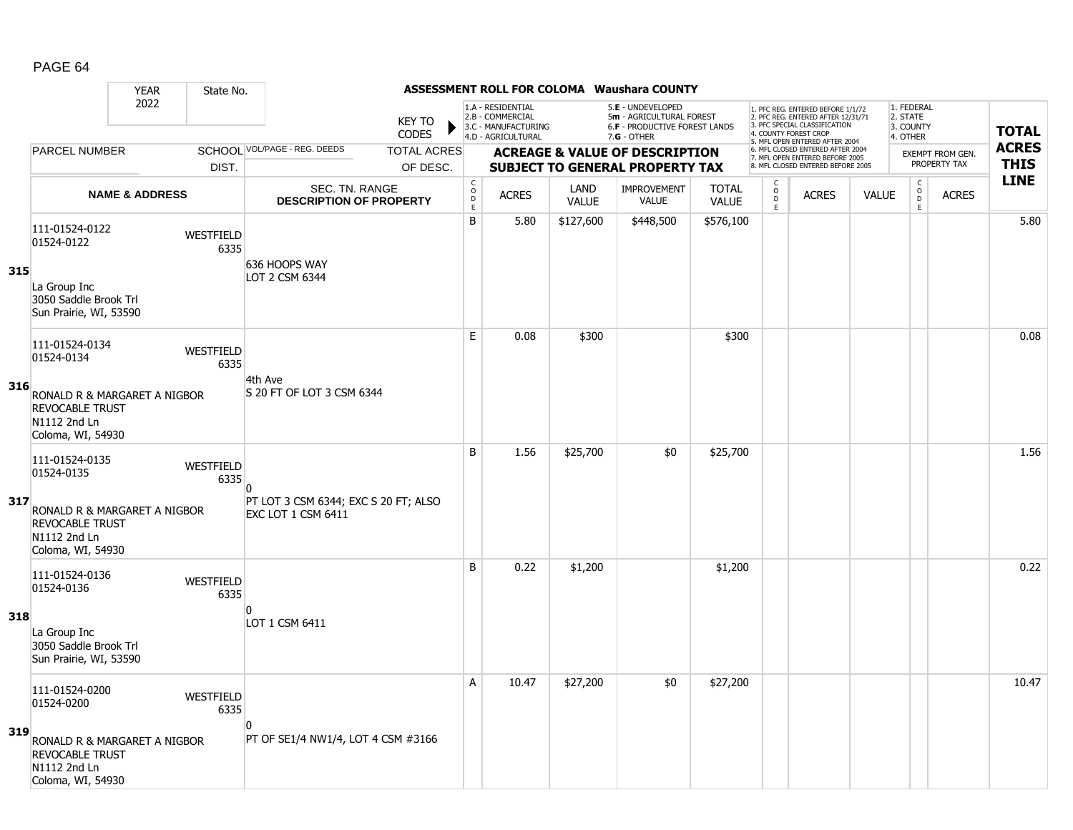|     |                                                                                             | <b>YEAR</b>               | State No.                |                                                            |                               |                            |                                                                                    |              | ASSESSMENT ROLL FOR COLOMA Waushara COUNTY                                                           |              |                             |                                                                                                                                            |              |                                                 |                                         |                             |
|-----|---------------------------------------------------------------------------------------------|---------------------------|--------------------------|------------------------------------------------------------|-------------------------------|----------------------------|------------------------------------------------------------------------------------|--------------|------------------------------------------------------------------------------------------------------|--------------|-----------------------------|--------------------------------------------------------------------------------------------------------------------------------------------|--------------|-------------------------------------------------|-----------------------------------------|-----------------------------|
|     |                                                                                             | 2022                      |                          |                                                            | <b>KEY TO</b><br><b>CODES</b> |                            | 1.A - RESIDENTIAL<br>2.B - COMMERCIAL<br>3.C - MANUFACTURING<br>4.D - AGRICULTURAL |              | 5.E - UNDEVELOPED<br>5m - AGRICULTURAL FOREST<br><b>6.F - PRODUCTIVE FOREST LANDS</b><br>7.G - OTHER |              |                             | 1. PFC REG. ENTERED BEFORE 1/1/72<br>2. PFC REG. ENTERED AFTER 12/31/71<br>3. PFC SPECIAL CLASSIFICATION<br>4. COUNTY FOREST CROP          |              | 1. FEDERAL<br>2. STATE<br>3. COUNTY<br>4. OTHER |                                         | <b>TOTAL</b>                |
|     | <b>PARCEL NUMBER</b>                                                                        |                           |                          | SCHOOL VOL/PAGE - REG. DEEDS                               | <b>TOTAL ACRES</b>            |                            |                                                                                    |              | <b>ACREAGE &amp; VALUE OF DESCRIPTION</b>                                                            |              |                             | 5. MFL OPEN ENTERED AFTER 2004<br>6. MFL CLOSED ENTERED AFTER 2004<br>7. MFL OPEN ENTERED BEFORE 2005<br>8. MFL CLOSED ENTERED BEFORE 2005 |              |                                                 | <b>EXEMPT FROM GEN.</b><br>PROPERTY TAX | <b>ACRES</b><br><b>THIS</b> |
|     |                                                                                             |                           | DIST.                    | <b>SEC. TN. RANGE</b>                                      | OF DESC.                      | $_{\rm o}^{\rm c}$         |                                                                                    | LAND         | <b>SUBJECT TO GENERAL PROPERTY TAX</b><br><b>IMPROVEMENT</b>                                         | <b>TOTAL</b> | $\frac{c}{0}$               |                                                                                                                                            |              | $\begin{matrix} 0 \\ 0 \end{matrix}$            |                                         | <b>LINE</b>                 |
|     |                                                                                             | <b>NAME &amp; ADDRESS</b> |                          | <b>DESCRIPTION OF PROPERTY</b>                             |                               | $\mathsf D$<br>$\mathsf E$ | <b>ACRES</b>                                                                       | <b>VALUE</b> | <b>VALUE</b>                                                                                         | <b>VALUE</b> | $\mathsf D$<br>$\mathsf{E}$ | <b>ACRES</b>                                                                                                                               | <b>VALUE</b> | E                                               | <b>ACRES</b>                            |                             |
|     | 111-01524-0122<br>01524-0122                                                                |                           | <b>WESTFIELD</b><br>6335 | 636 HOOPS WAY                                              |                               | B                          | 5.80                                                                               | \$127,600    | \$448,500                                                                                            | \$576,100    |                             |                                                                                                                                            |              |                                                 |                                         | 5.80                        |
| 315 | La Group Inc<br>3050 Saddle Brook Trl<br>Sun Prairie, WI, 53590                             |                           |                          | LOT 2 CSM 6344                                             |                               |                            |                                                                                    |              |                                                                                                      |              |                             |                                                                                                                                            |              |                                                 |                                         |                             |
|     | 111-01524-0134<br>01524-0134                                                                |                           | WESTFIELD<br>6335        |                                                            |                               | E                          | 0.08                                                                               | \$300        |                                                                                                      | \$300        |                             |                                                                                                                                            |              |                                                 |                                         | 0.08                        |
| 316 | RONALD R & MARGARET A NIGBOR<br><b>REVOCABLE TRUST</b><br>N1112 2nd Ln<br>Coloma, WI, 54930 |                           |                          | 4th Ave<br>S 20 FT OF LOT 3 CSM 6344                       |                               |                            |                                                                                    |              |                                                                                                      |              |                             |                                                                                                                                            |              |                                                 |                                         |                             |
|     | 111-01524-0135<br>01524-0135                                                                |                           | WESTFIELD<br>6335        | 0                                                          |                               | B                          | 1.56                                                                               | \$25,700     | \$0                                                                                                  | \$25,700     |                             |                                                                                                                                            |              |                                                 |                                         | 1.56                        |
| 317 | RONALD R & MARGARET A NIGBOR<br><b>REVOCABLE TRUST</b><br>N1112 2nd Ln<br>Coloma, WI, 54930 |                           |                          | PT LOT 3 CSM 6344; EXC S 20 FT; ALSO<br>EXC LOT 1 CSM 6411 |                               |                            |                                                                                    |              |                                                                                                      |              |                             |                                                                                                                                            |              |                                                 |                                         |                             |
|     | 111-01524-0136<br>01524-0136                                                                |                           | WESTFIELD<br>6335        |                                                            |                               | <sub>B</sub>               | 0.22                                                                               | \$1,200      |                                                                                                      | \$1,200      |                             |                                                                                                                                            |              |                                                 |                                         | 0.22                        |
| 318 | La Group Inc<br>3050 Saddle Brook Trl<br>Sun Prairie, WI, 53590                             |                           |                          | n<br>LOT 1 CSM 6411                                        |                               |                            |                                                                                    |              |                                                                                                      |              |                             |                                                                                                                                            |              |                                                 |                                         |                             |
|     | 111-01524-0200<br>01524-0200                                                                |                           | WESTFIELD<br>6335        |                                                            |                               | A                          | 10.47                                                                              | \$27,200     | \$0                                                                                                  | \$27,200     |                             |                                                                                                                                            |              |                                                 |                                         | 10.47                       |
| 319 | RONALD R & MARGARET A NIGBOR<br><b>REVOCABLE TRUST</b><br>N1112 2nd Ln<br>Coloma, WI, 54930 |                           |                          | $\mathbf{0}$<br>PT OF SE1/4 NW1/4, LOT 4 CSM #3166         |                               |                            |                                                                                    |              |                                                                                                      |              |                             |                                                                                                                                            |              |                                                 |                                         |                             |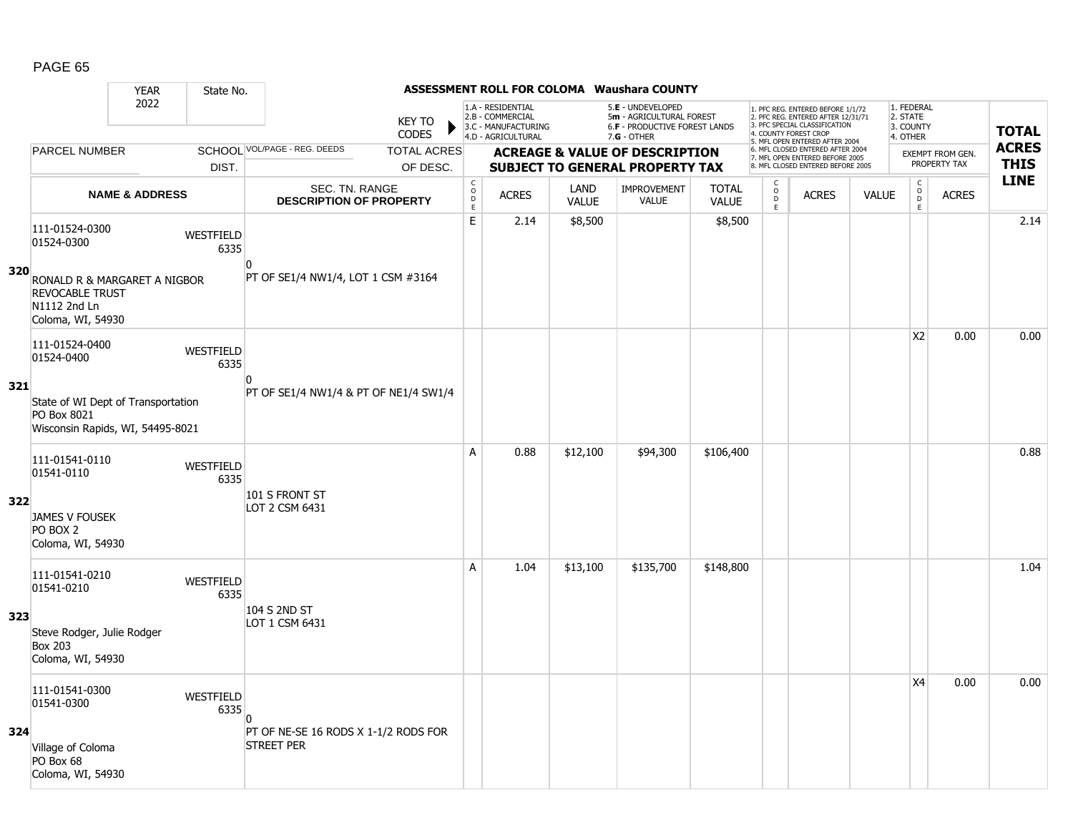|     |                                                                                             | <b>YEAR</b>               | State No.                |                                                           |                               |                                                      |                                                                                    |                             | <b>ASSESSMENT ROLL FOR COLOMA Waushara COUNTY</b>                                                      |                              |                                                           |                                                                                                                                   |              |                                                          |                         |              |
|-----|---------------------------------------------------------------------------------------------|---------------------------|--------------------------|-----------------------------------------------------------|-------------------------------|------------------------------------------------------|------------------------------------------------------------------------------------|-----------------------------|--------------------------------------------------------------------------------------------------------|------------------------------|-----------------------------------------------------------|-----------------------------------------------------------------------------------------------------------------------------------|--------------|----------------------------------------------------------|-------------------------|--------------|
|     |                                                                                             | 2022                      |                          |                                                           | <b>KEY TO</b><br><b>CODES</b> |                                                      | 1.A - RESIDENTIAL<br>2.B - COMMERCIAL<br>3.C - MANUFACTURING<br>4.D - AGRICULTURAL |                             | 5.E - UNDEVELOPED<br>5m - AGRICULTURAL FOREST<br><b>6.F - PRODUCTIVE FOREST LANDS</b><br>$7.G - OTHER$ |                              |                                                           | 1. PFC REG. ENTERED BEFORE 1/1/72<br>2. PFC REG. ENTERED AFTER 12/31/71<br>3. PFC SPECIAL CLASSIFICATION<br>4. COUNTY FOREST CROP |              | 1. FEDERAL<br>2. STATE<br>3. COUNTY<br>4. OTHER          |                         | <b>TOTAL</b> |
|     | <b>PARCEL NUMBER</b>                                                                        |                           |                          | SCHOOL VOL/PAGE - REG. DEEDS                              | <b>TOTAL ACRES</b>            |                                                      |                                                                                    |                             | <b>ACREAGE &amp; VALUE OF DESCRIPTION</b>                                                              |                              |                                                           | 5. MFL OPEN ENTERED AFTER 2004<br>6. MFL CLOSED ENTERED AFTER 2004                                                                |              |                                                          | <b>EXEMPT FROM GEN.</b> | <b>ACRES</b> |
|     |                                                                                             |                           | DIST.                    |                                                           | OF DESC.                      |                                                      |                                                                                    |                             | <b>SUBJECT TO GENERAL PROPERTY TAX</b>                                                                 |                              |                                                           | 7. MFL OPEN ENTERED BEFORE 2005<br>8. MFL CLOSED ENTERED BEFORE 2005                                                              |              |                                                          | PROPERTY TAX            | <b>THIS</b>  |
|     |                                                                                             | <b>NAME &amp; ADDRESS</b> |                          | <b>SEC. TN. RANGE</b><br><b>DESCRIPTION OF PROPERTY</b>   |                               | $\mathsf{C}$<br>$\circ$<br>$\mathsf{D}_{\mathsf{E}}$ | <b>ACRES</b>                                                                       | <b>LAND</b><br><b>VALUE</b> | <b>IMPROVEMENT</b><br>VALUE                                                                            | <b>TOTAL</b><br><b>VALUE</b> | $\begin{matrix} 0 \\ 0 \\ D \end{matrix}$<br>$\mathsf{E}$ | <b>ACRES</b>                                                                                                                      | <b>VALUE</b> | $\begin{matrix} 0 \\ 0 \\ 0 \end{matrix}$<br>$\mathsf E$ | <b>ACRES</b>            | <b>LINE</b>  |
|     | 111-01524-0300<br>01524-0300                                                                |                           | <b>WESTFIELD</b><br>6335 | $\overline{0}$                                            |                               | E                                                    | 2.14                                                                               | \$8,500                     |                                                                                                        | \$8,500                      |                                                           |                                                                                                                                   |              |                                                          |                         | 2.14         |
| 320 | RONALD R & MARGARET A NIGBOR<br><b>REVOCABLE TRUST</b><br>N1112 2nd Ln<br>Coloma, WI, 54930 |                           |                          | PT OF SE1/4 NW1/4, LOT 1 CSM #3164                        |                               |                                                      |                                                                                    |                             |                                                                                                        |                              |                                                           |                                                                                                                                   |              |                                                          |                         |              |
|     | 111-01524-0400<br>01524-0400                                                                |                           | WESTFIELD<br>6335        |                                                           |                               |                                                      |                                                                                    |                             |                                                                                                        |                              |                                                           |                                                                                                                                   |              | X <sub>2</sub>                                           | 0.00                    | 0.00         |
| 321 | State of WI Dept of Transportation<br>PO Box 8021<br>Wisconsin Rapids, WI, 54495-8021       |                           |                          | $\Omega$<br>PT OF SE1/4 NW1/4 & PT OF NE1/4 SW1/4         |                               |                                                      |                                                                                    |                             |                                                                                                        |                              |                                                           |                                                                                                                                   |              |                                                          |                         |              |
|     | 111-01541-0110<br>01541-0110                                                                |                           | <b>WESTFIELD</b><br>6335 |                                                           |                               | A                                                    | 0.88                                                                               | \$12,100                    | \$94,300                                                                                               | \$106,400                    |                                                           |                                                                                                                                   |              |                                                          |                         | 0.88         |
| 322 | <b>JAMES V FOUSEK</b><br>PO BOX 2<br>Coloma, WI, 54930                                      |                           |                          | 101 S FRONT ST<br>LOT 2 CSM 6431                          |                               |                                                      |                                                                                    |                             |                                                                                                        |                              |                                                           |                                                                                                                                   |              |                                                          |                         |              |
|     | 111-01541-0210<br>01541-0210                                                                |                           | <b>WESTFIELD</b><br>6335 |                                                           |                               | A                                                    | 1.04                                                                               | \$13,100                    | \$135,700                                                                                              | \$148,800                    |                                                           |                                                                                                                                   |              |                                                          |                         | 1.04         |
| 323 | Steve Rodger, Julie Rodger<br><b>Box 203</b><br>Coloma, WI, 54930                           |                           |                          | 104 S 2ND ST<br>LOT 1 CSM 6431                            |                               |                                                      |                                                                                    |                             |                                                                                                        |                              |                                                           |                                                                                                                                   |              |                                                          |                         |              |
|     | 111-01541-0300<br>01541-0300                                                                |                           | <b>WESTFIELD</b><br>6335 | n                                                         |                               |                                                      |                                                                                    |                             |                                                                                                        |                              |                                                           |                                                                                                                                   |              | X4                                                       | 0.00                    | 0.00         |
| 324 | Village of Coloma<br>PO Box 68<br>Coloma, WI, 54930                                         |                           |                          | PT OF NE-SE 16 RODS X 1-1/2 RODS FOR<br><b>STREET PER</b> |                               |                                                      |                                                                                    |                             |                                                                                                        |                              |                                                           |                                                                                                                                   |              |                                                          |                         |              |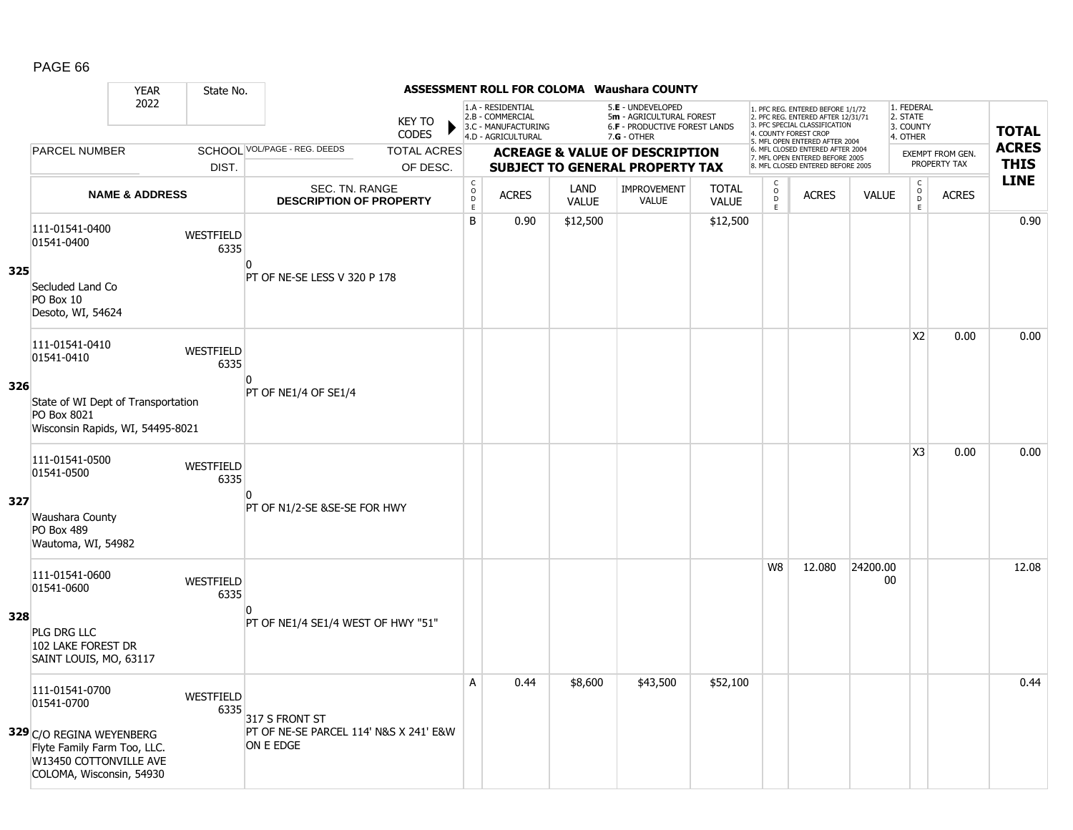|     |                                                                                                               | <b>YEAR</b>               | State No.                |                                                     |                                |                                                 |                                                                                    |                      | <b>ASSESSMENT ROLL FOR COLOMA Waushara COUNTY</b>                                             |                              |                                           |                                                                                                                                                                     |                |                                                 |                                         |                             |
|-----|---------------------------------------------------------------------------------------------------------------|---------------------------|--------------------------|-----------------------------------------------------|--------------------------------|-------------------------------------------------|------------------------------------------------------------------------------------|----------------------|-----------------------------------------------------------------------------------------------|------------------------------|-------------------------------------------|---------------------------------------------------------------------------------------------------------------------------------------------------------------------|----------------|-------------------------------------------------|-----------------------------------------|-----------------------------|
|     |                                                                                                               | 2022                      |                          |                                                     | <b>KEY TO</b><br><b>CODES</b>  |                                                 | 1.A - RESIDENTIAL<br>2.B - COMMERCIAL<br>3.C - MANUFACTURING<br>4.D - AGRICULTURAL |                      | 5.E - UNDEVELOPED<br>5m - AGRICULTURAL FOREST<br>6.F - PRODUCTIVE FOREST LANDS<br>7.G - OTHER |                              |                                           | 1. PFC REG. ENTERED BEFORE 1/1/72<br>2. PFC REG. ENTERED AFTER 12/31/71<br>3. PFC SPECIAL CLASSIFICATION<br>4. COUNTY FOREST CROP<br>5. MFL OPEN ENTERED AFTER 2004 |                | 1. FEDERAL<br>2. STATE<br>3. COUNTY<br>4. OTHER |                                         | <b>TOTAL</b>                |
|     | <b>PARCEL NUMBER</b>                                                                                          |                           | DIST.                    | SCHOOL VOL/PAGE - REG. DEEDS                        | <b>TOTAL ACRES</b><br>OF DESC. |                                                 |                                                                                    |                      | <b>ACREAGE &amp; VALUE OF DESCRIPTION</b><br><b>SUBJECT TO GENERAL PROPERTY TAX</b>           |                              |                                           | 6. MFL CLOSED ENTERED AFTER 2004<br>7. MFL OPEN ENTERED BEFORE 2005<br>8. MFL CLOSED ENTERED BEFORE 2005                                                            |                |                                                 | <b>EXEMPT FROM GEN.</b><br>PROPERTY TAX | <b>ACRES</b><br><b>THIS</b> |
|     |                                                                                                               | <b>NAME &amp; ADDRESS</b> |                          | SEC. TN. RANGE<br><b>DESCRIPTION OF PROPERTY</b>    |                                | $\begin{array}{c} C \\ O \\ D \end{array}$<br>E | <b>ACRES</b>                                                                       | LAND<br><b>VALUE</b> | <b>IMPROVEMENT</b><br><b>VALUE</b>                                                            | <b>TOTAL</b><br><b>VALUE</b> | C<br>$\mathsf{o}$<br>$\overline{D}$<br>E. | <b>ACRES</b>                                                                                                                                                        | <b>VALUE</b>   | $\begin{matrix} 0 \\ 0 \\ D \end{matrix}$<br>E  | <b>ACRES</b>                            | <b>LINE</b>                 |
| 325 | 111-01541-0400<br>01541-0400                                                                                  |                           | WESTFIELD<br>6335        | 0                                                   |                                | B                                               | 0.90                                                                               | \$12,500             |                                                                                               | \$12,500                     |                                           |                                                                                                                                                                     |                |                                                 |                                         | 0.90                        |
|     | Secluded Land Co<br>PO Box 10<br>Desoto, WI, 54624                                                            |                           |                          | PT OF NE-SE LESS V 320 P 178                        |                                |                                                 |                                                                                    |                      |                                                                                               |                              |                                           |                                                                                                                                                                     |                |                                                 |                                         |                             |
| 326 | 111-01541-0410<br>01541-0410                                                                                  |                           | <b>WESTFIELD</b><br>6335 | $\Omega$                                            |                                |                                                 |                                                                                    |                      |                                                                                               |                              |                                           |                                                                                                                                                                     |                | X <sub>2</sub>                                  | 0.00                                    | 0.00                        |
|     | State of WI Dept of Transportation<br>PO Box 8021<br>Wisconsin Rapids, WI, 54495-8021                         |                           |                          | PT OF NE1/4 OF SE1/4                                |                                |                                                 |                                                                                    |                      |                                                                                               |                              |                                           |                                                                                                                                                                     |                |                                                 |                                         |                             |
| 327 | 111-01541-0500<br>01541-0500                                                                                  |                           | WESTFIELD<br>6335        | <sup>0</sup>                                        |                                |                                                 |                                                                                    |                      |                                                                                               |                              |                                           |                                                                                                                                                                     |                | X <sub>3</sub>                                  | 0.00                                    | 0.00                        |
|     | Waushara County<br>PO Box 489<br>Wautoma, WI, 54982                                                           |                           |                          | PT OF N1/2-SE &SE-SE FOR HWY                        |                                |                                                 |                                                                                    |                      |                                                                                               |                              |                                           |                                                                                                                                                                     |                |                                                 |                                         |                             |
|     | 111-01541-0600<br>01541-0600                                                                                  |                           | WESTFIELD<br>6335        | 0                                                   |                                |                                                 |                                                                                    |                      |                                                                                               |                              | W8                                        | 12.080                                                                                                                                                              | 24200.00<br>00 |                                                 |                                         | 12.08                       |
| 328 | PLG DRG LLC<br>102 LAKE FOREST DR<br>SAINT LOUIS, MO, 63117                                                   |                           |                          | PT OF NE1/4 SE1/4 WEST OF HWY "51"                  |                                |                                                 |                                                                                    |                      |                                                                                               |                              |                                           |                                                                                                                                                                     |                |                                                 |                                         |                             |
|     | 111-01541-0700<br>01541-0700                                                                                  |                           | <b>WESTFIELD</b><br>6335 | 317 S FRONT ST                                      |                                | A                                               | 0.44                                                                               | \$8,600              | \$43,500                                                                                      | \$52,100                     |                                           |                                                                                                                                                                     |                |                                                 |                                         | 0.44                        |
|     | 329 C/O REGINA WEYENBERG<br>Flyte Family Farm Too, LLC.<br>W13450 COTTONVILLE AVE<br>COLOMA, Wisconsin, 54930 |                           |                          | PT OF NE-SE PARCEL 114' N&S X 241' E&W<br>ON E EDGE |                                |                                                 |                                                                                    |                      |                                                                                               |                              |                                           |                                                                                                                                                                     |                |                                                 |                                         |                             |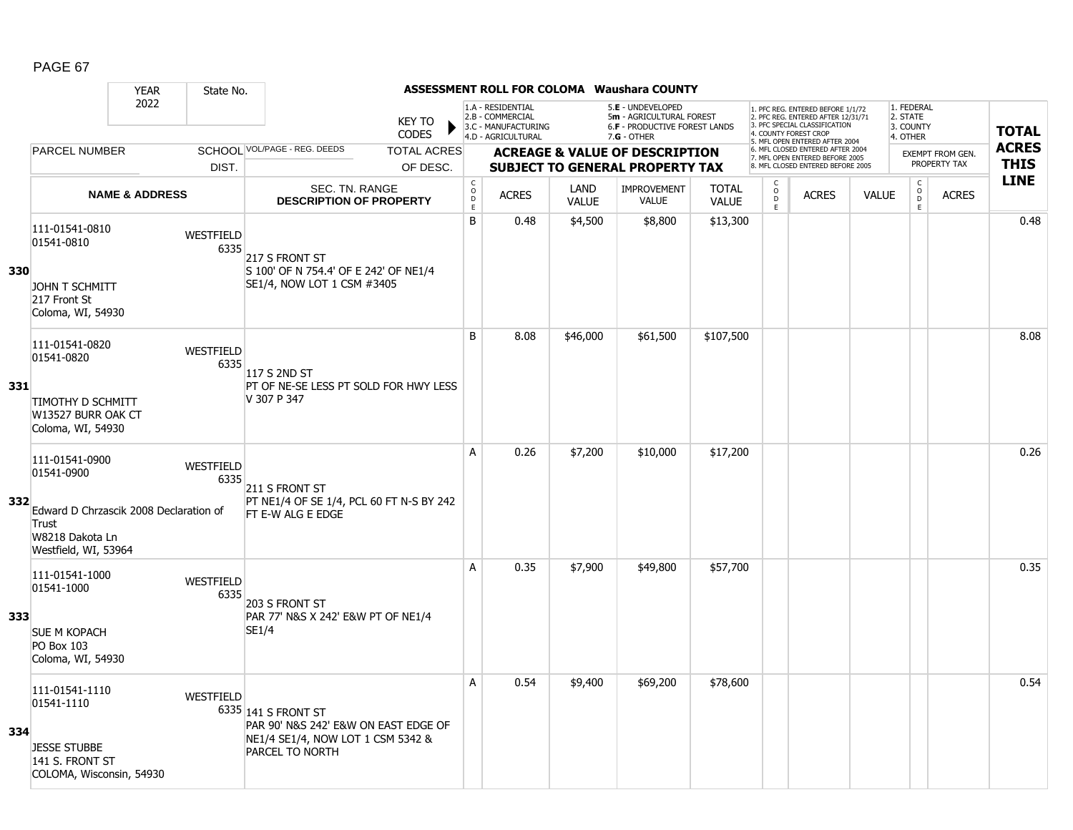|     |                                                                                                                            | <b>YEAR</b>               | State No.                |                                                                                                                            |                                     |                                                                                    |                      | <b>ASSESSMENT ROLL FOR COLOMA Waushara COUNTY</b>                                               |                              |                                                   |                                                                                                                                                                     |              |                                                 |                                            |                         |              |
|-----|----------------------------------------------------------------------------------------------------------------------------|---------------------------|--------------------------|----------------------------------------------------------------------------------------------------------------------------|-------------------------------------|------------------------------------------------------------------------------------|----------------------|-------------------------------------------------------------------------------------------------|------------------------------|---------------------------------------------------|---------------------------------------------------------------------------------------------------------------------------------------------------------------------|--------------|-------------------------------------------------|--------------------------------------------|-------------------------|--------------|
|     |                                                                                                                            | 2022                      |                          | <b>KEY TO</b><br><b>CODES</b>                                                                                              |                                     | 1.A - RESIDENTIAL<br>2.B - COMMERCIAL<br>3.C - MANUFACTURING<br>4.D - AGRICULTURAL |                      | 5.E - UNDEVELOPED<br>5m - AGRICULTURAL FOREST<br>6.F - PRODUCTIVE FOREST LANDS<br>$7.G - OTHER$ |                              |                                                   | 1. PFC REG. ENTERED BEFORE 1/1/72<br>2. PFC REG. ENTERED AFTER 12/31/71<br>3. PFC SPECIAL CLASSIFICATION<br>4. COUNTY FOREST CROP<br>5. MFL OPEN ENTERED AFTER 2004 |              | 1. FEDERAL<br>2. STATE<br>3. COUNTY<br>4. OTHER |                                            |                         | <b>TOTAL</b> |
|     | <b>PARCEL NUMBER</b>                                                                                                       |                           |                          | SCHOOL VOL/PAGE - REG. DEEDS<br><b>TOTAL ACRES</b>                                                                         |                                     |                                                                                    |                      | <b>ACREAGE &amp; VALUE OF DESCRIPTION</b>                                                       |                              |                                                   | 6. MFL CLOSED ENTERED AFTER 2004<br>7. MFL OPEN ENTERED BEFORE 2005                                                                                                 |              |                                                 |                                            | <b>EXEMPT FROM GEN.</b> | <b>ACRES</b> |
|     |                                                                                                                            |                           | DIST.                    | OF DESC.                                                                                                                   |                                     |                                                                                    |                      | <b>SUBJECT TO GENERAL PROPERTY TAX</b>                                                          |                              |                                                   | 8. MFL CLOSED ENTERED BEFORE 2005                                                                                                                                   |              |                                                 |                                            | PROPERTY TAX            | <b>THIS</b>  |
|     |                                                                                                                            | <b>NAME &amp; ADDRESS</b> |                          | <b>SEC. TN. RANGE</b><br><b>DESCRIPTION OF PROPERTY</b>                                                                    | $_{\rm o}^{\rm c}$<br>$\frac{D}{E}$ | <b>ACRES</b>                                                                       | LAND<br><b>VALUE</b> | <b>IMPROVEMENT</b><br>VALUE                                                                     | <b>TOTAL</b><br><b>VALUE</b> | $\begin{array}{c}\nC \\ O \\ D \\ E\n\end{array}$ | <b>ACRES</b>                                                                                                                                                        | <b>VALUE</b> |                                                 | $\begin{array}{c} C \\ O \\ E \end{array}$ | <b>ACRES</b>            | <b>LINE</b>  |
| 330 | 111-01541-0810<br>01541-0810<br><b>JOHN T SCHMITT</b><br>217 Front St<br>Coloma, WI, 54930                                 |                           | WESTFIELD<br>6335        | 217 S FRONT ST<br>S 100' OF N 754.4' OF E 242' OF NE1/4<br>SE1/4, NOW LOT 1 CSM #3405                                      | B                                   | 0.48                                                                               | \$4,500              | \$8,800                                                                                         | \$13,300                     |                                                   |                                                                                                                                                                     |              |                                                 |                                            |                         | 0.48         |
| 331 | 111-01541-0820<br>01541-0820<br><b>TIMOTHY D SCHMITT</b><br>W13527 BURR OAK CT<br>Coloma, WI, 54930                        |                           | WESTFIELD<br>6335        | 117 S 2ND ST<br>PT OF NE-SE LESS PT SOLD FOR HWY LESS<br>V 307 P 347                                                       | B                                   | 8.08                                                                               | \$46,000             | \$61,500                                                                                        | \$107,500                    |                                                   |                                                                                                                                                                     |              |                                                 |                                            |                         | 8.08         |
| 332 | 111-01541-0900<br>01541-0900<br>Edward D Chrzascik 2008 Declaration of<br>Trust<br>W8218 Dakota Ln<br>Westfield, WI, 53964 |                           | <b>WESTFIELD</b><br>6335 | 211 S FRONT ST<br>PT NE1/4 OF SE 1/4, PCL 60 FT N-S BY 242<br>FT E-W ALG E EDGE                                            | А                                   | 0.26                                                                               | \$7,200              | \$10,000                                                                                        | \$17,200                     |                                                   |                                                                                                                                                                     |              |                                                 |                                            |                         | 0.26         |
| 333 | 111-01541-1000<br>01541-1000<br><b>SUE M KOPACH</b><br><b>PO Box 103</b><br>Coloma, WI, 54930                              |                           | WESTFIELD<br>6335        | 203 S FRONT ST<br>PAR 77' N&S X 242' E&W PT OF NE1/4<br>SE1/4                                                              | $\overline{A}$                      | 0.35                                                                               | \$7,900              | \$49,800                                                                                        | \$57,700                     |                                                   |                                                                                                                                                                     |              |                                                 |                                            |                         | 0.35         |
| 334 | 111-01541-1110<br>01541-1110<br><b>JESSE STUBBE</b><br>141 S. FRONT ST<br>COLOMA, Wisconsin, 54930                         |                           | WESTFIELD                | 6335 141 S FRONT ST<br>PAR 90' N&S 242' E&W ON EAST EDGE OF<br>NE1/4 SE1/4, NOW LOT 1 CSM 5342 &<br><b>PARCEL TO NORTH</b> | A                                   | 0.54                                                                               | \$9,400              | \$69,200                                                                                        | \$78,600                     |                                                   |                                                                                                                                                                     |              |                                                 |                                            |                         | 0.54         |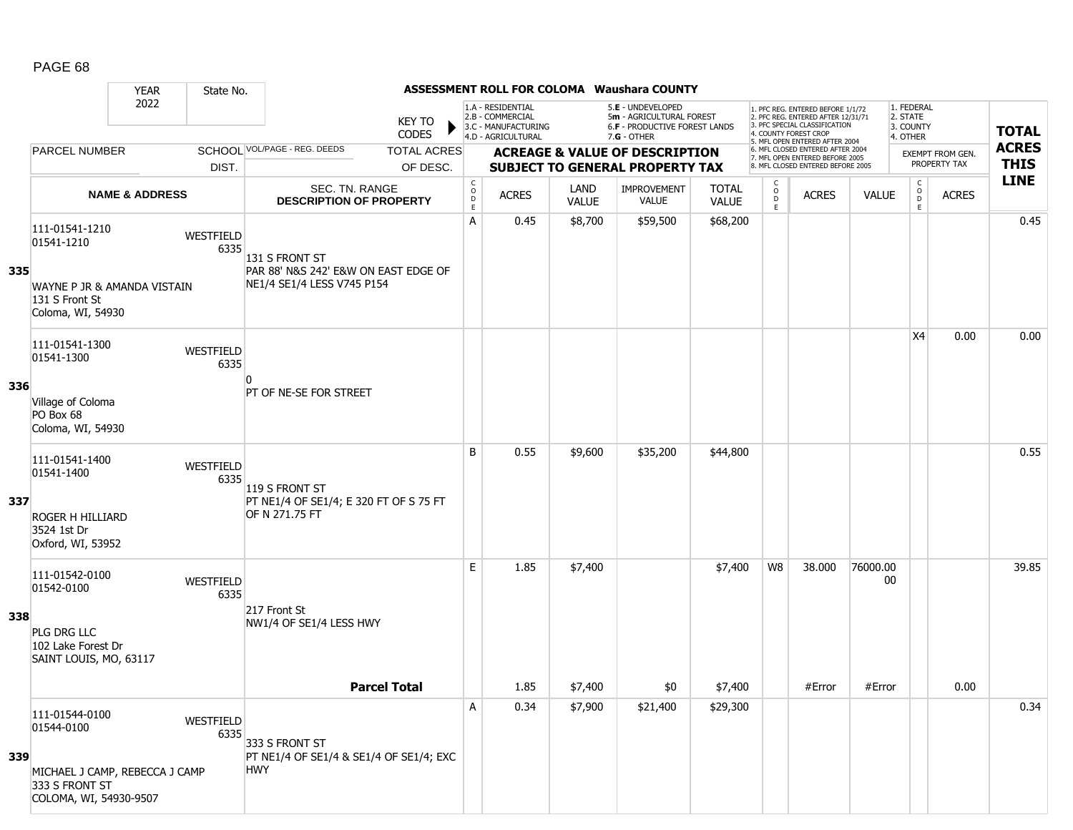|     |                                                                                                            | <b>YEAR</b>               | State No.         |                                                                                      |                                                |                                                              |                      | ASSESSMENT ROLL FOR COLOMA Waushara COUNTY                                     |                              |                                         |                                                                                                                                  |                |                                         |                  |              |
|-----|------------------------------------------------------------------------------------------------------------|---------------------------|-------------------|--------------------------------------------------------------------------------------|------------------------------------------------|--------------------------------------------------------------|----------------------|--------------------------------------------------------------------------------|------------------------------|-----------------------------------------|----------------------------------------------------------------------------------------------------------------------------------|----------------|-----------------------------------------|------------------|--------------|
|     |                                                                                                            | 2022                      |                   | KEY TO<br>CODES                                                                      |                                                | 1.A - RESIDENTIAL<br>2.B - COMMERCIAL<br>3.C - MANUFACTURING |                      | 5.E - UNDEVELOPED<br>5m - AGRICULTURAL FOREST<br>6.F - PRODUCTIVE FOREST LANDS |                              |                                         | 1. PFC REG. ENTERED BEFORE 1/1/72<br>2. PFC REG. ENTERED AFTER 12/31/71<br>3. PFC SPECIAL CLASSIFICATION<br>. COUNTY FOREST CROP |                | 1. FEDERAL<br>2. STATE<br>3. COUNTY     |                  | <b>TOTAL</b> |
|     | <b>PARCEL NUMBER</b>                                                                                       |                           |                   | SCHOOL VOL/PAGE - REG. DEEDS<br><b>TOTAL ACRES</b>                                   |                                                | 4.D - AGRICULTURAL                                           |                      | $7.G - OTHER$<br><b>ACREAGE &amp; VALUE OF DESCRIPTION</b>                     |                              |                                         | 5. MFL OPEN ENTERED AFTER 2004<br>6. MFL CLOSED ENTERED AFTER 2004<br>7. MFL OPEN ENTERED BEFORE 2005                            |                | 4. OTHER                                | EXEMPT FROM GEN. | <b>ACRES</b> |
|     |                                                                                                            |                           | DIST.             | OF DESC.                                                                             |                                                |                                                              |                      | <b>SUBJECT TO GENERAL PROPERTY TAX</b>                                         |                              |                                         | 8. MFL CLOSED ENTERED BEFORE 2005                                                                                                |                |                                         | PROPERTY TAX     | <b>THIS</b>  |
|     |                                                                                                            | <b>NAME &amp; ADDRESS</b> |                   | SEC. TN. RANGE<br><b>DESCRIPTION OF PROPERTY</b>                                     | $\begin{matrix} 0 \\ 0 \\ D \end{matrix}$<br>E | <b>ACRES</b>                                                 | LAND<br><b>VALUE</b> | <b>IMPROVEMENT</b><br><b>VALUE</b>                                             | <b>TOTAL</b><br><b>VALUE</b> | C<br>$\overset{\circ}{\mathsf{D}}$<br>E | <b>ACRES</b>                                                                                                                     | <b>VALUE</b>   | $\mathsf{C}$<br>$_{\rm D}^{\rm O}$<br>E | <b>ACRES</b>     | <b>LINE</b>  |
| 335 | 111-01541-1210<br>01541-1210<br>WAYNE P JR & AMANDA VISTAIN<br>131 S Front St<br>Coloma, WI, 54930         |                           | WESTFIELD<br>6335 | 131 S FRONT ST<br>PAR 88' N&S 242' E&W ON EAST EDGE OF<br>NE1/4 SE1/4 LESS V745 P154 | Α                                              | 0.45                                                         | \$8,700              | \$59,500                                                                       | \$68,200                     |                                         |                                                                                                                                  |                |                                         |                  | 0.45         |
| 336 | 111-01541-1300<br>01541-1300<br>Village of Coloma<br>PO Box 68<br>Coloma, WI, 54930                        |                           | WESTFIELD<br>6335 | PT OF NE-SE FOR STREET                                                               |                                                |                                                              |                      |                                                                                |                              |                                         |                                                                                                                                  |                | X4                                      | 0.00             | 0.00         |
| 337 | 111-01541-1400<br>01541-1400<br><b>ROGER H HILLIARD</b><br>3524 1st Dr<br>Oxford, WI, 53952                |                           | WESTFIELD<br>6335 | 119 S FRONT ST<br>PT NE1/4 OF SE1/4; E 320 FT OF S 75 FT<br>OF N 271.75 FT           | B                                              | 0.55                                                         | \$9,600              | \$35,200                                                                       | \$44,800                     |                                         |                                                                                                                                  |                |                                         |                  | 0.55         |
| 338 | 111-01542-0100<br>01542-0100<br>PLG DRG LLC<br>102 Lake Forest Dr<br>SAINT LOUIS, MO, 63117                |                           | WESTFIELD<br>6335 | 217 Front St<br>NW1/4 OF SE1/4 LESS HWY                                              | E.                                             | 1.85                                                         | \$7,400              |                                                                                | \$7,400                      | W8                                      | 38.000                                                                                                                           | 76000.00<br>00 |                                         |                  | 39.85        |
|     |                                                                                                            |                           |                   | <b>Parcel Total</b>                                                                  |                                                | 1.85                                                         | \$7,400              | \$0                                                                            | \$7,400                      |                                         | #Error                                                                                                                           | #Error         |                                         | 0.00             |              |
| 339 | 111-01544-0100<br>01544-0100<br>MICHAEL J CAMP, REBECCA J CAMP<br>333 S FRONT ST<br>COLOMA, WI, 54930-9507 |                           | WESTFIELD<br>6335 | 333 S FRONT ST<br>PT NE1/4 OF SE1/4 & SE1/4 OF SE1/4; EXC<br><b>HWY</b>              | Α                                              | 0.34                                                         | \$7,900              | \$21,400                                                                       | \$29,300                     |                                         |                                                                                                                                  |                |                                         |                  | 0.34         |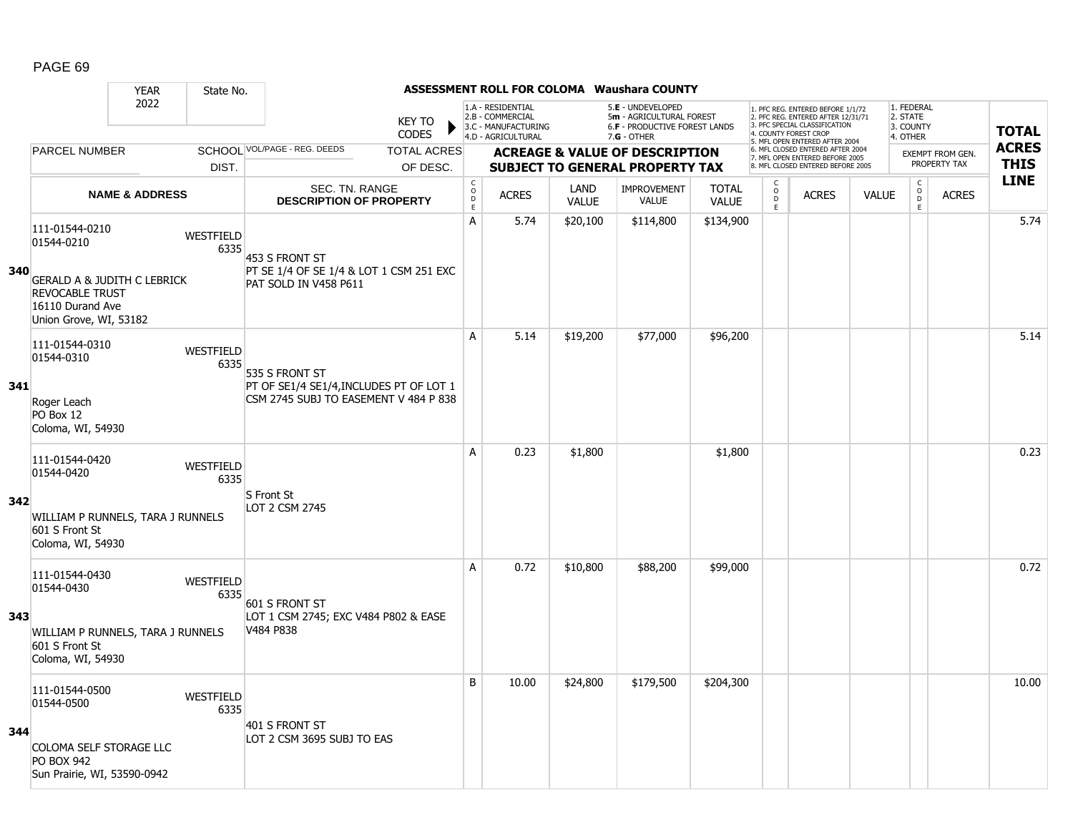|     |                                                                                                                | <b>YEAR</b>               | State No.                |                                                                                  |                               |                                                |                                                                                    |                      | <b>ASSESSMENT ROLL FOR COLOMA Waushara COUNTY</b>                                             |                              |                                        |                                                                                                                                   |              |                                                 |                         |              |
|-----|----------------------------------------------------------------------------------------------------------------|---------------------------|--------------------------|----------------------------------------------------------------------------------|-------------------------------|------------------------------------------------|------------------------------------------------------------------------------------|----------------------|-----------------------------------------------------------------------------------------------|------------------------------|----------------------------------------|-----------------------------------------------------------------------------------------------------------------------------------|--------------|-------------------------------------------------|-------------------------|--------------|
|     |                                                                                                                | 2022                      |                          |                                                                                  | <b>KEY TO</b><br><b>CODES</b> |                                                | 1.A - RESIDENTIAL<br>2.B - COMMERCIAL<br>3.C - MANUFACTURING<br>4.D - AGRICULTURAL |                      | 5.E - UNDEVELOPED<br>5m - AGRICULTURAL FOREST<br>6.F - PRODUCTIVE FOREST LANDS<br>7.G - OTHER |                              |                                        | 1. PFC REG. ENTERED BEFORE 1/1/72<br>2. PFC REG. ENTERED AFTER 12/31/71<br>3. PFC SPECIAL CLASSIFICATION<br>4. COUNTY FOREST CROP |              | 1. FEDERAL<br>2. STATE<br>3. COUNTY<br>4. OTHER |                         | <b>TOTAL</b> |
|     | <b>PARCEL NUMBER</b>                                                                                           |                           |                          | SCHOOL VOL/PAGE - REG. DEEDS                                                     | <b>TOTAL ACRES</b>            |                                                |                                                                                    |                      | <b>ACREAGE &amp; VALUE OF DESCRIPTION</b>                                                     |                              |                                        | 5. MFL OPEN ENTERED AFTER 2004<br>6. MFL CLOSED ENTERED AFTER 2004<br>7. MFL OPEN ENTERED BEFORE 2005                             |              |                                                 | <b>EXEMPT FROM GEN.</b> | <b>ACRES</b> |
|     |                                                                                                                |                           | DIST.                    |                                                                                  | OF DESC.                      |                                                |                                                                                    |                      | <b>SUBJECT TO GENERAL PROPERTY TAX</b>                                                        |                              |                                        | 8. MFL CLOSED ENTERED BEFORE 2005                                                                                                 |              |                                                 | PROPERTY TAX            | <b>THIS</b>  |
|     |                                                                                                                | <b>NAME &amp; ADDRESS</b> |                          | <b>SEC. TN. RANGE</b><br><b>DESCRIPTION OF PROPERTY</b>                          |                               | $\begin{matrix} 0 \\ 0 \\ D \end{matrix}$<br>E | <b>ACRES</b>                                                                       | LAND<br><b>VALUE</b> | <b>IMPROVEMENT</b><br><b>VALUE</b>                                                            | <b>TOTAL</b><br><b>VALUE</b> | C<br>$_{\rm D}^{\rm O}$<br>$\mathsf E$ | <b>ACRES</b>                                                                                                                      | <b>VALUE</b> | $\begin{array}{c} C \\ 0 \\ D \end{array}$<br>E | <b>ACRES</b>            | <b>LINE</b>  |
| 340 | 111-01544-0210<br>01544-0210                                                                                   |                           | WESTFIELD<br>6335        | 453 S FRONT ST<br>PT SE 1/4 OF SE 1/4 & LOT 1 CSM 251 EXC                        |                               | $\overline{A}$                                 | 5.74                                                                               | \$20,100             | \$114,800                                                                                     | \$134,900                    |                                        |                                                                                                                                   |              |                                                 |                         | 5.74         |
|     | <b>GERALD A &amp; JUDITH C LEBRICK</b><br><b>REVOCABLE TRUST</b><br>16110 Durand Ave<br>Union Grove, WI, 53182 |                           |                          | PAT SOLD IN V458 P611                                                            |                               |                                                |                                                                                    |                      |                                                                                               |                              |                                        |                                                                                                                                   |              |                                                 |                         |              |
|     | 111-01544-0310<br>01544-0310                                                                                   |                           | <b>WESTFIELD</b><br>6335 | 535 S FRONT ST                                                                   |                               | A                                              | 5.14                                                                               | \$19,200             | \$77,000                                                                                      | \$96,200                     |                                        |                                                                                                                                   |              |                                                 |                         | 5.14         |
| 341 | Roger Leach<br>PO Box 12<br>Coloma, WI, 54930                                                                  |                           |                          | PT OF SE1/4 SE1/4, INCLUDES PT OF LOT 1<br>CSM 2745 SUBJ TO EASEMENT V 484 P 838 |                               |                                                |                                                                                    |                      |                                                                                               |                              |                                        |                                                                                                                                   |              |                                                 |                         |              |
|     | 111-01544-0420<br>01544-0420                                                                                   |                           | WESTFIELD<br>6335        | S Front St                                                                       |                               | A                                              | 0.23                                                                               | \$1,800              |                                                                                               | \$1,800                      |                                        |                                                                                                                                   |              |                                                 |                         | 0.23         |
| 342 | WILLIAM P RUNNELS, TARA J RUNNELS<br>601 S Front St<br>Coloma, WI, 54930                                       |                           |                          | LOT 2 CSM 2745                                                                   |                               |                                                |                                                                                    |                      |                                                                                               |                              |                                        |                                                                                                                                   |              |                                                 |                         |              |
|     | 111-01544-0430<br>01544-0430                                                                                   |                           | WESTFIELD<br>6335        | 601 S FRONT ST                                                                   |                               | A                                              | 0.72                                                                               | \$10,800             | \$88,200                                                                                      | \$99,000                     |                                        |                                                                                                                                   |              |                                                 |                         | 0.72         |
| 343 | WILLIAM P RUNNELS, TARA J RUNNELS<br>601 S Front St<br>Coloma, WI, 54930                                       |                           |                          | LOT 1 CSM 2745; EXC V484 P802 & EASE<br>V484 P838                                |                               |                                                |                                                                                    |                      |                                                                                               |                              |                                        |                                                                                                                                   |              |                                                 |                         |              |
|     | 111-01544-0500<br>01544-0500                                                                                   |                           | <b>WESTFIELD</b><br>6335 | 401 S FRONT ST                                                                   |                               | B                                              | 10.00                                                                              | \$24,800             | \$179,500                                                                                     | \$204,300                    |                                        |                                                                                                                                   |              |                                                 |                         | 10.00        |
| 344 | COLOMA SELF STORAGE LLC<br><b>PO BOX 942</b><br>Sun Prairie, WI, 53590-0942                                    |                           |                          | LOT 2 CSM 3695 SUBJ TO EAS                                                       |                               |                                                |                                                                                    |                      |                                                                                               |                              |                                        |                                                                                                                                   |              |                                                 |                         |              |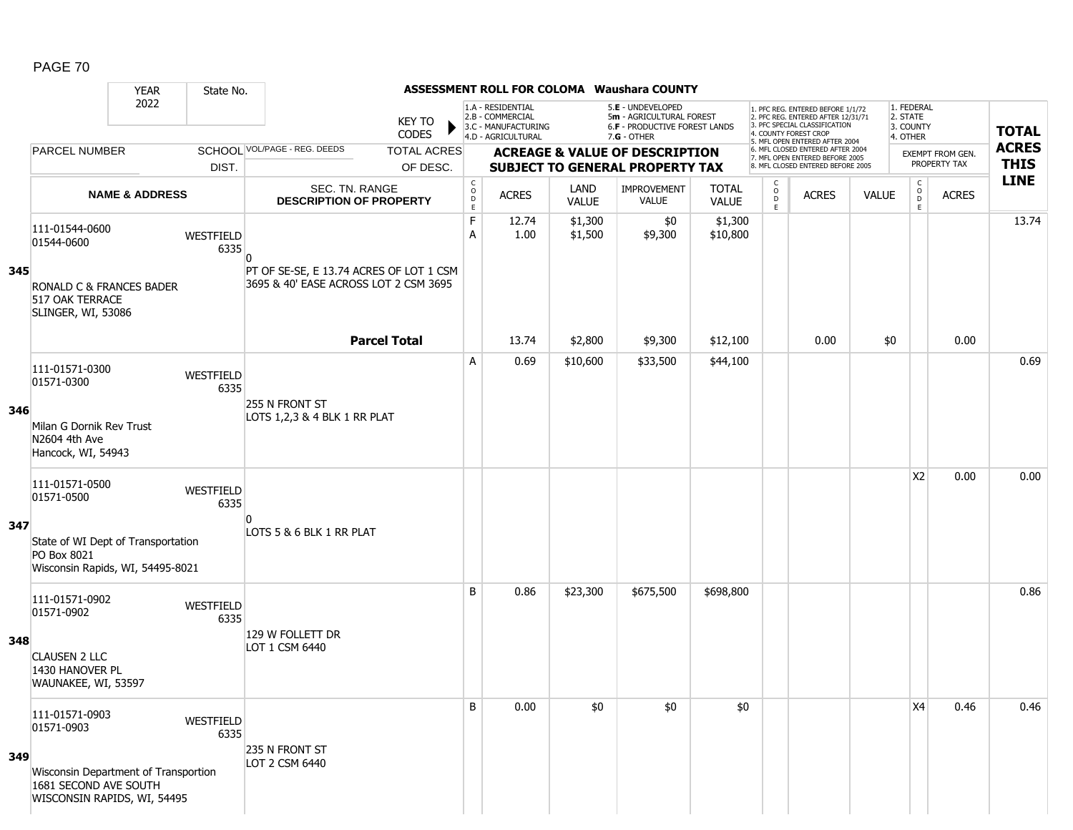|     |                                                                                              | <b>YEAR</b>               | State No.         |                                                                                  |                                |                                                                      |                                                                                    |                      | ASSESSMENT ROLL FOR COLOMA Waushara COUNTY                                                             |                              |                        |                                                                                                                                            |              |                                                 |                                        |                             |
|-----|----------------------------------------------------------------------------------------------|---------------------------|-------------------|----------------------------------------------------------------------------------|--------------------------------|----------------------------------------------------------------------|------------------------------------------------------------------------------------|----------------------|--------------------------------------------------------------------------------------------------------|------------------------------|------------------------|--------------------------------------------------------------------------------------------------------------------------------------------|--------------|-------------------------------------------------|----------------------------------------|-----------------------------|
|     |                                                                                              | 2022                      |                   |                                                                                  | <b>KEY TO</b><br><b>CODES</b>  |                                                                      | 1.A - RESIDENTIAL<br>2.B - COMMERCIAL<br>3.C - MANUFACTURING<br>4.D - AGRICULTURAL |                      | 5.E - UNDEVELOPED<br>5m - AGRICULTURAL FOREST<br><b>6.F - PRODUCTIVE FOREST LANDS</b><br>$7.G - OTHER$ |                              |                        | 1. PFC REG. ENTERED BEFORE 1/1/72<br>2. PFC REG. ENTERED AFTER 12/31/71<br>3. PFC SPECIAL CLASSIFICATION<br>. COUNTY FOREST CROP           |              | 1. FEDERAL<br>2. STATE<br>3. COUNTY<br>4. OTHER |                                        | <b>TOTAL</b>                |
|     | <b>PARCEL NUMBER</b>                                                                         |                           | DIST.             | SCHOOL VOL/PAGE - REG. DEEDS                                                     | <b>TOTAL ACRES</b><br>OF DESC. |                                                                      |                                                                                    |                      | <b>ACREAGE &amp; VALUE OF DESCRIPTION</b><br><b>SUBJECT TO GENERAL PROPERTY TAX</b>                    |                              |                        | 5. MFL OPEN ENTERED AFTER 2004<br>6. MFL CLOSED ENTERED AFTER 2004<br>7. MFL OPEN ENTERED BEFORE 2005<br>8. MFL CLOSED ENTERED BEFORE 2005 |              |                                                 | <b>EXEMPT FROM GEN</b><br>PROPERTY TAX | <b>ACRES</b><br><b>THIS</b> |
|     |                                                                                              | <b>NAME &amp; ADDRESS</b> |                   | SEC. TN. RANGE<br><b>DESCRIPTION OF PROPERTY</b>                                 |                                | $\begin{smallmatrix} C & & \\ & O & \\ D & & \end{smallmatrix}$<br>E | <b>ACRES</b>                                                                       | LAND<br><b>VALUE</b> | <b>IMPROVEMENT</b><br><b>VALUE</b>                                                                     | <b>TOTAL</b><br><b>VALUE</b> | C<br>$\circ$<br>D<br>E | <b>ACRES</b>                                                                                                                               | <b>VALUE</b> | c<br>$_{\rm D}^{\rm O}$<br>E                    | <b>ACRES</b>                           | <b>LINE</b>                 |
|     | 111-01544-0600<br>01544-0600                                                                 |                           | WESTFIELD<br>6335 | n                                                                                |                                | F<br>A                                                               | 12.74<br>1.00                                                                      | \$1,300<br>\$1,500   | \$0<br>\$9,300                                                                                         | \$1,300<br>\$10,800          |                        |                                                                                                                                            |              |                                                 |                                        | 13.74                       |
| 345 | RONALD C & FRANCES BADER<br>517 OAK TERRACE<br>SLINGER, WI, 53086                            |                           |                   | PT OF SE-SE, E 13.74 ACRES OF LOT 1 CSM<br>3695 & 40' EASE ACROSS LOT 2 CSM 3695 |                                |                                                                      |                                                                                    |                      |                                                                                                        |                              |                        |                                                                                                                                            |              |                                                 |                                        |                             |
|     |                                                                                              |                           |                   |                                                                                  | <b>Parcel Total</b>            |                                                                      | 13.74                                                                              | \$2,800              | \$9,300                                                                                                | \$12,100                     |                        | 0.00                                                                                                                                       | \$0          |                                                 | 0.00                                   |                             |
|     | 111-01571-0300<br>01571-0300                                                                 |                           | WESTFIELD<br>6335 |                                                                                  |                                | A                                                                    | 0.69                                                                               | \$10,600             | \$33,500                                                                                               | \$44,100                     |                        |                                                                                                                                            |              |                                                 |                                        | 0.69                        |
| 346 | Milan G Dornik Rev Trust<br>N2604 4th Ave<br>Hancock, WI, 54943                              |                           |                   | 255 N FRONT ST<br>LOTS 1,2,3 & 4 BLK 1 RR PLAT                                   |                                |                                                                      |                                                                                    |                      |                                                                                                        |                              |                        |                                                                                                                                            |              |                                                 |                                        |                             |
|     | 111-01571-0500<br>01571-0500                                                                 |                           | WESTFIELD<br>6335 |                                                                                  |                                |                                                                      |                                                                                    |                      |                                                                                                        |                              |                        |                                                                                                                                            |              | <b>X2</b>                                       | 0.00                                   | 0.00                        |
| 347 | State of WI Dept of Transportation<br>PO Box 8021<br>Wisconsin Rapids, WI, 54495-8021        |                           |                   | ŋ<br>LOTS 5 & 6 BLK 1 RR PLAT                                                    |                                |                                                                      |                                                                                    |                      |                                                                                                        |                              |                        |                                                                                                                                            |              |                                                 |                                        |                             |
|     | 111-01571-0902<br>01571-0902                                                                 |                           | WESTFIELD<br>6335 |                                                                                  |                                | B                                                                    | 0.86                                                                               | \$23,300             | \$675,500                                                                                              | \$698,800                    |                        |                                                                                                                                            |              |                                                 |                                        | 0.86                        |
| 348 | <b>CLAUSEN 2 LLC</b><br>1430 HANOVER PL<br>WAUNAKEE, WI, 53597                               |                           |                   | 129 W FOLLETT DR<br>LOT 1 CSM 6440                                               |                                |                                                                      |                                                                                    |                      |                                                                                                        |                              |                        |                                                                                                                                            |              |                                                 |                                        |                             |
|     | 111-01571-0903<br>01571-0903                                                                 |                           | WESTFIELD<br>6335 |                                                                                  |                                | B                                                                    | 0.00                                                                               | \$0                  | \$0                                                                                                    | \$0                          |                        |                                                                                                                                            |              | X4                                              | 0.46                                   | 0.46                        |
| 349 | Wisconsin Department of Transportion<br>1681 SECOND AVE SOUTH<br>WISCONSIN RAPIDS, WI, 54495 |                           |                   | 235 N FRONT ST<br>LOT 2 CSM 6440                                                 |                                |                                                                      |                                                                                    |                      |                                                                                                        |                              |                        |                                                                                                                                            |              |                                                 |                                        |                             |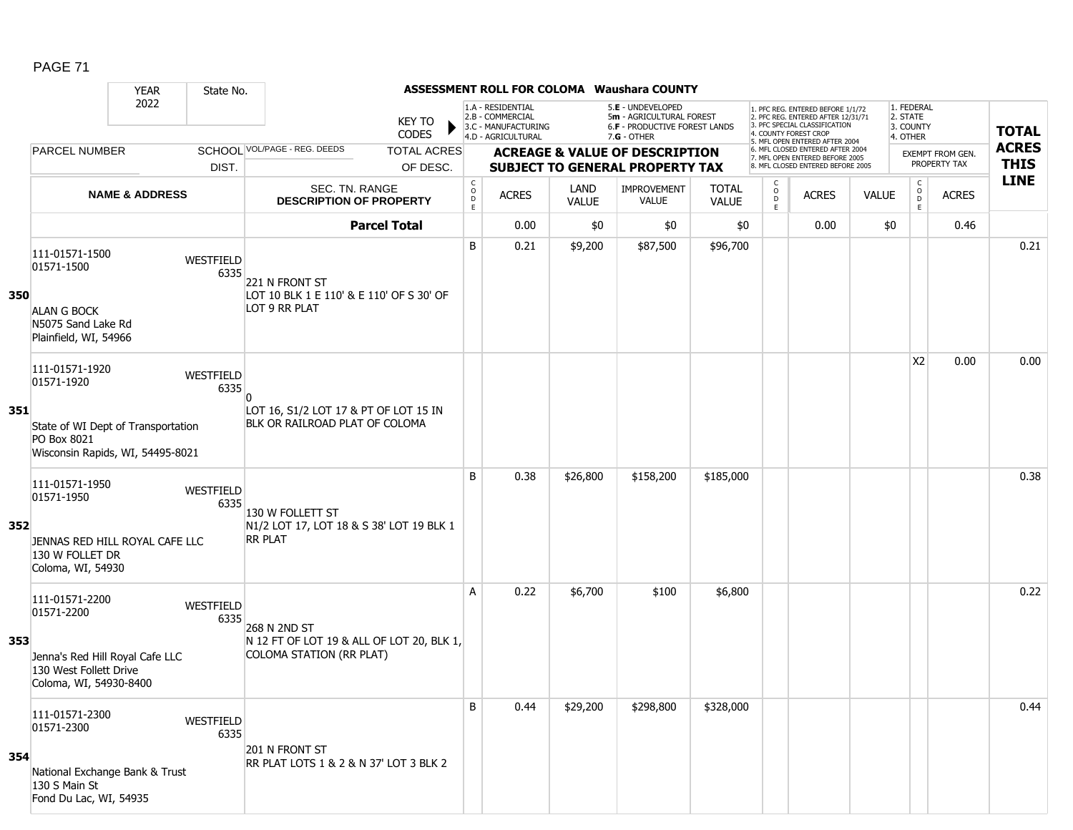|     |                                                                                                                       | <b>YEAR</b>               | State No.         |                                                                                       |                                |                                           |                                                              |                      | ASSESSMENT ROLL FOR COLOMA Waushara COUNTY                                          |                              |                                |                                                                                                                                   |              |                                     |                                         |              |
|-----|-----------------------------------------------------------------------------------------------------------------------|---------------------------|-------------------|---------------------------------------------------------------------------------------|--------------------------------|-------------------------------------------|--------------------------------------------------------------|----------------------|-------------------------------------------------------------------------------------|------------------------------|--------------------------------|-----------------------------------------------------------------------------------------------------------------------------------|--------------|-------------------------------------|-----------------------------------------|--------------|
|     |                                                                                                                       | 2022                      |                   |                                                                                       | KEY TO                         |                                           | 1.A - RESIDENTIAL<br>2.B - COMMERCIAL<br>3.C - MANUFACTURING |                      | 5.E - UNDEVELOPED<br>5m - AGRICULTURAL FOREST<br>6.F - PRODUCTIVE FOREST LANDS      |                              |                                | 1. PFC REG. ENTERED BEFORE 1/1/72<br>2. PFC REG. ENTERED AFTER 12/31/71<br>3. PFC SPECIAL CLASSIFICATION<br>4. COUNTY FOREST CROP |              | 1. FEDERAL<br>2. STATE<br>3. COUNTY |                                         | <b>TOTAL</b> |
|     |                                                                                                                       |                           |                   | SCHOOL VOL/PAGE - REG. DEEDS                                                          | <b>CODES</b>                   |                                           | 4.D - AGRICULTURAL                                           |                      | $7.G - OTHER$                                                                       |                              |                                | 5. MFL OPEN ENTERED AFTER 2004<br>6. MFL CLOSED ENTERED AFTER 2004                                                                |              | 4. OTHER                            |                                         | <b>ACRES</b> |
|     | <b>PARCEL NUMBER</b>                                                                                                  |                           | DIST.             |                                                                                       | <b>TOTAL ACRES</b><br>OF DESC. |                                           |                                                              |                      | <b>ACREAGE &amp; VALUE OF DESCRIPTION</b><br><b>SUBJECT TO GENERAL PROPERTY TAX</b> |                              |                                | 7. MFL OPEN ENTERED BEFORE 2005<br>8. MFL CLOSED ENTERED BEFORE 2005                                                              |              |                                     | <b>EXEMPT FROM GEN.</b><br>PROPERTY TAX | <b>THIS</b>  |
|     |                                                                                                                       | <b>NAME &amp; ADDRESS</b> |                   | SEC. TN. RANGE<br><b>DESCRIPTION OF PROPERTY</b>                                      |                                | $\begin{matrix} 0 \\ 0 \\ D \end{matrix}$ | <b>ACRES</b>                                                 | <b>LAND</b><br>VALUE | <b>IMPROVEMENT</b><br><b>VALUE</b>                                                  | <b>TOTAL</b><br><b>VALUE</b> | $\mathsf{C}$<br>$\overline{0}$ | <b>ACRES</b>                                                                                                                      | <b>VALUE</b> | $\mathsf{C}$<br>$_{D}^{O}$          | <b>ACRES</b>                            | <b>LINE</b>  |
|     |                                                                                                                       |                           |                   |                                                                                       | <b>Parcel Total</b>            | E                                         | 0.00                                                         | \$0                  | \$0                                                                                 | \$0                          | E.                             | 0.00                                                                                                                              | \$0          | E                                   | 0.46                                    |              |
| 350 | 111-01571-1500<br>01571-1500<br><b>ALAN G BOCK</b><br>N5075 Sand Lake Rd<br>Plainfield, WI, 54966                     |                           | WESTFIELD<br>6335 | 221 N FRONT ST<br>LOT 10 BLK 1 E 110' & E 110' OF S 30' OF<br>LOT 9 RR PLAT           |                                | B                                         | 0.21                                                         | \$9,200              | \$87,500                                                                            | \$96,700                     |                                |                                                                                                                                   |              |                                     |                                         | 0.21         |
| 351 | 111-01571-1920<br>01571-1920<br>State of WI Dept of Transportation<br>PO Box 8021<br>Wisconsin Rapids, WI, 54495-8021 |                           | WESTFIELD<br>6335 | LOT 16, S1/2 LOT 17 & PT OF LOT 15 IN<br>BLK OR RAILROAD PLAT OF COLOMA               |                                |                                           |                                                              |                      |                                                                                     |                              |                                |                                                                                                                                   |              | <b>X2</b>                           | 0.00                                    | 0.00         |
| 352 | 111-01571-1950<br>01571-1950<br>JENNAS RED HILL ROYAL CAFE LLC<br>130 W FOLLET DR<br>Coloma, WI, 54930                |                           | WESTFIELD<br>6335 | 130 W FOLLETT ST<br>N1/2 LOT 17, LOT 18 & S 38' LOT 19 BLK 1<br><b>RR PLAT</b>        |                                | B                                         | 0.38                                                         | \$26,800             | \$158,200                                                                           | \$185,000                    |                                |                                                                                                                                   |              |                                     |                                         | 0.38         |
| 353 | 111-01571-2200<br>01571-2200<br>Jenna's Red Hill Royal Cafe LLC<br>130 West Follett Drive<br>Coloma, WI, 54930-8400   |                           | WESTFIELD<br>6335 | 268 N 2ND ST<br>N 12 FT OF LOT 19 & ALL OF LOT 20, BLK 1,<br>COLOMA STATION (RR PLAT) |                                | A                                         | 0.22                                                         | \$6,700              | \$100                                                                               | \$6,800                      |                                |                                                                                                                                   |              |                                     |                                         | 0.22         |
| 354 | 111-01571-2300<br>01571-2300<br>National Exchange Bank & Trust<br>130 S Main St<br>Fond Du Lac, WI, 54935             |                           | WESTFIELD<br>6335 | 201 N FRONT ST<br>RR PLAT LOTS 1 & 2 & N 37' LOT 3 BLK 2                              |                                | B                                         | 0.44                                                         | \$29,200             | \$298,800                                                                           | \$328,000                    |                                |                                                                                                                                   |              |                                     |                                         | 0.44         |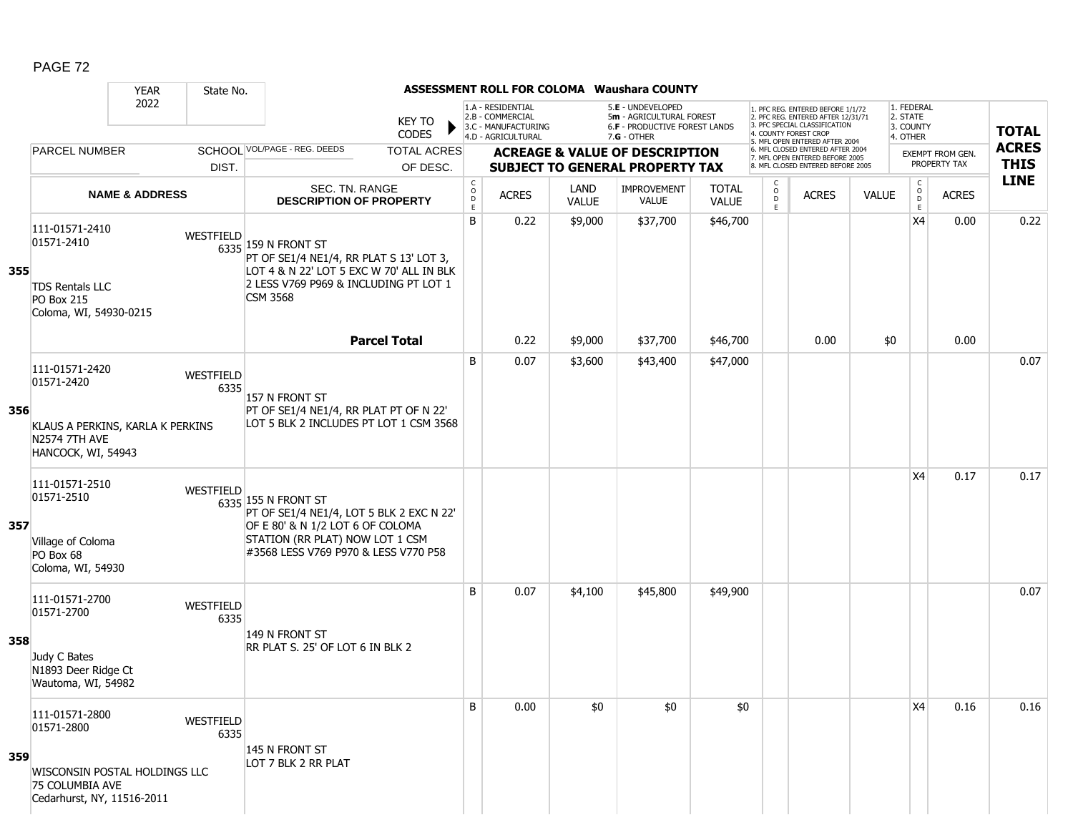|     |                                                                                                       | <b>YEAR</b><br>State No.                              |                                                                                                                                                                                |                                                          |                                                              |                             | <b>ASSESSMENT ROLL FOR COLOMA Waushara COUNTY</b>                              |                              |                                                |                                                                                                                                   |              |                                     |                         |              |
|-----|-------------------------------------------------------------------------------------------------------|-------------------------------------------------------|--------------------------------------------------------------------------------------------------------------------------------------------------------------------------------|----------------------------------------------------------|--------------------------------------------------------------|-----------------------------|--------------------------------------------------------------------------------|------------------------------|------------------------------------------------|-----------------------------------------------------------------------------------------------------------------------------------|--------------|-------------------------------------|-------------------------|--------------|
|     |                                                                                                       | 2022                                                  | <b>KEY TO</b><br><b>CODES</b>                                                                                                                                                  |                                                          | 1.A - RESIDENTIAL<br>2.B - COMMERCIAL<br>3.C - MANUFACTURING |                             | 5.E - UNDEVELOPED<br>5m - AGRICULTURAL FOREST<br>6.F - PRODUCTIVE FOREST LANDS |                              |                                                | 1. PFC REG. ENTERED BEFORE 1/1/72<br>2. PFC REG. ENTERED AFTER 12/31/71<br>3. PFC SPECIAL CLASSIFICATION<br>4. COUNTY FOREST CROP |              | 1. FEDERAL<br>2. STATE<br>3. COUNTY |                         | <b>TOTAL</b> |
|     | <b>PARCEL NUMBER</b>                                                                                  |                                                       | SCHOOL VOL/PAGE - REG. DEEDS<br><b>TOTAL ACRES</b>                                                                                                                             |                                                          | 4.D - AGRICULTURAL                                           |                             | 7.G - OTHER<br><b>ACREAGE &amp; VALUE OF DESCRIPTION</b>                       |                              |                                                | 5. MFL OPEN ENTERED AFTER 2004<br>6. MFL CLOSED ENTERED AFTER 2004                                                                |              | 4. OTHER                            | <b>EXEMPT FROM GEN.</b> | <b>ACRES</b> |
|     |                                                                                                       | DIST.                                                 | OF DESC.                                                                                                                                                                       |                                                          |                                                              |                             | <b>SUBJECT TO GENERAL PROPERTY TAX</b>                                         |                              |                                                | 7. MFL OPEN ENTERED BEFORE 2005<br>8. MFL CLOSED ENTERED BEFORE 2005                                                              |              |                                     | PROPERTY TAX            | <b>THIS</b>  |
|     |                                                                                                       | <b>NAME &amp; ADDRESS</b>                             | SEC. TN. RANGE<br><b>DESCRIPTION OF PROPERTY</b>                                                                                                                               | $\begin{smallmatrix} C \\ O \\ D \end{smallmatrix}$<br>E | <b>ACRES</b>                                                 | <b>LAND</b><br><b>VALUE</b> | <b>IMPROVEMENT</b><br><b>VALUE</b>                                             | <b>TOTAL</b><br><b>VALUE</b> | $\begin{matrix} 0 \\ 0 \\ 0 \end{matrix}$<br>E | <b>ACRES</b>                                                                                                                      | <b>VALUE</b> | $\mathsf{C}$<br>$\circ$<br>D<br>E.  | <b>ACRES</b>            | <b>LINE</b>  |
| 355 | 111-01571-2410<br>01571-2410<br><b>TDS Rentals LLC</b><br><b>PO Box 215</b><br>Coloma, WI, 54930-0215 | WESTFIELD                                             | $6335$ 159 N FRONT ST<br>PT OF SE1/4 NE1/4, RR PLAT S 13' LOT 3,<br>LOT 4 & N 22' LOT 5 EXC W 70' ALL IN BLK<br>2 LESS V769 P969 & INCLUDING PT LOT 1<br><b>CSM 3568</b>       | B                                                        | 0.22                                                         | \$9,000                     | \$37,700                                                                       | \$46,700                     |                                                |                                                                                                                                   |              | X4                                  | 0.00                    | 0.22         |
|     |                                                                                                       |                                                       | <b>Parcel Total</b>                                                                                                                                                            |                                                          | 0.22                                                         | \$9,000                     | \$37,700                                                                       | \$46,700                     |                                                | 0.00                                                                                                                              | \$0          |                                     | 0.00                    |              |
| 356 | 111-01571-2420<br>01571-2420<br><b>N2574 7TH AVE</b><br>HANCOCK, WI, 54943                            | WESTFIELD<br>6335<br>KLAUS A PERKINS, KARLA K PERKINS | 157 N FRONT ST<br>PT OF SE1/4 NE1/4, RR PLAT PT OF N 22'<br>LOT 5 BLK 2 INCLUDES PT LOT 1 CSM 3568                                                                             | B                                                        | 0.07                                                         | \$3,600                     | \$43,400                                                                       | \$47,000                     |                                                |                                                                                                                                   |              |                                     |                         | 0.07         |
| 357 | 111-01571-2510<br>01571-2510<br>Village of Coloma<br>PO Box 68<br>Coloma, WI, 54930                   | WESTFIELD                                             | 6335 155 N FRONT ST<br>PT OF SE1/4 NE1/4, LOT 5 BLK 2 EXC N 22'<br>OF E 80' & N 1/2 LOT 6 OF COLOMA<br>STATION (RR PLAT) NOW LOT 1 CSM<br>#3568 LESS V769 P970 & LESS V770 P58 |                                                          |                                                              |                             |                                                                                |                              |                                                |                                                                                                                                   |              | X4                                  | 0.17                    | 0.17         |
| 358 | 111-01571-2700<br>01571-2700<br>Judy C Bates<br>N1893 Deer Ridge Ct<br>Wautoma, WI, 54982             | WESTFIELD<br>6335                                     | 149 N FRONT ST<br>RR PLAT S. 25' OF LOT 6 IN BLK 2                                                                                                                             | B                                                        | 0.07                                                         | \$4,100                     | \$45,800                                                                       | \$49,900                     |                                                |                                                                                                                                   |              |                                     |                         | 0.07         |
| 359 | 111-01571-2800<br>01571-2800<br>75 COLUMBIA AVE<br>Cedarhurst, NY, 11516-2011                         | WESTFIELD<br>6335<br>WISCONSIN POSTAL HOLDINGS LLC    | 145 N FRONT ST<br>LOT 7 BLK 2 RR PLAT                                                                                                                                          | B                                                        | 0.00                                                         | \$0                         | \$0                                                                            | \$0                          |                                                |                                                                                                                                   |              | X4                                  | 0.16                    | 0.16         |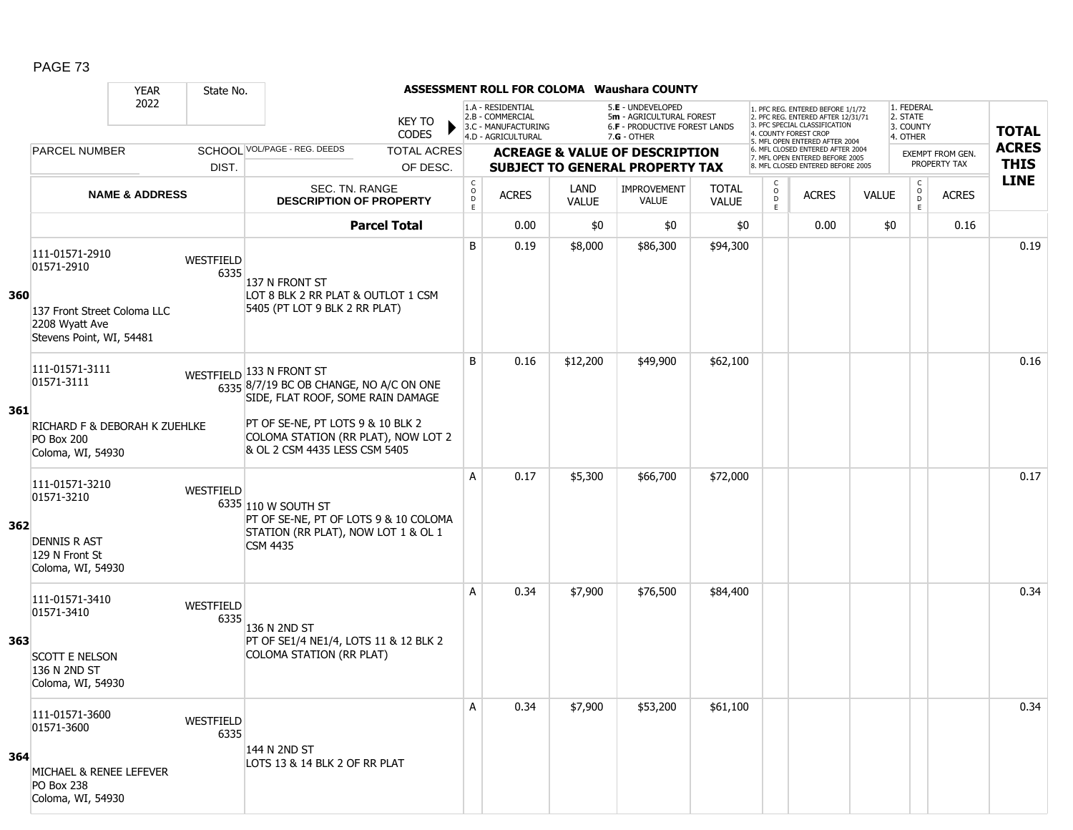|     |                                                                                                             | <b>YEAR</b>               | State No.         |                                                                                                                                                                                                                         |                                                       |                                                              |                      | ASSESSMENT ROLL FOR COLOMA Waushara COUNTY                                     |                              |                     |                       |                                                                                                          |              |                                     |                                         |              |
|-----|-------------------------------------------------------------------------------------------------------------|---------------------------|-------------------|-------------------------------------------------------------------------------------------------------------------------------------------------------------------------------------------------------------------------|-------------------------------------------------------|--------------------------------------------------------------|----------------------|--------------------------------------------------------------------------------|------------------------------|---------------------|-----------------------|----------------------------------------------------------------------------------------------------------|--------------|-------------------------------------|-----------------------------------------|--------------|
|     |                                                                                                             | 2022                      |                   | <b>KEY TO</b><br><b>CODES</b>                                                                                                                                                                                           |                                                       | 1.A - RESIDENTIAL<br>2.B - COMMERCIAL<br>3.C - MANUFACTURING |                      | 5.E - UNDEVELOPED<br>5m - AGRICULTURAL FOREST<br>6.F - PRODUCTIVE FOREST LANDS |                              |                     | 4. COUNTY FOREST CROP | 1. PFC REG. ENTERED BEFORE 1/1/72<br>2. PFC REG. ENTERED AFTER 12/31/71<br>3. PFC SPECIAL CLASSIFICATION |              | 1. FEDERAL<br>2. STATE<br>3. COUNTY |                                         | <b>TOTAL</b> |
|     |                                                                                                             |                           |                   | SCHOOL VOL/PAGE - REG. DEEDS                                                                                                                                                                                            |                                                       | 4.D - AGRICULTURAL                                           |                      | $7.G - OTHER$                                                                  |                              |                     |                       | 5. MFL OPEN ENTERED AFTER 2004<br>6. MFL CLOSED ENTERED AFTER 2004                                       |              | 4. OTHER                            |                                         | <b>ACRES</b> |
|     | <b>PARCEL NUMBER</b>                                                                                        |                           | DIST.             | <b>TOTAL ACRES</b><br>OF DESC.                                                                                                                                                                                          |                                                       |                                                              |                      | <b>ACREAGE &amp; VALUE OF DESCRIPTION</b><br>SUBJECT TO GENERAL PROPERTY TAX   |                              |                     |                       | 7. MFL OPEN ENTERED BEFORE 2005<br>8. MFL CLOSED ENTERED BEFORE 2005                                     |              |                                     | <b>EXEMPT FROM GEN.</b><br>PROPERTY TAX | <b>THIS</b>  |
|     |                                                                                                             | <b>NAME &amp; ADDRESS</b> |                   | SEC. TN. RANGE<br><b>DESCRIPTION OF PROPERTY</b>                                                                                                                                                                        | $\begin{smallmatrix} C\\ O\\ O\\ D \end{smallmatrix}$ | <b>ACRES</b>                                                 | LAND<br><b>VALUE</b> | <b>IMPROVEMENT</b><br><b>VALUE</b>                                             | <b>TOTAL</b><br><b>VALUE</b> | C<br>$\overline{0}$ |                       | <b>ACRES</b>                                                                                             | <b>VALUE</b> | $\mathsf{C}$<br>$\overline{D}$      | <b>ACRES</b>                            | <b>LINE</b>  |
|     |                                                                                                             |                           |                   | <b>Parcel Total</b>                                                                                                                                                                                                     | E                                                     | 0.00                                                         | \$0                  | \$0                                                                            | \$0                          | E.                  |                       | 0.00                                                                                                     | \$0          | E                                   | 0.16                                    |              |
|     |                                                                                                             |                           |                   |                                                                                                                                                                                                                         |                                                       |                                                              |                      |                                                                                |                              |                     |                       |                                                                                                          |              |                                     |                                         |              |
| 360 | 111-01571-2910<br>01571-2910<br>137 Front Street Coloma LLC<br>2208 Wyatt Ave<br>Stevens Point, WI, 54481   |                           | WESTFIELD<br>6335 | 137 N FRONT ST<br>LOT 8 BLK 2 RR PLAT & OUTLOT 1 CSM<br>5405 (PT LOT 9 BLK 2 RR PLAT)                                                                                                                                   | B                                                     | 0.19                                                         | \$8,000              | \$86,300                                                                       | \$94,300                     |                     |                       |                                                                                                          |              |                                     |                                         | 0.19         |
| 361 | 111-01571-3111<br>01571-3111<br><b>RICHARD F &amp; DEBORAH K ZUEHLKE</b><br>PO Box 200<br>Coloma, WI, 54930 |                           |                   | WESTFIELD 133 N FRONT ST<br>$6335$ 8/7/19 BC OB CHANGE, NO A/C ON ONE<br>SIDE, FLAT ROOF, SOME RAIN DAMAGE<br>PT OF SE-NE, PT LOTS 9 & 10 BLK 2<br>COLOMA STATION (RR PLAT), NOW LOT 2<br>& OL 2 CSM 4435 LESS CSM 5405 | B                                                     | 0.16                                                         | \$12,200             | \$49,900                                                                       | \$62,100                     |                     |                       |                                                                                                          |              |                                     |                                         | 0.16         |
| 362 | 111-01571-3210<br>01571-3210<br><b>DENNIS R AST</b><br>129 N Front St<br>Coloma, WI, 54930                  |                           | WESTFIELD         | 6335 110 W SOUTH ST<br>PT OF SE-NE, PT OF LOTS 9 & 10 COLOMA<br>STATION (RR PLAT), NOW LOT 1 & OL 1<br><b>CSM 4435</b>                                                                                                  | A                                                     | 0.17                                                         | \$5,300              | \$66,700                                                                       | \$72,000                     |                     |                       |                                                                                                          |              |                                     |                                         | 0.17         |
| 363 | 111-01571-3410<br>01571-3410<br><b>SCOTT E NELSON</b><br>136 N 2ND ST<br>Coloma, WI, 54930                  |                           | WESTFIELD<br>6335 | 136 N 2ND ST<br>PT OF SE1/4 NE1/4, LOTS 11 & 12 BLK 2<br>COLOMA STATION (RR PLAT)                                                                                                                                       | A                                                     | 0.34                                                         | \$7,900              | \$76,500                                                                       | \$84,400                     |                     |                       |                                                                                                          |              |                                     |                                         | 0.34         |
| 364 | 111-01571-3600<br>01571-3600<br>MICHAEL & RENEE LEFEVER<br>PO Box 238<br>Coloma, WI, 54930                  |                           | WESTFIELD<br>6335 | 144 N 2ND ST<br>LOTS 13 & 14 BLK 2 OF RR PLAT                                                                                                                                                                           | Α                                                     | 0.34                                                         | \$7,900              | \$53,200                                                                       | \$61,100                     |                     |                       |                                                                                                          |              |                                     |                                         | 0.34         |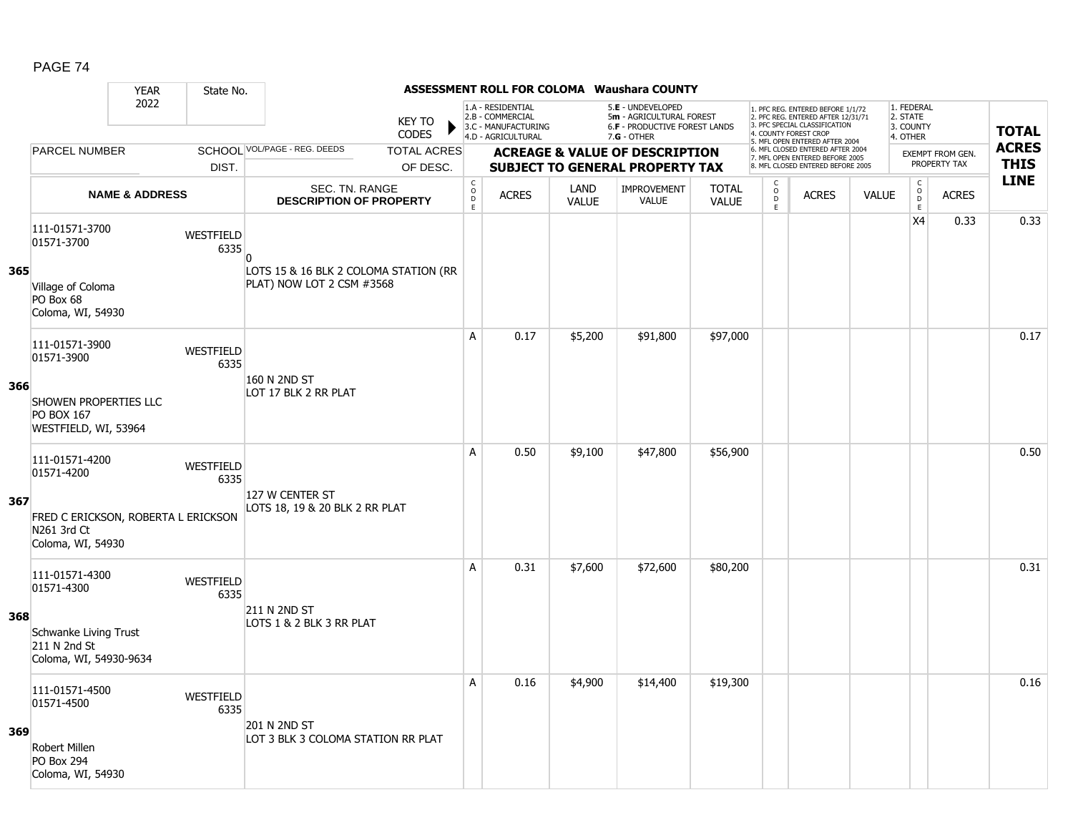|     |                                                                         | <b>YEAR</b>               | State No.                |                                                                    |                               |                                        |                                                                                    |                      | <b>ASSESSMENT ROLL FOR COLOMA Waushara COUNTY</b>                                                      |                              |                                                   |                                                                                                                                   |              |                                                 |                         |              |
|-----|-------------------------------------------------------------------------|---------------------------|--------------------------|--------------------------------------------------------------------|-------------------------------|----------------------------------------|------------------------------------------------------------------------------------|----------------------|--------------------------------------------------------------------------------------------------------|------------------------------|---------------------------------------------------|-----------------------------------------------------------------------------------------------------------------------------------|--------------|-------------------------------------------------|-------------------------|--------------|
|     |                                                                         | 2022                      |                          |                                                                    | <b>KEY TO</b><br><b>CODES</b> |                                        | 1.A - RESIDENTIAL<br>2.B - COMMERCIAL<br>3.C - MANUFACTURING<br>4.D - AGRICULTURAL |                      | 5.E - UNDEVELOPED<br>5m - AGRICULTURAL FOREST<br><b>6.F - PRODUCTIVE FOREST LANDS</b><br>$7.G - OTHER$ |                              |                                                   | 1. PFC REG. ENTERED BEFORE 1/1/72<br>2. PFC REG. ENTERED AFTER 12/31/71<br>3. PFC SPECIAL CLASSIFICATION<br>4. COUNTY FOREST CROP |              | 1. FEDERAL<br>2. STATE<br>3. COUNTY<br>4. OTHER |                         | <b>TOTAL</b> |
|     | PARCEL NUMBER                                                           |                           |                          | SCHOOL VOL/PAGE - REG. DEEDS                                       | <b>TOTAL ACRES</b>            |                                        |                                                                                    |                      | <b>ACREAGE &amp; VALUE OF DESCRIPTION</b>                                                              |                              |                                                   | 5. MFL OPEN ENTERED AFTER 2004<br>6. MFL CLOSED ENTERED AFTER 2004<br>7. MFL OPEN ENTERED BEFORE 2005                             |              |                                                 | <b>EXEMPT FROM GEN.</b> | <b>ACRES</b> |
|     |                                                                         |                           | DIST.                    |                                                                    | OF DESC.                      |                                        |                                                                                    |                      | <b>SUBJECT TO GENERAL PROPERTY TAX</b>                                                                 |                              |                                                   | 8. MFL CLOSED ENTERED BEFORE 2005                                                                                                 |              |                                                 | PROPERTY TAX            | <b>THIS</b>  |
|     |                                                                         | <b>NAME &amp; ADDRESS</b> |                          | SEC. TN. RANGE<br><b>DESCRIPTION OF PROPERTY</b>                   |                               | $_{\rm o}^{\rm c}$<br>$\mathsf D$<br>E | <b>ACRES</b>                                                                       | LAND<br><b>VALUE</b> | IMPROVEMENT<br>VALUE                                                                                   | <b>TOTAL</b><br><b>VALUE</b> | C<br>$\overset{\circ}{\mathsf{D}}$<br>$\mathsf E$ | <b>ACRES</b>                                                                                                                      | <b>VALUE</b> | $\begin{array}{c} C \\ O \\ E \end{array}$      | <b>ACRES</b>            | <b>LINE</b>  |
|     | 111-01571-3700<br>01571-3700                                            |                           | WESTFIELD<br>6335        | $\Omega$                                                           |                               |                                        |                                                                                    |                      |                                                                                                        |                              |                                                   |                                                                                                                                   |              | X <sub>4</sub>                                  | 0.33                    | 0.33         |
| 365 | Village of Coloma<br>PO Box 68<br>Coloma, WI, 54930                     |                           |                          | LOTS 15 & 16 BLK 2 COLOMA STATION (RR<br>PLAT) NOW LOT 2 CSM #3568 |                               |                                        |                                                                                    |                      |                                                                                                        |                              |                                                   |                                                                                                                                   |              |                                                 |                         |              |
|     | 111-01571-3900<br>01571-3900                                            |                           | WESTFIELD<br>6335        |                                                                    |                               | Α                                      | 0.17                                                                               | \$5,200              | \$91,800                                                                                               | \$97,000                     |                                                   |                                                                                                                                   |              |                                                 |                         | 0.17         |
| 366 | SHOWEN PROPERTIES LLC<br><b>PO BOX 167</b><br>WESTFIELD, WI, 53964      |                           |                          | 160 N 2ND ST<br>LOT 17 BLK 2 RR PLAT                               |                               |                                        |                                                                                    |                      |                                                                                                        |                              |                                                   |                                                                                                                                   |              |                                                 |                         |              |
|     | 111-01571-4200<br>01571-4200                                            |                           | WESTFIELD<br>6335        | 127 W CENTER ST                                                    |                               | A                                      | 0.50                                                                               | \$9,100              | \$47,800                                                                                               | \$56,900                     |                                                   |                                                                                                                                   |              |                                                 |                         | 0.50         |
| 367 | FRED C ERICKSON, ROBERTA L ERICKSON<br>N261 3rd Ct<br>Coloma, WI, 54930 |                           |                          | LOTS 18, 19 & 20 BLK 2 RR PLAT                                     |                               |                                        |                                                                                    |                      |                                                                                                        |                              |                                                   |                                                                                                                                   |              |                                                 |                         |              |
|     | 111-01571-4300<br>01571-4300                                            |                           | <b>WESTFIELD</b><br>6335 |                                                                    |                               | Α                                      | 0.31                                                                               | \$7,600              | \$72,600                                                                                               | \$80,200                     |                                                   |                                                                                                                                   |              |                                                 |                         | 0.31         |
| 368 | Schwanke Living Trust<br>211 N 2nd St<br>Coloma, WI, 54930-9634         |                           |                          | 211 N 2ND ST<br>LOTS 1 & 2 BLK 3 RR PLAT                           |                               |                                        |                                                                                    |                      |                                                                                                        |                              |                                                   |                                                                                                                                   |              |                                                 |                         |              |
|     | 111-01571-4500<br>01571-4500                                            |                           | WESTFIELD<br>6335        | 201 N 2ND ST                                                       |                               | A                                      | 0.16                                                                               | \$4,900              | \$14,400                                                                                               | \$19,300                     |                                                   |                                                                                                                                   |              |                                                 |                         | 0.16         |
| 369 | Robert Millen<br><b>PO Box 294</b><br>Coloma, WI, 54930                 |                           |                          | LOT 3 BLK 3 COLOMA STATION RR PLAT                                 |                               |                                        |                                                                                    |                      |                                                                                                        |                              |                                                   |                                                                                                                                   |              |                                                 |                         |              |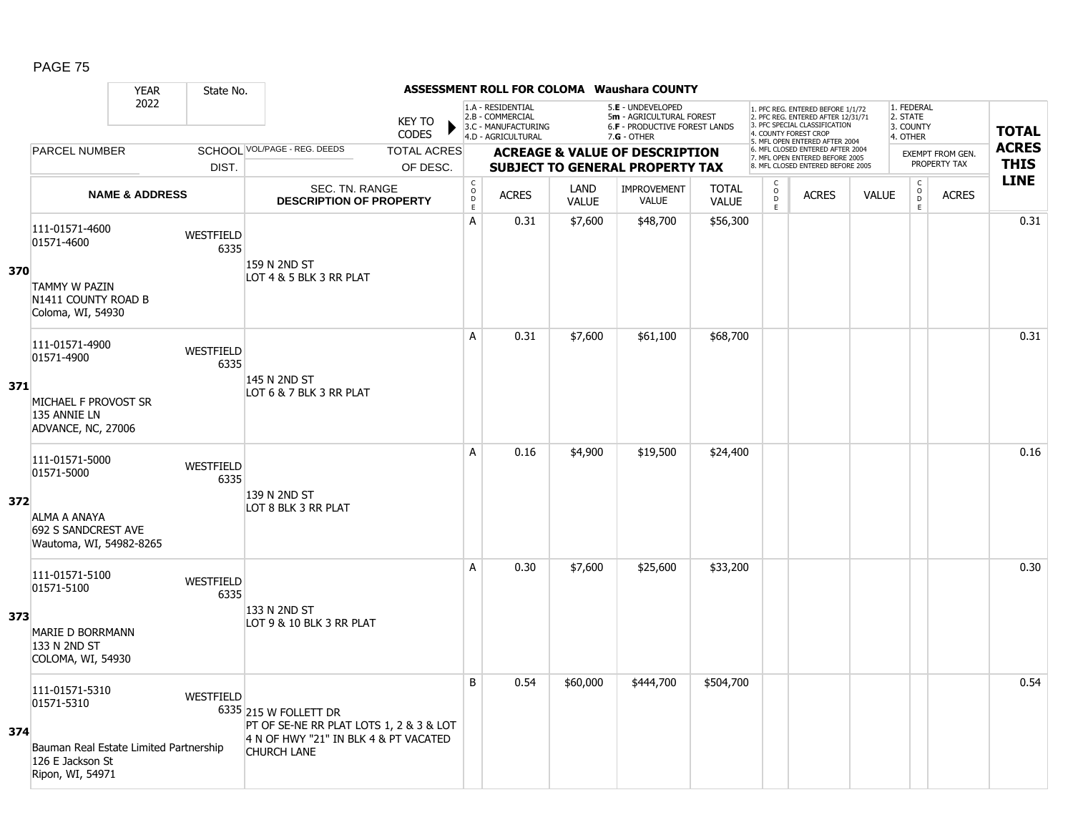|     |                                                                                                                | <b>YEAR</b>               | State No.                |                                                                                                                                 |                                |                                               |                                                                                    |                      | <b>ASSESSMENT ROLL FOR COLOMA Waushara COUNTY</b>                                               |                              |                          |                                                                                                                                            |              |                                                 |                                         |                             |
|-----|----------------------------------------------------------------------------------------------------------------|---------------------------|--------------------------|---------------------------------------------------------------------------------------------------------------------------------|--------------------------------|-----------------------------------------------|------------------------------------------------------------------------------------|----------------------|-------------------------------------------------------------------------------------------------|------------------------------|--------------------------|--------------------------------------------------------------------------------------------------------------------------------------------|--------------|-------------------------------------------------|-----------------------------------------|-----------------------------|
|     |                                                                                                                | 2022                      |                          |                                                                                                                                 | <b>KEY TO</b><br><b>CODES</b>  |                                               | 1.A - RESIDENTIAL<br>2.B - COMMERCIAL<br>3.C - MANUFACTURING<br>4.D - AGRICULTURAL |                      | 5.E - UNDEVELOPED<br>5m - AGRICULTURAL FOREST<br>6.F - PRODUCTIVE FOREST LANDS<br>$7.G - OTHER$ |                              |                          | 1. PFC REG. ENTERED BEFORE 1/1/72<br>2. PFC REG. ENTERED AFTER 12/31/71<br>3. PFC SPECIAL CLASSIFICATION<br>4. COUNTY FOREST CROP          |              | 1. FEDERAL<br>2. STATE<br>3. COUNTY<br>4. OTHER |                                         | <b>TOTAL</b>                |
|     | <b>PARCEL NUMBER</b>                                                                                           |                           | DIST.                    | SCHOOL VOL/PAGE - REG. DEEDS                                                                                                    | <b>TOTAL ACRES</b><br>OF DESC. |                                               |                                                                                    |                      | <b>ACREAGE &amp; VALUE OF DESCRIPTION</b><br><b>SUBJECT TO GENERAL PROPERTY TAX</b>             |                              |                          | 5. MFL OPEN ENTERED AFTER 2004<br>6. MFL CLOSED ENTERED AFTER 2004<br>7. MFL OPEN ENTERED BEFORE 2005<br>8. MFL CLOSED ENTERED BEFORE 2005 |              |                                                 | <b>EXEMPT FROM GEN.</b><br>PROPERTY TAX | <b>ACRES</b><br><b>THIS</b> |
|     |                                                                                                                | <b>NAME &amp; ADDRESS</b> |                          | SEC. TN. RANGE<br><b>DESCRIPTION OF PROPERTY</b>                                                                                |                                | C<br>$\circ$<br>$\overline{D}$<br>$\mathsf E$ | <b>ACRES</b>                                                                       | LAND<br><b>VALUE</b> | <b>IMPROVEMENT</b><br><b>VALUE</b>                                                              | <b>TOTAL</b><br><b>VALUE</b> | C<br>$\overline{D}$<br>E | <b>ACRES</b>                                                                                                                               | <b>VALUE</b> | $\begin{matrix} 0 \\ 0 \\ D \end{matrix}$<br>E. | <b>ACRES</b>                            | <b>LINE</b>                 |
| 370 | 111-01571-4600<br>01571-4600<br><b>TAMMY W PAZIN</b><br>N1411 COUNTY ROAD B<br>Coloma, WI, 54930               |                           | WESTFIELD<br>6335        | 159 N 2ND ST<br>LOT 4 & 5 BLK 3 RR PLAT                                                                                         |                                | Α                                             | 0.31                                                                               | \$7,600              | \$48,700                                                                                        | \$56,300                     |                          |                                                                                                                                            |              |                                                 |                                         | 0.31                        |
| 371 | 111-01571-4900<br>01571-4900<br>MICHAEL F PROVOST SR<br>135 ANNIE LN<br>ADVANCE, NC, 27006                     |                           | <b>WESTFIELD</b><br>6335 | 145 N 2ND ST<br>LOT 6 & 7 BLK 3 RR PLAT                                                                                         |                                | A                                             | 0.31                                                                               | \$7,600              | \$61,100                                                                                        | \$68,700                     |                          |                                                                                                                                            |              |                                                 |                                         | 0.31                        |
| 372 | 111-01571-5000<br>01571-5000<br>ALMA A ANAYA<br>692 S SANDCREST AVE<br>Wautoma, WI, 54982-8265                 |                           | <b>WESTFIELD</b><br>6335 | 139 N 2ND ST<br>LOT 8 BLK 3 RR PLAT                                                                                             |                                | A                                             | 0.16                                                                               | \$4,900              | \$19,500                                                                                        | \$24,400                     |                          |                                                                                                                                            |              |                                                 |                                         | 0.16                        |
| 373 | 111-01571-5100<br>01571-5100<br><b>MARIE D BORRMANN</b><br>133 N 2ND ST<br>COLOMA, WI, 54930                   |                           | WESTFIELD<br>6335        | 133 N 2ND ST<br>LOT 9 & 10 BLK 3 RR PLAT                                                                                        |                                | A                                             | 0.30                                                                               | \$7,600              | \$25,600                                                                                        | \$33,200                     |                          |                                                                                                                                            |              |                                                 |                                         | 0.30                        |
| 374 | 111-01571-5310<br>01571-5310<br>Bauman Real Estate Limited Partnership<br>126 E Jackson St<br>Ripon, WI, 54971 |                           | WESTFIELD                | 6335 215 W FOLLETT DR<br>PT OF SE-NE RR PLAT LOTS 1, 2 & 3 & LOT<br>4 N OF HWY "21" IN BLK 4 & PT VACATED<br><b>CHURCH LANE</b> |                                | B                                             | 0.54                                                                               | \$60,000             | \$444,700                                                                                       | \$504,700                    |                          |                                                                                                                                            |              |                                                 |                                         | 0.54                        |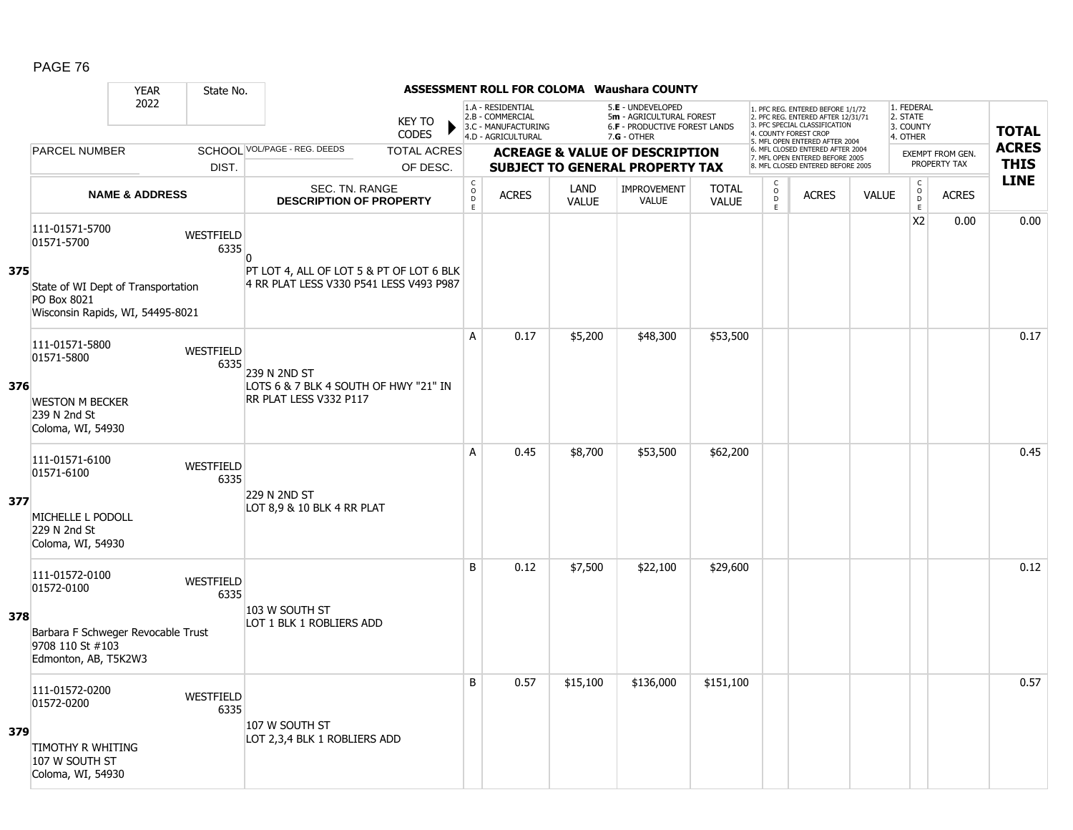|     |                                                                                       | <b>YEAR</b>               | State No.         |                                                                 |                               |                              |                                                                                    |                      | <b>ASSESSMENT ROLL FOR COLOMA Waushara COUNTY</b>                                               |                              |                                                 |                                                                                                                                   |              |                                                 |                                  |              |
|-----|---------------------------------------------------------------------------------------|---------------------------|-------------------|-----------------------------------------------------------------|-------------------------------|------------------------------|------------------------------------------------------------------------------------|----------------------|-------------------------------------------------------------------------------------------------|------------------------------|-------------------------------------------------|-----------------------------------------------------------------------------------------------------------------------------------|--------------|-------------------------------------------------|----------------------------------|--------------|
|     |                                                                                       | 2022                      |                   |                                                                 | <b>KEY TO</b><br><b>CODES</b> |                              | 1.A - RESIDENTIAL<br>2.B - COMMERCIAL<br>3.C - MANUFACTURING<br>4.D - AGRICULTURAL |                      | 5.E - UNDEVELOPED<br>5m - AGRICULTURAL FOREST<br>6.F - PRODUCTIVE FOREST LANDS<br>$7.G - OTHER$ |                              |                                                 | 1. PFC REG. ENTERED BEFORE 1/1/72<br>2. PFC REG. ENTERED AFTER 12/31/71<br>3. PFC SPECIAL CLASSIFICATION<br>4. COUNTY FOREST CROP |              | 1. FEDERAL<br>2. STATE<br>3. COUNTY<br>4. OTHER |                                  | <b>TOTAL</b> |
|     | <b>PARCEL NUMBER</b>                                                                  |                           |                   | SCHOOL VOL/PAGE - REG. DEEDS                                    | <b>TOTAL ACRES</b>            |                              |                                                                                    |                      | <b>ACREAGE &amp; VALUE OF DESCRIPTION</b>                                                       |                              |                                                 | 5. MFL OPEN ENTERED AFTER 2004<br>6. MFL CLOSED ENTERED AFTER 2004                                                                |              |                                                 |                                  | <b>ACRES</b> |
|     |                                                                                       |                           | DIST.             |                                                                 | OF DESC.                      |                              |                                                                                    |                      | <b>SUBJECT TO GENERAL PROPERTY TAX</b>                                                          |                              |                                                 | 7. MFL OPEN ENTERED BEFORE 2005<br>8. MFL CLOSED ENTERED BEFORE 2005                                                              |              |                                                 | EXEMPT FROM GEN.<br>PROPERTY TAX | <b>THIS</b>  |
|     |                                                                                       | <b>NAME &amp; ADDRESS</b> |                   | SEC. TN. RANGE<br><b>DESCRIPTION OF PROPERTY</b>                |                               | $_{\rm o}^{\rm c}$<br>D<br>Ē | <b>ACRES</b>                                                                       | LAND<br><b>VALUE</b> | <b>IMPROVEMENT</b><br><b>VALUE</b>                                                              | <b>TOTAL</b><br><b>VALUE</b> | $\begin{matrix} 0 \\ 0 \\ D \end{matrix}$<br>E. | <b>ACRES</b>                                                                                                                      | <b>VALUE</b> | $\begin{matrix} C \\ O \\ D \end{matrix}$<br>Ē. | <b>ACRES</b>                     | <b>LINE</b>  |
| 375 | 111-01571-5700<br>01571-5700                                                          |                           | WESTFIELD<br>6335 | n<br>PT LOT 4, ALL OF LOT 5 & PT OF LOT 6 BLK                   |                               |                              |                                                                                    |                      |                                                                                                 |                              |                                                 |                                                                                                                                   |              | X <sub>2</sub>                                  | 0.00                             | 0.00         |
|     | State of WI Dept of Transportation<br>PO Box 8021<br>Wisconsin Rapids, WI, 54495-8021 |                           |                   | 4 RR PLAT LESS V330 P541 LESS V493 P987                         |                               |                              |                                                                                    |                      |                                                                                                 |                              |                                                 |                                                                                                                                   |              |                                                 |                                  |              |
|     | 111-01571-5800<br>01571-5800                                                          |                           | WESTFIELD<br>6335 | 239 N 2ND ST                                                    |                               | A                            | 0.17                                                                               | \$5,200              | \$48,300                                                                                        | \$53,500                     |                                                 |                                                                                                                                   |              |                                                 |                                  | 0.17         |
| 376 | <b>WESTON M BECKER</b><br>239 N 2nd St<br>Coloma, WI, 54930                           |                           |                   | LOTS 6 & 7 BLK 4 SOUTH OF HWY "21" IN<br>RR PLAT LESS V332 P117 |                               |                              |                                                                                    |                      |                                                                                                 |                              |                                                 |                                                                                                                                   |              |                                                 |                                  |              |
|     | 111-01571-6100<br>01571-6100                                                          |                           | WESTFIELD<br>6335 | 229 N 2ND ST                                                    |                               | A                            | 0.45                                                                               | \$8,700              | \$53,500                                                                                        | \$62,200                     |                                                 |                                                                                                                                   |              |                                                 |                                  | 0.45         |
| 377 | MICHELLE L PODOLL<br>229 N 2nd St<br>Coloma, WI, 54930                                |                           |                   | LOT 8,9 & 10 BLK 4 RR PLAT                                      |                               |                              |                                                                                    |                      |                                                                                                 |                              |                                                 |                                                                                                                                   |              |                                                 |                                  |              |
|     | 111-01572-0100<br>01572-0100                                                          |                           | WESTFIELD<br>6335 | 103 W SOUTH ST                                                  |                               | B                            | 0.12                                                                               | \$7,500              | \$22,100                                                                                        | \$29,600                     |                                                 |                                                                                                                                   |              |                                                 |                                  | 0.12         |
| 378 | Barbara F Schweger Revocable Trust<br>9708 110 St #103<br>Edmonton, AB, T5K2W3        |                           |                   | LOT 1 BLK 1 ROBLIERS ADD                                        |                               |                              |                                                                                    |                      |                                                                                                 |                              |                                                 |                                                                                                                                   |              |                                                 |                                  |              |
|     | 111-01572-0200<br>01572-0200                                                          |                           | WESTFIELD<br>6335 | 107 W SOUTH ST                                                  |                               | B                            | 0.57                                                                               | \$15,100             | \$136,000                                                                                       | \$151,100                    |                                                 |                                                                                                                                   |              |                                                 |                                  | 0.57         |
| 379 | TIMOTHY R WHITING<br>107 W SOUTH ST<br>Coloma, WI, 54930                              |                           |                   | LOT 2,3,4 BLK 1 ROBLIERS ADD                                    |                               |                              |                                                                                    |                      |                                                                                                 |                              |                                                 |                                                                                                                                   |              |                                                 |                                  |              |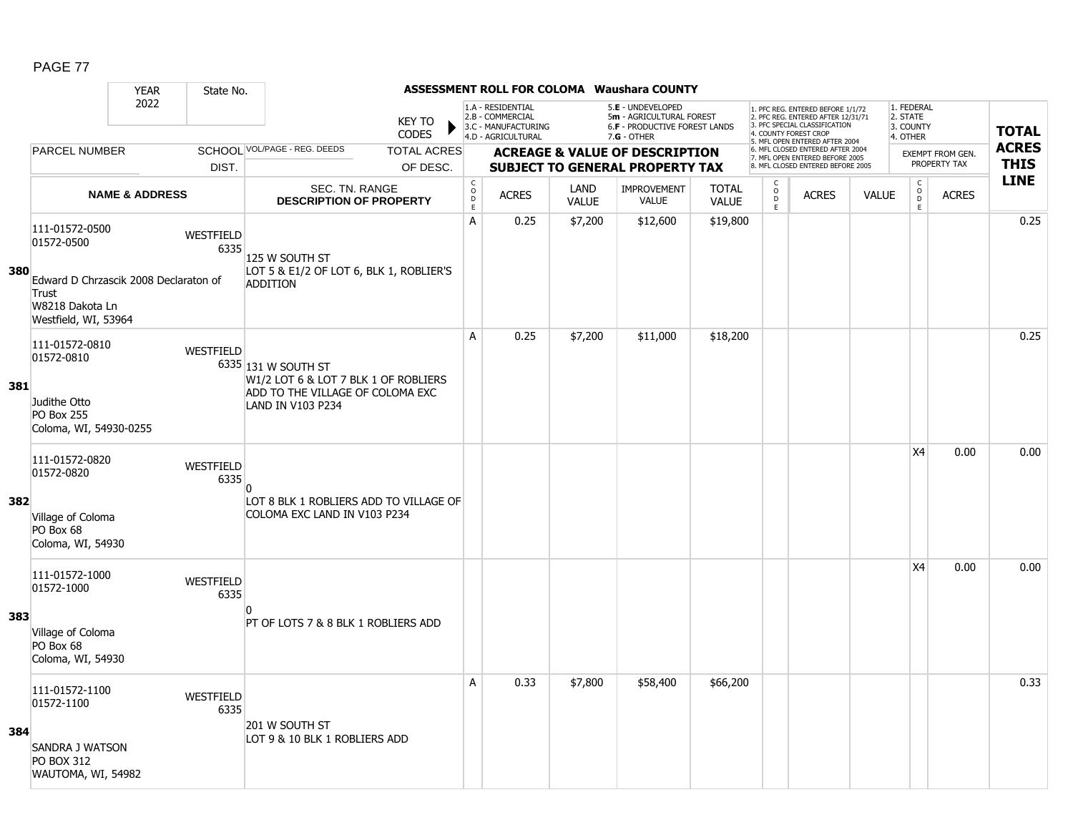|     |                                                                                           | <b>YEAR</b>               | State No.         |                                                              |                                                  |                                        |                                                                                    |                      | <b>ASSESSMENT ROLL FOR COLOMA Waushara COUNTY</b>                                                      |                              |                                                   |                                                                                                                                                                     |              |                                                 |                         |                            |
|-----|-------------------------------------------------------------------------------------------|---------------------------|-------------------|--------------------------------------------------------------|--------------------------------------------------|----------------------------------------|------------------------------------------------------------------------------------|----------------------|--------------------------------------------------------------------------------------------------------|------------------------------|---------------------------------------------------|---------------------------------------------------------------------------------------------------------------------------------------------------------------------|--------------|-------------------------------------------------|-------------------------|----------------------------|
|     |                                                                                           | 2022                      |                   |                                                              | <b>KEY TO</b><br><b>CODES</b>                    |                                        | 1.A - RESIDENTIAL<br>2.B - COMMERCIAL<br>3.C - MANUFACTURING<br>4.D - AGRICULTURAL |                      | 5.E - UNDEVELOPED<br>5m - AGRICULTURAL FOREST<br><b>6.F - PRODUCTIVE FOREST LANDS</b><br>$7.G - OTHER$ |                              |                                                   | 1. PFC REG. ENTERED BEFORE 1/1/72<br>2. PFC REG. ENTERED AFTER 12/31/71<br>3. PFC SPECIAL CLASSIFICATION<br>4. COUNTY FOREST CROP<br>5. MFL OPEN ENTERED AFTER 2004 |              | 1. FEDERAL<br>2. STATE<br>3. COUNTY<br>4. OTHER |                         | <b>TOTAL</b>               |
|     | <b>PARCEL NUMBER</b>                                                                      |                           |                   | SCHOOL VOL/PAGE - REG. DEEDS                                 | <b>TOTAL ACRES</b>                               |                                        |                                                                                    |                      | <b>ACREAGE &amp; VALUE OF DESCRIPTION</b>                                                              |                              |                                                   | 6. MFL CLOSED ENTERED AFTER 2004<br>7. MFL OPEN ENTERED BEFORE 2005                                                                                                 |              |                                                 | <b>EXEMPT FROM GEN.</b> | <b>ACRES</b>               |
|     |                                                                                           |                           | DIST.             |                                                              | OF DESC.                                         |                                        |                                                                                    |                      | <b>SUBJECT TO GENERAL PROPERTY TAX</b>                                                                 |                              |                                                   | 8. MFL CLOSED ENTERED BEFORE 2005                                                                                                                                   |              |                                                 | PROPERTY TAX            | <b>THIS</b><br><b>LINE</b> |
|     |                                                                                           | <b>NAME &amp; ADDRESS</b> |                   |                                                              | SEC. TN. RANGE<br><b>DESCRIPTION OF PROPERTY</b> | $_{\rm o}^{\rm c}$<br>$\mathsf D$<br>E | <b>ACRES</b>                                                                       | LAND<br><b>VALUE</b> | IMPROVEMENT<br>VALUE                                                                                   | <b>TOTAL</b><br><b>VALUE</b> | C<br>$\overset{\circ}{\mathsf{D}}$<br>$\mathsf E$ | <b>ACRES</b>                                                                                                                                                        | <b>VALUE</b> | $\begin{array}{c} C \\ O \\ E \end{array}$      | <b>ACRES</b>            |                            |
|     | 111-01572-0500<br>01572-0500                                                              |                           | WESTFIELD<br>6335 | 125 W SOUTH ST                                               |                                                  | $\mathsf{A}$                           | 0.25                                                                               | \$7,200              | \$12,600                                                                                               | \$19,800                     |                                                   |                                                                                                                                                                     |              |                                                 |                         | 0.25                       |
| 380 | Edward D Chrzascik 2008 Declaraton of<br>Trust<br>W8218 Dakota Ln<br>Westfield, WI, 53964 |                           |                   | LOT 5 & E1/2 OF LOT 6, BLK 1, ROBLIER'S<br><b>ADDITION</b>   |                                                  |                                        |                                                                                    |                      |                                                                                                        |                              |                                                   |                                                                                                                                                                     |              |                                                 |                         |                            |
|     | 111-01572-0810<br>01572-0810                                                              |                           | WESTFIELD         | 6335 131 W SOUTH ST<br>W1/2 LOT 6 & LOT 7 BLK 1 OF ROBLIERS  |                                                  | Α                                      | 0.25                                                                               | \$7,200              | \$11,000                                                                                               | \$18,200                     |                                                   |                                                                                                                                                                     |              |                                                 |                         | 0.25                       |
| 381 | Judithe Otto<br><b>PO Box 255</b><br>Coloma, WI, 54930-0255                               |                           |                   | ADD TO THE VILLAGE OF COLOMA EXC<br><b>LAND IN V103 P234</b> |                                                  |                                        |                                                                                    |                      |                                                                                                        |                              |                                                   |                                                                                                                                                                     |              |                                                 |                         |                            |
|     | 111-01572-0820<br>01572-0820                                                              |                           | WESTFIELD<br>6335 | $\Omega$                                                     |                                                  |                                        |                                                                                    |                      |                                                                                                        |                              |                                                   |                                                                                                                                                                     |              | <b>X4</b>                                       | 0.00                    | 0.00                       |
| 382 | Village of Coloma<br>PO Box 68<br>Coloma, WI, 54930                                       |                           |                   | COLOMA EXC LAND IN V103 P234                                 | LOT 8 BLK 1 ROBLIERS ADD TO VILLAGE OF           |                                        |                                                                                    |                      |                                                                                                        |                              |                                                   |                                                                                                                                                                     |              |                                                 |                         |                            |
|     | 111-01572-1000<br>01572-1000                                                              |                           | WESTFIELD<br>6335 | n                                                            |                                                  |                                        |                                                                                    |                      |                                                                                                        |                              |                                                   |                                                                                                                                                                     |              | <b>X4</b>                                       | 0.00                    | 0.00                       |
| 383 | Village of Coloma<br>PO Box 68<br>Coloma, WI, 54930                                       |                           |                   | PT OF LOTS 7 & 8 BLK 1 ROBLIERS ADD                          |                                                  |                                        |                                                                                    |                      |                                                                                                        |                              |                                                   |                                                                                                                                                                     |              |                                                 |                         |                            |
|     | 111-01572-1100<br>01572-1100                                                              |                           | WESTFIELD<br>6335 | 201 W SOUTH ST                                               |                                                  | A                                      | 0.33                                                                               | \$7,800              | \$58,400                                                                                               | \$66,200                     |                                                   |                                                                                                                                                                     |              |                                                 |                         | 0.33                       |
| 384 | SANDRA J WATSON<br><b>PO BOX 312</b><br>WAUTOMA, WI, 54982                                |                           |                   | LOT 9 & 10 BLK 1 ROBLIERS ADD                                |                                                  |                                        |                                                                                    |                      |                                                                                                        |                              |                                                   |                                                                                                                                                                     |              |                                                 |                         |                            |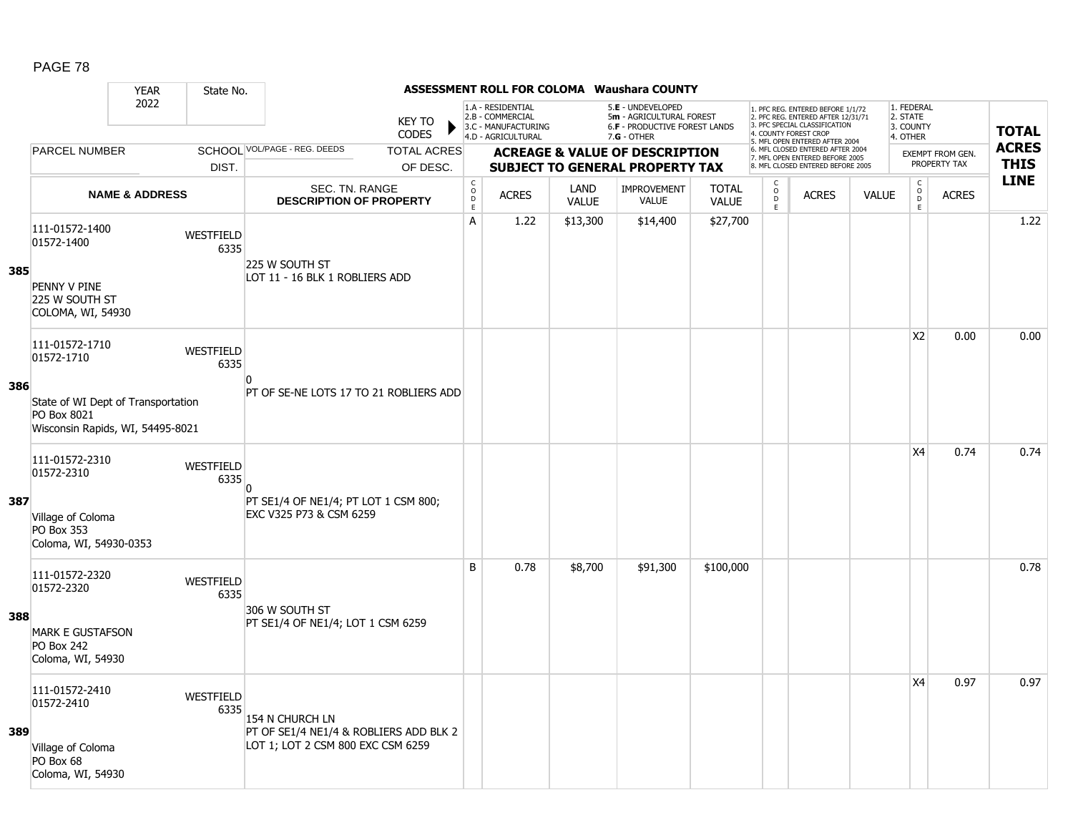|     |                                                                                                   | <b>YEAR</b>               | State No.                |                                                                                                |                               |                                     |                                                                                    |                      | <b>ASSESSMENT ROLL FOR COLOMA Waushara COUNTY</b>                                               |                              |                                                |                                                                                                                                   |              |                                                          |                                         |              |
|-----|---------------------------------------------------------------------------------------------------|---------------------------|--------------------------|------------------------------------------------------------------------------------------------|-------------------------------|-------------------------------------|------------------------------------------------------------------------------------|----------------------|-------------------------------------------------------------------------------------------------|------------------------------|------------------------------------------------|-----------------------------------------------------------------------------------------------------------------------------------|--------------|----------------------------------------------------------|-----------------------------------------|--------------|
|     |                                                                                                   | 2022                      |                          |                                                                                                | <b>KEY TO</b><br><b>CODES</b> |                                     | 1.A - RESIDENTIAL<br>2.B - COMMERCIAL<br>3.C - MANUFACTURING<br>4.D - AGRICULTURAL |                      | 5.E - UNDEVELOPED<br>5m - AGRICULTURAL FOREST<br>6.F - PRODUCTIVE FOREST LANDS<br>$7.G - OTHER$ |                              |                                                | 1. PFC REG. ENTERED BEFORE 1/1/72<br>2. PFC REG. ENTERED AFTER 12/31/71<br>3. PFC SPECIAL CLASSIFICATION<br>4. COUNTY FOREST CROP |              | 1. FEDERAL<br>2. STATE<br>3. COUNTY<br>4. OTHER          |                                         | <b>TOTAL</b> |
|     | <b>PARCEL NUMBER</b>                                                                              |                           |                          | SCHOOL VOL/PAGE - REG. DEEDS                                                                   | <b>TOTAL ACRES</b>            |                                     |                                                                                    |                      |                                                                                                 |                              |                                                | 5. MFL OPEN ENTERED AFTER 2004<br>6. MFL CLOSED ENTERED AFTER 2004                                                                |              |                                                          |                                         | <b>ACRES</b> |
|     |                                                                                                   |                           | DIST.                    |                                                                                                | OF DESC.                      |                                     |                                                                                    |                      | <b>ACREAGE &amp; VALUE OF DESCRIPTION</b><br><b>SUBJECT TO GENERAL PROPERTY TAX</b>             |                              |                                                | 7. MFL OPEN ENTERED BEFORE 2005<br>8. MFL CLOSED ENTERED BEFORE 2005                                                              |              |                                                          | <b>EXEMPT FROM GEN.</b><br>PROPERTY TAX | <b>THIS</b>  |
|     |                                                                                                   | <b>NAME &amp; ADDRESS</b> |                          | SEC. TN. RANGE<br><b>DESCRIPTION OF PROPERTY</b>                                               |                               | $_{\rm o}^{\rm c}$<br>$\frac{D}{E}$ | <b>ACRES</b>                                                                       | LAND<br><b>VALUE</b> | <b>IMPROVEMENT</b><br><b>VALUE</b>                                                              | <b>TOTAL</b><br><b>VALUE</b> | $\begin{matrix} 0 \\ 0 \\ D \end{matrix}$<br>E | <b>ACRES</b>                                                                                                                      | <b>VALUE</b> | $\begin{matrix} 0 \\ 0 \\ 0 \end{matrix}$<br>$\mathsf E$ | <b>ACRES</b>                            | <b>LINE</b>  |
| 385 | 111-01572-1400<br>01572-1400<br>PENNY V PINE<br>225 W SOUTH ST                                    |                           | <b>WESTFIELD</b><br>6335 | 225 W SOUTH ST<br>LOT 11 - 16 BLK 1 ROBLIERS ADD                                               |                               | A                                   | 1.22                                                                               | \$13,300             | \$14,400                                                                                        | \$27,700                     |                                                |                                                                                                                                   |              |                                                          |                                         | 1.22         |
|     | COLOMA, WI, 54930<br>111-01572-1710<br>01572-1710                                                 |                           | WESTFIELD<br>6335        |                                                                                                |                               |                                     |                                                                                    |                      |                                                                                                 |                              |                                                |                                                                                                                                   |              | X2                                                       | 0.00                                    | 0.00         |
| 386 | State of WI Dept of Transportation<br>PO Box 8021<br>Wisconsin Rapids, WI, 54495-8021             |                           |                          | $\Omega$<br>PT OF SE-NE LOTS 17 TO 21 ROBLIERS ADD                                             |                               |                                     |                                                                                    |                      |                                                                                                 |                              |                                                |                                                                                                                                   |              |                                                          |                                         |              |
| 387 | 111-01572-2310<br>01572-2310<br>Village of Coloma<br><b>PO Box 353</b>                            |                           | <b>WESTFIELD</b><br>6335 | n<br>PT SE1/4 OF NE1/4; PT LOT 1 CSM 800;<br>EXC V325 P73 & CSM 6259                           |                               |                                     |                                                                                    |                      |                                                                                                 |                              |                                                |                                                                                                                                   |              | X <sub>4</sub>                                           | 0.74                                    | 0.74         |
|     | Coloma, WI, 54930-0353                                                                            |                           |                          |                                                                                                |                               |                                     |                                                                                    |                      |                                                                                                 |                              |                                                |                                                                                                                                   |              |                                                          |                                         |              |
| 388 | 111-01572-2320<br>01572-2320<br><b>MARK E GUSTAFSON</b><br><b>PO Box 242</b><br>Coloma, WI, 54930 |                           | WESTFIELD<br>6335        | 306 W SOUTH ST<br>PT SE1/4 OF NE1/4; LOT 1 CSM 6259                                            |                               | B                                   | 0.78                                                                               | \$8,700              | \$91,300                                                                                        | \$100,000                    |                                                |                                                                                                                                   |              |                                                          |                                         | 0.78         |
| 389 | 111-01572-2410<br>01572-2410<br>Village of Coloma<br>PO Box 68<br>Coloma, WI, 54930               |                           | <b>WESTFIELD</b><br>6335 | 154 N CHURCH LN<br>PT OF SE1/4 NE1/4 & ROBLIERS ADD BLK 2<br>LOT 1; LOT 2 CSM 800 EXC CSM 6259 |                               |                                     |                                                                                    |                      |                                                                                                 |                              |                                                |                                                                                                                                   |              | X4                                                       | 0.97                                    | 0.97         |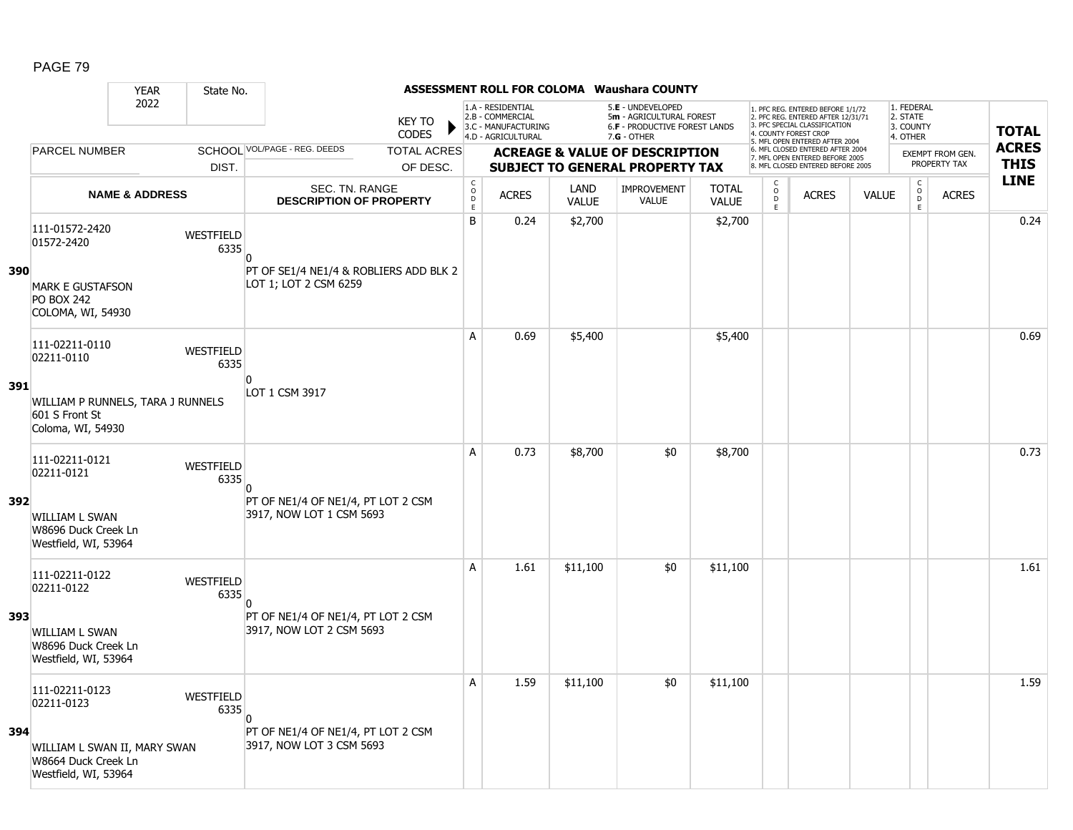|     |                                                                             | <b>YEAR</b>               | State No.                |                                                                 |                               |                                     |                                                                                    |                      | <b>ASSESSMENT ROLL FOR COLOMA Waushara COUNTY</b>                                               |                              |                                                |                                                                                                          |              |                                                 |                  |              |
|-----|-----------------------------------------------------------------------------|---------------------------|--------------------------|-----------------------------------------------------------------|-------------------------------|-------------------------------------|------------------------------------------------------------------------------------|----------------------|-------------------------------------------------------------------------------------------------|------------------------------|------------------------------------------------|----------------------------------------------------------------------------------------------------------|--------------|-------------------------------------------------|------------------|--------------|
|     |                                                                             | 2022                      |                          |                                                                 | <b>KEY TO</b><br><b>CODES</b> |                                     | 1.A - RESIDENTIAL<br>2.B - COMMERCIAL<br>3.C - MANUFACTURING<br>4.D - AGRICULTURAL |                      | 5.E - UNDEVELOPED<br>5m - AGRICULTURAL FOREST<br>6.F - PRODUCTIVE FOREST LANDS<br>$7.G - OTHER$ |                              | 4. COUNTY FOREST CROP                          | 1. PFC REG. ENTERED BEFORE 1/1/72<br>2. PFC REG. ENTERED AFTER 12/31/71<br>3. PFC SPECIAL CLASSIFICATION |              | 1. FEDERAL<br>2. STATE<br>3. COUNTY<br>4. OTHER |                  | <b>TOTAL</b> |
|     | <b>PARCEL NUMBER</b>                                                        |                           |                          | SCHOOL VOL/PAGE - REG. DEEDS                                    | <b>TOTAL ACRES</b>            |                                     |                                                                                    |                      | <b>ACREAGE &amp; VALUE OF DESCRIPTION</b>                                                       |                              |                                                | 5. MFL OPEN ENTERED AFTER 2004<br>6. MFL CLOSED ENTERED AFTER 2004                                       |              |                                                 | EXEMPT FROM GEN. | <b>ACRES</b> |
|     |                                                                             |                           | DIST.                    |                                                                 | OF DESC.                      |                                     |                                                                                    |                      | <b>SUBJECT TO GENERAL PROPERTY TAX</b>                                                          |                              |                                                | 7. MFL OPEN ENTERED BEFORE 2005<br>8. MFL CLOSED ENTERED BEFORE 2005                                     |              |                                                 | PROPERTY TAX     | <b>THIS</b>  |
|     |                                                                             | <b>NAME &amp; ADDRESS</b> |                          | <b>SEC. TN. RANGE</b><br><b>DESCRIPTION OF PROPERTY</b>         |                               | $_{\rm o}^{\rm c}$<br>$\frac{D}{E}$ | <b>ACRES</b>                                                                       | LAND<br><b>VALUE</b> | <b>IMPROVEMENT</b><br>VALUE                                                                     | <b>TOTAL</b><br><b>VALUE</b> | $\begin{matrix} 0 \\ 0 \\ 0 \end{matrix}$<br>E | <b>ACRES</b>                                                                                             | <b>VALUE</b> | $\begin{matrix} 0 \\ 0 \\ 0 \end{matrix}$<br>E  | <b>ACRES</b>     | <b>LINE</b>  |
|     | 111-01572-2420<br>01572-2420                                                |                           | WESTFIELD<br>6335        | $\Omega$                                                        |                               | B                                   | 0.24                                                                               | \$2,700              |                                                                                                 | \$2,700                      |                                                |                                                                                                          |              |                                                 |                  | 0.24         |
| 390 | <b>MARK E GUSTAFSON</b><br><b>PO BOX 242</b><br>COLOMA, WI, 54930           |                           |                          | PT OF SE1/4 NE1/4 & ROBLIERS ADD BLK 2<br>LOT 1; LOT 2 CSM 6259 |                               |                                     |                                                                                    |                      |                                                                                                 |                              |                                                |                                                                                                          |              |                                                 |                  |              |
|     | 111-02211-0110<br>02211-0110                                                |                           | WESTFIELD<br>6335        | $\Omega$                                                        |                               | A                                   | 0.69                                                                               | \$5,400              |                                                                                                 | \$5,400                      |                                                |                                                                                                          |              |                                                 |                  | 0.69         |
| 391 | WILLIAM P RUNNELS, TARA J RUNNELS<br>601 S Front St<br>Coloma, WI, 54930    |                           |                          | LOT 1 CSM 3917                                                  |                               |                                     |                                                                                    |                      |                                                                                                 |                              |                                                |                                                                                                          |              |                                                 |                  |              |
|     | 111-02211-0121<br>02211-0121                                                |                           | <b>WESTFIELD</b><br>6335 | $\Omega$                                                        |                               | А                                   | 0.73                                                                               | \$8,700              | \$0                                                                                             | \$8,700                      |                                                |                                                                                                          |              |                                                 |                  | 0.73         |
| 392 | <b>WILLIAM L SWAN</b><br>W8696 Duck Creek Ln<br>Westfield, WI, 53964        |                           |                          | PT OF NE1/4 OF NE1/4, PT LOT 2 CSM<br>3917, NOW LOT 1 CSM 5693  |                               |                                     |                                                                                    |                      |                                                                                                 |                              |                                                |                                                                                                          |              |                                                 |                  |              |
|     | 111-02211-0122<br>02211-0122                                                |                           | WESTFIELD<br>6335        |                                                                 |                               | A                                   | 1.61                                                                               | \$11,100             | \$0                                                                                             | \$11,100                     |                                                |                                                                                                          |              |                                                 |                  | 1.61         |
| 393 | <b>WILLIAM L SWAN</b><br>W8696 Duck Creek Ln<br>Westfield, WI, 53964        |                           |                          | PT OF NE1/4 OF NE1/4, PT LOT 2 CSM<br>3917, NOW LOT 2 CSM 5693  |                               |                                     |                                                                                    |                      |                                                                                                 |                              |                                                |                                                                                                          |              |                                                 |                  |              |
|     | 111-02211-0123<br>02211-0123                                                |                           | WESTFIELD<br>6335        |                                                                 |                               | A                                   | 1.59                                                                               | \$11,100             | \$0                                                                                             | \$11,100                     |                                                |                                                                                                          |              |                                                 |                  | 1.59         |
| 394 | WILLIAM L SWAN II, MARY SWAN<br>W8664 Duck Creek Ln<br>Westfield, WI, 53964 |                           |                          | PT OF NE1/4 OF NE1/4, PT LOT 2 CSM<br>3917, NOW LOT 3 CSM 5693  |                               |                                     |                                                                                    |                      |                                                                                                 |                              |                                                |                                                                                                          |              |                                                 |                  |              |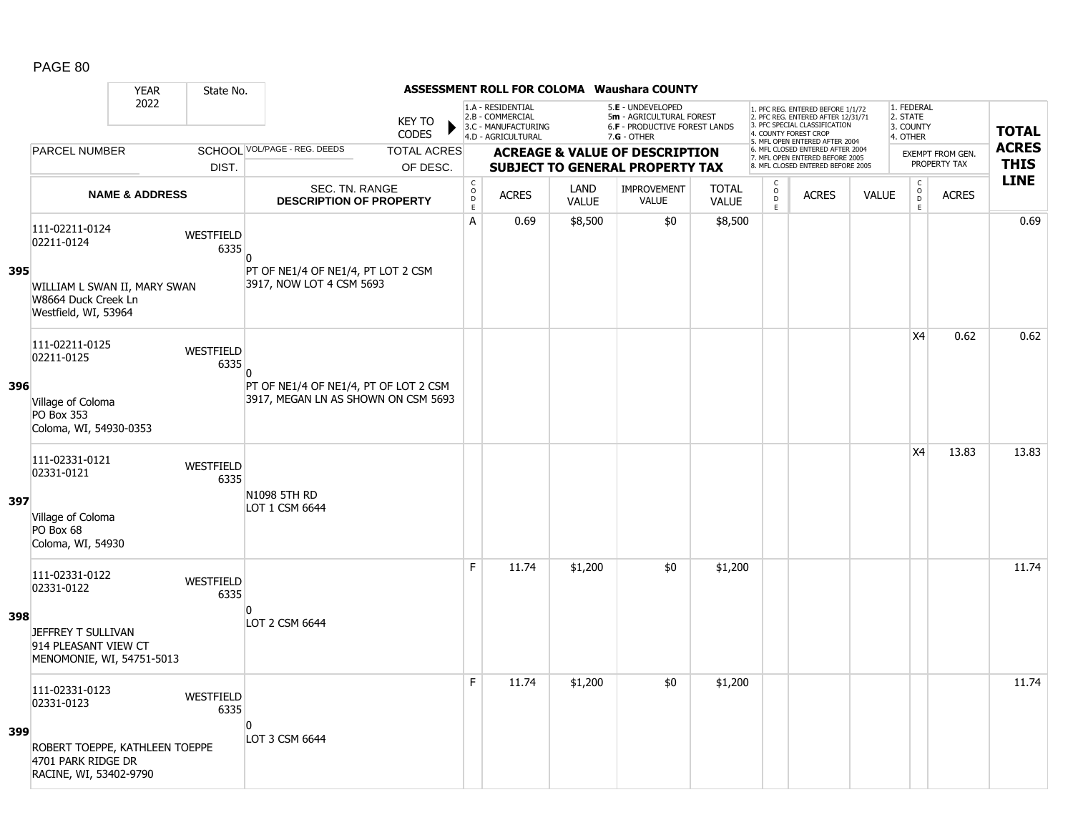|     |                                                                                | <b>YEAR</b>               | State No.                |                                                                              |                               |                              |                                                                                    |                      | <b>ASSESSMENT ROLL FOR COLOMA Waushara COUNTY</b>                                               |                              |                     |                                                                                                                                   |              |                                                 |                                         |                             |
|-----|--------------------------------------------------------------------------------|---------------------------|--------------------------|------------------------------------------------------------------------------|-------------------------------|------------------------------|------------------------------------------------------------------------------------|----------------------|-------------------------------------------------------------------------------------------------|------------------------------|---------------------|-----------------------------------------------------------------------------------------------------------------------------------|--------------|-------------------------------------------------|-----------------------------------------|-----------------------------|
|     |                                                                                | 2022                      |                          |                                                                              | <b>KEY TO</b><br><b>CODES</b> |                              | 1.A - RESIDENTIAL<br>2.B - COMMERCIAL<br>3.C - MANUFACTURING<br>4.D - AGRICULTURAL |                      | 5.E - UNDEVELOPED<br>5m - AGRICULTURAL FOREST<br>6.F - PRODUCTIVE FOREST LANDS<br>$7.G - OTHER$ |                              |                     | 1. PFC REG. ENTERED BEFORE 1/1/72<br>2. PFC REG. ENTERED AFTER 12/31/71<br>3. PFC SPECIAL CLASSIFICATION<br>4. COUNTY FOREST CROP |              | 1. FEDERAL<br>2. STATE<br>3. COUNTY<br>4. OTHER |                                         | <b>TOTAL</b>                |
|     | <b>PARCEL NUMBER</b>                                                           |                           |                          | SCHOOL VOL/PAGE - REG. DEEDS                                                 | <b>TOTAL ACRES</b>            |                              |                                                                                    |                      | <b>ACREAGE &amp; VALUE OF DESCRIPTION</b>                                                       |                              |                     | 5. MFL OPEN ENTERED AFTER 2004<br>6. MFL CLOSED ENTERED AFTER 2004<br>7. MFL OPEN ENTERED BEFORE 2005                             |              |                                                 | <b>EXEMPT FROM GEN.</b><br>PROPERTY TAX | <b>ACRES</b><br><b>THIS</b> |
|     |                                                                                |                           | DIST.                    |                                                                              | OF DESC.                      | C                            |                                                                                    |                      | <b>SUBJECT TO GENERAL PROPERTY TAX</b>                                                          |                              | C                   | 8. MFL CLOSED ENTERED BEFORE 2005                                                                                                 |              |                                                 |                                         | <b>LINE</b>                 |
|     |                                                                                | <b>NAME &amp; ADDRESS</b> |                          | SEC. TN. RANGE<br><b>DESCRIPTION OF PROPERTY</b>                             |                               | $\circ$<br>$\mathsf D$<br>E. | <b>ACRES</b>                                                                       | LAND<br><b>VALUE</b> | <b>IMPROVEMENT</b><br><b>VALUE</b>                                                              | <b>TOTAL</b><br><b>VALUE</b> | $\overline{D}$<br>E | <b>ACRES</b>                                                                                                                      | <b>VALUE</b> | $\begin{matrix} 0 \\ 0 \\ D \end{matrix}$<br>E  | <b>ACRES</b>                            |                             |
|     | 111-02211-0124<br>02211-0124                                                   |                           | WESTFIELD<br>6335        | $\Omega$                                                                     |                               | A                            | 0.69                                                                               | \$8,500              | \$0                                                                                             | \$8,500                      |                     |                                                                                                                                   |              |                                                 |                                         | 0.69                        |
| 395 | WILLIAM L SWAN II, MARY SWAN<br>W8664 Duck Creek Ln<br>Westfield, WI, 53964    |                           |                          | PT OF NE1/4 OF NE1/4, PT LOT 2 CSM<br>3917, NOW LOT 4 CSM 5693               |                               |                              |                                                                                    |                      |                                                                                                 |                              |                     |                                                                                                                                   |              |                                                 |                                         |                             |
|     | 111-02211-0125<br>02211-0125                                                   |                           | WESTFIELD<br>6335        | $\Omega$                                                                     |                               |                              |                                                                                    |                      |                                                                                                 |                              |                     |                                                                                                                                   |              | X <sub>4</sub>                                  | 0.62                                    | 0.62                        |
| 396 | Village of Coloma<br>PO Box 353<br>Coloma, WI, 54930-0353                      |                           |                          | PT OF NE1/4 OF NE1/4, PT OF LOT 2 CSM<br>3917, MEGAN LN AS SHOWN ON CSM 5693 |                               |                              |                                                                                    |                      |                                                                                                 |                              |                     |                                                                                                                                   |              |                                                 |                                         |                             |
|     | 111-02331-0121<br>02331-0121                                                   |                           | <b>WESTFIELD</b><br>6335 | N1098 5TH RD                                                                 |                               |                              |                                                                                    |                      |                                                                                                 |                              |                     |                                                                                                                                   |              | X <sub>4</sub>                                  | 13.83                                   | 13.83                       |
| 397 | Village of Coloma<br>PO Box 68<br>Coloma, WI, 54930                            |                           |                          | LOT 1 CSM 6644                                                               |                               |                              |                                                                                    |                      |                                                                                                 |                              |                     |                                                                                                                                   |              |                                                 |                                         |                             |
|     | 111-02331-0122<br>02331-0122                                                   |                           | WESTFIELD<br>6335        |                                                                              |                               | E                            | 11.74                                                                              | \$1,200              | \$0                                                                                             | \$1,200                      |                     |                                                                                                                                   |              |                                                 |                                         | 11.74                       |
| 398 | JEFFREY T SULLIVAN<br>914 PLEASANT VIEW CT<br>MENOMONIE, WI, 54751-5013        |                           |                          | $\Omega$<br>LOT 2 CSM 6644                                                   |                               |                              |                                                                                    |                      |                                                                                                 |                              |                     |                                                                                                                                   |              |                                                 |                                         |                             |
|     | 111-02331-0123<br>02331-0123                                                   |                           | WESTFIELD<br>6335        |                                                                              |                               | F                            | 11.74                                                                              | \$1,200              | \$0                                                                                             | \$1,200                      |                     |                                                                                                                                   |              |                                                 |                                         | 11.74                       |
| 399 | ROBERT TOEPPE, KATHLEEN TOEPPE<br>4701 PARK RIDGE DR<br>RACINE, WI, 53402-9790 |                           |                          | $\overline{0}$<br>LOT 3 CSM 6644                                             |                               |                              |                                                                                    |                      |                                                                                                 |                              |                     |                                                                                                                                   |              |                                                 |                                         |                             |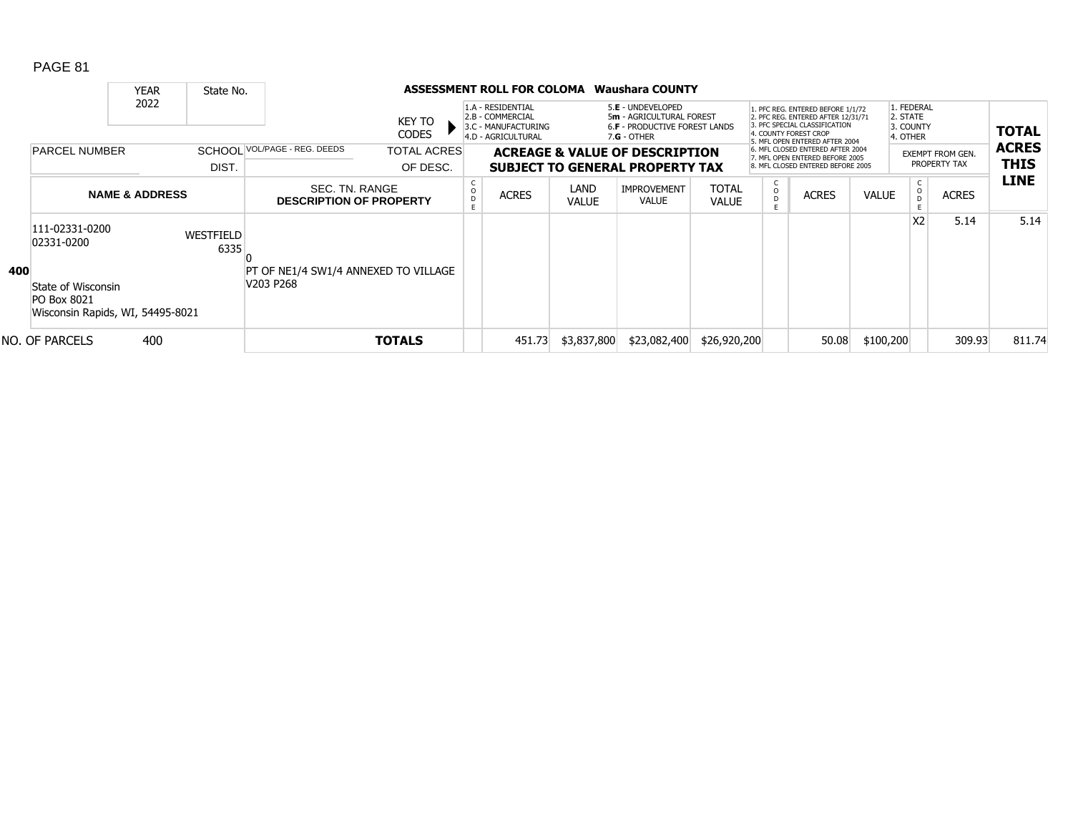|     |                                                                       | <b>YEAR</b>               | State No.         |                                                  |                                | ASSESSMENT ROLL FOR COLOMA                                                         |                      | Waushara COUNTY                                                                                 |                              |                   |                                                                                                                                                                     |              |                                                 |                                         |                             |
|-----|-----------------------------------------------------------------------|---------------------------|-------------------|--------------------------------------------------|--------------------------------|------------------------------------------------------------------------------------|----------------------|-------------------------------------------------------------------------------------------------|------------------------------|-------------------|---------------------------------------------------------------------------------------------------------------------------------------------------------------------|--------------|-------------------------------------------------|-----------------------------------------|-----------------------------|
|     |                                                                       | 2022                      |                   |                                                  | KEY TO<br><b>CODES</b>         | 1.A - RESIDENTIAL<br>2.B - COMMERCIAL<br>3.C - MANUFACTURING<br>4.D - AGRICULTURAL |                      | 5.E - UNDEVELOPED<br>5m - AGRICULTURAL FOREST<br>6.F - PRODUCTIVE FOREST LANDS<br>$7.G - OTHER$ |                              |                   | 1. PFC REG. ENTERED BEFORE 1/1/72<br>2. PFC REG. ENTERED AFTER 12/31/71<br>3. PFC SPECIAL CLASSIFICATION<br>4. COUNTY FOREST CROP<br>5. MFL OPEN ENTERED AFTER 2004 |              | 1. FEDERAL<br>2. STATE<br>3. COUNTY<br>4. OTHER |                                         | <b>TOTAL</b>                |
|     | <b>PARCEL NUMBER</b>                                                  |                           | DIST.             | SCHOOL VOL/PAGE - REG. DEEDS                     | <b>TOTAL ACRES</b><br>OF DESC. |                                                                                    |                      | <b>ACREAGE &amp; VALUE OF DESCRIPTION</b><br><b>SUBJECT TO GENERAL PROPERTY TAX</b>             |                              |                   | 6. MFL CLOSED ENTERED AFTER 2004<br>7. MFL OPEN ENTERED BEFORE 2005<br>8. MFL CLOSED ENTERED BEFORE 2005                                                            |              |                                                 | <b>EXEMPT FROM GEN.</b><br>PROPERTY TAX | <b>ACRES</b><br><b>THIS</b> |
|     |                                                                       | <b>NAME &amp; ADDRESS</b> |                   | SEC. TN. RANGE<br><b>DESCRIPTION OF PROPERTY</b> |                                | <b>ACRES</b>                                                                       | LAND<br><b>VALUE</b> | <b>IMPROVEMENT</b><br><b>VALUE</b>                                                              | <b>TOTAL</b><br><b>VALUE</b> | C<br>$\circ$<br>D | <b>ACRES</b>                                                                                                                                                        | <b>VALUE</b> |                                                 | <b>ACRES</b>                            | <b>LINE</b>                 |
| 400 | 111-02331-0200<br>02331-0200                                          |                           | WESTFIELD<br>6335 | PT OF NE1/4 SW1/4 ANNEXED TO VILLAGE             |                                |                                                                                    |                      |                                                                                                 |                              |                   |                                                                                                                                                                     |              | X <sub>2</sub>                                  | 5.14                                    | 5.14                        |
|     | State of Wisconsin<br>PO Box 8021<br>Wisconsin Rapids, WI, 54495-8021 |                           |                   | V203 P268                                        |                                |                                                                                    |                      |                                                                                                 |                              |                   |                                                                                                                                                                     |              |                                                 |                                         |                             |
|     | NO. OF PARCELS                                                        | 400                       |                   |                                                  | <b>TOTALS</b>                  | 451.73                                                                             | \$3,837,800          | \$23,082,400                                                                                    | \$26,920,200                 |                   | 50.08                                                                                                                                                               | \$100,200    |                                                 | 309.93                                  | 811.74                      |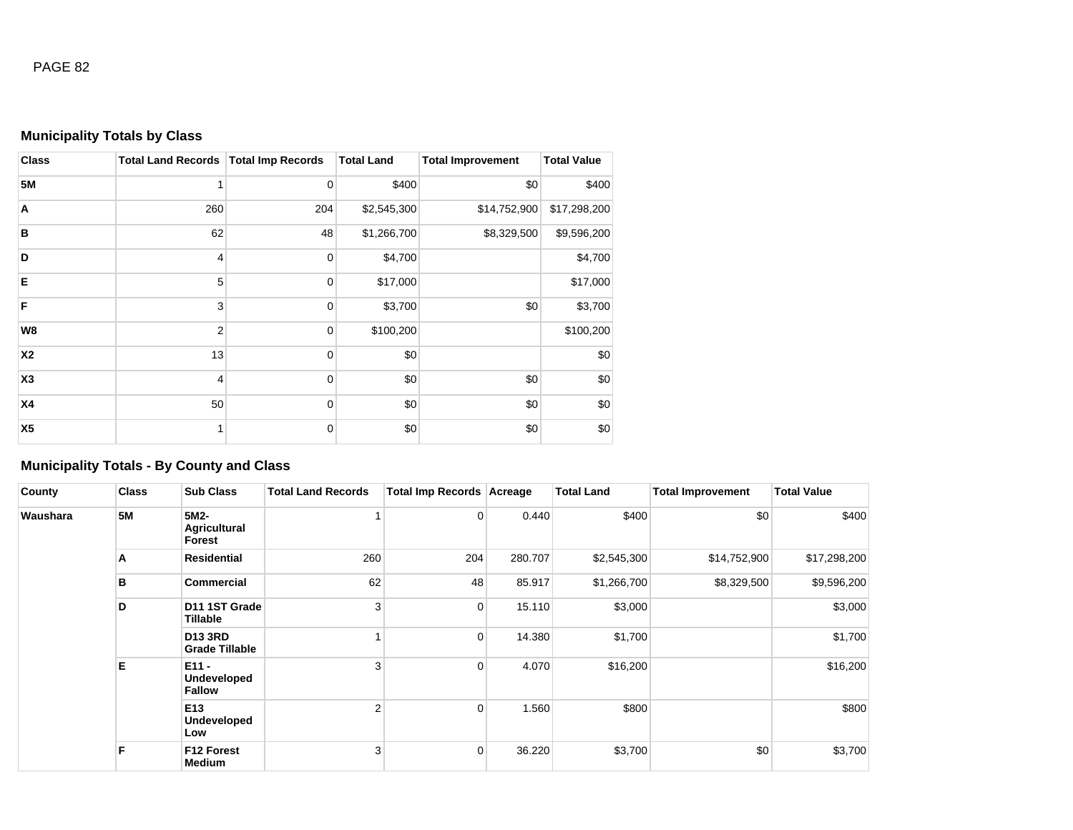# **Municipality Totals by Class**

| <b>Class</b>   | Total Land Records   Total Imp Records |             | <b>Total Land</b> | <b>Total Improvement</b> | <b>Total Value</b> |
|----------------|----------------------------------------|-------------|-------------------|--------------------------|--------------------|
| <b>5M</b>      | 1                                      | $\mathbf 0$ | \$400             | \$0                      | \$400              |
| Α              | 260                                    | 204         | \$2,545,300       | \$14,752,900             | \$17,298,200       |
| B              | 62                                     | 48          | \$1,266,700       | \$8,329,500              | \$9,596,200        |
| D              | 4                                      | $\mathbf 0$ | \$4,700           |                          | \$4,700            |
| E              | 5                                      | $\mathbf 0$ | \$17,000          |                          | \$17,000           |
| F              | 3                                      | $\mathbf 0$ | \$3,700           | \$0                      | \$3,700            |
| W8             | $\overline{2}$                         | $\mathbf 0$ | \$100,200         |                          | \$100,200          |
| <b>X2</b>      | 13                                     | $\mathbf 0$ | \$0               |                          | \$0                |
| X <sub>3</sub> | 4                                      | $\mathbf 0$ | \$0               | \$0                      | \$0                |
| X4             | 50                                     | $\mathbf 0$ | \$0               | \$0                      | \$0                |
| X <sub>5</sub> | 1                                      | $\mathbf 0$ | \$0               | \$0                      | \$0                |

# **Municipality Totals - By County and Class**

| County   | <b>Class</b> | <b>Sub Class</b>                        | <b>Total Land Records</b> | Total Imp Records Acreage |         | <b>Total Land</b> | <b>Total Improvement</b> | <b>Total Value</b> |
|----------|--------------|-----------------------------------------|---------------------------|---------------------------|---------|-------------------|--------------------------|--------------------|
| Waushara | <b>5M</b>    | 5M2-<br><b>Agricultural</b><br>Forest   |                           | 0                         | 0.440   | \$400             | \$0                      | \$400              |
|          | A            | <b>Residential</b>                      | 260                       | 204                       | 280.707 | \$2,545,300       | \$14,752,900             | \$17,298,200       |
|          | в            | <b>Commercial</b>                       | 62                        | 48                        | 85.917  | \$1,266,700       | \$8,329,500              | \$9,596,200        |
|          | D            | D11 1ST Grade<br>Tillable               | 3                         | $\overline{0}$            | 15.110  | \$3,000           |                          | \$3,000            |
|          |              | <b>D13 3RD</b><br><b>Grade Tillable</b> |                           | $\overline{0}$            | 14.380  | \$1,700           |                          | \$1,700            |
|          | Е            | $E11 -$<br>Undeveloped<br><b>Fallow</b> | 3                         | $\mathbf 0$               | 4.070   | \$16,200          |                          | \$16,200           |
|          |              | E13<br>Undeveloped<br>Low               | $\mathfrak{p}$            | $\overline{0}$            | 1.560   | \$800             |                          | \$800              |
|          | F            | <b>F12 Forest</b><br>Medium             | 3                         | $\overline{0}$            | 36.220  | \$3,700           | \$0                      | \$3,700            |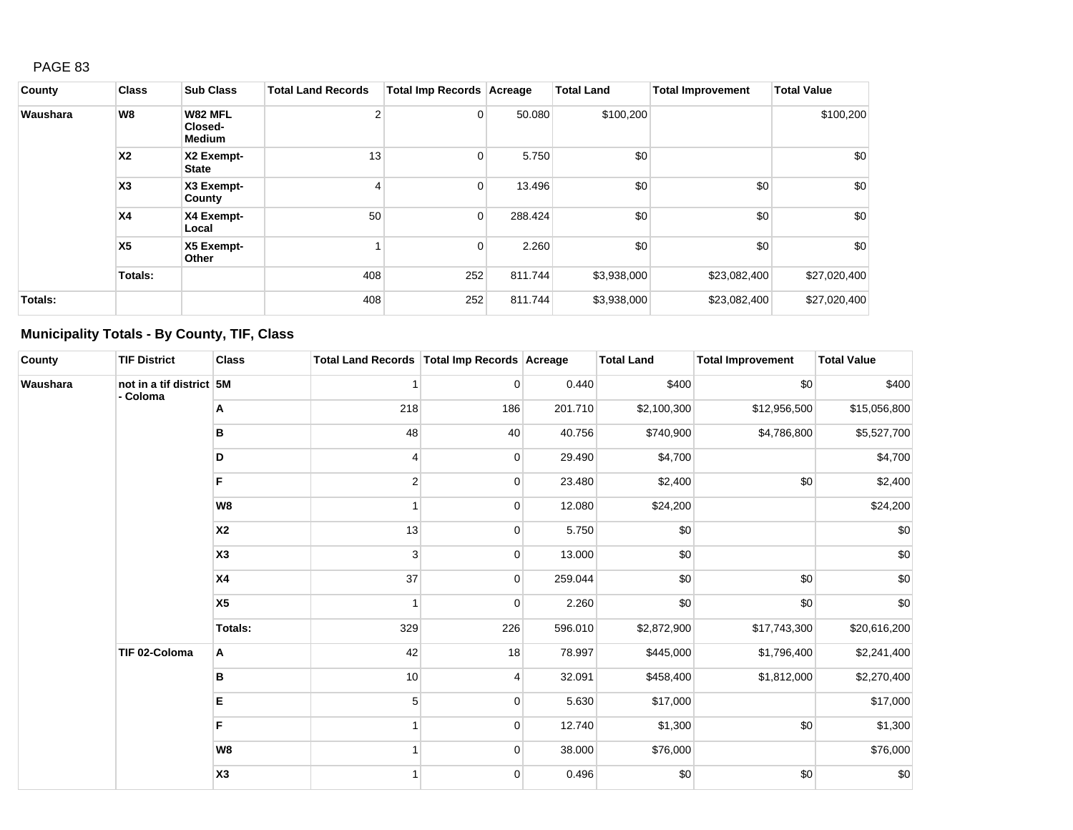| County   | <b>Class</b>   | <b>Sub Class</b>                    | <b>Total Land Records</b> | Total Imp Records Acreage |         | <b>Total Land</b> | <b>Total Improvement</b> | <b>Total Value</b> |
|----------|----------------|-------------------------------------|---------------------------|---------------------------|---------|-------------------|--------------------------|--------------------|
| Waushara | W8             | W82 MFL<br>Closed-<br><b>Medium</b> | $\mathcal{P}$             | $\overline{0}$            | 50.080  | \$100,200         |                          | \$100,200          |
|          | <b>X2</b>      | X2 Exempt-<br><b>State</b>          | 13                        | 0                         | 5.750   | \$0               |                          | \$0                |
|          | X3             | X3 Exempt-<br>County                |                           | $\overline{0}$            | 13.496  | \$0               | \$0                      | \$0                |
|          | X <sub>4</sub> | X4 Exempt-<br>Local                 | 50                        | $\overline{0}$            | 288.424 | \$0               | \$0                      | \$0                |
|          | X <sub>5</sub> | X5 Exempt-<br>Other                 |                           | 0                         | 2.260   | \$0               | \$0                      | \$0                |
|          | Totals:        |                                     | 408                       | 252                       | 811.744 | \$3,938,000       | \$23,082,400             | \$27,020,400       |
| Totals:  |                |                                     | 408                       | 252                       | 811.744 | \$3,938,000       | \$23,082,400             | \$27,020,400       |

# **Municipality Totals - By County, TIF, Class**

| County   | <b>TIF District</b>                  | <b>Class</b>   | Total Land Records   Total Imp Records   Acreage |                |         | <b>Total Land</b> | <b>Total Improvement</b> | <b>Total Value</b> |
|----------|--------------------------------------|----------------|--------------------------------------------------|----------------|---------|-------------------|--------------------------|--------------------|
| Waushara | not in a tif district 5M<br>- Coloma |                |                                                  | $\overline{0}$ | 0.440   | \$400             | \$0                      | \$400              |
|          |                                      | Α              | 218                                              | 186            | 201.710 | \$2,100,300       | \$12,956,500             | \$15,056,800       |
|          |                                      | B              | 48                                               | 40             | 40.756  | \$740,900         | \$4,786,800              | \$5,527,700        |
|          |                                      | D              |                                                  | $\overline{0}$ | 29.490  | \$4,700           |                          | \$4,700            |
|          |                                      | F              | $\overline{2}$                                   | 0              | 23.480  | \$2,400           | \$0                      | \$2,400            |
|          |                                      | W <sub>8</sub> |                                                  | $\overline{0}$ | 12.080  | \$24,200          |                          | \$24,200           |
|          |                                      | <b>X2</b>      | 13                                               | $\overline{0}$ | 5.750   | \$0               |                          | \$0                |
|          |                                      | X <sub>3</sub> | 3                                                | $\mathbf 0$    | 13.000  | \$0               |                          | \$0                |
|          |                                      | <b>X4</b>      | 37                                               | $\overline{0}$ | 259.044 | \$0               | \$0                      | \$0                |
|          |                                      | X <sub>5</sub> |                                                  | $\mathbf 0$    | 2.260   | \$0               | \$0                      | \$0                |
|          |                                      | <b>Totals:</b> | 329                                              | 226            | 596.010 | \$2,872,900       | \$17,743,300             | \$20,616,200       |
|          | TIF 02-Coloma                        | Α              | 42                                               | 18             | 78.997  | \$445,000         | \$1,796,400              | \$2,241,400        |
|          |                                      | в              | 10                                               | $\overline{4}$ | 32.091  | \$458,400         | \$1,812,000              | \$2,270,400        |
|          |                                      | Е              | 5                                                | $\mathbf 0$    | 5.630   | \$17,000          |                          | \$17,000           |
|          |                                      | F              |                                                  | $\overline{0}$ | 12.740  | \$1,300           | \$0                      | \$1,300            |
|          |                                      | W8             |                                                  | $\overline{0}$ | 38.000  | \$76,000          |                          | \$76,000           |
|          |                                      | X <sub>3</sub> |                                                  | 0              | 0.496   | \$0               | \$0                      | \$0                |